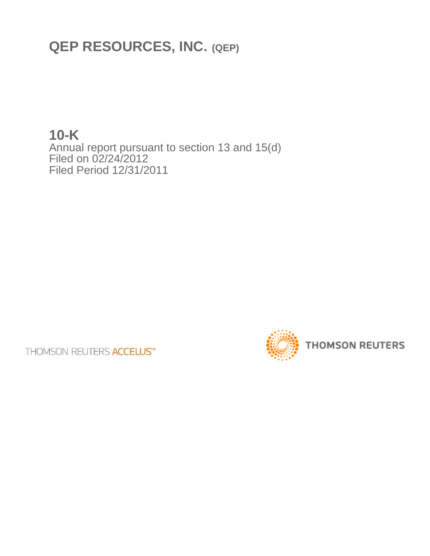# **QEP RESOURCES, INC. (QEP)**

**10-K** Annual report pursuant to section 13 and 15(d) Filed on 02/24/2012 Filed Period 12/31/2011

**THOMSON REUTERS ACCELUS™** 

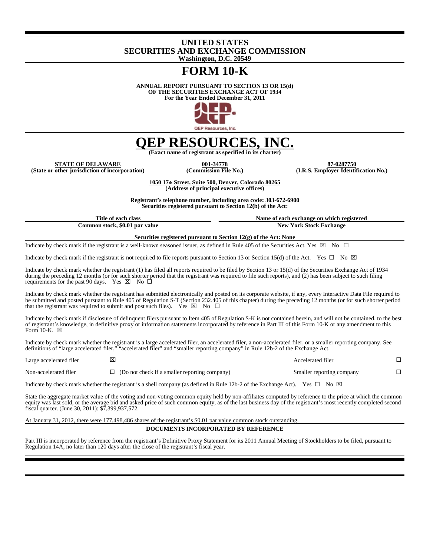## **UNITED STATES SECURITIES AND EXCHANGE COMMISSION Washington, D.C. 20549**

**FORM 10-K**

**ANNUAL REPORT PURSUANT TO SECTION 13 OR 15(d) OF THE SECURITIES EXCHANGE ACT OF 1934**

**For the Year Ended December 31, 2011**



## **QEP RESOURCES, IN**

**(Exact name of registrant as specified in its charter)**

**(State or other jurisdiction of incorporation)** 

**STATE OF DELAWARE**<br> **1.001-34778 001-34778 1.000 1.000 1.000 1.000 1.000 1.000 1.000 1.000 1.000 1.000 1.000 1.000 1.000 1.000 1.000 1.000 1.000 1.000 1.000 1.000 1.000 1.000** 

**1050 17th Street, Suite 500, Denver, Colorado 80265 (Address of principal executive offices)**

**Registrant's telephone number, including area code: 303-672-6900 Securities registered pursuant to Section 12(b) of the Act:**

**Title of each class Name of each exchange on which registered**

**Common stock, \$0.01 par value New York Stock Exchange** 

**Securities registered pursuant to Section 12(g) of the Act: None**

Indicate by check mark if the registrant is a well-known seasoned issuer, as defined in Rule 405 of the Securities Act. Yes  $\boxtimes$  No  $\Box$ 

Indicate by check mark if the registrant is not required to file reports pursuant to Section 13 or Section 15(d) of the Act. Yes  $\square$  No  $\square$ 

Indicate by check mark whether the registrant (1) has filed all reports required to be filed by Section 13 or 15(d) of the Securities Exchange Act of 1934 during the preceding 12 months (or for such shorter period that the registrant was required to file such reports), and (2) has been subject to such filing requirements for the past 90 days. Yes  $\boxtimes$  No  $\Box$ 

Indicate by check mark whether the registrant has submitted electronically and posted on its corporate website, if any, every Interactive Data File required to be submitted and posted pursuant to Rule 405 of Regulation S-T (Section 232.405 of this chapter) during the preceding 12 months (or for such shorter period that the registrant was required to submit and post such files). Yes  $\boxtimes$  No  $\square$ 

Indicate by check mark if disclosure of delinquent filers pursuant to Item 405 of Regulation S-K is not contained herein, and will not be contained, to the best of registrant's knowledge, in definitive proxy or information statements incorporated by reference in Part III of this Form 10-K or any amendment to this Form  $10-K$ .  $\boxtimes$ 

Indicate by check mark whether the registrant is a large accelerated filer, an accelerated filer, a non-accelerated filer, or a smaller reporting company. See definitions of "large accelerated filer," "accelerated filer" and "smaller reporting company" in Rule 12b-2 of the Exchange Act.

| Large accelerated filer | ⊠                                                    | Accelerated filer         |  |
|-------------------------|------------------------------------------------------|---------------------------|--|
| Non-accelerated filer   | $\Box$ (Do not check if a smaller reporting company) | Smaller reporting company |  |

Indicate by check mark whether the registrant is a shell company (as defined in Rule 12b-2 of the Exchange Act). Yes  $\Box$  No  $\boxtimes$ 

State the aggregate market value of the voting and non-voting common equity held by non-affiliates computed by reference to the price at which the common equity was last sold, or the average bid and asked price of such common equity, as of the last business day of the registrant's most recently completed second fiscal quarter. (June 30, 2011): \$7,399,937,572.

At January 31, 2012, there were 177,498,486 shares of the registrant's \$0.01 par value common stock outstanding.

## **DOCUMENTS INCORPORATED BY REFERENCE**

Part III is incorporated by reference from the registrant's Definitive Proxy Statement for its 2011 Annual Meeting of Stockholders to be filed, pursuant to Regulation 14A, no later than 120 days after the close of the registrant's fiscal year.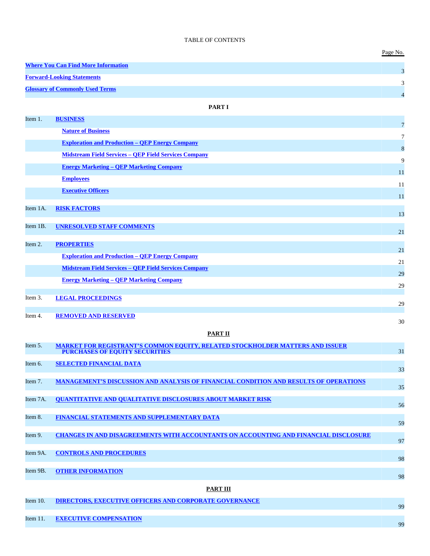## TABLE OF CONTENTS

<span id="page-2-0"></span>

|             |                                                                                                                               | Page No.                 |
|-------------|-------------------------------------------------------------------------------------------------------------------------------|--------------------------|
|             | <b>Where You Can Find More Information</b>                                                                                    | 3                        |
|             | <b>Forward-Looking Statements</b>                                                                                             | 3                        |
|             | <b>Glossary of Commonly Used Terms</b>                                                                                        | $\overline{\mathcal{A}}$ |
|             | <b>PART I</b>                                                                                                                 |                          |
| Item 1.     | <b>BUSINESS</b>                                                                                                               | $\overline{7}$           |
|             | <b>Nature of Business</b>                                                                                                     | 7                        |
|             | <b>Exploration and Production - QEP Energy Company</b>                                                                        | 8                        |
|             | <b>Midstream Field Services - QEP Field Services Company</b>                                                                  | 9                        |
|             | <b>Energy Marketing - QEP Marketing Company</b>                                                                               | 11                       |
|             | <b>Employees</b>                                                                                                              | 11                       |
|             | <b>Executive Officers</b>                                                                                                     | 11                       |
| Item 1A.    | <b>RISK FACTORS</b>                                                                                                           | 13                       |
| Item 1B.    | <b>UNRESOLVED STAFF COMMENTS</b>                                                                                              | 21                       |
| Item 2.     | <b>PROPERTIES</b>                                                                                                             | 21                       |
|             | <b>Exploration and Production - QEP Energy Company</b>                                                                        | 21                       |
|             | <b>Midstream Field Services - QEP Field Services Company</b>                                                                  | 29                       |
|             | <b>Energy Marketing – QEP Marketing Company</b>                                                                               | 29                       |
| Item 3.     | <b>LEGAL PROCEEDINGS</b>                                                                                                      | 29                       |
| Item 4.     | <b>REMOVED AND RESERVED</b>                                                                                                   |                          |
|             |                                                                                                                               | 30                       |
|             | <b>PART II</b>                                                                                                                |                          |
| Item 5.     | <b>MARKET FOR REGISTRANT'S COMMON EQUITY, RELATED STOCKHOLDER MATTERS AND ISSUER</b><br><b>PURCHASES OF EQUITY SECURITIES</b> | 31                       |
| Item 6.     | <b>SELECTED FINANCIAL DATA</b>                                                                                                | 33                       |
| Item 7.     | <b>MANAGEMENT'S DISCUSSION AND ANALYSIS OF FINANCIAL CONDITION AND RESULTS OF OPERATIONS</b>                                  |                          |
|             |                                                                                                                               | 35                       |
| Item 7A.    | <b>QUANTITATIVE AND QUALITATIVE DISCLOSURES ABOUT MARKET RISK</b>                                                             | 56                       |
| Item 8.     | FINANCIAL STATEMENTS AND SUPPLEMENTARY DATA                                                                                   | 59                       |
| Item 9.     | <b>CHANGES IN AND DISAGREEMENTS WITH ACCOUNTANTS ON ACCOUNTING AND FINANCIAL DISCLOSURE</b>                                   | 97                       |
| Item 9A.    | <b>CONTROLS AND PROCEDURES</b>                                                                                                | 98                       |
| Item 9B.    | <b>OTHER INFORMATION</b>                                                                                                      |                          |
|             | <b>PART III</b>                                                                                                               | 98                       |
| Item $10$ . | <b>DIRECTORS, EXECUTIVE OFFICERS AND CORPORATE GOVERNANCE</b>                                                                 |                          |
|             |                                                                                                                               | 99                       |
| Item 11.    | <b>EXECUTIVE COMPENSATION</b>                                                                                                 |                          |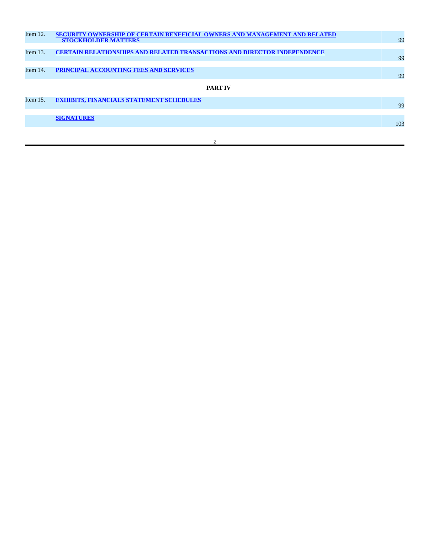| Item $12$ . | <b>SECURITY OWNERSHIP OF CERTAIN BENEFICIAL OWNERS AND MANAGEMENT AND RELATED</b><br><b>STOCKHOLDER MATTERS</b> | 99  |
|-------------|-----------------------------------------------------------------------------------------------------------------|-----|
| Item $13$ . | <b>CERTAIN RELATIONSHIPS AND RELATED TRANSACTIONS AND DIRECTOR INDEPENDENCE</b>                                 | 99  |
| Item $14$ . | <b>PRINCIPAL ACCOUNTING FEES AND SERVICES</b>                                                                   | 99  |
|             | <b>PART IV</b>                                                                                                  |     |
| Item $15$ . | <b>EXHIBITS, FINANCIALS STATEMENT SCHEDULES</b>                                                                 | 99  |
|             | <b>SIGNATURES</b>                                                                                               | 103 |
|             | $\overline{c}$                                                                                                  |     |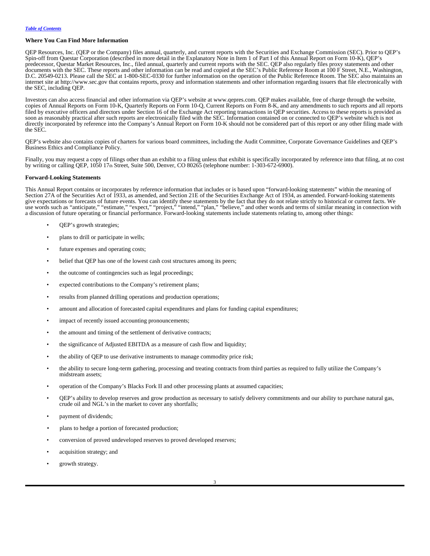#### **Where You Can Find More Information**

QEP Resources, Inc. (QEP or the Company) files annual, quarterly, and current reports with the Securities and Exchange Commission (SEC). Prior to QEP's Spin-off from Questar Corporation (described in more detail in the Explanatory Note in Item 1 of Part I of this Annual Report on Form 10-K), QEP's predecessor, Questar Market Resources, Inc., filed annual, quarterly and current reports with the SEC. QEP also regularly files proxy statements and other documents with the SEC. These reports and other information can be read and copied at the SEC's Public Reference Room at 100 F Street, N.E., Washington, D.C. 20549-0213. Please call the SEC at 1-800-SEC-0330 for further information on the operation of the Public Reference Room. The SEC also maintains an internet site at http://www.sec.gov that contains reports, proxy and information statements and other information regarding issuers that file electronically with the SEC, including QEP.

Investors can also access financial and other information via QEP's website at www.qepres.com. QEP makes available, free of charge through the website, copies of Annual Reports on Form 10-K, Quarterly Reports on Form 10-Q, Current Reports on Form 8-K, and any amendments to such reports and all reports filed by executive officers and directors under Section 16 of the Exchange Act reporting transactions in QEP securities. Access to these reports is provided as soon as reasonably practical after such reports are electronically filed with the SEC. Information contained on or connected to QEP's website which is not directly incorporated by reference into the Company's Annual Report on Form 10-K should not be considered part of this report or any other filing made with the SEC.

QEP's website also contains copies of charters for various board committees, including the Audit Committee, Corporate Governance Guidelines and QEP's Business Ethics and Compliance Policy.

Finally, you may request a copy of filings other than an exhibit to a filing unless that exhibit is specifically incorporated by reference into that filing, at no cost by writing or calling QEP, 1050 17th Street, Suite 500, Denver, CO 80265 (telephone number: 1-303-672-6900).

#### **Forward-Looking Statements**

This Annual Report contains or incorporates by reference information that includes or is based upon "forward-looking statements" within the meaning of Section 27A of the Securities Act of 1933, as amended, and Section 21E of the Securities Exchange Act of 1934, as amended. Forward-looking statements give expectations or forecasts of future events. You can identify these statements by the fact that they do not relate strictly to historical or current facts. We use words such as "anticipate," "estimate," "expect," "project," "intend," "plan," "believe," and other words and terms of similar meaning in connection with a discussion of future operating or financial performance. Forward-looking statements include statements relating to, among other things:

- QEP's growth strategies;
- plans to drill or participate in wells;
- future expenses and operating costs;
- belief that QEP has one of the lowest cash cost structures among its peers;
- the outcome of contingencies such as legal proceedings;
- expected contributions to the Company's retirement plans;
- results from planned drilling operations and production operations;
- amount and allocation of forecasted capital expenditures and plans for funding capital expenditures;
- impact of recently issued accounting pronouncements;
- the amount and timing of the settlement of derivative contracts;
- the significance of Adjusted EBITDA as a measure of cash flow and liquidity;
- the ability of QEP to use derivative instruments to manage commodity price risk;
- the ability to secure long-term gathering, processing and treating contracts from third parties as required to fully utilize the Company's midstream assets;
- operation of the Company's Blacks Fork II and other processing plants at assumed capacities;
- QEP's ability to develop reserves and grow production as necessary to satisfy delivery commitments and our ability to purchase natural gas, crude oil and NGL's in the market to cover any shortfalls;
- payment of dividends;
- plans to hedge a portion of forecasted production;
- conversion of proved undeveloped reserves to proved developed reserves;
- acquisition strategy; and
- growth strategy.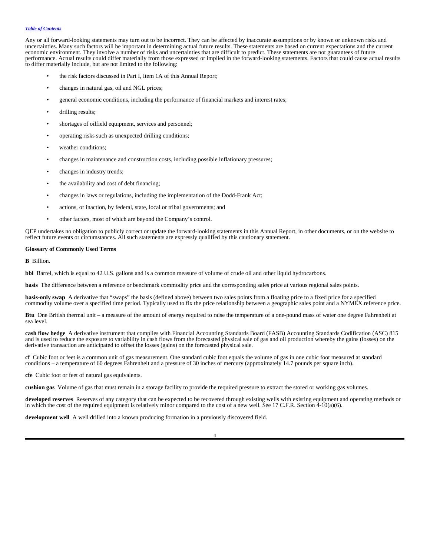Any or all forward-looking statements may turn out to be incorrect. They can be affected by inaccurate assumptions or by known or unknown risks and uncertainties. Many such factors will be important in determining actual future results. These statements are based on current expectations and the current economic environment. They involve a number of risks and uncertainties that are difficult to predict. These statements are not guarantees of future performance. Actual results could differ materially from those expressed or implied in the forward-looking statements. Factors that could cause actual results to differ materially include, but are not limited to the following:

- the risk factors discussed in Part I, Item 1A of this Annual Report;
- changes in natural gas, oil and NGL prices;
- general economic conditions, including the performance of financial markets and interest rates;
- drilling results;
- shortages of oilfield equipment, services and personnel;
- operating risks such as unexpected drilling conditions;
- weather conditions;
- changes in maintenance and construction costs, including possible inflationary pressures;
- changes in industry trends;
- the availability and cost of debt financing;
- changes in laws or regulations, including the implementation of the Dodd-Frank Act;
- actions, or inaction, by federal, state, local or tribal governments; and
- other factors, most of which are beyond the Company's control.

QEP undertakes no obligation to publicly correct or update the forward-looking statements in this Annual Report, in other documents, or on the website to reflect future events or circumstances. All such statements are expressly qualified by this cautionary statement.

#### **Glossary of Commonly Used Terms**

**B** Billion.

**bbl** Barrel, which is equal to 42 U.S. gallons and is a common measure of volume of crude oil and other liquid hydrocarbons.

**basis** The difference between a reference or benchmark commodity price and the corresponding sales price at various regional sales points.

**basis-only swap** A derivative that "swaps" the basis (defined above) between two sales points from a floating price to a fixed price for a specified commodity volume over a specified time period. Typically used to fix the price relationship between a geographic sales point and a NYMEX reference price.

**Btu** One British thermal unit – a measure of the amount of energy required to raise the temperature of a one-pound mass of water one degree Fahrenheit at sea level.

**cash flow hedge** A derivative instrument that complies with Financial Accounting Standards Board (FASB) Accounting Standards Codification (ASC) 815 and is used to reduce the exposure to variability in cash flows from the forecasted physical sale of gas and oil production whereby the gains (losses) on the derivative transaction are anticipated to offset the losses (gains) on the forecasted physical sale.

**cf** Cubic foot or feet is a common unit of gas measurement. One standard cubic foot equals the volume of gas in one cubic foot measured at standard conditions – a temperature of 60 degrees Fahrenheit and a pressure of 30 inches of mercury (approximately 14.7 pounds per square inch).

**cfe** Cubic foot or feet of natural gas equivalents.

**cushion gas** Volume of gas that must remain in a storage facility to provide the required pressure to extract the stored or working gas volumes.

**developed reserves** Reserves of any category that can be expected to be recovered through existing wells with existing equipment and operating methods or in which the cost of the required equipment is relatively minor compared to the cost of a new well. See 17 C.F.R. Section 4-10(a)(6).

**development well** A well drilled into a known producing formation in a previously discovered field.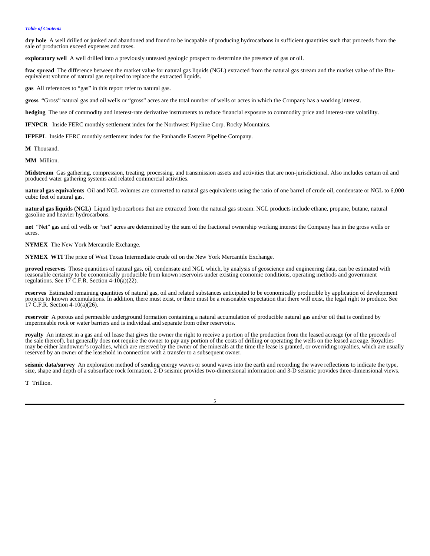**dry hole** A well drilled or junked and abandoned and found to be incapable of producing hydrocarbons in sufficient quantities such that proceeds from the sale of production exceed expenses and taxes.

**exploratory well** A well drilled into a previously untested geologic prospect to determine the presence of gas or oil.

**frac spread** The difference between the market value for natural gas liquids (NGL) extracted from the natural gas stream and the market value of the Btuequivalent volume of natural gas required to replace the extracted liquids.

**gas** All references to "gas" in this report refer to natural gas.

**gross** "Gross" natural gas and oil wells or "gross" acres are the total number of wells or acres in which the Company has a working interest.

**hedging** The use of commodity and interest-rate derivative instruments to reduce financial exposure to commodity price and interest-rate volatility.

**IFNPCR** Inside FERC monthly settlement index for the Northwest Pipeline Corp. Rocky Mountains.

**IFPEPL** Inside FERC monthly settlement index for the Panhandle Eastern Pipeline Company.

**M** Thousand.

**MM** Million.

**Midstream** Gas gathering, compression, treating, processing, and transmission assets and activities that are non-jurisdictional. Also includes certain oil and produced water gathering systems and related commercial activities.

**natural gas equivalents** Oil and NGL volumes are converted to natural gas equivalents using the ratio of one barrel of crude oil, condensate or NGL to 6,000 cubic feet of natural gas.

**natural gas liquids (NGL)** Liquid hydrocarbons that are extracted from the natural gas stream. NGL products include ethane, propane, butane, natural gasoline and heavier hydrocarbons.

**net** "Net" gas and oil wells or "net" acres are determined by the sum of the fractional ownership working interest the Company has in the gross wells or acres.

**NYMEX** The New York Mercantile Exchange.

**NYMEX WTI** The price of West Texas Intermediate crude oil on the New York Mercantile Exchange.

**proved reserves** Those quantities of natural gas, oil, condensate and NGL which, by analysis of geoscience and engineering data, can be estimated with reasonable certainty to be economically producible from known reservoirs under existing economic conditions, operating methods and government regulations. See 17 C.F.R. Section  $4-10(a)(22)$ .

**reserves** Estimated remaining quantities of natural gas, oil and related substances anticipated to be economically producible by application of development projects to known accumulations. In addition, there must exist, or there must be a reasonable expectation that there will exist, the legal right to produce. See 17 C.F.R. Section 4-10(a)(26).

**reservoir** A porous and permeable underground formation containing a natural accumulation of producible natural gas and/or oil that is confined by impermeable rock or water barriers and is individual and separate from other reservoirs.

**royalty** An interest in a gas and oil lease that gives the owner the right to receive a portion of the production from the leased acreage (or of the proceeds of the sale thereof), but generally does not require the owner to pay any portion of the costs of drilling or operating the wells on the leased acreage. Royalties may be either landowner's royalties, which are reserved by the owner of the minerals at the time the lease is granted, or overriding royalties, which are usually reserved by an owner of the leasehold in connection with a transfer to a subsequent owner.

**seismic data/survey** An exploration method of sending energy waves or sound waves into the earth and recording the wave reflections to indicate the type, size, shape and depth of a subsurface rock formation. 2-D seismic provides two-dimensional information and 3-D seismic provides three-dimensional views.

**T** Trillion.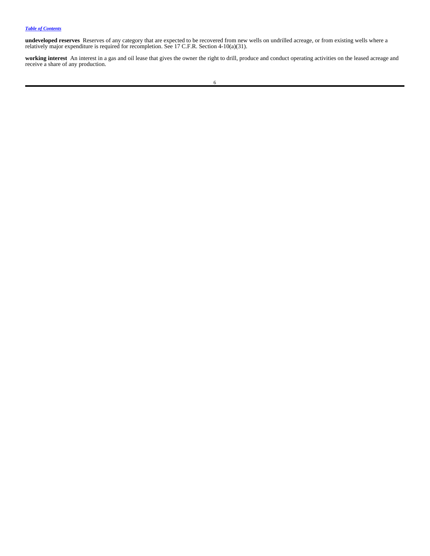**undeveloped reserves** Reserves of any category that are expected to be recovered from new wells on undrilled acreage, or from existing wells where a relatively major expenditure is required for recompletion. See 17 C.F.R. Section 4-10(a)(31).

**working interest** An interest in a gas and oil lease that gives the owner the right to drill, produce and conduct operating activities on the leased acreage and receive a share of any production.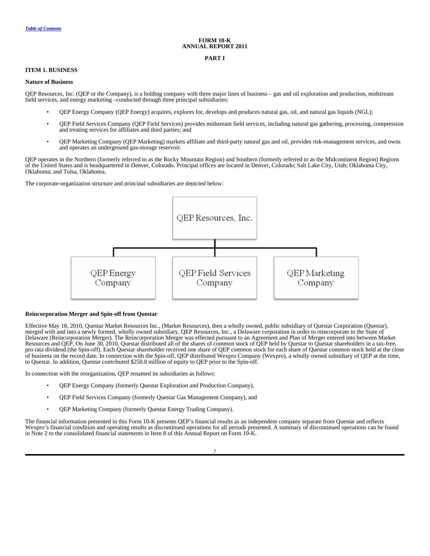## **FORM 10-K ANNUAL REPORT 2011**

## **PART I**

#### **ITEM 1. BUSINESS**

## **Nature of Business**

QEP Resources, Inc. (QEP or the Company), is a holding company with three major lines of business – gas and oil exploration and production, midstream field services, and energy marketing –conducted through three principal subsidiaries:

- QEP Energy Company (QEP Energy) acquires, explores for, develops and produces natural gas, oil, and natural gas liquids (NGL);
- QEP Field Services Company (QEP Field Services) provides midstream field services, including natural gas gathering, processing, compression and treating services for affiliates and third parties; and
- QEP Marketing Company (QEP Marketing) markets affiliate and third-party natural gas and oil, provides risk-management services, and owns and operates an underground gas-storage reservoir.

QEP operates in the Northern (formerly referred to as the Rocky Mountain Region) and Southern (formerly referred to as the Midcontinent Region) Regions of the United States and is headquartered in Denver, Colorado. Principal offices are located in Denver, Colorado; Salt Lake City, Utah; Oklahoma City, Oklahoma; and Tulsa, Oklahoma.

The corporate-organization structure and principal subsidiaries are depicted below:



#### **Reincorporation Merger and Spin-off from Questar**

Effective May 18, 2010, Questar Market Resources Inc., (Market Resources), then a wholly owned, public subsidiary of Questar Corporation (Questar), merged with and into a newly formed, wholly owned subsidiary, QEP Resources, Inc., a Delaware corporation in order to reincorporate in the State of Delaware (Reincorporation Merger). The Reincorporation Merger was effected pursuant to an Agreement and Plan of Merger entered into between Market Resources and QEP. On June 30, 2010, Questar distributed all of the shares of common stock of QEP held by Questar to Questar shareholders in a tax-free, pro rata dividend (the Spin-off). Each Questar shareholder received one share of QEP common stock for each share of Questar common stock held at the close of business on the record date. In connection with the Spin-off, QEP distributed Wexpro Company (Wexpro), a wholly owned subsidiary of QEP at the time, to Questar. In addition, Questar contributed \$250.0 million of equity to QEP prior to the Spin-off.

In connection with the reorganization, QEP renamed its subsidiaries as follows:

- QEP Energy Company (formerly Questar Exploration and Production Company),
- QEP Field Services Company (formerly Questar Gas Management Company), and
- QEP Marketing Company (formerly Questar Energy Trading Company).

The financial information presented in this Form 10-K presents QEP's financial results as an independent company separate from Questar and reflects Wexpro's financial condition and operating results as discontinued operations for all periods presented. A summary of discontinued operations can be found in Note 2 to the consolidated financial statements in Item 8 of this Annual Report on Form 10-K.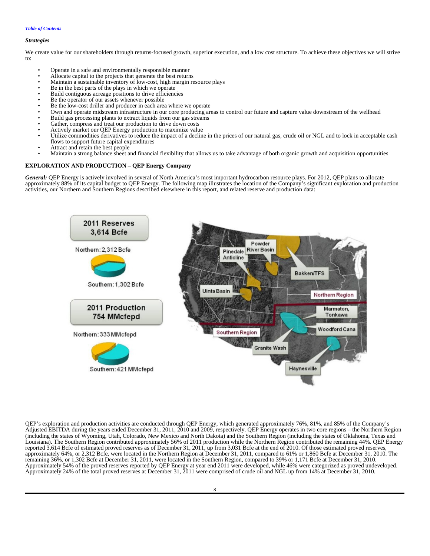#### *Strategies*

We create value for our shareholders through returns-focused growth, superior execution, and a low cost structure. To achieve these objectives we will strive to:

- Operate in a safe and environmentally responsible manner
- Allocate capital to the projects that generate the best returns
- Maintain a sustainable inventory of low-cost, high margin resource plays
- Be in the best parts of the plays in which we operate
- Build contiguous acreage positions to drive efficiencies
- Be the operator of our assets whenever possible
- Be the low-cost driller and producer in each area where we operate
- Own and operate midstream infrastructure in our core producing areas to control our future and capture value downstream of the wellhead
- Build gas processing plants to extract liquids from our gas streams
- Gather, compress and treat our production to drive down costs
- Actively market our QEP Energy production to maximize value
- Utilize commodities derivatives to reduce the impact of a decline in the prices of our natural gas, crude oil or NGL and to lock in acceptable cash flows to support future capital expenditures
- Attract and retain the best people
- Maintain a strong balance sheet and financial flexibility that allows us to take advantage of both organic growth and acquisition opportunities

## **EXPLORATION AND PRODUCTION – QEP Energy Company**

*General:* QEP Energy is actively involved in several of North America's most important hydrocarbon resource plays. For 2012, QEP plans to allocate approximately 88% of its capital budget to QEP Energy. The following map illustrates the location of the Company's significant exploration and production activities, our Northern and Southern Regions described elsewhere in this report, and related reserve and production data:



QEP's exploration and production activities are conducted through QEP Energy, which generated approximately 76%, 81%, and 85% of the Company's Adjusted EBITDA during the years ended December 31, 2011, 2010 and 2009, respectively. QEP Energy operates in two core regions – the Northern Region (including the states of Wyoming, Utah, Colorado, New Mexico and North Dakota) and the Southern Region (including the states of Oklahoma, Texas and Louisiana). The Southern Region contributed approximately 56% of 2011 production while the Northern Region contributed the remaining 44%. QEP Energy reported 3,614 Bcfe of estimated proved reserves as of December 31, 2011, up from 3,031 Bcfe at the end of 2010. Of those estimated proved reserves, approximately 64%, or 2,312 Bcfe, were located in the Northern Region at December 31, 2011, compared to 61% or 1,860 Bcfe at December 31, 2010. The remaining 36%, or 1,302 Bcfe at December 31, 2011, were located in the Southern Region, compared to 39% or 1,171 Bcfe at December 31, 2010. Approximately 54% of the proved reserves reported by QEP Energy at year end 2011 were developed, while 46% were categorized as proved undeveloped. Approximately 24% of the total proved reserves at December 31, 2011 were comprised of crude oil and NGL up from 14% at December 31, 2010.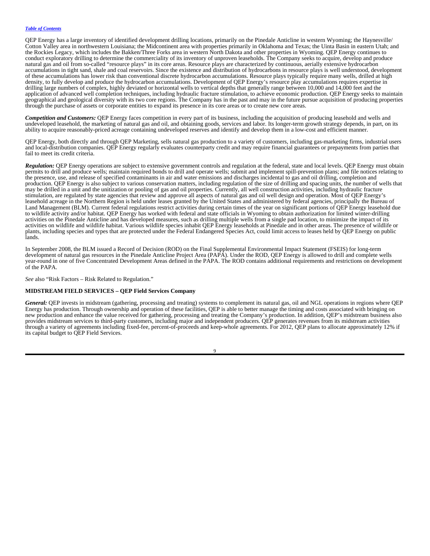QEP Energy has a large inventory of identified development drilling locations, primarily on the Pinedale Anticline in western Wyoming; the Haynesville/ Cotton Valley area in northwestern Louisiana; the Midcontinent area with properties primarily in Oklahoma and Texas; the Uinta Basin in eastern Utah; and the Rockies Legacy, which includes the Bakken/Three Forks area in western North Dakota and other properties in Wyoming. QEP Energy continues to conduct exploratory drilling to determine the commerciality of its inventory of unproven leaseholds. The Company seeks to acquire, develop and produce natural gas and oil from so-called "resource plays" in its core areas. Resource plays are characterized by continuous, aerially extensive hydrocarbon accumulations in tight sand, shale and coal reservoirs. Since the existence and distribution of hydrocarbons in resource plays is well understood, development of these accumulations has lower risk than conventional discrete hydrocarbon accumulations. Resource plays typically require many wells, drilled at high density, to fully develop and produce the hydrocarbon accumulations. Development of QEP Energy's resource play accumulations requires expertise in drilling large numbers of complex, highly deviated or horizontal wells to vertical depths that generally range between 10,000 and 14,000 feet and the application of advanced well completion techniques, including hydraulic fracture stimulation, to achieve economic production. QEP Energy seeks to maintain geographical and geological diversity with its two core regions. The Company has in the past and may in the future pursue acquisition of producing properties through the purchase of assets or corporate entities to expand its presence in its core areas or to create new core areas.

*Competition and Customers:* QEP Energy faces competition in every part of its business, including the acquisition of producing leasehold and wells and undeveloped leasehold, the marketing of natural gas and oil, and obtaining goods, services and labor. Its longer-term growth strategy depends, in part, on its ability to acquire reasonably-priced acreage containing undeveloped reserves and identify and develop them in a low-cost and efficient manner.

QEP Energy, both directly and through QEP Marketing, sells natural gas production to a variety of customers, including gas-marketing firms, industrial users and local-distribution companies. QEP Energy regularly evaluates counterparty credit and may require financial guarantees or prepayments from parties that fail to meet its credit criteria.

*Regulation:* QEP Energy operations are subject to extensive government controls and regulation at the federal, state and local levels. QEP Energy must obtain permits to drill and produce wells; maintain required bonds to drill and operate wells; submit and implement spill-prevention plans; and file notices relating to the presence, use, and release of specified contaminants in air and water emissions and discharges incidental to gas and oil drilling, completion and production. QEP Energy is also subject to various conservation matters, including regulation of the size of drilling and spacing units, the number of wells that may be drilled in a unit and the unitization or pooling of gas and oil properties. Currently, all well construction activities, including hydraulic fracture stimulation, are regulated by state agencies that review and approve all aspects of natural gas and oil well design and operation. Most of QEP Energy's leasehold acreage in the Northern Region is held under leases granted by the United States and administered by federal agencies, principally the Bureau of Land Management (BLM). Current federal regulations restrict activities during certain times of the year on significant portions of QEP Energy leasehold due to wildlife activity and/or habitat. QEP Energy has worked with federal and state officials in Wyoming to obtain authorization for limited winter-drilling activities on the Pinedale Anticline and has developed measures, such as drilling multiple wells from a single pad location, to minimize the impact of its activities on wildlife and wildlife habitat. Various wildlife species inhabit QEP Energy leaseholds at Pinedale and in other areas. The presence of wildlife or plants, including species and types that are protected under the Federal Endangered Species Act, could limit access to leases held by QEP Energy on public lands.

In September 2008, the BLM issued a Record of Decision (ROD) on the Final Supplemental Environmental Impact Statement (FSEIS) for long-term development of natural gas resources in the Pinedale Anticline Project Area (PAPA). Under the ROD, QEP Energy is allowed to drill and complete wells year-round in one of five Concentrated Development Areas defined in the PAPA. The ROD contains additional requirements and restrictions on development of the PAPA.

*See* also "Risk Factors – Risk Related to Regulation."

#### **MIDSTREAM FIELD SERVICES – QEP Field Services Company**

*General:* QEP invests in midstream (gathering, processing and treating) systems to complement its natural gas, oil and NGL operations in regions where QEP Energy has production. Through ownership and operation of these facilities, QEP is able to better manage the timing and costs associated with bringing on new production and enhance the value received for gathering, processing and treating the Company's production. In addition, QEP's midstream business also provides midstream services to third-party customers, including major and independent producers. QEP generates revenues from its midstream activities through a variety of agreements including fixed-fee, percent-of-proceeds and keep-whole agreements. For 2012, QEP plans to allocate approximately 12% if its capital budget to QEP Field Services.

 $\alpha$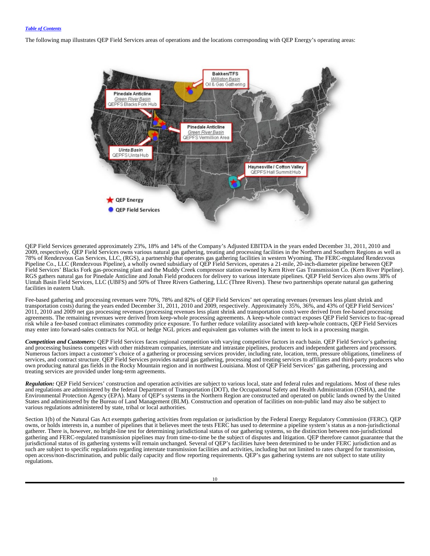The following map illustrates QEP Field Services areas of operations and the locations corresponding with QEP Energy's operating areas:



QEP Field Services generated approximately 23%, 18% and 14% of the Company's Adjusted EBITDA in the years ended December 31, 2011, 2010 and 2009, respectively. QEP Field Services owns various natural gas gathering, treating and processing facilities in the Northern and Southern Regions as well as 78% of Rendezvous Gas Services, LLC, (RGS), a partnership that operates gas gathering facilities in western Wyoming. The FERC-regulated Rendezvous Pipeline Co., LLC (Rendezvous Pipeline), a wholly owned subsidiary of QEP Field Services, operates a 21-mile, 20-inch-diameter pipeline between QEP Field Services' Blacks Fork gas-processing plant and the Muddy Creek compressor station owned by Kern River Gas Transmission Co. (Kern River Pipeline). RGS gathers natural gas for Pinedale Anticline and Jonah Field producers for delivery to various interstate pipelines. QEP Field Services also owns 38% of Uintah Basin Field Services, LLC (UBFS) and 50% of Three Rivers Gathering, LLC (Three Rivers). These two partnerships operate natural gas gathering facilities in eastern Utah.

Fee-based gathering and processing revenues were 70%, 78% and 82% of QEP Field Services' net operating revenues (revenues less plant shrink and transportation costs) during the years ended December 31, 2011, 2010 and 2009, respectively. Approximately 35%, 36%, and 43% of QEP Field Services' 2011, 2010 and 2009 net gas processing revenues (processing revenues less plant shrink and transportation costs) were derived from fee-based processing agreements. The remaining revenues were derived from keep-whole processing agreements. A keep-whole contract exposes QEP Field Services to frac-spread risk while a fee-based contract eliminates commodity price exposure. To further reduce volatility associated with keep-whole contracts, QEP Field Services may enter into forward-sales contracts for NGL or hedge NGL prices and equivalent gas volumes with the intent to lock in a processing margin.

*Competition and Customers:* QEP Field Services faces regional competition with varying competitive factors in each basin. QEP Field Service's gathering and processing business competes with other midstream companies, interstate and intrastate pipelines, producers and independent gatherers and processors. Numerous factors impact a customer's choice of a gathering or processing services provider, including rate, location, term, pressure obligations, timeliness of services, and contract structure. QEP Field Services provides natural gas gathering, processing and treating services to affiliates and third-party producers who own producing natural gas fields in the Rocky Mountain region and in northwest Louisiana. Most of QEP Field Services' gas gathering, processing and treating services are provided under long-term agreements.

*Regulation:* QEP Field Services' construction and operation activities are subject to various local, state and federal rules and regulations. Most of these rules and regulations are administered by the federal Department of Transportation (DOT), the Occupational Safety and Health Administration (OSHA), and the Environmental Protection Agency (EPA). Many of QEP's systems in the Northern Region are constructed and operated on public lands owned by the United States and administered by the Bureau of Land Management (BLM). Construction and operation of facilities on non-public land may also be subject to various regulations administered by state, tribal or local authorities.

Section 1(b) of the Natural Gas Act exempts gathering activities from regulation or jurisdiction by the Federal Energy Regulatory Commission (FERC). QEP owns, or holds interests in, a number of pipelines that it believes meet the tests FERC has used to determine a pipeline system's status as a non-jurisdictional gatherer. There is, however, no bright-line test for determining jurisdictional status of our gathering systems, so the distinction between non-jurisdictional gathering and FERC-regulated transmission pipelines may from time-to-time be the subject of disputes and litigation. QEP therefore cannot guarantee that the jurisdictional status of its gathering systems will remain unchanged. Several of QEP's facilities have been determined to be under FERC jurisdiction and as such are subject to specific regulations regarding interstate transmission facilities and activities, including but not limited to rates charged for transmission, open access/non-discrimination, and public daily capacity and flow reporting requirements. QEP's gas gathering systems are not subject to state utility regulations.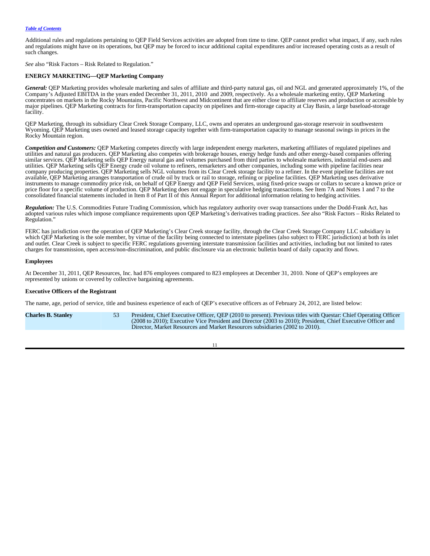Additional rules and regulations pertaining to QEP Field Services activities are adopted from time to time. QEP cannot predict what impact, if any, such rules and regulations might have on its operations, but QEP may be forced to incur additional capital expenditures and/or increased operating costs as a result of such changes.

*See* also "Risk Factors – Risk Related to Regulation."

#### **ENERGY MARKETING—QEP Marketing Company**

General: QEP Marketing provides wholesale marketing and sales of affiliate and third-party natural gas, oil and NGL and generated approximately 1%, of the Company's Adjusted EBITDA in the years ended December 31, 2011, 2010 and 2009, respectively. As a wholesale marketing entity, QEP Marketing concentrates on markets in the Rocky Mountains, Pacific Northwest and Midcontinent that are either close to affiliate reserves and production or accessible by major pipelines. QEP Marketing contracts for firm-transportation capacity on pipelines and firm-storage capacity at Clay Basin, a large baseload-storage facility.

QEP Marketing, through its subsidiary Clear Creek Storage Company, LLC, owns and operates an underground gas-storage reservoir in southwestern Wyoming. QEP Marketing uses owned and leased storage capacity together with firm-transportation capacity to manage seasonal swings in prices in the Rocky Mountain region.

*Competition and Customers:* QEP Marketing competes directly with large independent energy marketers, marketing affiliates of regulated pipelines and utilities and natural gas producers. QEP Marketing also competes with brokerage houses, energy hedge funds and other energy-based companies offering similar services. QEP Marketing sells QEP Energy natural gas and volumes purchased from third parties to wholesale marketers, industrial end-users and utilities. QEP Marketing sells QEP Energy crude oil volume to refiners, remarketers and other companies, including some with pipeline facilities near company producing properties. QEP Marketing sells NGL volumes from its Clear Creek storage facility to a refiner. In the event pipeline facilities are not available, QEP Marketing arranges transportation of crude oil by truck or rail to storage, refining or pipeline facilities. QEP Marketing uses derivative instruments to manage commodity price risk, on behalf of QEP Energy and QEP Field Services, using fixed-price swaps or collars to secure a known price or price floor for a specific volume of production. QEP Marketing does not engage in speculative hedging transactions. See Item 7A and Notes 1 and 7 to the consolidated financial statements included in Item 8 of Part II of this Annual Report for additional information relating to hedging activities.

*Regulation:* The U.S. Commodities Future Trading Commission, which has regulatory authority over swap transactions under the Dodd-Frank Act, has adopted various rules which impose compliance requirements upon QEP Marketing's derivatives trading practices. *See* also "Risk Factors – Risks Related to Regulation."

FERC has jurisdiction over the operation of QEP Marketing's Clear Creek storage facility, through the Clear Creek Storage Company LLC subsidiary in which QEP Marketing is the sole member, by virtue of the facility being connected to interstate pipelines (also subject to FERC jurisdiction) at both its inlet and outlet. Clear Creek is subject to specific FERC regulations governing interstate transmission facilities and activities, including but not limited to rates charges for transmission, open access/non-discrimination, and public disclosure via an electronic bulletin board of daily capacity and flows.

#### **Employees**

At December 31, 2011, QEP Resources, Inc. had 876 employees compared to 823 employees at December 31, 2010. None of QEP's employees are represented by unions or covered by collective bargaining agreements.

#### **Executive Officers of the Registrant**

The name, age, period of service, title and business experience of each of QEP's executive officers as of February 24, 2012, are listed below:

| <b>Charles B. Stanley</b> | President, Chief Executive Officer, OEP (2010 to present). Previous titles with Questar: Chief Operating Officer<br>(2008 to 2010); Executive Vice President and Director (2003 to 2010); President, Chief Executive Officer and<br>Director, Market Resources and Market Resources subsidiaries (2002 to 2010). |
|---------------------------|------------------------------------------------------------------------------------------------------------------------------------------------------------------------------------------------------------------------------------------------------------------------------------------------------------------|
|                           |                                                                                                                                                                                                                                                                                                                  |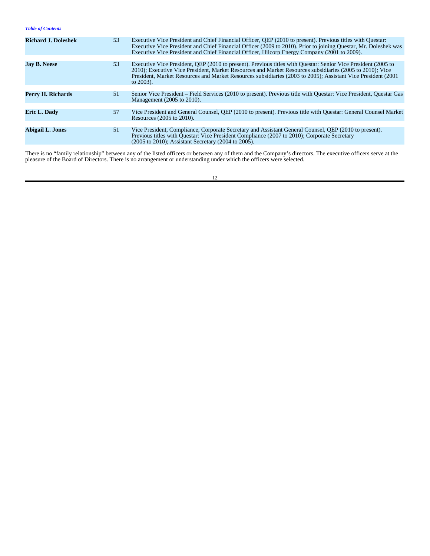| <b>Richard J. Doleshek</b> | 53 | Executive Vice President and Chief Financial Officer, QEP (2010 to present). Previous titles with Questar:<br>Executive Vice President and Chief Financial Officer (2009 to 2010). Prior to joining Questar, Mr. Doleshek was<br>Executive Vice President and Chief Financial Officer, Hilcorp Energy Company (2001 to 2009).                              |
|----------------------------|----|------------------------------------------------------------------------------------------------------------------------------------------------------------------------------------------------------------------------------------------------------------------------------------------------------------------------------------------------------------|
| <b>Jay B. Neese</b>        | 53 | Executive Vice President, OEP (2010 to present). Previous titles with Questar: Senior Vice President (2005 to<br>2010); Executive Vice President, Market Resources and Market Resources subsidiaries (2005 to 2010); Vice<br>President, Market Resources and Market Resources subsidiaries (2003 to 2005); Assistant Vice President (2001)<br>to $2003$ ). |
| Perry H. Richards          | 51 | Senior Vice President – Field Services (2010 to present). Previous title with Questar: Vice President, Questar Gas                                                                                                                                                                                                                                         |
|                            |    | Management (2005 to 2010).                                                                                                                                                                                                                                                                                                                                 |
| Eric L. Dady               | 57 | Vice President and General Counsel, OEP (2010 to present). Previous title with Questar: General Counsel Market<br>Resources (2005 to 2010).                                                                                                                                                                                                                |
|                            |    |                                                                                                                                                                                                                                                                                                                                                            |
| <b>Abigail L. Jones</b>    | 51 | Vice President, Compliance, Corporate Secretary and Assistant General Counsel, QEP (2010 to present).<br>Previous titles with Questar: Vice President Compliance (2007 to 2010); Corporate Secretary<br>(2005 to 2010); Assistant Secretary (2004 to 2005).                                                                                                |

There is no "family relationship" between any of the listed officers or between any of them and the Company's directors. The executive officers serve at the pleasure of the Board of Directors. There is no arrangement or understanding under which the officers were selected.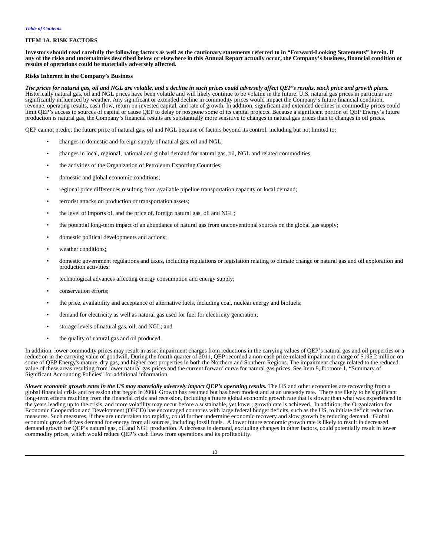## **ITEM 1A. RISK FACTORS**

**Investors should read carefully the following factors as well as the cautionary statements referred to in "Forward-Looking Statements" herein. If any of the risks and uncertainties described below or elsewhere in this Annual Report actually occur, the Company's business, financial condition or results of operations could be materially adversely affected.**

#### **Risks Inherent in the Company's Business**

*The prices for natural gas, oil and NGL are volatile, and a decline in such prices could adversely affect QEP's results, stock price and growth plans.* Historically natural gas, oil and NGL prices have been volatile and will likely continue to be volatile in the future. U.S. natural gas prices in particular are significantly influenced by weather. Any significant or extended decline in commodity prices would impact the Company's future financial condition, revenue, operating results, cash flow, return on invested capital, and rate of growth. In addition, significant and extended declines in commodity prices could limit QEP's access to sources of capital or cause QEP to delay or postpone some of its capital projects. Because a significant portion of QEP Energy's future production is natural gas, the Company's financial results are substantially more sensitive to changes in natural gas prices than to changes in oil prices.

QEP cannot predict the future price of natural gas, oil and NGL because of factors beyond its control, including but not limited to:

- changes in domestic and foreign supply of natural gas, oil and NGL;
- changes in local, regional, national and global demand for natural gas, oil, NGL and related commodities;
- the activities of the Organization of Petroleum Exporting Countries;
- domestic and global economic conditions;
- regional price differences resulting from available pipeline transportation capacity or local demand;
- terrorist attacks on production or transportation assets;
- the level of imports of, and the price of, foreign natural gas, oil and NGL;
- the potential long-term impact of an abundance of natural gas from unconventional sources on the global gas supply;
- domestic political developments and actions;
- weather conditions;
- domestic government regulations and taxes, including regulations or legislation relating to climate change or natural gas and oil exploration and production activities;
- technological advances affecting energy consumption and energy supply;
- conservation efforts:
- the price, availability and acceptance of alternative fuels, including coal, nuclear energy and biofuels;
- demand for electricity as well as natural gas used for fuel for electricity generation;
- storage levels of natural gas, oil, and NGL; and
- the quality of natural gas and oil produced.

In addition, lower commodity prices may result in asset impairment charges from reductions in the carrying values of QEP's natural gas and oil properties or a reduction in the carrying value of goodwill. During the fourth quarter of 2011, QEP recorded a non-cash price-related impairment charge of \$195.2 million on some of QEP Energy's mature, dry gas, and higher cost properties in both the Northern and Southern Regions. The impairment charge related to the reduced value of these areas resulting from lower natural gas prices and the current forward curve for natural gas prices. See Item 8, footnote 1, "Summary of Significant Accounting Policies" for additional information.

*Slower economic growth rates in the US may materially adversely impact QEP's operating results.* The US and other economies are recovering from a global financial crisis and recession that began in 2008. Growth has resumed but has been modest and at an unsteady rate. There are likely to be significant long-term effects resulting from the financial crisis and recession, including a future global economic growth rate that is slower than what was experienced in the years leading up to the crisis, and more volatility may occur before a sustainable, yet lower, growth rate is achieved. In addition, the Organization for Economic Cooperation and Development (OECD) has encouraged countries with large federal budget deficits, such as the US, to initiate deficit reduction measures. Such measures, if they are undertaken too rapidly, could further undermine economic recovery and slow growth by reducing demand. Global economic growth drives demand for energy from all sources, including fossil fuels. A lower future economic growth rate is likely to result in decreased demand growth for QEP's natural gas, oil and NGL production. A decrease in demand, excluding changes in other factors, could potentially result in lower commodity prices, which would reduce QEP's cash flows from operations and its profitability.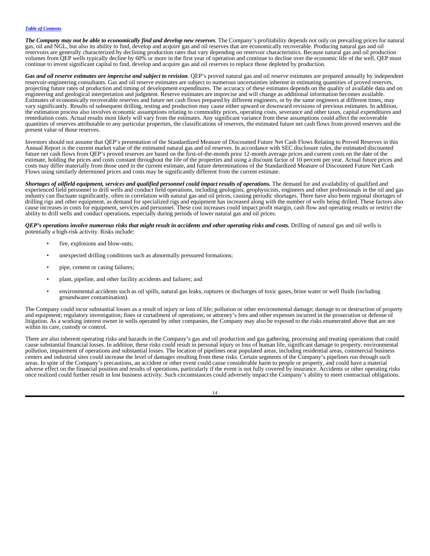*The Company may not be able to economically find and develop new reserves.* The Company's profitability depends not only on prevailing prices for natural gas, oil and NGL, but also its ability to find, develop and acquire gas and oil reserves that are economically recoverable. Producing natural gas and oil reservoirs are generally characterized by declining production rates that vary depending on reservoir characteristics. Because natural gas and oil production volumes from QEP wells typically decline by 60% or more in the first year of operation and continue to decline over the economic life of the well, QEP must continue to invest significant capital to find, develop and acquire gas and oil reserves to replace those depleted by production.

Gas and oil reserve estimates are imprecise and subject to revision. QEP's proved natural gas and oil reserve estimates are prepared annually by independent reservoir-engineering consultants. Gas and oil reserve estimates are subject to numerous uncertainties inherent in estimating quantities of proved reserves, projecting future rates of production and timing of development expenditures. The accuracy of these estimates depends on the quality of available data and on engineering and geological interpretation and judgment. Reserve estimates are imprecise and will change as additional information becomes available. Estimates of economically recoverable reserves and future net cash flows prepared by different engineers, or by the same engineers at different times, may vary significantly. Results of subsequent drilling, testing and production may cause either upward or downward revisions of previous estimates. In addition, the estimation process also involves economic assumptions relating to commodity prices, operating costs, severance and other taxes, capital expenditures and remediation costs. Actual results most likely will vary from the estimates. Any significant variance from these assumptions could affect the recoverable quantities of reserves attributable to any particular properties, the classifications of reserves, the estimated future net cash flows from proved reserves and the present value of those reserves.

Investors should not assume that QEP's presentation of the Standardized Measure of Discounted Future Net Cash Flows Relating to Proved Reserves in this Annual Report is the current market value of the estimated natural gas and oil reserves. In accordance with SEC disclosure rules, the estimated discounted future net cash flows from QEP's proved reserves are based on the first-of-the-month prior 12-month average prices and current costs on the date of the estimate, holding the prices and costs constant throughout the life of the properties and using a discount factor of 10 percent per year. Actual future prices and costs may differ materially from those used in the current estimate, and future determinations of the Standardized Measure of Discounted Future Net Cash Flows using similarly determined prices and costs may be significantly different from the current estimate.

*Shortages of oilfield equipment, services and qualified personnel could impact results of operations.* The demand for and availability of qualified and experienced field personnel to drill wells and conduct field operations, including geologists, geophysicists, engineers and other professionals in the oil and gas industry can fluctuate significantly, often in correlation with natural gas and oil prices, causing periodic shortages. There have also been regional shortages of drilling rigs and other equipment, as demand for specialized rigs and equipment has increased along with the number of wells being drilled. These factors also cause increases in costs for equipment, services and personnel. These cost increases could impact profit margin, cash flow and operating results or restrict the ability to drill wells and conduct operations, especially during periods of lower natural gas and oil prices.

#### *QEP's operations involve numerous risks that might result in accidents and other operating risks and costs.* Drilling of natural gas and oil wells is potentially a high-risk activity. Risks include:

- fire, explosions and blow-outs;
- unexpected drilling conditions such as abnormally pressured formations;
- pipe, cement or casing failures;
- plant, pipeline, and other facility accidents and failures; and
- environmental accidents such as oil spills, natural gas leaks, ruptures or discharges of toxic gases, brine water or well fluids (including groundwater contamination).

The Company could incur substantial losses as a result of injury or loss of life; pollution or other environmental damage; damage to or destruction of property and equipment; regulatory investigation; fines or curtailment of operations; or attorney's fees and other expenses incurred in the prosecution or defense of litigation. As a working interest owner in wells operated by other companies, the Company may also be exposed to the risks enumerated above that are not within its care, custody or control.

There are also inherent operating risks and hazards in the Company's gas and oil production and gas gathering, processing and treating operations that could cause substantial financial losses. In addition, these risks could result in personal injury or loss of human life, significant damage to property, environmental pollution, impairment of operations and substantial losses. The location of pipelines near populated areas, including residential areas, commercial business centers and industrial sites could increase the level of damages resulting from these risks. Certain segments of the Company's pipelines run through such areas. In spite of the Company's precautions, an accident or other event could cause considerable harm to people or property, and could have a material adverse effect on the financial position and results of operations, particularly if the event is not fully covered by insurance. Accidents or other operating risks once realized could further result in lost business activity. Such circumstances could adversely impact the Company's ability to meet contractual obligations.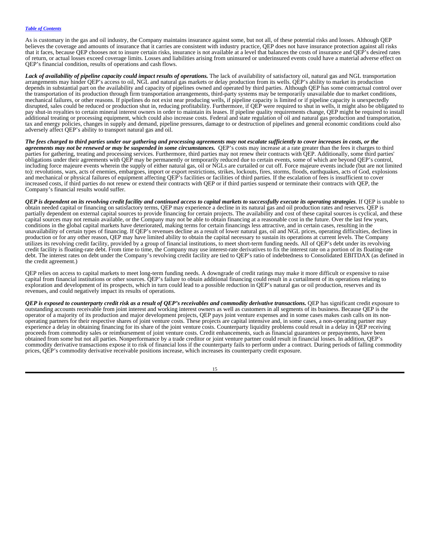As is customary in the gas and oil industry, the Company maintains insurance against some, but not all, of these potential risks and losses. Although QEP believes the coverage and amounts of insurance that it carries are consistent with industry practice, QEP does not have insurance protection against all risks that it faces, because QEP chooses not to insure certain risks, insurance is not available at a level that balances the costs of insurance and QEP's desired rates of return, or actual losses exceed coverage limits. Losses and liabilities arising from uninsured or underinsured events could have a material adverse effect on QEP's financial condition, results of operations and cash flows.

Lack of availability of pipeline capacity could impact results of operations. The lack of availability of satisfactory oil, natural gas and NGL transportation arrangements may hinder QEP's access to oil, NGL and natural gas markets or delay production from its wells. QEP's ability to market its production depends in substantial part on the availability and capacity of pipelines owned and operated by third parties. Although QEP has some contractual control over the transportation of its production through firm transportation arrangements, third-party systems may be temporarily unavailable due to market conditions, mechanical failures, or other reasons. If pipelines do not exist near producing wells, if pipeline capacity is limited or if pipeline capacity is unexpectedly disrupted, sales could be reduced or production shut in, reducing profitability. Furthermore, if QEP were required to shut in wells, it might also be obligated to pay shut-in royalties to certain mineral interest owners in order to maintain its leases. If pipeline quality requirements change, QEP might be required to install additional treating or processing equipment, which could also increase costs. Federal and state regulation of oil and natural gas production and transportation, tax and energy policies, changes in supply and demand, pipeline pressures, damage to or destruction of pipelines and general economic conditions could also adversely affect QEP's ability to transport natural gas and oil.

*The fees charged to third parties under our gathering and processing agreements may not escalate sufficiently to cover increases in costs, or the agreements may not be renewed or may be suspended in some circumstances.* QEP's costs may increase at a rate greater than the fees it charges to third parties for gathering, treating and processing services. Furthermore, third parties may not renew their contracts with QEP. Additionally, some third parties' obligations under their agreements with QEP may be permanently or temporarily reduced due to certain events, some of which are beyond QEP's control, including force majeure events wherein the supply of either natural gas, oil or NGLs are curtailed or cut off. Force majeure events include (but are not limited to): revolutions, wars, acts of enemies, embargoes, import or export restrictions, strikes, lockouts, fires, storms, floods, earthquakes, acts of God, explosions and mechanical or physical failures of equipment affecting QEP's facilities or facilities of third parties. If the escalation of fees is insufficient to cover increased costs, if third parties do not renew or extend their contracts with QEP or if third parties suspend or terminate their contracts with QEP, the Company's financial results would suffer.

*QEP is dependent on its revolving credit facility and continued access to capital markets to successfully execute its operating strategies.* If QEP is unable to obtain needed capital or financing on satisfactory terms, QEP may experience a decline in its natural gas and oil production rates and reserves*.* QEP is partially dependent on external capital sources to provide financing for certain projects. The availability and cost of these capital sources is cyclical, and these capital sources may not remain available, or the Company may not be able to obtain financing at a reasonable cost in the future. Over the last few years, conditions in the global capital markets have deteriorated, making terms for certain financings less attractive, and in certain cases, resulting in the unavailability of certain types of financing. If QEP's revenues decline as a result of lower natural gas, oil and NGL prices, operating difficulties, declines in production or for any other reason, QEP may have limited ability to obtain the capital necessary to sustain its operations at current levels. The Company utilizes its revolving credit facility, provided by a group of financial institutions, to meet short-term funding needs. All of QEP's debt under its revolving credit facility is floating-rate debt. From time to time, the Company may use interest-rate derivatives to fix the interest rate on a portion of its floating-rate debt. The interest rates on debt under the Company's revolving credit facility are tied to QEP's ratio of indebtedness to Consolidated EBITDAX (as defined in the credit agreement.)

QEP relies on access to capital markets to meet long-term funding needs. A downgrade of credit ratings may make it more difficult or expensive to raise capital from financial institutions or other sources. QEP's failure to obtain additional financing could result in a curtailment of its operations relating to exploration and development of its prospects, which in turn could lead to a possible reduction in QEP's natural gas or oil production, reserves and its revenues, and could negatively impact its results of operations.

*QEP is exposed to counterparty credit risk as a result of QEP's receivables and commodity derivative transactions.* QEP has significant credit exposure to outstanding accounts receivable from joint interest and working interest owners as well as customers in all segments of its business. Because QEP is the operator of a majority of its production and major development projects, QEP pays joint venture expenses and in some cases makes cash calls on its nonoperating partners for their respective shares of joint venture costs. These projects are capital intensive and, in some cases, a non-operating partner may experience a delay in obtaining financing for its share of the joint venture costs. Counterparty liquidity problems could result in a delay in QEP receiving proceeds from commodity sales or reimbursement of joint venture costs. Credit enhancements, such as financial guarantees or prepayments, have been obtained from some but not all parties. Nonperformance by a trade creditor or joint venture partner could result in financial losses. In addition, QEP's commodity derivative transactions expose it to risk of financial loss if the counterparty fails to perform under a contract. During periods of falling commodity prices, QEP's commodity derivative receivable positions increase, which increases its counterparty credit exposure.

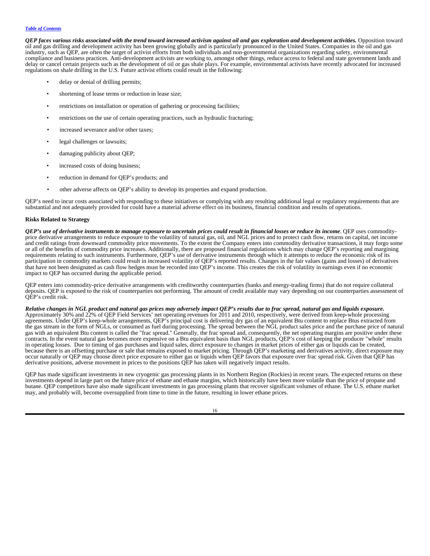*QEP faces various risks associated with the trend toward increased activism against oil and gas exploration and development activities.* Opposition toward oil and gas drilling and development activity has been growing globally and is particularly pronounced in the United States. Companies in the oil and gas industry, such as QEP, are often the target of activist efforts from both individuals and non-governmental organizations regarding safety, environmental compliance and business practices. Anti-development activists are working to, amongst other things, reduce access to federal and state government lands and delay or cancel certain projects such as the development of oil or gas shale plays. For example, environmental activists have recently advocated for increased regulations on shale drilling in the U.S. Future activist efforts could result in the following:

- delay or denial of drilling permits;
- shortening of lease terms or reduction in lease size;
- restrictions on installation or operation of gathering or processing facilities;
- restrictions on the use of certain operating practices, such as hydraulic fracturing;
- increased severance and/or other taxes;
- legal challenges or lawsuits;
- damaging publicity about QEP;
- increased costs of doing business;
- reduction in demand for QEP's products; and
- other adverse affects on QEP's ability to develop its properties and expand production.

QEP's need to incur costs associated with responding to these initiatives or complying with any resulting additional legal or regulatory requirements that are substantial and not adequately provided for could have a material adverse effect on its business, financial condition and results of operations.

#### **Risks Related to Strategy**

*QEP's use of derivative instruments to manage exposure to uncertain prices could result in financial losses or reduce its income*. QEP uses commodityprice derivative arrangements to reduce exposure to the volatility of natural gas, oil, and NGL prices and to protect cash flow, returns on capital, net income and credit ratings from downward commodity price movements. To the extent the Company enters into commodity derivative transactions, it may forgo some or all of the benefits of commodity price increases. Additionally, there are proposed financial regulations which may change QEP's reporting and margining requirements relating to such instruments. Furthermore, QEP's use of derivative instruments through which it attempts to reduce the economic risk of its participation in commodity markets could result in increased volatility of QEP's reported results. Changes in the fair values (gains and losses) of derivatives that have not been designated as cash flow hedges must be recorded into QEP's income. This creates the risk of volatility in earnings even if no economic impact to QEP has occurred during the applicable period.

QEP enters into commodity-price derivative arrangements with creditworthy counterparties (banks and energy-trading firms) that do not require collateral deposits. QEP is exposed to the risk of counterparties not performing. The amount of credit available may vary depending on our counterparties assessment of QEP's credit risk.

*Relative changes in NGL product and natural gas prices may adversely impact QEP's results due to frac spread, natural gas and liquids exposure.* Approximately 30% and 22% of QEP Field Services' net operating revenues for 2011 and 2010, respectively, were derived from keep-whole processing agreements. Under QEP's keep-whole arrangements, QEP's principal cost is delivering dry gas of an equivalent Btu content to replace Btus extracted from the gas stream in the form of NGLs, or consumed as fuel during processing. The spread between the NGL product sales price and the purchase price of natural gas with an equivalent Btu content is called the "frac spread." Generally, the frac spread and, consequently, the net operating margins are positive under these contracts. In the event natural gas becomes more expensive on a Btu equivalent basis than NGL products, QEP's cost of keeping the producer "whole" results in operating losses. Due to timing of gas purchases and liquid sales, direct exposure to changes in market prices of either gas or liquids can be created, because there is an offsetting purchase or sale that remains exposed to market pricing. Through QEP's marketing and derivatives activity, direct exposure may occur naturally or QEP may choose direct price exposure to either gas or liquids when QEP favors that exposure over frac spread risk. Given that QEP has derivative positions, adverse movement in prices to the positions QEP has taken will negatively impact results.

QEP has made significant investments in new cryogenic gas processing plants in its Northern Region (Rockies) in recent years. The expected returns on these investments depend in large part on the future price of ethane and ethane margins, which historically have been more volatile than the price of propane and butane. QEP competitors have also made significant investments in gas processing plants that recover significant volumes of ethane. The U.S. ethane market may, and probably will, become oversupplied from time to time in the future, resulting in lower ethane prices.

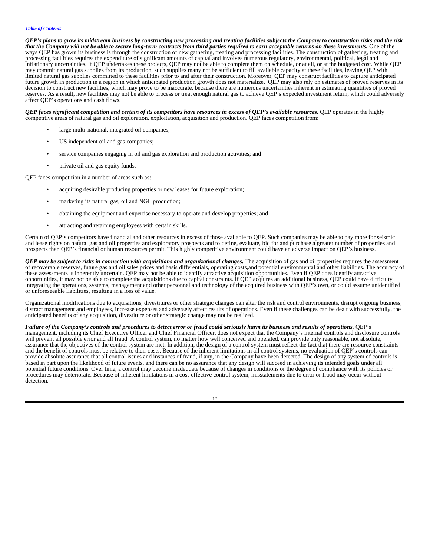*QEP's plans to grow its midstream business by constructing new processing and treating facilities subjects the Company to construction risks and the risk that the Company will not be able to secure long-term contracts from third parties required to earn acceptable returns on these investments.* One of the ways QEP has grown its business is through the construction of new gathering, treating and processing facilities. The construction of gathering, treating and processing facilities requires the expenditure of significant amounts of capital and involves numerous regulatory, environmental, political, legal and inflationary uncertainties. If QEP undertakes these projects, QEP may not be able to complete them on schedule, or at all, or at the budgeted cost. While QEP may commit natural gas supplies from its production, such supplies many not be sufficient to fill available capacity at these facilities, leaving QEP with limited natural gas supplies committed to these facilities prior to and after their construction. Moreover, QEP may construct facilities to capture anticipated future growth in production in a region in which anticipated production growth does not materialize. QEP may also rely on estimates of proved reserves in its decision to construct new facilities, which may prove to be inaccurate, because there are numerous uncertainties inherent in estimating quantities of proved reserves. As a result, new facilities may not be able to process or treat enough natural gas to achieve QEP's expected investment return, which could adversely affect QEP's operations and cash flows.

*QEP faces significant competition and certain of its competitors have resources in excess of QEP's available resources.* QEP operates in the highly competitive areas of natural gas and oil exploration, exploitation, acquisition and production. QEP faces competition from:

- large multi-national, integrated oil companies;
- US independent oil and gas companies;
- service companies engaging in oil and gas exploration and production activities; and
- private oil and gas equity funds.

QEP faces competition in a number of areas such as:

- acquiring desirable producing properties or new leases for future exploration;
- marketing its natural gas, oil and NGL production;
- obtaining the equipment and expertise necessary to operate and develop properties; and
- attracting and retaining employees with certain skills.

Certain of QEP's competitors have financial and other resources in excess of those available to QEP. Such companies may be able to pay more for seismic and lease rights on natural gas and oil properties and exploratory prospects and to define, evaluate, bid for and purchase a greater number of properties and prospects than QEP's financial or human resources permit. This highly competitive environment could have an adverse impact on QEP's business.

*QEP may be subject to risks in connection with acquisitions and organizational changes.* The acquisition of gas and oil properties requires the assessment of recoverable reserves, future gas and oil sales prices and basis differentials, operating costs,and potential environmental and other liabilities. The accuracy of these assessments is inherently uncertain. QEP may not be able to identify attractive acquisition opportunities. Even if QEP does identify attractive opportunities, it may not be able to complete the acquisitions due to capital constraints. If QEP acquires an additional business, QEP could have difficulty integrating the operations, systems, management and other personnel and technology of the acquired business with QEP's own, or could assume unidentified or unforeseeable liabilities, resulting in a loss of value.

Organizational modifications due to acquisitions, divestitures or other strategic changes can alter the risk and control environments, disrupt ongoing business, distract management and employees, increase expenses and adversely affect results of operations. Even if these challenges can be dealt with successfully, the anticipated benefits of any acquisition, divestiture or other strategic change may not be realized.

*Failure of the Company's controls and procedures to detect error or fraud could seriously harm its business and results of operations.* QEP's management, including its Chief Executive Officer and Chief Financial Officer, does not expect that the Company's internal controls and disclosure controls will prevent all possible error and all fraud. A control system, no matter how well conceived and operated, can provide only reasonable, not absolute, assurance that the objectives of the control system are met. In addition, the design of a control system must reflect the fact that there are resource constraints and the benefit of controls must be relative to their costs. Because of the inherent limitations in all control systems, no evaluation of QEP's controls can provide absolute assurance that all control issues and instances of fraud, if any, in the Company have been detected. The design of any system of controls is based in part upon the likelihood of future events, and there can be no assurance that any design will succeed in achieving its intended goals under all potential future conditions. Over time, a control may become inadequate because of changes in conditions or the degree of compliance with its policies or procedures may deteriorate. Because of inherent limitations in a cost-effective control system, misstatements due to error or fraud may occur without detection.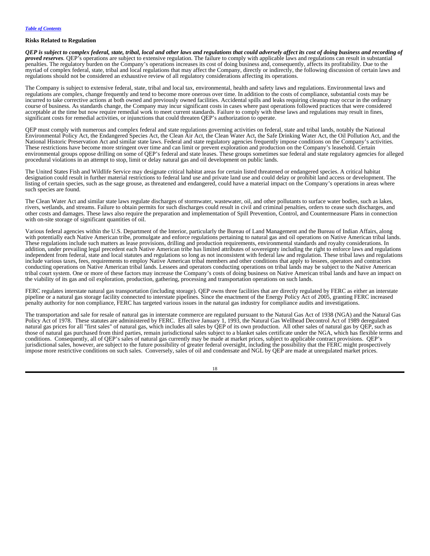#### **Risks Related to Regulation**

*QEP is subject to complex federal, state, tribal, local and other laws and regulations that could adversely affect its cost of doing business and recording of proved reserves.* QEP's operations are subject to extensive regulation. The failure to comply with applicable laws and regulations can result in substantial penalties. The regulatory burden on the Company's operations increases its cost of doing business and, consequently, affects its profitability. Due to the myriad of complex federal, state, tribal and local regulations that may affect the Company, directly or indirectly, the following discussion of certain laws and regulations should not be considered an exhaustive review of all regulatory considerations affecting its operations.

The Company is subject to extensive federal, state, tribal and local tax, environmental, health and safety laws and regulations. Environmental laws and regulations are complex, change frequently and tend to become more onerous over time. In addition to the costs of compliance, substantial costs may be incurred to take corrective actions at both owned and previously owned facilities. Accidental spills and leaks requiring cleanup may occur in the ordinary course of business. As standards change, the Company may incur significant costs in cases where past operations followed practices that were considered acceptable at the time but now require remedial work to meet current standards. Failure to comply with these laws and regulations may result in fines, significant costs for remedial activities, or injunctions that could threaten QEP's authorization to operate.

QEP must comply with numerous and complex federal and state regulations governing activities on federal, state and tribal lands, notably the National Environmental Policy Act, the Endangered Species Act, the Clean Air Act, the Clean Water Act, the Safe Drinking Water Act, the Oil Pollution Act, and the National Historic Preservation Act and similar state laws. Federal and state regulatory agencies frequently impose conditions on the Company's activities. These restrictions have become more stringent over time and can limit or prevent exploration and production on the Company's leasehold. Certain environmental groups oppose drilling on some of QEP's federal and state leases. These groups sometimes sue federal and state regulatory agencies for alleged procedural violations in an attempt to stop, limit or delay natural gas and oil development on public lands.

The United States Fish and Wildlife Service may designate critical habitat areas for certain listed threatened or endangered species. A critical habitat designation could result in further material restrictions to federal land use and private land use and could delay or prohibit land access or development. The listing of certain species, such as the sage grouse, as threatened and endangered, could have a material impact on the Company's operations in areas where such species are found.

The Clean Water Act and similar state laws regulate discharges of stormwater, wastewater, oil, and other pollutants to surface water bodies, such as lakes, rivers, wetlands, and streams. Failure to obtain permits for such discharges could result in civil and criminal penalties, orders to cease such discharges, and other costs and damages. These laws also require the preparation and implementation of Spill Prevention, Control, and Countermeasure Plans in connection with on-site storage of significant quantities of oil.

Various federal agencies within the U.S. Department of the Interior, particularly the Bureau of Land Management and the Bureau of Indian Affairs, along with potentially each Native American tribe, promulgate and enforce regulations pertaining to natural gas and oil operations on Native American tribal lands. These regulations include such matters as lease provisions, drilling and production requirements, environmental standards and royalty considerations. In addition, under prevailing legal precedent each Native American tribe has limited attributes of sovereignty including the right to enforce laws and regulations independent from federal, state and local statutes and regulations so long as not inconsistent with federal law and regulation. These tribal laws and regulations include various taxes, fees, requirements to employ Native American tribal members and other conditions that apply to lessees, operators and contractors conducting operations on Native American tribal lands. Lessees and operators conducting operations on tribal lands may be subject to the Native American tribal court system. One or more of these factors may increase the Company's costs of doing business on Native American tribal lands and have an impact on the viability of its gas and oil exploration, production, gathering, processing and transportation operations on such lands.

FERC regulates interstate natural gas transportation (including storage). QEP owns three facilities that are directly regulated by FERC as either an interstate pipeline or a natural gas storage facility connected to interstate pipelines. Since the enactment of the Energy Policy Act of 2005, granting FERC increased penalty authority for non compliance, FERC has targeted various issues in the natural gas industry for compliance audits and investigations.

The transportation and sale for resale of natural gas in interstate commerce are regulated pursuant to the Natural Gas Act of 1938 (NGA) and the Natural Gas Policy Act of 1978. These statutes are administered by FERC. Effective January 1, 1993, the Natural Gas Wellhead Decontrol Act of 1989 deregulated natural gas prices for all "first sales" of natural gas, which includes all sales by QEP of its own production. All other sales of natural gas by QEP, such as those of natural gas purchased from third parties, remain jurisdictional sales subject to a blanket sales certificate under the NGA, which has flexible terms and conditions. Consequently, all of QEP's sales of natural gas currently may be made at market prices, subject to applicable contract provisions. QEP's jurisdictional sales, however, are subject to the future possibility of greater federal oversight, including the possibility that the FERC might prospectively impose more restrictive conditions on such sales. Conversely, sales of oil and condensate and NGL by QEP are made at unregulated market prices.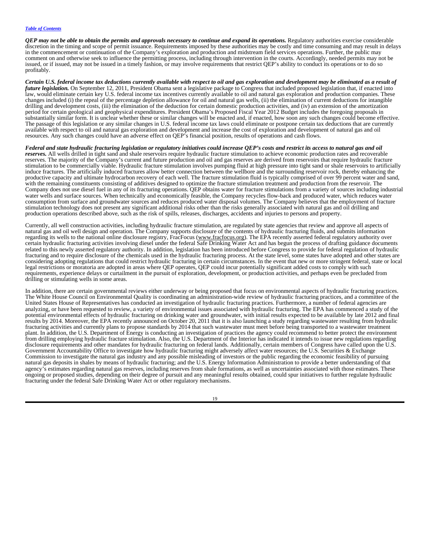*QEP may not be able to obtain the permits and approvals necessary to continue and expand its operations.* Regulatory authorities exercise considerable discretion in the timing and scope of permit issuance. Requirements imposed by these authorities may be costly and time consuming and may result in delays in the commencement or continuation of the Company's exploration and production and midstream field services operations. Further, the public may comment on and otherwise seek to influence the permitting process, including through intervention in the courts. Accordingly, needed permits may not be issued, or if issued, may not be issued in a timely fashion, or may involve requirements that restrict QEP's ability to conduct its operations or to do so profitably.

*Certain U.S. federal income tax deductions currently available with respect to oil and gas exploration and development may be eliminated as a result of future legislation.* On September 12, 2011, President Obama sent a legislative package to Congress that included proposed legislation that, if enacted into law, would eliminate certain key U.S. federal income tax incentives currently available to oil and natural gas exploration and production companies. These changes included (i) the repeal of the percentage depletion allowance for oil and natural gas wells, (ii) the elimination of current deductions for intangible drilling and development costs, (iii) the elimination of the deduction for certain domestic production activities, and (iv) an extension of the amortization period for certain geological and geophysical expenditures. President Obama's Proposed Fiscal Year 2012 Budget includes the foregoing proposals in substantially similar form. It is unclear whether these or similar changes will be enacted and, if enacted, how soon any such changes could become effective. The passage of this legislation or any similar changes in U.S. federal income tax laws could eliminate or postpone certain tax deductions that are currently available with respect to oil and natural gas exploration and development and increase the cost of exploration and development of natural gas and oil resources. Any such changes could have an adverse effect on QEP's financial position, results of operations and cash flows.

*Federal and state hydraulic fracturing legislation or regulatory initiatives could increase QEP's costs and restrict its access to natural gas and oil reserves.* All wells drilled in tight sand and shale reservoirs require hydraulic fracture stimulation to achieve economic production rates and recoverable reserves. The majority of the Company's current and future production and oil and gas reserves are derived from reservoirs that require hydraulic fracture stimulation to be commercially viable. Hydraulic fracture stimulation involves pumping fluid at high pressure into tight sand or shale reservoirs to artificially induce fractures. The artificially induced fractures allow better connection between the wellbore and the surrounding reservoir rock, thereby enhancing the productive capacity and ultimate hydrocarbon recovery of each well. The fracture stimulation fluid is typically comprised of over 99 percent water and sand, with the remaining constituents consisting of additives designed to optimize the fracture stimulation treatment and production from the reservoir. The Company does not use diesel fuel in any of its fracturing operations. QEP obtains water for fracture stimulations from a variety of sources including industrial water wells and surface sources. When technically and economically feasible, the Company recycles flow-back and produced water, which reduces water consumption from surface and groundwater sources and reduces produced water disposal volumes. The Company believes that the employment of fracture stimulation technology does not present any significant additional risks other than the risks generally associated with natural gas and oil drilling and production operations described above, such as the risk of spills, releases, discharges, accidents and injuries to persons and property.

Currently, all well construction activities, including hydraulic fracture stimulation, are regulated by state agencies that review and approve all aspects of natural gas and oil well design and operation. The Company supports disclosure of the contents of hydraulic fracturing fluids, and submits information regarding its wells to the national online disclosure registry, FracFocus (www.fracfocus.org). The EPA recently asserted federal regulatory authority over certain hydraulic fracturing activities involving diesel under the federal Safe Drinking Water Act and has begun the process of drafting guidance documents related to this newly asserted regulatory authority. In addition, legislation has been introduced before Congress to provide for federal regulation of hydraulic fracturing and to require disclosure of the chemicals used in the hydraulic fracturing process. At the state level, some states have adopted and other states are considering adopting regulations that could restrict hydraulic fracturing in certain circumstances. In the event that new or more stringent federal, state or local legal restrictions or moratoria are adopted in areas where QEP operates, QEP could incur potentially significant added costs to comply with such requirements, experience delays or curtailment in the pursuit of exploration, development, or production activities, and perhaps even be precluded from drilling or stimulating wells in some areas.

In addition, there are certain governmental reviews either underway or being proposed that focus on environmental aspects of hydraulic fracturing practices. The White House Council on Environmental Quality is coordinating an administration-wide review of hydraulic fracturing practices, and a committee of the United States House of Representatives has conducted an investigation of hydraulic fracturing practices. Furthermore, a number of federal agencies are analyzing, or have been requested to review, a variety of environmental issues associated with hydraulic fracturing. The EPA has commenced a study of the potential environmental effects of hydraulic fracturing on drinking water and groundwater, with initial results expected to be available by late 2012 and final results by 2014. Moreover, the EPA recently announced on October 20, 2011 that it is also launching a study regarding wastewater resulting from hydraulic fracturing activities and currently plans to propose standards by 2014 that such wastewater must meet before being transported to a wastewater treatment plant. In addition, the U.S. Department of Energy is conducting an investigation of practices the agency could recommend to better protect the environment from drilling employing hydraulic fracture stimulation. Also, the U.S. Department of the Interior has indicated it intends to issue new regulations regarding disclosure requirements and other mandates for hydraulic fracturing on federal lands. Additionally, certain members of Congress have called upon the U.S. Government Accountability Office to investigate how hydraulic fracturing might adversely affect water resources; the U.S. Securities & Exchange Commission to investigate the natural gas industry and any possible misleading of investors or the public regarding the economic feasibility of pursuing natural gas deposits in shales by means of hydraulic fracturing; and the U.S. Energy Information Administration to provide a better understanding of that agency's estimates regarding natural gas reserves, including reserves from shale formations, as well as uncertainties associated with those estimates. These ongoing or proposed studies, depending on their degree of pursuit and any meaningful results obtained, could spur initiatives to further regulate hydraulic fracturing under the federal Safe Drinking Water Act or other regulatory mechanisms.

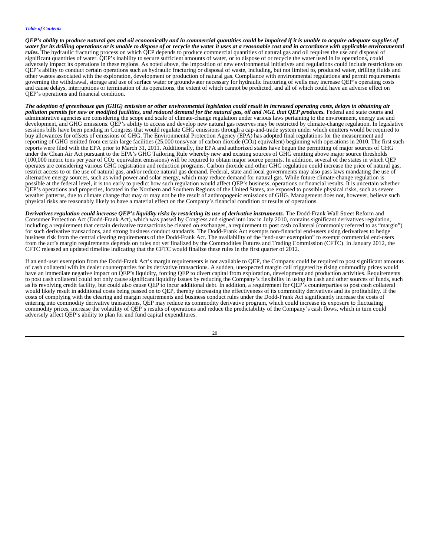*QEP's ability to produce natural gas and oil economically and in commercial quantities could be impaired if it is unable to acquire adequate supplies of water for its drilling operations or is unable to dispose of or recycle the water it uses at a reasonable cost and in accordance with applicable environmental rules.* The hydraulic fracturing process on which QEP depends to produce commercial quantities of natural gas and oil requires the use and disposal of significant quantities of water. QEP's inability to secure sufficient amounts of water, or to dispose of or recycle the water used in its operations, could adversely impact its operations in these regions. As noted above, the imposition of new environmental initiatives and regulations could include restrictions on QEP's ability to conduct certain operations such as hydraulic fracturing or disposal of waste, including, but not limited to, produced water, drilling fluids and other wastes associated with the exploration, development or production of natural gas. Compliance with environmental regulations and permit requirements governing the withdrawal, storage and use of surface water or groundwater necessary for hydraulic fracturing of wells may increase QEP's operating costs and cause delays, interruptions or termination of its operations, the extent of which cannot be predicted, and all of which could have an adverse effect on QEP's operations and financial condition.

*The adoption of greenhouse gas (GHG) emission or other environmental legislation could result in increased operating costs, delays in obtaining air pollution permits for new or modified facilities, and reduced demand for the natural gas, oil and NGL that QEP produces.* Federal and state courts and administrative agencies are considering the scope and scale of climate-change regulation under various laws pertaining to the environment, energy use and development, and GHG emissions. QEP's ability to access and develop new natural gas reserves may be restricted by climate-change regulation. In legislative sessions bills have been pending in Congress that would regulate GHG emissions through a cap-and-trade system under which emitters would be required to buy allowances for offsets of emissions of GHG. The Environmental Protection Agency (EPA) has adopted final regulations for the measurement and reporting of GHG emitted from certain large facilities (25,000 tons/year of carbon dioxide (CO2) equivalent) beginning with operations in 2010. The first such reports were filed with the EPA prior to March 31, 2011. Additionally, the EPA and authorized states have begun the permitting of major sources of GHG under the Clean Air Act pursuant to the EPA's GHG Tailoring Rule whereby new and existing sources of GHG emitting above major source thresholds (100,000 metric tons per year of CO2 equivalent emissions) will be required to obtain major source permits. In addition, several of the states in which QEP operates are considering various GHG registration and reduction programs. Carbon dioxide and other GHG regulation could increase the price of natural gas, restrict access to or the use of natural gas, and/or reduce natural gas demand. Federal, state and local governments may also pass laws mandating the use of alternative energy sources, such as wind power and solar energy, which may reduce demand for natural gas. While future climate-change regulation is possible at the federal level, it is too early to predict how such regulation would affect QEP's business, operations or financial results. It is uncertain whether QEP's operations and properties, located in the Northern and Southern Regions of the United States, are exposed to possible physical risks, such as severe weather patterns, due to climate change that may or may not be the result of anthropogenic emissions of GHG. Management does not, however, believe such physical risks are reasonably likely to have a material effect on the Company's financial condition or results of operations.

*Derivatives regulation could increase QEP's liquidity risks by restricting its use of derivative instruments.* The Dodd-Frank Wall Street Reform and Consumer Protection Act (Dodd-Frank Act), which was passed by Congress and signed into law in July 2010, contains significant derivatives regulation, including a requirement that certain derivative transactions be cleared on exchanges, a requirement to post cash collateral (commonly referred to as "margin") for such derivative transactions, and strong business conduct standards. The Dodd-Frank Act exempts non-financial end-users using derivatives to hedge business risk from the central clearing requirements of the Dodd-Frank Act. The availability of the "end-user exemption" to exempt commercial end-users from the act's margin requirements depends on rules not yet finalized by the Commodities Futures and Trading Commission (CFTC). In January 2012, the CFTC released an updated timeline indicating that the CFTC would finalize these rules in the first quarter of 2012.

If an end-user exemption from the Dodd-Frank Act's margin requirements is not available to QEP, the Company could be required to post significant amounts of cash collateral with its dealer counterparties for its derivative transactions. A sudden, unexpected margin call triggered by rising commodity prices would have an immediate negative impact on QEP's liquidity, forcing QEP to divert capital from exploration, development and production activities. Requirements to post cash collateral could not only cause significant liquidity issues by reducing the Company's flexibility in using its cash and other sources of funds, such as its revolving credit facility, but could also cause QEP to incur additional debt. In addition, a requirement for QEP's counterparties to post cash collateral would likely result in additional costs being passed on to QEP, thereby decreasing the effectiveness of its commodity derivatives and its profitability. If the costs of complying with the clearing and margin requirements and business conduct rules under the Dodd-Frank Act significantly increase the costs of entering into commodity derivative transactions, QEP may reduce its commodity derivative program, which could increase its exposure to fluctuating commodity prices, increase the volatility of QEP's results of operations and reduce the predictability of the Company's cash flows, which in turn could adversely affect QEP's ability to plan for and fund capital expenditures.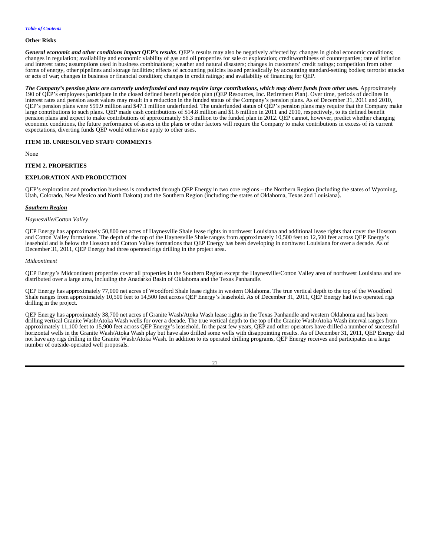#### **Other Risks**

*General economic and other conditions impact QEP's results*. QEP's results may also be negatively affected by: changes in global economic conditions; changes in regulation; availability and economic viability of gas and oil properties for sale or exploration; creditworthiness of counterparties; rate of inflation and interest rates; assumptions used in business combinations; weather and natural disasters; changes in customers' credit ratings; competition from other forms of energy, other pipelines and storage facilities; effects of accounting policies issued periodically by accounting standard-setting bodies; terrorist attacks or acts of war; changes in business or financial condition; changes in credit ratings; and availability of financing for QEP.

*The Company's pension plans are currently underfunded and may require large contributions, which may divert funds from other uses.* Approximately 190 of QEP's employees participate in the closed defined benefit pension plan (QEP Resources, Inc. Retirement Plan). Over time, periods of declines in interest rates and pension asset values may result in a reduction in the funded status of the Company's pension plans. As of December 31, 2011 and 2010, QEP's pension plans were \$59.9 million and \$47.1 million underfunded. The underfunded status of QEP's pension plans may require that the Company make large contributions to such plans. QEP made cash contributions of \$14.8 million and \$1.6 million in 2011 and 2010, respectively, to its defined benefit pension plans and expect to make contributions of approximately \$6.3 million to the funded plan in 2012. QEP cannot, however, predict whether changing economic conditions, the future performance of assets in the plans or other factors will require the Company to make contributions in excess of its current expectations, diverting funds QEP would otherwise apply to other uses.

#### **ITEM 1B. UNRESOLVED STAFF COMMENTS**

None

## **ITEM 2. PROPERTIES**

### **EXPLORATION AND PRODUCTION**

QEP's exploration and production business is conducted through QEP Energy in two core regions – the Northern Region (including the states of Wyoming, Utah, Colorado, New Mexico and North Dakota) and the Southern Region (including the states of Oklahoma, Texas and Louisiana).

#### *Southern Region*

#### *Haynesville/Cotton Valley*

QEP Energy has approximately 50,800 net acres of Haynesville Shale lease rights in northwest Louisiana and additional lease rights that cover the Hosston and Cotton Valley formations. The depth of the top of the Haynesville Shale ranges from approximately 10,500 feet to 12,500 feet across QEP Energy's leasehold and is below the Hosston and Cotton Valley formations that QEP Energy has been developing in northwest Louisiana for over a decade. As of December 31, 2011, QEP Energy had three operated rigs drilling in the project area.

#### *Midcontinent*

QEP Energy's Midcontinent properties cover all properties in the Southern Region except the Haynesville/Cotton Valley area of northwest Louisiana and are distributed over a large area, including the Anadarko Basin of Oklahoma and the Texas Panhandle.

QEP Energy has approximately 77,000 net acres of Woodford Shale lease rights in western Oklahoma. The true vertical depth to the top of the Woodford Shale ranges from approximately 10,500 feet to 14,500 feet across QEP Energy's leasehold. As of December 31, 2011, QEP Energy had two operated rigs drilling in the project.

QEP Energy has approximately 38,700 net acres of Granite Wash/Atoka Wash lease rights in the Texas Panhandle and western Oklahoma and has been drilling vertical Granite Wash/Atoka Wash wells for over a decade. The true vertical depth to the top of the Granite Wash/Atoka Wash interval ranges from approximately 11,100 feet to 15,900 feet across QEP Energy's leasehold. In the past few years, QEP and other operators have drilled a number of successful horizontal wells in the Granite Wash/Atoka Wash play but have also drilled some wells with disappointing results. As of December 31, 2011, QEP Energy did not have any rigs drilling in the Granite Wash/Atoka Wash. In addition to its operated drilling programs, QEP Energy receives and participates in a large number of outside-operated well proposals.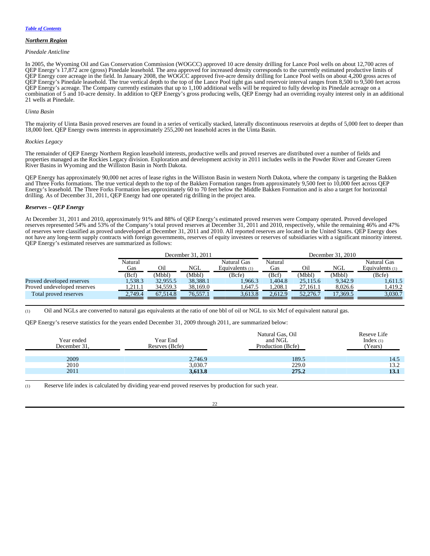#### *Northern Region*

#### *Pinedale Anticline*

In 2005, the Wyoming Oil and Gas Conservation Commission (WOGCC) approved 10 acre density drilling for Lance Pool wells on about 12,700 acres of QEP Energy's 17,872 acre (gross) Pinedale leasehold. The area approved for increased density corresponds to the currently estimated productive limits of QEP Energy core acreage in the field. In January 2008, the WOGCC approved five-acre density drilling for Lance Pool wells on about 4,200 gross acres of QEP Energy's Pinedale leasehold. The true vertical depth to the top of the Lance Pool tight gas sand reservoir interval ranges from 8,500 to 9,500 feet across QEP Energy's acreage. The Company currently estimates that up to 1,100 additional wells will be required to fully develop its Pinedale acreage on a combination of 5 and 10-acre density. In addition to QEP Energy's gross producing wells, QEP Energy had an overriding royalty interest only in an additional 21 wells at Pinedale.

#### *Uinta Basin*

The majority of Uinta Basin proved reserves are found in a series of vertically stacked, laterally discontinuous reservoirs at depths of 5,000 feet to deeper than 18,000 feet. QEP Energy owns interests in approximately 255,200 net leasehold acres in the Uinta Basin.

#### *Rockies Legacy*

The remainder of QEP Energy Northern Region leasehold interests, productive wells and proved reserves are distributed over a number of fields and properties managed as the Rockies Legacy division. Exploration and development activity in 2011 includes wells in the Powder River and Greater Green River Basins in Wyoming and the Williston Basin in North Dakota.

QEP Energy has approximately 90,000 net acres of lease rights in the Williston Basin in western North Dakota, where the company is targeting the Bakken and Three Forks formations. The true vertical depth to the top of the Bakken Formation ranges from approximately 9,500 feet to 10,000 feet across QEP Energy's leasehold. The Three Forks Formation lies approximately 60 to 70 feet below the Middle Bakken Formation and is also a target for horizontal drilling. As of December 31, 2011, QEP Energy had one operated rig drilling in the project area.

#### *Reserves – QEP Energy*

At December 31, 2011 and 2010, approximately 91% and 88% of QEP Energy's estimated proved reserves were Company operated. Proved developed reserves represented 54% and 53% of the Company's total proved reserves at December 31, 2011 and 2010, respectively, while the remaining 46% and 47% of reserves were classified as proved undeveloped at December 31, 2011 and 2010. All reported reserves are located in the United States. QEP Energy does not have any long-term supply contracts with foreign governments, reserves of equity investees or reserves of subsidiaries with a significant minority interest. QEP Energy's estimated reserves are summarized as follows:

|                             | December 31, 2011 |             |          |                   | December 31, 2010 |          |          |                   |  |
|-----------------------------|-------------------|-------------|----------|-------------------|-------------------|----------|----------|-------------------|--|
|                             | Natural           | Natural Gas |          |                   | Natural           |          |          | Natural Gas       |  |
|                             | Gas               | Oil         | NGL      | Equivalents $(1)$ | Gas               | Oil      | NGL      | Equivalents $(1)$ |  |
|                             | (Bcf)             | (Mbbl)      | (Mbbl)   | (Bcfe)            | 'Bcf)             | (Mbbl)   | (Mbbl)   | (Bcfe)            |  |
| Proved developed reserves   | 1.538.3           | 32,955.5    | 38,388.1 | 1.966.3           | 1.404.8           | 25,115.6 | 9.342.9  | 1,611.5           |  |
| Proved undeveloped reserves | ,211.1            | 34,559.3    | 38,169.0 | 5.447.5           | 1,208.1           | 27,161.1 | 8,026.6  | 1,419.2           |  |
| Total proved reserves       | 2,749.4           | 67.514.8    | 76,557.1 | 3,613.8           | 2,612.9           | 52,276.7 | 17,369.5 | 3,030.7           |  |

(1) Oil and NGLs are converted to natural gas equivalents at the ratio of one bbl of oil or NGL to six Mcf of equivalent natural gas.

QEP Energy's reserve statistics for the years ended December 31, 2009 through 2011, are summarized below:

| Year ended<br>December 31. | Year End<br>Resrves (Bcfe) | Natural Gas, Oil<br>and NGL<br>Production (Bcfe) | Reseve Life<br>Index $(1)$<br>(Years) |
|----------------------------|----------------------------|--------------------------------------------------|---------------------------------------|
| 2009                       | 2,746.9                    | 189.5                                            | 14.5                                  |
| 2010                       | 3,030.7                    | 229.0                                            | 13.2                                  |
| 2011                       | 3,613.8                    | 275.2                                            | 13.1                                  |

(1) Reserve life index is calculated by dividing year-end proved reserves by production for such year.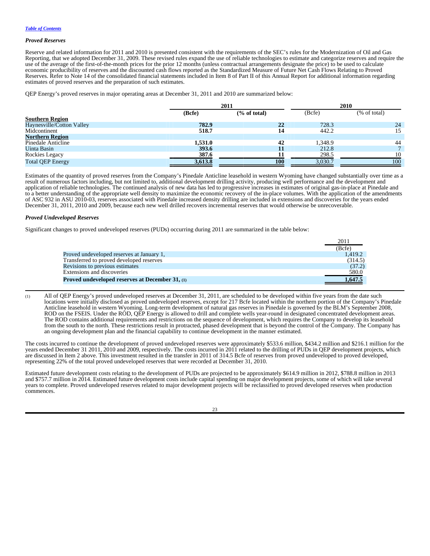#### *Proved Reserves*

Reserve and related information for 2011 and 2010 is presented consistent with the requirements of the SEC's rules for the Modernization of Oil and Gas Reporting, that we adopted December 31, 2009. These revised rules expand the use of reliable technologies to estimate and categorize reserves and require the use of the average of the first-of-the-month prices for the prior 12 months (unless contractual arrangements designate the price) to be used to calculate economic producibility of reserves and the discounted cash flows reported as the Standardized Measure of Future Net Cash Flows Relating to Proved Reserves. Refer to Note 14 of the consolidated financial statements included in Item 8 of Part II of this Annual Report for additional information regarding estimates of proved reserves and the preparation of such estimates.

QEP Energy's proved reserves in major operating areas at December 31, 2011 and 2010 are summarized below:

|                           |         | 2011                   | 2010    |               |  |
|---------------------------|---------|------------------------|---------|---------------|--|
|                           | (Bcfe)  | $\frac{6}{6}$ of total | (Bcfe)  | $%$ of total) |  |
| <b>Southern Region</b>    |         |                        |         |               |  |
| Haynesville/Cotton Valley | 782.9   | 22                     | 728.3   | 24            |  |
| Midcontinent              | 518.7   | 14                     | 442.2   | 15            |  |
| <b>Northern Region</b>    |         |                        |         |               |  |
| Pinedale Anticline        | 1,531.0 | 42                     | 1,348.9 | 44            |  |
| Uinta Basin               | 393.6   |                        | 212.8   |               |  |
| Rockies Legacy            | 387.6   |                        | 298.5   | 10            |  |
| <b>Total QEP Energy</b>   | 3,613.8 | 100                    | 3,030.7 | 100           |  |

Estimates of the quantity of proved reserves from the Company's Pinedale Anticline leasehold in western Wyoming have changed substantially over time as a result of numerous factors including, but not limited to, additional development drilling activity, producing well performance and the development and application of reliable technologies. The continued analysis of new data has led to progressive increases in estimates of original gas-in-place at Pinedale and to a better understanding of the appropriate well density to maximize the economic recovery of the in-place volumes. With the application of the amendments of ASC 932 in ASU 2010-03, reserves associated with Pinedale increased density drilling are included in extensions and discoveries for the years ended December 31, 2011, 2010 and 2009, because each new well drilled recovers incremental reserves that would otherwise be unrecoverable.

#### *Proved Undeveloped Reserves*

Significant changes to proved undeveloped reserves (PUDs) occurring during 2011 are summarized in the table below:

|                                                 | 2011    |
|-------------------------------------------------|---------|
|                                                 | (Bcfe)  |
| Proved undeveloped reserves at January 1,       | 1.419.2 |
| Transferred to proved developed reserves        | (314.5) |
| Revisions to previous estimates                 | (37.2)  |
| Extensions and discoveries                      | 580.0   |
| Proved undeveloped reserves at December 31. (1) | 1.647.5 |

 $2011$ 

(1) All of QEP Energy's proved undeveloped reserves at December 31, 2011, are scheduled to be developed within five years from the date such locations were initially disclosed as proved undeveloped reserves, except for 217 Bcfe located within the northern portion of the Company's Pinedale Anticline leasehold in western Wyoming. Long-term development of natural gas reserves in Pinedale is governed by the BLM's September 2008, ROD on the FSEIS. Under the ROD, QEP Energy is allowed to drill and complete wells year-round in designated concentrated development areas. The ROD contains additional requirements and restrictions on the sequence of development, which requires the Company to develop its leasehold from the south to the north. These restrictions result in protracted, phased development that is beyond the control of the Company. The Company has an ongoing development plan and the financial capability to continue development in the manner estimated.

The costs incurred to continue the development of proved undeveloped reserves were approximately \$533.6 million, \$434.2 million and \$216.1 million for the years ended December 31 2011, 2010 and 2009, respectively. The costs incurred in 2011 related to the drilling of PUDs in QEP development projects, which are discussed in Item 2 above. This investment resulted in the transfer in 2011 of 314.5 Bcfe of reserves from proved undeveloped to proved developed, representing 22% of the total proved undeveloped reserves that were recorded at December 31, 2010.

Estimated future development costs relating to the development of PUDs are projected to be approximately \$614.9 million in 2012, \$788.8 million in 2013 and \$757.7 million in 2014. Estimated future development costs include capital spending on major development projects, some of which will take several years to complete. Proved undeveloped reserves related to major development projects will be reclassified to proved developed reserves when production commences.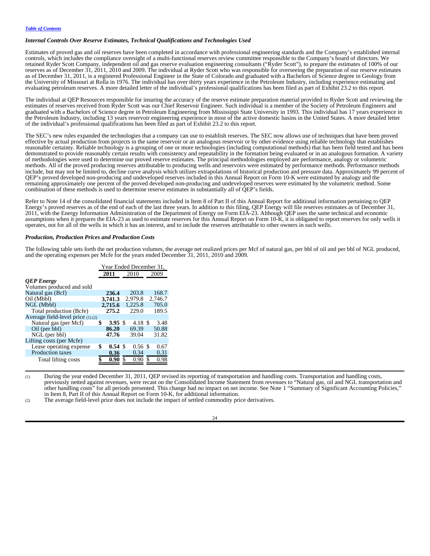#### *Internal Controls Over Reserve Estimates, Technical Qualifications and Technologies Used*

Estimates of proved gas and oil reserves have been completed in accordance with professional engineering standards and the Company's established internal controls, which includes the compliance oversight of a multi-functional reserves review committee responsible to the Company's board of directors. We retained Ryder Scott Company, independent oil and gas reserve evaluation engineering consultants ("Ryder Scott"), to prepare the estimates of 100% of our reserves as of December 31, 2011, 2010 and 2009. The individual at Ryder Scott who was responsible for overseeing the preparation of our reserve estimates as of December 31, 2011, is a registered Professional Engineer in the State of Colorado and graduated with a Bachelors of Science degree in Geology from the University of Missouri at Rolla in 1976. The individual has over thirty years experience in the Petroleum Industry, including experience estimating and evaluating petroleum reserves. A more detailed letter of the individual's professional qualifications has been filed as part of Exhibit 23.2 to this report.

The individual at QEP Resources responsible for insuring the accuracy of the reserve estimate preparation material provided to Ryder Scott and reviewing the estimates of reserves received from Ryder Scott was our Chief Reservoir Engineer. Such individual is a member of the Society of Petroleum Engineers and graduated with a Bachelors of Science degree in Petroleum Engineering from Mississippi State University in 1993. This individual has 17 years experience in the Petroleum Industry, including 13 years reservoir engineering experience in most of the active domestic basins in the United States. A more detailed letter of the individual's professional qualifications has been filed as part of Exhibit 23.2 to this report.

The SEC's new rules expanded the technologies that a company can use to establish reserves. The SEC now allows use of techniques that have been proved effective by actual production from projects in the same reservoir or an analogous reservoir or by other evidence using reliable technology that establishes reasonable certainty. Reliable technology is a grouping of one or more technologies (including computational methods) that has been field tested and has been demonstrated to provide reasonably certain results with consistency and repeatability in the formation being evaluated or in an analogous formation. A variety of methodologies were used to determine our proved reserve estimates. The principal methodologies employed are performance, analogy or volumetric methods. All of the proved producing reserves attributable to producing wells and reservoirs were estimated by performance methods. Performance methods include, but may not be limited to, decline curve analysis which utilizes extrapolations of historical production and pressure data. Approximately 99 percent of QEP's proved developed non-producing and undeveloped reserves included in this Annual Report on Form 10-K were estimated by analogy and the remaining approximately one percent of the proved developed non-producing and undeveloped reserves were estimated by the volumetric method. Some combination of these methods is used to determine reserve estimates in substantially all of QEP's fields.

Refer to Note 14 of the consolidated financial statements included in Item 8 of Part II of this Annual Report for additional information pertaining to QEP Energy's proved reserves as of the end of each of the last three years. In addition to this filing, QEP Energy will file reserves estimates as of December 31, 2011, with the Energy Information Administration of the Department of Energy on Form EIA-23. Although QEP uses the same technical and economic assumptions when it prepares the EIA-23 as used to estimate reserves for this Annual Report on Form 10-K, it is obligated to report reserves for only wells it operates, not for all of the wells in which it has an interest, and to include the reserves attributable to other owners in such wells.

#### *Production, Production Prices and Production Costs*

The following table sets forth the net production volumes, the average net realized prices per Mcf of natural gas, per bbl of oil and per bbl of NGL produced, and the operating expenses per Mcfe for the years ended December 31, 2011, 2010 and 2009.

|                                    | Year Ended December 31, |         |  |         |    |         |
|------------------------------------|-------------------------|---------|--|---------|----|---------|
|                                    |                         | 2011    |  | 2010    |    | 2009    |
| <b>OEP</b> Energy                  |                         |         |  |         |    |         |
| Volumes produced and sold          |                         |         |  |         |    |         |
| Natural gas (Bcf)                  |                         | 236.4   |  | 203.8   |    | 168.7   |
| Oil (Mbbl)                         |                         | 3.741.3 |  | 2.979.8 |    | 2.746.7 |
| NGL (Mbbl)                         |                         | 2.715.6 |  | 1.225.8 |    | 705.0   |
| Total production (Bcfe)            |                         | 275.2   |  | 229.0   |    | 189.5   |
| Average field-level price $(1)(2)$ |                         |         |  |         |    |         |
| Natural gas (per Mcf)              | \$                      | 3.95S   |  | 4.18S   |    | 3.48    |
| Oil (per bbl)                      |                         | 86.20   |  | 69.39   |    | 50.88   |
| NGL (per bbl)                      |                         | 47.76   |  | 39.04   |    | 31.82   |
| Lifting costs (per Mcfe)           |                         |         |  |         |    |         |
| Lease operating expense            | \$                      | 0.54S   |  | 0.56S   |    | 0.67    |
| <b>Production taxes</b>            |                         | 0.36    |  | 0.34    |    | 0.31    |
| Total lifting costs                |                         | 0.90    |  | 0.90    | \$ | 0.98    |

(1) During the year ended December 31, 2011, QEP revised its reporting of transportation and handling costs. Transportation and handling costs, previously netted against revenues, were recast on the Consolidated Income Statement from revenues to "Natural gas, oil and NGL transportation and other handling costs" for all periods presented. This change had no impact on net income. See Note 1 "Summary of Significant Accounting Policies," in Item 8, Part II of this Annual Report on Form 10-K, for additional information.

(2) The average field-level price does not include the impact of settled commodity price derivatives.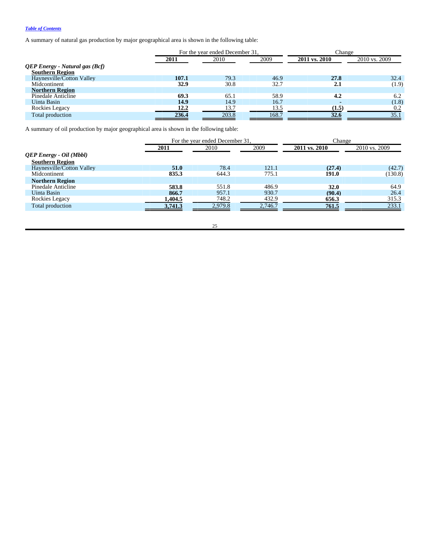A summary of natural gas production by major geographical area is shown in the following table:

|                                       |       | For the year ended December 31, |       | Change        |               |
|---------------------------------------|-------|---------------------------------|-------|---------------|---------------|
|                                       | 2011  | 2010                            | 2009  | 2011 vs. 2010 | 2010 vs. 2009 |
| <b>OEP Energy - Natural gas (Bcf)</b> |       |                                 |       |               |               |
| <b>Southern Region</b>                |       |                                 |       |               |               |
| Haynesville/Cotton Valley             | 107.1 | 79.3                            | 46.9  | 27.8          | 32.4          |
| Midcontinent                          | 32.9  | 30.8                            | 32.7  | 2.1           | (1.9)         |
| <b>Northern Region</b>                |       |                                 |       |               |               |
| Pinedale Anticline                    | 69.3  | 65.1                            | 58.9  | 4.2           | 6.2           |
| Uinta Basin                           | 14.9  | 14.9                            | 16.7  | -             | (1.8)         |
| Rockies Legacy                        | 12.2  | 13.7                            | 13.5  | (1.5)         | 0.2           |
| Total production                      | 236.4 | 203.8                           | 168.7 | 32.6          | 35.1          |

A summary of oil production by major geographical area is shown in the following table:

|                                       | For the year ended December 31, |         |         | Change        |               |  |
|---------------------------------------|---------------------------------|---------|---------|---------------|---------------|--|
|                                       | 2011                            | 2010    | 2009    | 2011 vs. 2010 | 2010 vs. 2009 |  |
| <i><b>OEP Energy - Oil (Mbbl)</b></i> |                                 |         |         |               |               |  |
| <b>Southern Region</b>                |                                 |         |         |               |               |  |
| Haynesville/Cotton Valley             | 51.0                            | 78.4    | 121.1   | (27.4)        | (42.7)        |  |
| Midcontinent                          | 835.3                           | 644.3   | 775.1   | 191.0         | (130.8)       |  |
| <b>Northern Region</b>                |                                 |         |         |               |               |  |
| Pinedale Anticline                    | 583.8                           | 551.8   | 486.9   | <b>32.0</b>   | 64.9          |  |
| Uinta Basin                           | 866.7                           | 957.1   | 930.7   | (90.4)        | 26.4          |  |
| Rockies Legacy                        | 1,404.5                         | 748.2   | 432.9   | 656.3         | 315.3         |  |
| Total production                      | 3,741.3                         | 2,979.8 | 2,746.7 | 761.5         | 233.1         |  |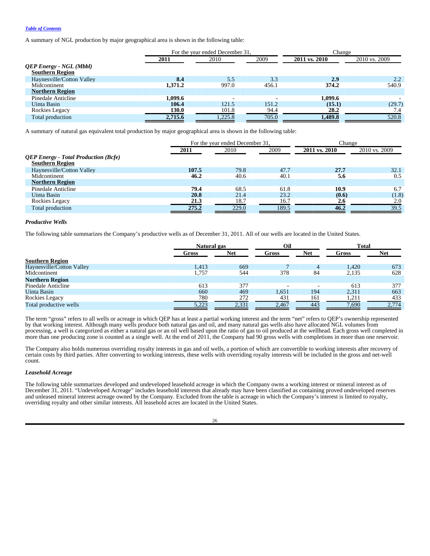A summary of NGL production by major geographical area is shown in the following table:

|                                                          |         | For the year ended December 31. | Change |               |               |
|----------------------------------------------------------|---------|---------------------------------|--------|---------------|---------------|
|                                                          | 2011    | 2010                            |        | 2011 vs. 2010 | 2010 vs. 2009 |
| <b>OEP Energy - NGL (Mbbl)</b><br><b>Southern Region</b> |         |                                 |        |               |               |
| Haynesville/Cotton Valley                                | 8.4     | 5.5                             | 3.3    | 2.9           | 2.2           |
| Midcontinent                                             | 1.371.2 | 997.0                           | 456.1  | 374.2         | 540.9         |
| <b>Northern Region</b>                                   |         |                                 |        |               |               |
| Pinedale Anticline                                       | 1.099.6 |                                 |        | 1.099.6       |               |
| Uinta Basin                                              | 106.4   | 121.5                           | 151.2  | (15.1)        | (29.7)        |
| Rockies Legacy                                           | 130.0   | 101.8                           | 94.4   | 28.2          | 7.4           |
| Total production                                         | 2,715.6 | 1,225.8                         | 705.0  | 1,489.8       | 520.8         |

A summary of natural gas equivalent total production by major geographical area is shown in the following table:

|                                                                       |       | For the year ended December 31. | Change |               |               |  |
|-----------------------------------------------------------------------|-------|---------------------------------|--------|---------------|---------------|--|
|                                                                       | 2011  | 2010                            | 2009   | 2011 vs. 2010 | 2010 vs. 2009 |  |
| <b>OEP Energy - Total Production (Bcfe)</b><br><b>Southern Region</b> |       |                                 |        |               |               |  |
| Haynesville/Cotton Valley                                             | 107.5 | 79.8                            | 47.7   | 27.7          | 32.1          |  |
| Midcontinent                                                          | 46.2  | 40.6                            | 40.1   | 5.6           | 0.5           |  |
| <b>Northern Region</b>                                                |       |                                 |        |               |               |  |
| Pinedale Anticline                                                    | 79.4  | 68.5                            | 61.8   | 10.9          | 6.7           |  |
| Uinta Basin                                                           | 20.8  | 21.4                            | 23.2   | (0.6)         | (1.8)         |  |
| Rockies Legacy                                                        | 21.3  | 18.7                            | 16.7   | 2.6           | 2.0           |  |
| Total production                                                      | 275.2 | 229.0                           | 189.5  | 46.2          | 39.5          |  |

#### *Productive Wells*

The following table summarizes the Company's productive wells as of December 31, 2011. All of our wells are located in the United States.

|                           |       | Natural gas |       |            | <b>Total</b> |       |  |
|---------------------------|-------|-------------|-------|------------|--------------|-------|--|
|                           | Gross | <b>Net</b>  | Gross | <b>Net</b> | Gross        | Net   |  |
| <b>Southern Region</b>    |       |             |       |            |              |       |  |
| Haynesville/Cotton Valley | 1.413 | 669         |       |            | 1,420        | 673   |  |
| Midcontinent              | 1,757 | 544         | 378   | 84         | 2,135        | 628   |  |
| <b>Northern Region</b>    |       |             |       |            |              |       |  |
| Pinedale Anticline        | 613   | 377         |       |            | 613          | 377   |  |
| Uinta Basin               | 660   | 469         | 1,651 | 194        | 2,311        | 663   |  |
| Rockies Legacy            | 780   | 272         | 431   | 161        | 1,211        | 433   |  |
| Total productive wells    | 5,223 | 2,331       | 2,467 | 443        | 7,690        | 2,774 |  |

The term "gross" refers to all wells or acreage in which QEP has at least a partial working interest and the term "net" refers to QEP's ownership represented by that working interest. Although many wells produce both natural gas and oil, and many natural gas wells also have allocated NGL volumes from processing, a well is categorized as either a natural gas or an oil well based upon the ratio of gas to oil produced at the wellhead. Each gross well completed in more than one producing zone is counted as a single well. At the end of 2011, the Company had 90 gross wells with completions in more than one reservoir.

The Company also holds numerous overriding royalty interests in gas and oil wells, a portion of which are convertible to working interests after recovery of certain costs by third parties. After converting to working interests, these wells with overriding royalty interests will be included in the gross and net-well count.

#### *Leasehold Acreage*

The following table summarizes developed and undeveloped leasehold acreage in which the Company owns a working interest or mineral interest as of December 31, 2011. "Undeveloped Acreage" includes leasehold interests that already may have been classified as containing proved undeveloped reserves and unleased mineral interest acreage owned by the Company. Excluded from the table is acreage in which the Company's interest is limited to royalty, overriding royalty and other similar interests. All leasehold acres are located in the United States.

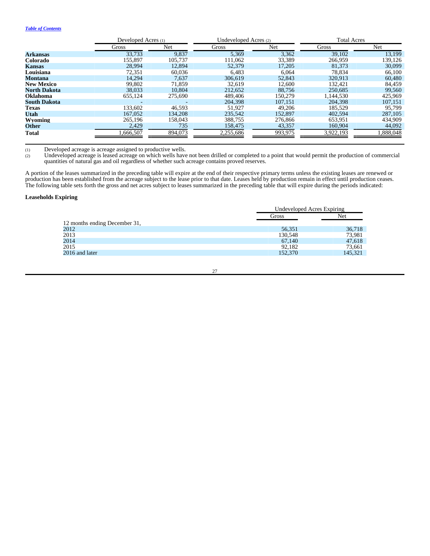|                     | Developed Acres (1) |         | Undeveloped Acres (2) |         | <b>Total Acres</b> |           |  |  |
|---------------------|---------------------|---------|-----------------------|---------|--------------------|-----------|--|--|
|                     | Gross               | Net     | Gross                 | Net     | Gross              | Net       |  |  |
| <b>Arkansas</b>     | 33.733              | 9,837   | 5.369                 | 3,362   | 39,102             | 13.199    |  |  |
| Colorado            | 155,897             | 105.737 | 111,062               | 33,389  | 266,959            | 139,126   |  |  |
| Kansas              | 28,994              | 12,894  | 52,379                | 17,205  | 81,373             | 30,099    |  |  |
| Louisiana           | 72,351              | 60,036  | 6.483                 | 6,064   | 78.834             | 66,100    |  |  |
| <b>Montana</b>      | 14.294              | 7,637   | 306.619               | 52,843  | 320,913            | 60,480    |  |  |
| <b>New Mexico</b>   | 99,802              | 71,859  | 32.619                | 12,600  | 132.421            | 84,459    |  |  |
| North Dakota        | 38,033              | 10.804  | 212,652               | 88.756  | 250.685            | 99,560    |  |  |
| <b>Oklahoma</b>     | 655.124             | 275,690 | 489,406               | 150.279 | 1.144.530          | 425,969   |  |  |
| <b>South Dakota</b> |                     |         | 204,398               | 107.151 | 204,398            | 107,151   |  |  |
| <b>Texas</b>        | 133,602             | 46,593  | 51.927                | 49,206  | 185,529            | 95,799    |  |  |
| <b>Utah</b>         | 167,052             | 134,208 | 235,542               | 152,897 | 402,594            | 287,105   |  |  |
| Wyoming             | 265,196             | 158,043 | 388,755               | 276,866 | 653.951            | 434,909   |  |  |
| <b>Other</b>        | 2,429               | 735     | 158,475               | 43,357  | 160,904            | 44,092    |  |  |
| <b>Total</b>        | ,666,507            | 894,073 | 2,255,686             | 993,975 | 3,922,193          | 1,888,048 |  |  |

(1) Developed acreage is acreage assigned to productive wells.<br>(2) Undeveloped acreage is leased acreage on which wells have

(2) Undeveloped acreage is leased acreage on which wells have not been drilled or completed to a point that would permit the production of commercial quantities of natural gas and oil regardless of whether such acreage contains proved reserves.

A portion of the leases summarized in the preceding table will expire at the end of their respective primary terms unless the existing leases are renewed or production has been established from the acreage subject to the lease prior to that date. Leases held by production remain in effect until production ceases. The following table sets forth the gross and net acres subject to leases summarized in the preceding table that will expire during the periods indicated:

## **Leaseholds Expiring**

|                               | Undeveloped Acres Expiring |         |  |  |  |
|-------------------------------|----------------------------|---------|--|--|--|
|                               | Gross                      |         |  |  |  |
| 12 months ending December 31, |                            |         |  |  |  |
| 2012                          | 56.351                     | 36,718  |  |  |  |
| 2013                          | 130,548                    | 73,981  |  |  |  |
| 2014                          | 67.140                     | 47,618  |  |  |  |
| 2015                          | 92.182                     | 73.661  |  |  |  |
| 2016 and later                | 152,370                    | 145.321 |  |  |  |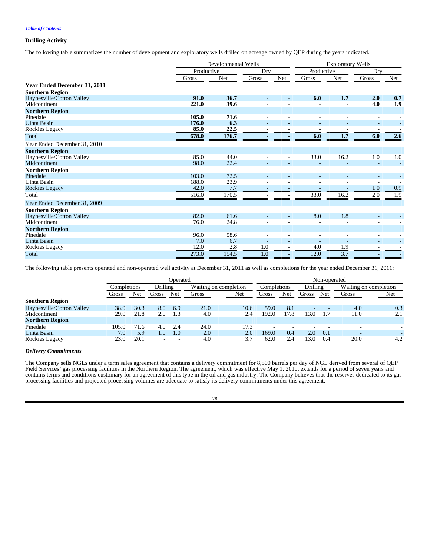#### **Drilling Activity**

The following table summarizes the number of development and exploratory wells drilled on acreage owned by QEP during the years indicated.

|                              |       | Developmental Wells | <b>Exploratory Wells</b> |     |            |      |       |     |
|------------------------------|-------|---------------------|--------------------------|-----|------------|------|-------|-----|
|                              |       | Productive          |                          |     | Productive |      | Drv   |     |
|                              | Gross | Net                 | Gross                    | Net | Gross      | Net  | Gross | Net |
| Year Ended December 31, 2011 |       |                     |                          |     |            |      |       |     |
| <b>Southern Region</b>       |       |                     |                          |     |            |      |       |     |
| Haynesville/Cotton Valley    | 91.0  | 36.7                |                          |     | 6.0        | 1.7  | 2.0   | 0.7 |
| Midcontinent                 | 221.0 | 39.6                |                          |     | ٠          |      | 4.0   | 1.9 |
| <b>Northern Region</b>       |       |                     |                          |     |            |      |       |     |
| Pinedale                     | 105.0 | 71.6                |                          |     |            |      |       |     |
| Uinta Basin                  | 176.0 | 6.3                 |                          |     |            |      |       |     |
| Rockies Legacy               | 85.0  | <u>22.5</u>         |                          |     |            |      |       |     |
| Total                        | 678.0 | 176.7               |                          |     | 6.0        | 1.7  | 6.0   | 2.6 |
| Year Ended December 31, 2010 |       |                     |                          |     |            |      |       |     |
| <b>Southern Region</b>       |       |                     |                          |     |            |      |       |     |
| Haynesville/Cotton Valley    | 85.0  | 44.0                |                          |     | 33.0       | 16.2 | 1.0   | 1.0 |
| Midcontinent                 | 98.0  | 22.4                |                          |     |            |      |       |     |
| <b>Northern Region</b>       |       |                     |                          |     |            |      |       |     |
| Pinedale                     | 103.0 | 72.5                |                          |     |            |      |       |     |
| Uinta Basin                  | 188.0 | 23.9                |                          |     |            |      |       |     |
| Rockies Legacy               | 42.0  | 7.7                 |                          |     |            |      | 1.0   | 0.9 |
| Total                        | 516.0 | 170.5               |                          |     | 33.0       | 16.2 | 2.0   | 1.9 |
| Year Ended December 31, 2009 |       |                     |                          |     |            |      |       |     |
| <b>Southern Region</b>       |       |                     |                          |     |            |      |       |     |
| Haynesville/Cotton Valley    | 82.0  | 61.6                |                          |     | 8.0        | 1.8  |       |     |
| Midcontinent                 | 76.0  | 24.8                |                          |     |            |      |       |     |
| <b>Northern Region</b>       |       |                     |                          |     |            |      |       |     |
| Pinedale                     | 96.0  | 58.6                |                          |     |            |      |       |     |
| <b>Uinta Basin</b>           | 7.0   | 6.7                 |                          |     |            |      |       |     |
| Rockies Legacy               | 12.0  | 2.8                 | 1.0                      |     | 4.0        | 1.9  |       |     |
| Total                        | 273.0 | 154.5               | 1.0                      |     | 12.0       | 3.7  |       |     |

The following table presents operated and non-operated well activity at December 31, 2011 as well as completions for the year ended December 31, 2011:

|                           |             | Operated |                  |                          |       |                       | Non-operated |             |       |          |                          |     |
|---------------------------|-------------|----------|------------------|--------------------------|-------|-----------------------|--------------|-------------|-------|----------|--------------------------|-----|
|                           | Completions |          | Drilling         |                          |       | Waiting on completion |              | Completions |       | Drilling | Waiting on completion    |     |
|                           | Gross       | Net      | Gross            | Net                      | Gross | Net                   | Gross        | Net         | Gross | Net      | Gross                    | Net |
| <b>Southern Region</b>    |             |          |                  |                          |       |                       |              |             |       |          |                          |     |
| Haynesville/Cotton Valley | 38.0        | 30.3     | 8.0              | 6.9                      | 21.0  | 10.6                  | 59.0         | 8.1         |       |          | 4.0                      | 0.3 |
| Midcontinent              | 29.0        | 21.8     | 2.0              | 1.3                      | 4.0   | 2.4                   | 192.0        | 17.8        | 3.0   | 1.7      | 11.0                     | 2.1 |
| <b>Northern Region</b>    |             |          |                  |                          |       |                       |              |             |       |          |                          |     |
| Pinedale                  | 105.0       | 71.6     | 4.0              | 2.4                      | 24.0  | 17.3                  |              |             |       |          | $\overline{\phantom{a}}$ |     |
| Uinta Basin               | 7.0         | 5.9      | 1.0 <sub>1</sub> | 1.0                      | 2.0   | 2.0                   | 169.0        | 0.4         | 2.0   | 0.1      | $\overline{\phantom{a}}$ | - 1 |
| Rockies Legacy            | 23.0        | 20.1     | -                | $\overline{\phantom{a}}$ | 4.0   | 3.7                   | 62.0         | 2.4         | 3.0   | 0.4      | 20.0                     | 4.2 |

## *Delivery Commitments*

The Company sells NGLs under a term sales agreement that contains a delivery commitment for 8,500 barrels per day of NGL derived from several of QEP Field Services' gas processing facilities in the Northern Region. The agreement, which was effective May 1, 2010, extends for a period of seven years and contains terms and conditions customary for an agreement of this type in the oil and gas industry. The Company believes that the reserves dedicated to its gas processing facilities and projected processing volumes are adequate to satisfy its delivery commitments under this agreement.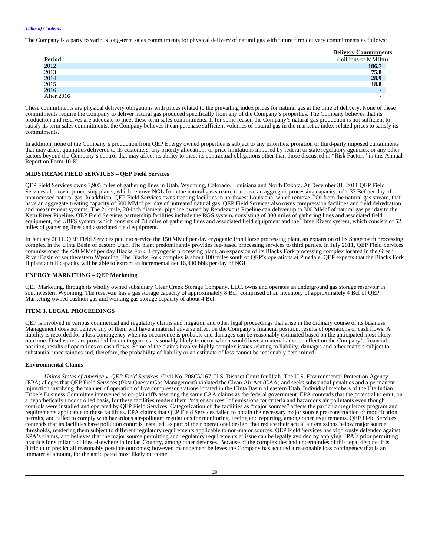The Company is a party to various long-term sales commitments for physical delivery of natural gas with future firm delivery commitments as follows:

|               | <b>Delivery Commitments</b> |
|---------------|-----------------------------|
| <b>Period</b> | (millions of MMBtu)         |
| 2012          | 186.7                       |
| 2013<br>2014  | 75.8                        |
|               | 28.9                        |
| 2015          | 18.8                        |
| 2016          |                             |
| After 2016    |                             |

These commitments are physical delivery obligations with prices related to the prevailing index prices for natural gas at the time of delivery. None of these commitments require the Company to deliver natural gas produced specifically from any of the Company's properties. The Company believes that its production and reserves are adequate to meet these term sales commitments. If for some reason the Company's natural gas production is not sufficient to satisfy its term sales commitments, the Company believes it can purchase sufficient volumes of natural gas in the market at index-related prices to satisfy its commitments.

In addition, none of the Company's production from QEP Energy owned properties is subject to any priorities, proration or third-party imposed curtailments that may affect quantities delivered to its customers, any priority allocations or price limitations imposed by federal or state regulatory agencies, or any other factors beyond the Company's control that may affect its ability to meet its contractual obligations other than those discussed in "Risk Factors" in this Annual Report on Form 10-K.

#### **MIDSTREAM FIELD SERVICES – QEP Field Services**

QEP Field Services owns 1,905 miles of gathering lines in Utah, Wyoming, Colorado, Louisiana and North Dakota. At December 31, 2011 QEP Field Services also owns processing plants, which remove NGL from the natural gas stream, that have an aggregate processing capacity, of 1.37 Bcf per day of unprocessed natural gas. In addition, QEP Field Services owns treating facilities in northwest Louisiana, which remove CO2 from the natural gas stream, that have an aggregate treating capacity of 600 MMcf per day of untreated natural gas. QEP Field Services also owns compression facilities and field dehydration and measurement systems. The 21-mile, 20-inch diameter pipeline owned by Rendezvous Pipeline can deliver up to 300 MMcf of natural gas per day to the Kern River Pipeline. QEP Field Services partnership facilities include the RGS system, consisting of 300 miles of gathering lines and associated field equipment, the UBFS system, which consists of 78 miles of gathering lines and associated field equipment and the Three Rivers system, which consists of 52 miles of gathering lines and associated field equipment.

In January 2011, QEP Field Services put into service the 150 MMcf per day cryogenic Iron Horse processing plant, an expansion of its Stagecoach processing complex in the Uinta Basin of eastern Utah. The plant predominantly provides fee-based processing services to third parties. In July 2011, QEP Field Services commissioned the 420 MMcf per day Blacks Fork II cryogenic processing plant, an expansion of its Blacks Fork processing complex located in the Green River Basin of southwestern Wyoming. The Blacks Fork complex is about 100 miles south of QEP's operations at Pinedale. QEP expects that the Blacks Fork II plant at full capacity will be able to extract an incremental net 16,000 bbls per day of NGL.

## **ENERGY MARKETING – QEP Marketing**

QEP Marketing, through its wholly owned subsidiary Clear Creek Storage Company, LLC, owns and operates an underground gas storage reservoir in southwestern Wyoming. The reservoir has a gas storage capacity of approximately 8 Bcf, comprised of an inventory of approximately 4 Bcf of QEP Marketing-owned cushion gas and working gas storage capacity of about 4 Bcf.

#### **ITEM 3. LEGAL PROCEEDINGS**

QEP is involved in various commercial and regulatory claims and litigation and other legal proceedings that arise in the ordinary course of its business. Management does not believe any of them will have a material adverse effect on the Company's financial position, results of operations or cash flows. A liability is recorded for a loss contingency when its occurrence is probable and damages can be reasonably estimated based on the anticipated most likely outcome. Disclosures are provided for contingencies reasonably likely to occur which would have a material adverse effect on the Company's financial position, results of operations or cash flows. Some of the claims involve highly complex issues relating to liability, damages and other matters subject to substantial uncertainties and, therefore, the probability of liability or an estimate of loss cannot be reasonably determined.

#### **Environmental Claims**

*United States of America v. QEP Field Services*, Civil No. 208CV167, U.S. District Court for Utah. The U.S. Environmental Protection Agency (EPA) alleges that QEP Field Services (f/k/a Questar Gas Management) violated the Clean Air Act (CAA) and seeks substantial penalties and a permanent injunction involving the manner of operation of five compressor stations located in the Uinta Basin of eastern Utah. Individual members of the Ute Indian Tribe's Business Committee intervened as co-plaintiffs asserting the same CAA claims as the federal government. EPA contends that the potential to emit, on a hypothetically uncontrolled basis, for these facilities renders them "major sources" of emissions for criteria and hazardous air pollutants even though controls were installed and operated by QEP Field Services. Categorization of the facilities as "major sources" affects the particular regulatory program and requirements applicable to those facilities. EPA claims that QEP Field Services failed to obtain the necessary major source pre-construction or modification permits, and failed to comply with hazardous air-pollutant regulations for monitoring, testing and reporting, among other requirements. QEP Field Services contends that its facilities have pollution controls installed, as part of their operational design, that reduce their actual air emissions below major source thresholds, rendering them subject to different regulatory requirements applicable to non-major sources. QEP Field Services has vigorously defended against EPA's claims, and believes that the major source permitting and regulatory requirements at issue can be legally avoided by applying EPA's prior permitting practice for similar facilities elsewhere in Indian Country, among other defenses. Because of the complexities and uncertainties of this legal dispute, it is difficult to predict all reasonably possible outcomes; however, management believes the Company has accrued a reasonable loss contingency that is an immaterial amount, for the anticipated most likely outcome.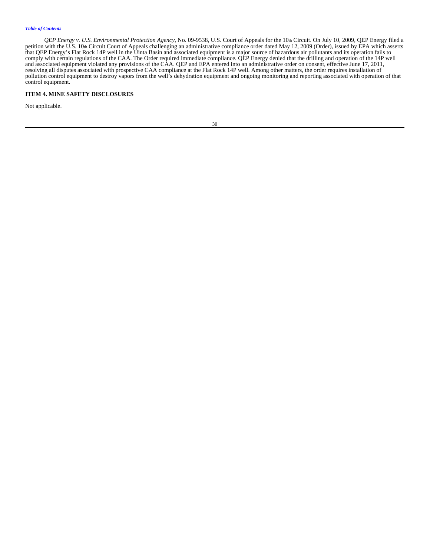*QEP Energy v. U.S. Environmental Protection Agency*, No. 09-9538, U.S. Court of Appeals for the 10th Circuit. On July 10, 2009, QEP Energy filed a petition with the U.S. 10th Circuit Court of Appeals challenging an administrative compliance order dated May 12, 2009 (Order), issued by EPA which asserts that QEP Energy's Flat Rock 14P well in the Uinta Basin and associated equipment is a major source of hazardous air pollutants and its operation fails to comply with certain regulations of the CAA. The Order required immediate compliance. QEP Energy denied that the drilling and operation of the 14P well and associated equipment violated any provisions of the CAA. QEP and EPA entered into an administrative order on consent, effective June 17, 2011, resolving all disputes associated with prospective CAA compliance at the Flat Rock 14P well. Among other matters, the order requires installation of pollution control equipment to destroy vapors from the well's dehydration equipment and ongoing monitoring and reporting associated with operation of that control equipment.

## **ITEM 4. MINE SAFETY DISCLOSURES**

Not applicable.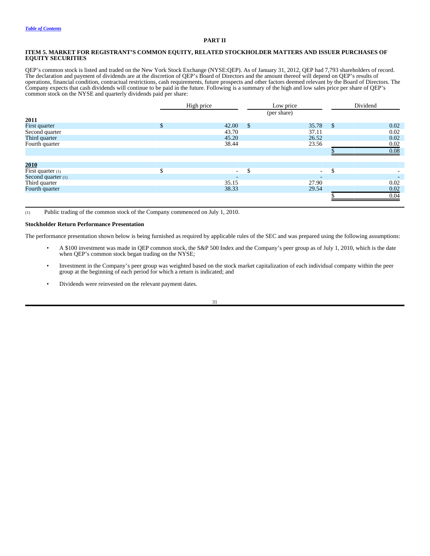## **PART II**

#### **ITEM 5. MARKET FOR REGISTRANT'S COMMON EQUITY, RELATED STOCKHOLDER MATTERS AND ISSUER PURCHASES OF EQUITY SECURITIES**

QEP's common stock is listed and traded on the New York Stock Exchange (NYSE:QEP). As of January 31, 2012, QEP had 7,793 shareholders of record. The declaration and payment of dividends are at the discretion of QEP's Board of Directors and the amount thereof will depend on QEP's results of operations, financial condition, contractual restrictions, cash requirements, future prospects and other factors deemed relevant by the Board of Directors. The Company expects that cash dividends will continue to be paid in the future. Following is a summary of the high and low sales price per share of QEP's common stock on the NYSE and quarterly dividends paid per share:

|                      | High price |    | Low price   | Dividend      |      |  |
|----------------------|------------|----|-------------|---------------|------|--|
|                      |            |    | (per share) |               |      |  |
| 2011                 |            |    |             |               |      |  |
| First quarter        | 42.00      | \$ | 35.78       | - \$          | 0.02 |  |
| Second quarter       | 43.70      |    | 37.11       |               | 0.02 |  |
| Third quarter        | 45.20      |    | 26.52       |               | 0.02 |  |
| Fourth quarter       | 38.44      |    | 23.56       |               | 0.02 |  |
|                      |            |    |             |               | 0.08 |  |
|                      |            |    |             |               |      |  |
| <b>2010</b>          |            |    |             |               |      |  |
| First quarter (1)    | $\sim$     | \$ | $\sim$      | <sup>\$</sup> |      |  |
| Second quarter $(1)$ | ۰          |    | ٠           |               |      |  |
| Third quarter        | 35.15      |    | 27.90       |               | 0.02 |  |
| Fourth quarter       | 38.33      |    | 29.54       |               | 0.02 |  |
|                      |            |    |             |               | 0.04 |  |
|                      |            |    |             |               |      |  |

(1) Public trading of the common stock of the Company commenced on July 1, 2010.

## **Stockholder Return Performance Presentation**

The performance presentation shown below is being furnished as required by applicable rules of the SEC and was prepared using the following assumptions:

- A \$100 investment was made in QEP common stock, the S&P 500 Index and the Company's peer group as of July 1, 2010, which is the date when QEP's common stock began trading on the NYSE;
- Investment in the Company's peer group was weighted based on the stock market capitalization of each individual company within the peer group at the beginning of each period for which a return is indicated; and
- Dividends were reinvested on the relevant payment dates.

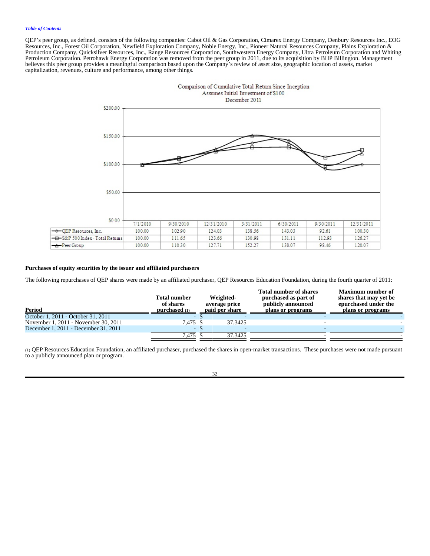QEP's peer group, as defined, consists of the following companies: Cabot Oil & Gas Corporation, Cimarex Energy Company, Denbury Resources Inc., EOG Resources, Inc., Forest Oil Corporation, Newfield Exploration Company, Noble Energy, Inc., Pioneer Natural Resources Company, Plains Exploration & Production Company, Quicksilver Resources, Inc., Range Resources Corporation, Southwestern Energy Company, Ultra Petroleum Corporation and Whiting Petroleum Corporation. Petrohawk Energy Corporation was removed from the peer group in 2011, due to its acquisition by BHP Billington. Management believes this peer group provides a meaningful comparison based upon the Company's review of asset size, geographic location of assets, market capitalization, revenues, culture and performance, among other things.



#### **Purchases of equity securities by the issuer and affiliated purchasers**

The following repurchases of QEP shares were made by an affiliated purchaser, QEP Resources Education Foundation, during the fourth quarter of 2011:

| Period                               | <b>Total number</b><br>of shares<br><b>purchased</b> (1) | Weighted-<br>average price<br>paid per share | <b>Total number of shares</b><br>purchased as part of<br>publicly announced<br>plans or programs | <b>Maximum number of</b><br>shares that may vet be<br>epurchased under the<br>plans or programs |
|--------------------------------------|----------------------------------------------------------|----------------------------------------------|--------------------------------------------------------------------------------------------------|-------------------------------------------------------------------------------------------------|
| October 1, 2011 - October 31, 2011   |                                                          |                                              |                                                                                                  |                                                                                                 |
| November 1, 2011 - November 30, 2011 | 7.475 \$                                                 | 37.3425                                      |                                                                                                  |                                                                                                 |
| December 1, 2011 - December 31, 2011 |                                                          |                                              |                                                                                                  |                                                                                                 |
|                                      | 7.475                                                    | 37.3425                                      |                                                                                                  |                                                                                                 |

(1) QEP Resources Education Foundation, an affiliated purchaser, purchased the shares in open-market transactions. These purchases were not made pursuant to a publicly announced plan or program.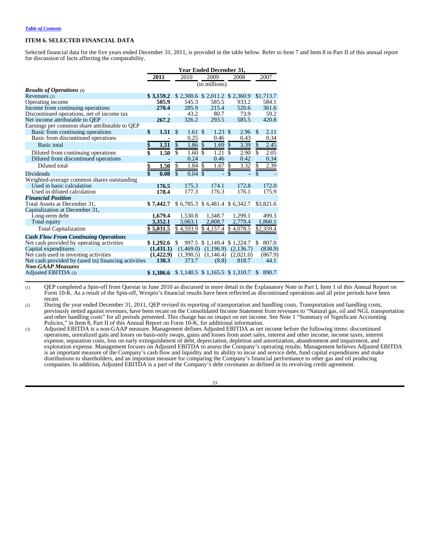## **ITEM 6. SELECTED FINANCIAL DATA**

Selected financial data for the five years ended December 31, 2011, is provided in the table below. Refer to Item 7 and Item 8 in Part II of this annual report for discussion of facts affecting the comparability.

|                                                     | <b>Year Ended December 31,</b> |           |               |                                             |               |                             |                         |                                     |                         |           |
|-----------------------------------------------------|--------------------------------|-----------|---------------|---------------------------------------------|---------------|-----------------------------|-------------------------|-------------------------------------|-------------------------|-----------|
|                                                     |                                | 2011      |               | 2010                                        |               | 2009                        |                         | 2008                                |                         | 2007      |
|                                                     |                                |           |               |                                             |               | (in millions)               |                         |                                     |                         |           |
| <b>Results of Operations</b> (1)                    |                                |           |               |                                             |               |                             |                         |                                     |                         |           |
| Revenues $(2)$                                      |                                | \$3.159.2 |               | $$2,300.6 \$2,011.2 \$2,360.9$              |               |                             |                         |                                     |                         | \$1,713.7 |
| Operating income                                    |                                | 505.9     |               | 545.3                                       |               | 585.5                       |                         | 933.2                               |                         | 584.1     |
| Income from continuing operations                   |                                | 270.4     |               | 285.9                                       |               | 215.4                       |                         | 520.6                               |                         | 361.6     |
| Discontinued operations, net of income tax          |                                |           |               | 43.2                                        |               | 80.7                        |                         | 73.9                                |                         | 59.2      |
| Net income attributable to OEP                      |                                | 267.2     |               | 326.2                                       |               | 293.5                       |                         | 585.5                               |                         | 420.8     |
| Earnings per common share attributable to OEP       |                                |           |               |                                             |               |                             |                         |                                     |                         |           |
| Basic from continuing operations                    | $\mathbf{\$}$                  | 1.51      | \$            | $1.61 \text{ }$ \$                          |               | 1.23                        | -\$                     | 2.96                                | \$                      | 2.11      |
| Basic from discontinued operations                  |                                |           |               | 0.25                                        |               | 0.46                        |                         | 0.43                                |                         | 0.34      |
| Basic total                                         | $\overline{\mathbf{2}}$        | 1.51      | $\mathcal{S}$ | 1.86                                        | \$            | 1.69                        | $\mathsf{\$}$           | 3.39                                | \$                      | 2.45      |
| Diluted from continuing operations                  | \$                             | 1.50      | \$            | 1.60                                        | \$            | 1.21                        | $\mathcal{S}$           | 2.90                                | \$                      | 2.05      |
| Diluted from discontinued operations                |                                |           |               | 0.24                                        |               | 0.46                        |                         | 0.42                                |                         | 0.34      |
| Diluted total                                       | \$                             | 1.50      | \$            | 1.84                                        | \$            | 1.67                        | <sup>\$</sup>           | 3.32                                | S                       | 2.39      |
| Dividends                                           | $\bar{s}$                      | 0.08      | \$            | 0.04                                        | $\mathcal{S}$ |                             | $\overline{\mathbf{s}}$ |                                     | $\overline{\mathbb{S}}$ |           |
| Weighted-average common shares outstanding          |                                |           |               |                                             |               |                             |                         |                                     |                         |           |
| Used in basic calculation                           |                                | 176.5     |               | 175.3                                       |               | 174.1                       |                         | 172.8                               |                         | 172.0     |
| Used in diluted calculation                         |                                | 178.4     |               | 177.3                                       |               | 176.3                       |                         | 176.1                               |                         | 175.9     |
| <b>Financial Position</b>                           |                                |           |               |                                             |               |                             |                         |                                     |                         |           |
| Total Assets at December 31,                        |                                | \$7,442.7 |               | $$6,785.3$ $$6,481.4$ $$6,342.7$            |               |                             |                         |                                     |                         | \$3,821.6 |
| Capitalization at December 31,                      |                                |           |               |                                             |               |                             |                         |                                     |                         |           |
| Long-term debt                                      |                                | 1,679.4   |               | 1,530.8                                     |               | 1,348.7                     |                         | 1,299.1                             |                         | 499.3     |
| Total equity                                        |                                | 3,352.1   |               | 3,063.1                                     |               | 2,808.7                     |                         | 2,779.4                             |                         | 1,860.1   |
| <b>Total Capitalization</b>                         |                                | \$5,031.5 |               | 4,593.9                                     |               | \$4,157.4                   |                         | \$4,078.5                           |                         | \$2,359.4 |
| <b>Cash Flow From Continuing Operations</b>         |                                |           |               |                                             |               |                             |                         |                                     |                         |           |
| Net cash provided by operating activities           |                                | \$1,292.6 | \$            |                                             |               | 997.5 \$ 1,149.4 \$ 1,224.7 |                         |                                     | \$.                     | 807.0     |
| Capital expenditures                                |                                | (1.431.1) |               |                                             |               |                             |                         | $(1,469.0)$ $(1,196.9)$ $(2,136.7)$ |                         | (838.9)   |
| Net cash used in investing activities               |                                | (1,422.9) |               | (1,390.5)                                   |               | (1,146.4)                   |                         | (2,021.0)                           |                         | (867.9)   |
| Net cash provided by (used in) financing activities |                                | 130.3     |               | 373.7                                       |               | (8.8)                       |                         | 818.7                               |                         | 44.1      |
| <b>Non-GAAP Measures</b>                            |                                |           |               |                                             |               |                             |                         |                                     |                         |           |
| Adjusted EBITDA (3)                                 |                                |           |               | $$1,386.6$ $$1,140.5$ $$1,165.5$ $$1,310.7$ |               |                             |                         |                                     | \$.                     | 890.7     |

(1) QEP completed a Spin-off from Questar in June 2010 as discussed in more detail in the Explanatory Note in Part I, Item 1 of this Annual Report on Form 10-K. As a result of the Spin-off, Wexpro's financial results have been reflected as discontinued operations and all prior periods have been recast.

(2) During the year ended December 31, 2011, QEP revised its reporting of transportation and handling costs. Transportation and handling costs, previously netted against revenues, have been recast on the Consolidated Income Statement from revenues to "Natural gas, oil and NGL transportation and other handling costs" for all periods presented. This change has no imapct on net income. See Note 1 "Summary of Significant Accounting Policies," in Item 8, Part II of this Annual Report on Form 10-K, for additional information.

(3) Adjusted EBITDA is a non-GAAP measure. Management defines Adjusted EBITDA as net income before the following items: discontinued operations, unrealized gain and losses on basis-only swaps, gains and losses from asset sales, interest and other income, income taxes, interest expense, separation costs, loss on early extinguishment of debt, depreciation, depletion and amortization, abandonment and impairment, and exploration expense. Management focuses on Adjusted EBITDA to assess the Company's operating results. Management believes Adjusted EBITDA is an important measure of the Company's cash flow and liquidity and its ability to incur and service debt, fund capital expenditures and make distributions to shareholders, and an important measure for comparing the Company's financial performance to other gas and oil producing companies. In addition, Adjusted EBITDA is a part of the Company's debt covenants as defined in its revolving credit agreement.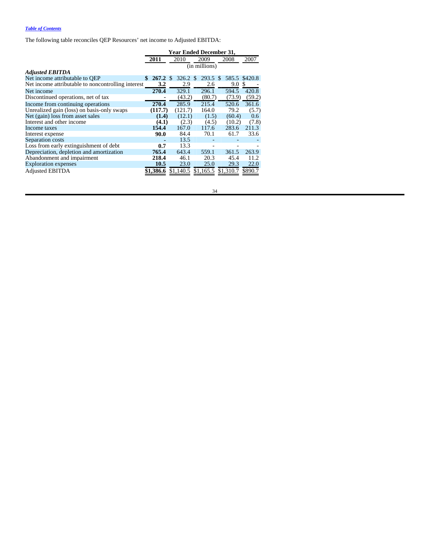The following table reconciles QEP Resources' net income to Adjusted EBITDA:

|                                                    |             |            | <b>Year Ended December 31,</b> |             |         |
|----------------------------------------------------|-------------|------------|--------------------------------|-------------|---------|
|                                                    | 2011        | 2010       | 2009                           | 2008        | 2007    |
|                                                    |             |            | (in millions)                  |             |         |
| <b>Adjusted EBITDA</b>                             |             |            |                                |             |         |
| Net income attributable to OEP                     | \$<br>267.2 | 326.2<br>S | 293.5<br><b>S</b>              | -S<br>585.5 | \$420.8 |
| Net income attributable to noncontrolling interest | 3.2         | 2.9        | 2.6                            | 9.0         | S       |
| Net income                                         | 270.4       | 329.1      | 296.1                          | 594.5       | 420.8   |
| Discontinued operations, net of tax                |             | (43.2)     | (80.7)                         | (73.9)      | (59.2)  |
| Income from continuing operations                  | 270.4       | 285.9      | 215.4                          | 520.6       | 361.6   |
| Unrealized gain (loss) on basis-only swaps         | (117.7)     | (121.7)    | 164.0                          | 79.2        | (5.7)   |
| Net (gain) loss from asset sales                   | (1.4)       | (12.1)     | (1.5)                          | (60.4)      | 0.6     |
| Interest and other income                          | (4.1)       | (2.3)      | (4.5)                          | (10.2)      | (7.8)   |
| Income taxes                                       | 154.4       | 167.0      | 117.6                          | 283.6       | 211.3   |
| Interest expense                                   | 90.0        | 84.4       | 70.1                           | 61.7        | 33.6    |
| Separation costs                                   |             | 13.5       |                                |             |         |
| Loss from early extinguishment of debt             | 0.7         | 13.3       |                                |             |         |
| Depreciation, depletion and amortization           | 765.4       | 643.4      | 559.1                          | 361.5       | 263.9   |
| Abandonment and impairment                         | 218.4       | 46.1       | 20.3                           | 45.4        | 11.2    |
| <b>Exploration</b> expenses                        | 10.5        | 23.0       | 25.0                           | 29.3        | 22.0    |
| <b>Adjusted EBITDA</b>                             | \$1,386.6   | \$1.140.5  | \$1.165.5                      | \$1,310.7   | \$890.7 |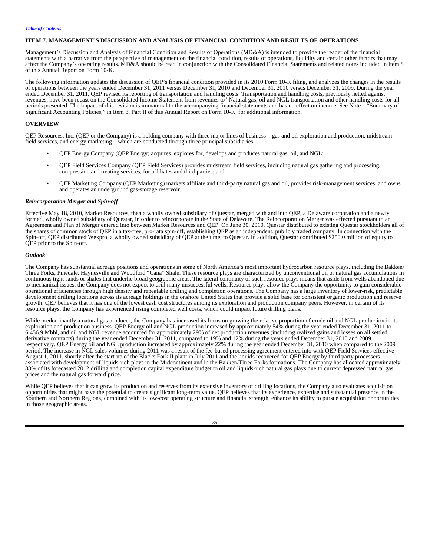### **ITEM 7. MANAGEMENT'S DISCUSSION AND ANALYSIS OF FINANCIAL CONDITION AND RESULTS OF OPERATIONS**

Management's Discussion and Analysis of Financial Condition and Results of Operations (MD&A) is intended to provide the reader of the financial statements with a narrative from the perspective of management on the financial condition, results of operations, liquidity and certain other factors that may affect the Company's operating results. MD&A should be read in conjunction with the Consolidated Financial Statements and related notes included in Item 8 of this Annual Report on Form 10-K.

The following information updates the discussion of QEP's financial condition provided in its 2010 Form 10-K filing, and analyzes the changes in the results of operations between the years ended December 31, 2011 versus December 31, 2010 and December 31, 2010 versus December 31, 2009. During the year ended December 31, 2011, QEP revised its reporting of transportation and handling costs. Transportation and handling costs, previously netted against revenues, have been recast on the Consolidated Income Statement from revenues to "Natural gas, oil and NGL transportation and other handling costs for all periods presented. The impact of this revision is immaterial to the accompanying financial statements and has no effect on income. See Note 1 "Summary of Significant Accounting Policies," in Item 8, Part II of this Annual Report on Form 10-K, for additional information.

#### **OVERVIEW**

QEP Resources, Inc. (QEP or the Company) is a holding company with three major lines of business – gas and oil exploration and production, midstream field services, and energy marketing – which are conducted through three principal subsidiaries:

- QEP Energy Company (QEP Energy) acquires, explores for, develops and produces natural gas, oil, and NGL;
- QEP Field Services Company (QEP Field Services) provides midstream field services, including natural gas gathering and processing, compression and treating services, for affiliates and third parties; and
- QEP Marketing Company (QEP Marketing) markets affiliate and third-party natural gas and oil, provides risk-management services, and owns and operates an underground gas-storage reservoir.

#### *Reincorporation Merger and Spin-off*

Effective May 18, 2010, Market Resources, then a wholly owned subsidiary of Questar, merged with and into QEP, a Delaware corporation and a newly formed, wholly owned subsidiary of Questar, in order to reincorporate in the State of Delaware. The Reincorporation Merger was effected pursuant to an Agreement and Plan of Merger entered into between Market Resources and QEP. On June 30, 2010, Questar distributed to existing Questar stockholders all of the shares of common stock of QEP in a tax-free, pro-rata spin-off, establishing QEP as an independent, publicly traded company. In connection with the Spin-off, QEP distributed Wexpro, a wholly owned subsidiary of QEP at the time, to Questar. In addition, Questar contributed \$250.0 million of equity to QEP prior to the Spin-off.

#### *Outlook*

The Company has substantial acreage positions and operations in some of North America's most important hydrocarbon resource plays, including the Bakken/ Three Forks, Pinedale, Haynesville and Woodford "Cana" Shale. These resource plays are characterized by unconventional oil or natural gas accumulations in continuous tight sands or shales that underlie broad geographic areas. The lateral continuity of such resource plays means that aside from wells abandoned due to mechanical issues, the Company does not expect to drill many unsuccessful wells. Resource plays allow the Company the opportunity to gain considerable operational efficiencies through high density and repeatable drilling and completion operations. The Company has a large inventory of lower-risk, predictable development drilling locations across its acreage holdings in the onshore United States that provide a solid base for consistent organic production and reserve growth. QEP believes that it has one of the lowest cash cost structures among its exploration and production company peers. However, in certain of its resource plays, the Company has experienced rising completed well costs, which could impact future drilling plans.

While predominantly a natural gas producer, the Company has increased its focus on growing the relative proportion of crude oil and NGL production in its exploration and production business. QEP Energy oil and NGL production increased by approximately 54% during the year ended December 31, 2011 to 6,456.9 Mbbl, and oil and NGL revenue accounted for approximately 29% of net production revenues (including realized gains and losses on all settled derivative contracts) during the year ended December 31, 2011, compared to 19% and 12% during the years ended December 31, 2010 and 2009, respectively. QEP Energy oil and NGL production increased by approximately 22% during the year ended December 31, 2010 when compared to the 2009 period. The increase in NGL sales volumes during 2011 was a result of the fee-based processing agreement entered into with QEP Field Services effective August 1, 2011, shortly after the start-up of the Blacks Fork II plant in July 2011 and the liquids recovered for QEP Energy by third party processers associated with development of liquids-rich plays in the Midcontinent and in the Bakken/Three Forks formations. The Company has allocated approximately 88% of its forecasted 2012 drilling and completion capital expenditure budget to oil and liquids-rich natural gas plays due to current depressed natural gas prices and the natural gas forward price.

While QEP believes that it can grow its production and reserves from its extensive inventory of drilling locations, the Company also evaluates acquisition opportunities that might have the potential to create significant long-term value. QEP believes that its experience, expertise and substantial presence in the Southern and Northern Regions, combined with its low-cost operating structure and financial strength, enhance its ability to pursue acquisition opportunities in those geographic areas.

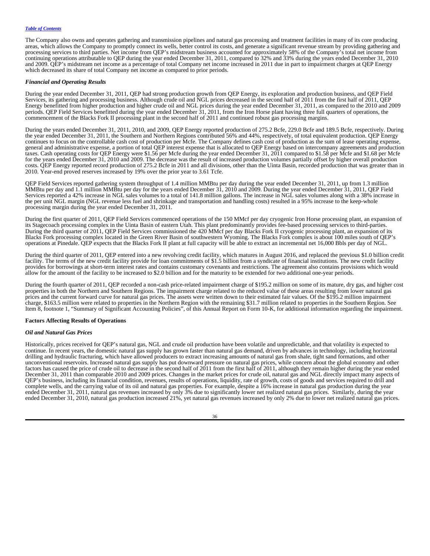The Company also owns and operates gathering and transmission pipelines and natural gas processing and treatment facilities in many of its core producing areas, which allows the Company to promptly connect its wells, better control its costs, and generate a significant revenue stream by providing gathering and processing services to third parties. Net income from QEP's midstream business accounted for approximately 58% of the Company's total net income from continuing operations attributable to QEP during the year ended December 31, 2011, compared to 32% and 33% during the years ended December 31, 2010 and 2009. QEP's midstream net income as a percentage of total Company net income increased in 2011 due in part to impairment charges at QEP Energy which decreased its share of total Company net income as compared to prior periods.

#### *Financial and Operating Results*

During the year ended December 31, 2011, QEP had strong production growth from QEP Energy, its exploration and production business, and QEP Field Services, its gathering and processing business. Although crude oil and NGL prices decreased in the second half of 2011 from the first half of 2011, QEP Energy benefitted from higher production and higher crude oil and NGL prices during the year ended December 31, 2011, as compared to the 2010 and 2009 periods. QEP Field Services benefitted during the year ended December 31, 2011, from the Iron Horse plant having three full quarters of operations, the commencement of the Blacks Fork II processing plant in the second half of 2011 and continued robust gas processing margins.

During the years ended December 31, 2011, 2010, and 2009, QEP Energy reported production of 275.2 Bcfe, 229.0 Bcfe and 189.5 Bcfe, respectively. During the year ended December 31, 2011, the Southern and Northern Regions contributed 56% and 44%, respectively, of total equivalent production. QEP Energy continues to focus on the controllable cash cost of production per Mcfe. The Company defines cash cost of production as the sum of lease operating expense, general and administrative expense, a portion of total QEP interest expense that is allocated to QEP Energy based on intercompany agreements and production taxes. Cash operating costs for QEP Energy were \$1.56 per Mcfe during the year ended December 31, 2011 compared to \$1.58 per Mcfe and \$1.68 per Mcfe for the years ended December 31, 2010 and 2009. The decrease was the result of increased production volumes partially offset by higher overall production costs. QEP Energy reported record production of 275.2 Bcfe in 2011 and all divisions, other than the Uinta Basin, recorded production that was greater than in 2010. Year-end proved reserves increased by 19% over the prior year to 3.61 Tcfe.

QEP Field Services reported gathering system throughput of 1.4 million MMBtu per day during the year ended December 31, 2011, up from 1.3 million MMBtu per day and 1.1 million MMBtu per day for the years ended December 31, 2010 and 2009. During the year ended December 31, 2011, QEP Field Services reported a 42% increase in NGL sales volumes to a total of 141.8 million gallons. The increase in NGL sales volumes along with a 38% increase in the per unit NGL margin (NGL revenue less fuel and shrinkage and transportation and handling costs) resulted in a 95% increase to the keep-whole processing margin during the year ended December 31, 2011.

During the first quarter of 2011, QEP Field Services commenced operations of the 150 MMcf per day cryogenic Iron Horse processing plant, an expansion of its Stagecoach processing complex in the Uinta Basin of eastern Utah. This plant predominantly provides fee-based processing services to third-parties. During the third quarter of 2011, QEP Field Services commissioned the 420 MMcf per day Blacks Fork II cryogenic processing plant, an expansion of its Blacks Fork processing complex located in the Green River Basin of southwestern Wyoming. The Blacks Fork complex is about 100 miles south of QEP's operations at Pinedale. QEP expects that the Blacks Fork II plant at full capacity will be able to extract an incremental net 16,000 Bbls per day of NGL.

During the third quarter of 2011, QEP entered into a new revolving credit facility, which matures in August 2016, and replaced the previous \$1.0 billion credit facility. The terms of the new credit facility provide for loan commitments of \$1.5 billion from a syndicate of financial institutions. The new credit facility provides for borrowings at short-term interest rates and contains customary covenants and restrictions. The agreement also contains provisions which would allow for the amount of the facility to be increased to \$2.0 billion and for the maturity to be extended for two additional one-year periods.

During the fourth quarter of 2011, QEP recorded a non-cash price-related impairment charge of \$195.2 million on some of its mature, dry gas, and higher cost properties in both the Northern and Southern Regions. The impairment charge related to the reduced value of these areas resulting from lower natural gas prices and the current forward curve for natural gas prices. The assets were written down to their estimated fair values. Of the \$195.2 million impairment charge, \$163.5 million were related to properties in the Northern Region with the remaining \$31.7 million related to properties in the Southern Region. See Item 8, footnote 1, "Summary of Significant Accounting Policies", of this Annual Report on Form 10-K, for additional information regarding the impairment.

## **Factors Affecting Results of Operations**

#### *Oil and Natural Gas Prices*

Historically, prices received for QEP's natural gas, NGL and crude oil production have been volatile and unpredictable, and that volatility is expected to continue. In recent years, the domestic natural gas supply has grown faster than natural gas demand, driven by advances in technology, including horizontal drilling and hydraulic fracturing, which have allowed producers to extract increasing amounts of natural gas from shale, tight sand formations, and other unconventional reservoirs. Increased natural gas supply has put downward pressure on natural gas prices, while concern about the global economy and other factors has caused the price of crude oil to decrease in the second half of 2011 from the first half of 2011, although they remain higher during the year ended December 31, 2011 than comparable 2010 and 2009 prices. Changes in the market prices for crude oil, natural gas and NGL directly impact many aspects of QEP's business, including its financial condition, revenues, results of operations, liquidity, rate of growth, costs of goods and services required to drill and complete wells, and the carrying value of its oil and natural gas properties. For example, despite a 16% increase in natural gas production during the year ended December 31, 2011, natural gas revenues increased by only 3% due to significantly lower net realized natural gas prices. Similarly, during the year ended December 31, 2010, natural gas production increased 21%, yet natural gas revenues increased by only 2% due to lower net realized natural gas prices.

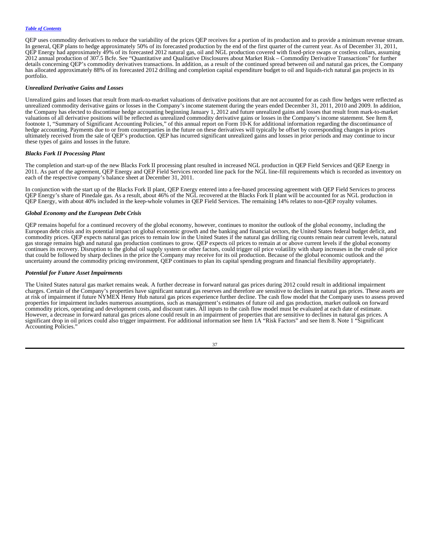QEP uses commodity derivatives to reduce the variability of the prices QEP receives for a portion of its production and to provide a minimum revenue stream. In general, QEP plans to hedge approximately 50% of its forecasted production by the end of the first quarter of the current year. As of December 31, 2011, QEP Energy had approximately 49% of its forecasted 2012 natural gas, oil and NGL production covered with fixed-price swaps or costless collars, assuming 2012 annual production of 307.5 Bcfe. See "Quantitative and Qualitative Disclosures about Market Risk – Commodity Derivative Transactions" for further details concerning QEP's commodity derivatives transactions. In addition, as a result of the continued spread between oil and natural gas prices, the Company has allocated approximately 88% of its forecasted 2012 drilling and completion capital expenditure budget to oil and liquids-rich natural gas projects in its portfolio.

### *Unrealized Derivative Gains and Losses*

Unrealized gains and losses that result from mark-to-market valuations of derivative positions that are not accounted for as cash flow hedges were reflected as unrealized commodity derivative gains or losses in the Company's income statement during the years ended December 31, 2011, 2010 and 2009. In addition, the Company has elected to discontinue hedge accounting beginning January 1, 2012 and future unrealized gains and losses that result from mark-to-market valuations of all derivative positions will be reflected as unrealized commodity derivative gains or losses in the Company's income statement. See Item 8, footnote 1, "Summary of Significant Accounting Policies," of this annual report on Form 10-K for additional information regarding the discontinuance of hedge accounting. Payments due to or from counterparties in the future on these derivatives will typically be offset by corresponding changes in prices ultimately received from the sale of QEP's production. QEP has incurred significant unrealized gains and losses in prior periods and may continue to incur these types of gains and losses in the future.

# *Blacks Fork II Processing Plant*

The completion and start-up of the new Blacks Fork II processing plant resulted in increased NGL production in QEP Field Services and QEP Energy in 2011. As part of the agreement, QEP Energy and QEP Field Services recorded line pack for the NGL line-fill requirements which is recorded as inventory on each of the respective company's balance sheet at December 31, 2011.

In conjunction with the start up of the Blacks Fork II plant, QEP Energy entered into a fee-based processing agreement with QEP Field Services to process QEP Energy's share of Pinedale gas. As a result, about 46% of the NGL recovered at the Blacks Fork II plant will be accounted for as NGL production in QEP Energy, with about 40% included in the keep-whole volumes in QEP Field Services. The remaining 14% relates to non-QEP royalty volumes.

### *Global Economy and the European Debt Crisis*

QEP remains hopeful for a continued recovery of the global economy, however, continues to monitor the outlook of the global economy, including the European debt crisis and its potential impact on global economic growth and the banking and financial sectors, the United States federal budget deficit, and commodity prices. QEP expects natural gas prices to remain low in the United States if the natural gas drilling rig counts remain near current levels, natural gas storage remains high and natural gas production continues to grow. QEP expects oil prices to remain at or above current levels if the global economy continues its recovery. Disruption to the global oil supply system or other factors, could trigger oil price volatility with sharp increases in the crude oil price that could be followed by sharp declines in the price the Company may receive for its oil production. Because of the global economic outlook and the uncertainty around the commodity pricing environment, QEP continues to plan its capital spending program and financial flexibility appropriately.

# *Potential for Future Asset Impairments*

The United States natural gas market remains weak. A further decrease in forward natural gas prices during 2012 could result in additional impairment charges. Certain of the Company's properties have significant natural gas reserves and therefore are sensitive to declines in natural gas prices. These assets are at risk of impairment if future NYMEX Henry Hub natural gas prices experience further decline. The cash flow model that the Company uses to assess proved properties for impairment includes numerous assumptions, such as management's estimates of future oil and gas production, market outlook on forward commodity prices, operating and development costs, and discount rates. All inputs to the cash flow model must be evaluated at each date of estimate. However, a decrease in forward natural gas prices alone could result in an impairment of properties that are sensitive to declines in natural gas prices. A significant drop in oil prices could also trigger impairment. For additional information see Item 1A "Risk Factors" and see Item 8. Note 1 "Significant Accounting Policies."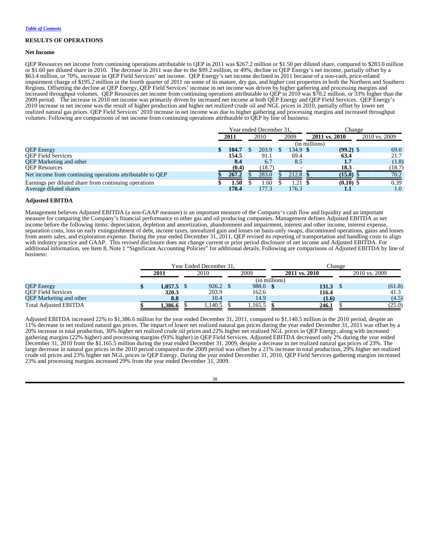# **RESULTS OF OPERATIONS**

#### **Net Income**

QEP Resources net income from continuing operations attributable to QEP in 2011 was \$267.2 million or \$1.50 per diluted share, compared to \$283.0 million or \$1.60 per diluted share in 2010. The decrease in 2011 was due to the \$99.2 million, or 49%, decline in QEP Energy's net income, partially offset by a \$63.4 million, or 70%, increase in QEP Field Services' net income. QEP Energy's net income declined in 2011 because of a non-cash, price-related impairment charge of \$195.2 million in the fourth quarter of 2011 on some of its mature, dry gas, and higher cost properties in both the Northern and Southern Regions. Offsetting the decline at QEP Energy, QEP Field Services' increase in net income was driven by higher gathering and processing margins and increased throughput volumes. QEP Resources net income from continuing operations attributable to QEP in 2010 was \$70.2 million, or 33% higher than the 2009 period. The increase in 2010 net income was primarily driven by increased net income at both QEP Energy and QEP Field Services. QEP Energy's 2010 increase in net income was the result of higher production and higher net realized crude oil and NGL prices in 2010, partially offset by lower net realized natural gas prices. QEP Field Services' 2010 increase in net income was due to higher gathering and processing margins and increased throughput volumes. Following are comparisons of net income from continuing operations attributable to QEP by line of business:

|                                                           | Year ended December 31. |       |      |        |      | Change             |               |  |               |
|-----------------------------------------------------------|-------------------------|-------|------|--------|------|--------------------|---------------|--|---------------|
|                                                           | 2011                    |       | 2010 |        | 2009 |                    | 2011 vs. 2010 |  | 2010 vs. 2009 |
|                                                           |                         |       |      |        |      |                    | (in millions) |  |               |
| <b>OEP</b> Energy                                         |                         | 104.7 |      | 203.9  |      | 134.9 <sup>°</sup> | $(99.2)$ \$   |  | 69.0          |
| <b>OEP</b> Field Services                                 |                         | 154.5 |      | 91.1   |      | 69.4               | 63.4          |  | 21.7          |
| <b>OEP</b> Marketing and other                            |                         | 8.4   |      | 6.7    |      | 8.5                | 1.7           |  | (1.8)         |
| <b>OEP</b> Resources                                      |                         | (0.4) |      | (18.7) |      |                    | 18.3          |  | (18.7)        |
| Net income from continuing operations attributable to QEP |                         | 267.2 |      | 283.0  |      | 212.8              | $(15.8)$ \$   |  | 70.2          |
| Earnings per diluted share from continuing operations     |                         | 1.50  |      | .60    |      | . 21               | $(0.10)$ \$   |  | 0.39          |
| Average diluted shares                                    |                         | 178.4 |      | 177.3  |      | 176.3              | 1.1           |  | 1.0           |

# **Adjusted EBITDA**

Management believes Adjusted EBITDA (a non-GAAP measure) is an important measure of the Company's cash flow and liquidity and an important measure for comparing the Company's financial performance to other gas and oil producing companies. Management defines Adjusted EBITDA as net income before the following items: depreciation, depletion and amortization, abandonment and impairment, interest and other income, interest expense, separation costs, loss on early extinguishment of debt, income taxes, unrealized gain and losses on basis-only swaps, discontinued operations, gains and losses from assets sales, and exploration expense. During the year ended December 31, 2011, QEP revised its reporting of transportation and handling costs to align with industry practice and GAAP. This revised disclosure does not change current or prior period disclosure of net income and Adjusted EBITDA. For additional information, see Item 8, Note 1 "Significant Accounting Policies" for additional details. Following are comparisons of Adjusted EBITDA by line of business:

|                                | Year Ended December 31. |  |        |  |         |               | <b>Change</b> |  |               |  |  |
|--------------------------------|-------------------------|--|--------|--|---------|---------------|---------------|--|---------------|--|--|
|                                | 2011                    |  | 2010   |  | 2009    |               | 2011 vs. 2010 |  | 2010 vs. 2009 |  |  |
|                                |                         |  |        |  |         | (in millions) |               |  |               |  |  |
| <b>OEP</b> Energy              | 1.057.5                 |  | 926.2  |  | 988.0   |               | 131.3         |  | (61.8)        |  |  |
| <b>OEP</b> Field Services      | 320.3                   |  | 203.9  |  | 162.6   |               | 116.4         |  | 41.3          |  |  |
| <b>QEP</b> Marketing and other | 8.8                     |  | 10.4   |  | 14.9    |               | (1.6)         |  | (4.5)         |  |  |
| <b>Total Adjusted EBITDA</b>   | 1,386.6                 |  | ,140.5 |  | 1,165.5 |               | 246.1         |  | (25.0)        |  |  |

Adjusted EBITDA increased 22% to \$1,386.6 million for the year ended December 31, 2011, compared to \$1,140.5 million in the 2010 period, despite an 11% decrease in net realized natural gas prices. The impact of lower net realized natural gas prices during the year ended December 31, 2011 was offset by a 20% increase in total production, 30% higher net realized crude oil prices and 22% higher net realized NGL prices in QEP Energy, along with increased gathering margins (22% higher) and processing margins (93% higher) in QEP Field Services. Adjusted EBITDA decreased only 2% during the year ended December 31, 2010 from the \$1,165.5 million during the year ended December 31, 2009, despite a decrease in net realized natural gas prices of 23%. The large decrease in natural gas prices in the 2010 period compared to the 2009 period was offset by a 21% increase in total production, 29% higher net realized crude oil prices and 23% higher net NGL prices in QEP Energy. During the year ended December 31, 2010, QEP Field Services gathering margins increased 23% and processing margins increased 29% from the year ended December 31, 2009.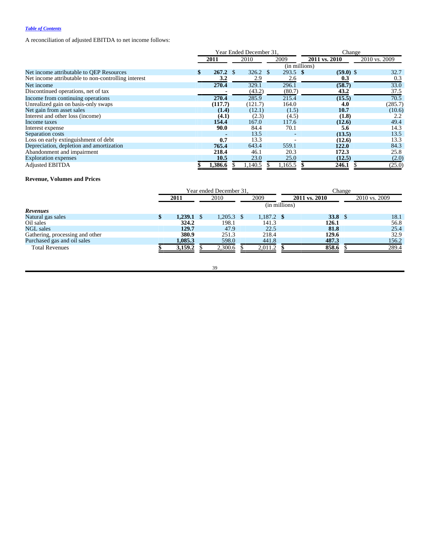A reconciliation of adjusted EBITDA to net income follows:

|                                                     | Year Ended December 31. |         |    |                  |      |            | Change        |               |               |  |
|-----------------------------------------------------|-------------------------|---------|----|------------------|------|------------|---------------|---------------|---------------|--|
|                                                     |                         | 2011    |    | 2010             | 2009 |            |               | 2011 vs. 2010 | 2010 vs. 2009 |  |
|                                                     |                         |         |    |                  |      |            | (in millions) |               |               |  |
| Net income attributable to OEP Resources            | \$                      | 267.2   | -S | $326.2 \text{ }$ |      | $293.5$ \$ |               | $(59.0)$ \$   | 32.7          |  |
| Net income attributable to non-controlling interest |                         | 3.2     |    | 2.9              |      | 2.6        |               | 0.3           | 0.3           |  |
| Net income                                          |                         | 270.4   |    | 329.1            |      | 296.1      |               | (58.7)        | 33.0          |  |
| Discontinued operations, net of tax                 |                         |         |    | (43.2)           |      | (80.7)     |               | 43.2          | 37.5          |  |
| Income from continuing operations                   |                         | 270.4   |    | 285.9            |      | 215.4      |               | (15.5)        | 70.5          |  |
| Unrealized gain on basis-only swaps                 |                         | (117.7) |    | (121.7)          |      | 164.0      |               | 4.0           | (285.7)       |  |
| Net gain from asset sales                           |                         | (1.4)   |    | (12.1)           |      | (1.5)      |               | 10.7          | (10.6)        |  |
| Interest and other loss (income)                    |                         | (4.1)   |    | (2.3)            |      | (4.5)      |               | (1.8)         | 2.2           |  |
| Income taxes                                        |                         | 154.4   |    | 167.0            |      | 117.6      |               | (12.6)        | 49.4          |  |
| Interest expense                                    |                         | 90.0    |    | 84.4             |      | 70.1       |               | 5.6           | 14.3          |  |
| Separation costs                                    |                         |         |    | 13.5             |      |            |               | (13.5)        | 13.5          |  |
| Loss on early extinguishment of debt                |                         | 0.7     |    | 13.3             |      |            |               | (12.6)        | 13.3          |  |
| Depreciation, depletion and amortization            |                         | 765.4   |    | 643.4            |      | 559.1      |               | 122.0         | 84.3          |  |
| Abandonment and impairment                          |                         | 218.4   |    | 46.1             |      | 20.3       |               | 172.3         | 25.8          |  |
| <b>Exploration</b> expenses                         |                         | 10.5    |    | 23.0             |      | 25.0       |               | (12.5)        | (2.0)         |  |
| <b>Adjusted EBITDA</b>                              |                         | 1,386.6 |    | .140.5           |      | 1,165.5    |               | 246.1         | (25.0)        |  |

# **Revenue, Volumes and Prices**

|                                 | Year ended December 31. |              |  |              |  |               |  | Change          |  |               |  |
|---------------------------------|-------------------------|--------------|--|--------------|--|---------------|--|-----------------|--|---------------|--|
|                                 |                         | 2011         |  | 2010         |  | 2009          |  | 2011 vs. 2010   |  | 2010 vs. 2009 |  |
|                                 |                         |              |  |              |  | (in millions) |  |                 |  |               |  |
| <b>Revenues</b>                 |                         |              |  |              |  |               |  |                 |  |               |  |
| Natural gas sales               |                         | $1,239.1$ \$ |  | $1,205.3$ \$ |  | $1,187.2$ \$  |  | 33.8 $\sqrt{ }$ |  | 18.1          |  |
| Oil sales                       |                         | 324.2        |  | 198.1        |  | 141.3         |  | 126.1           |  | 56.8          |  |
| <b>NGL</b> sales                |                         | 129.7        |  | 47.9         |  | 22.5          |  | 81.8            |  | 25.4          |  |
| Gathering, processing and other |                         | 380.9        |  | 251.3        |  | 218.4         |  | 129.6           |  | 32.9          |  |
| Purchased gas and oil sales     |                         | 1,085.3      |  | 598.0        |  | 441.8         |  | 487.3           |  | 156.2         |  |
| <b>Total Revenues</b>           |                         | 3,159.2      |  | 2,300.6      |  | 2,011.2       |  | 858.6           |  | 289.4         |  |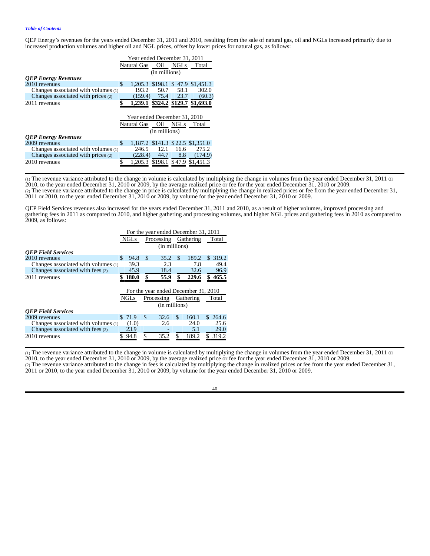QEP Energy's revenues for the years ended December 31, 2011 and 2010, resulting from the sale of natural gas, oil and NGLs increased primarily due to increased production volumes and higher oil and NGL prices, offset by lower prices for natural gas, as follows:

|                                             | Year ended December 31, 2011 |                              |               |                  |                                  |  |  |  |  |
|---------------------------------------------|------------------------------|------------------------------|---------------|------------------|----------------------------------|--|--|--|--|
|                                             |                              | Natural Gas                  | Oil           | NGL <sub>S</sub> | Total                            |  |  |  |  |
|                                             |                              |                              | (in millions) |                  |                                  |  |  |  |  |
| <b>OEP Energy Revenues</b>                  |                              |                              |               |                  |                                  |  |  |  |  |
| 2010 revenues                               | \$.                          | 1.205.3                      |               |                  | \$198.1 \$47.9 \$1,451.3         |  |  |  |  |
| Changes associated with volumes (1)         |                              | 193.2                        | 50.7          | 58.1             | 302.0                            |  |  |  |  |
| Changes associated with prices (2)          |                              | (159.4)                      | 75.4          | 23.7             | (60.3)                           |  |  |  |  |
| 2011 revenues                               |                              | 1.239.1                      |               |                  | \$324.2 \$129.7 \$1,693.0        |  |  |  |  |
|                                             |                              |                              |               |                  |                                  |  |  |  |  |
|                                             |                              |                              |               |                  |                                  |  |  |  |  |
|                                             |                              | Year ended December 31, 2010 |               |                  |                                  |  |  |  |  |
|                                             |                              | Natural Gas                  | Oil           | NGL <sub>S</sub> | Total                            |  |  |  |  |
|                                             |                              |                              |               |                  |                                  |  |  |  |  |
|                                             |                              |                              | (in millions) |                  |                                  |  |  |  |  |
| <b>OEP Energy Revenues</b><br>2009 revenues | \$.                          |                              |               |                  | 1.187.2 \$141.3 \$22.5 \$1.351.0 |  |  |  |  |
| Changes associated with volumes (1)         |                              | 246.5                        | 12.1          | 16.6             | 275.2                            |  |  |  |  |
| Changes associated with prices (2)          |                              | (228.4)                      | 44.7          | 8.8              | (174.9)                          |  |  |  |  |

(1) The revenue variance attributed to the change in volume is calculated by multiplying the change in volumes from the year ended December 31, 2011 or 2010, to the year ended December 31, 2010 or 2009, by the average realized price or fee for the year ended December 31, 2010 or 2009. (2) The revenue variance attributed to the change in price is calculated by multiplying the change in realized prices or fee from the year ended December 31, 2011 or 2010, to the year ended December 31, 2010 or 2009, by volume for the year ended December 31, 2010 or 2009.

QEP Field Services revenues also increased for the years ended December 31, 2011 and 2010, as a result of higher volumes, improved processing and gathering fees in 2011 as compared to 2010, and higher gathering and processing volumes, and higher NGL prices and gathering fees in 2010 as compared to 2009, as follows:

|                                     | For the year ended December 31, 2011 |              |     |                                      |     |           |    |          |  |
|-------------------------------------|--------------------------------------|--------------|-----|--------------------------------------|-----|-----------|----|----------|--|
|                                     |                                      | <b>NGLs</b>  |     | Processing                           |     | Gathering |    | Total    |  |
|                                     |                                      |              |     | (in millions)                        |     |           |    |          |  |
| <b>OEP Field Services</b>           |                                      |              |     |                                      |     |           |    |          |  |
| 2010 revenues                       | \$                                   | 94.8         | \$. | 35.2                                 | \$. | 189.2     |    | \$ 319.2 |  |
| Changes associated with volumes (1) |                                      | 39.3         |     | 2.3                                  |     | 7.8       |    | 49.4     |  |
| Changes associated with fees (2)    |                                      | 45.9         |     | 18.4                                 |     | 32.6      |    | 96.9     |  |
| 2011 revenues                       |                                      | <b>180.0</b> | \$  | 55.9                                 |     | 229.6     |    | \$465.5  |  |
|                                     |                                      |              |     |                                      |     |           |    |          |  |
|                                     |                                      |              |     |                                      |     |           |    |          |  |
|                                     |                                      |              |     | For the year ended December 31, 2010 |     |           |    |          |  |
|                                     |                                      | <b>NGLs</b>  |     | Processing                           |     | Gathering |    | Total    |  |
|                                     |                                      |              |     | (in millions)                        |     |           |    |          |  |
| <b>OEP Field Services</b>           |                                      |              |     |                                      |     |           |    |          |  |
| 2009 revenues                       | \$.                                  | 71.9         | \$  | 32.6                                 | \$. | 160.1     | S. | 264.6    |  |
| Changes associated with volumes (1) |                                      | (1.0)        |     | 2.6                                  |     | 24.0      |    | 25.6     |  |
| Changes associated with fees (2)    |                                      | 23.9         |     |                                      |     | 5.1       |    | 29.0     |  |

(1) The revenue variance attributed to the change in volume is calculated by multiplying the change in volumes from the year ended December 31, 2011 or 2010, to the year ended December 31, 2010 or 2009, by the average realized price or fee for the year ended December 31, 2010 or 2009. (2) The revenue variance attributed to the change in fees is calculated by multiplying the change in realized prices or fee from the year ended December 31, 2011 or 2010, to the year ended December 31, 2010 or 2009, by volume for the year ended December 31, 2010 or 2009.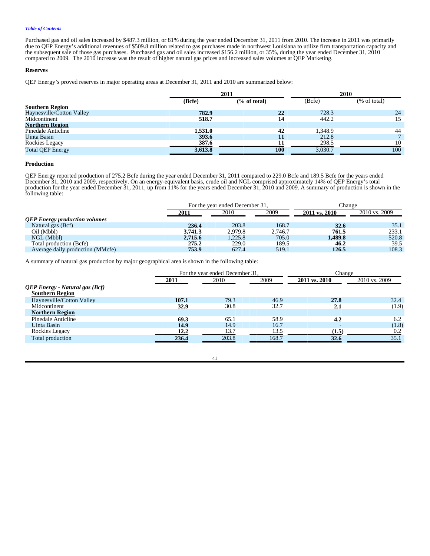Purchased gas and oil sales increased by \$487.3 million, or 81% during the year ended December 31, 2011 from 2010. The increase in 2011 was primarily due to QEP Energy's additional revenues of \$509.8 million related to gas purchases made in northwest Louisiana to utilize firm transportation capacity and the subsequent sale of those gas purchases. Purchased gas and oil sales increased \$156.2 million, or 35%, during the year ended December 31, 2010 compared to 2009. The 2010 increase was the result of higher natural gas prices and increased sales volumes at QEP Marketing.

# **Reserves**

QEP Energy's proved reserves in major operating areas at December 31, 2011 and 2010 are summarized below:

|                           |         | 2011                   | 2010    |               |  |
|---------------------------|---------|------------------------|---------|---------------|--|
|                           | (Bcfe)  | $\frac{6}{6}$ of total | (Bcfe)  | $%$ of total) |  |
| <b>Southern Region</b>    |         |                        |         |               |  |
| Haynesville/Cotton Valley | 782.9   | 22                     | 728.3   | 24            |  |
| Midcontinent              | 518.7   | 14                     | 442.2   | 15            |  |
| <b>Northern Region</b>    |         |                        |         |               |  |
| Pinedale Anticline        | 1,531.0 | 42                     | 1,348.9 | 44            |  |
| Uinta Basin               | 393.6   | 11                     | 212.8   |               |  |
| Rockies Legacy            | 387.6   |                        | 298.5   | 10            |  |
| <b>Total QEP Energy</b>   | 3,613.8 | 100                    | 3,030.7 | 100           |  |

# **Production**

QEP Energy reported production of 275.2 Bcfe during the year ended December 31, 2011 compared to 229.0 Bcfe and 189.5 Bcfe for the years ended December 31, 2010 and 2009, respectively. On an energy-equivalent basis, crude oil and NGL comprised approximately 14% of QEP Energy's total production for the year ended December 31, 2011, up from 11% for the years ended December 31, 2010 and 2009. A summary of production is shown in the following table:

|                                      |         | For the year ended December 31. | .`hange |               |               |
|--------------------------------------|---------|---------------------------------|---------|---------------|---------------|
|                                      | 2011    | 2010                            | 2009    | 2011 vs. 2010 | 2010 vs. 2009 |
| <b>OEP</b> Energy production volumes |         |                                 |         |               |               |
| Natural gas (Bcf)                    | 236.4   | 203.8                           | 168.7   | <b>32.6</b>   | 35.1          |
| Oil (Mbbl)                           | 3.741.3 | 2.979.8                         | 2.746.7 | 761.5         | 233.1         |
| NGL (Mbbl)                           | 2.715.6 | .225.8                          | 705.0   | 1.489.8       | 520.8         |
| Total production (Bcfe)              | 275.2   | 229.0                           | 189.5   | 46.2          | 39.5          |
| Average daily production (MMcfe)     | 753.9   | 627.4                           | 519.1   | 126.5         | 108.3         |

A summary of natural gas production by major geographical area is shown in the following table:

|                                                          |       | For the year ended December 31. | Change |               |               |
|----------------------------------------------------------|-------|---------------------------------|--------|---------------|---------------|
|                                                          | 2011  | 2010                            | 2009   | 2011 vs. 2010 | 2010 vs. 2009 |
| OEP Energy - Natural gas (Bcf)<br><b>Southern Region</b> |       |                                 |        |               |               |
| Haynesville/Cotton Valley                                | 107.1 | 79.3                            | 46.9   | 27.8          | 32.4          |
| Midcontinent                                             | 32.9  | 30.8                            | 32.7   | 2.1           | (1.9)         |
| <b>Northern Region</b>                                   |       |                                 |        |               |               |
| Pinedale Anticline                                       | 69.3  | 65.1                            | 58.9   | 4.2           | 6.2           |
| Uinta Basin                                              | 14.9  | 14.9                            | 16.7   |               | (1.8)         |
| Rockies Legacy                                           | 12.2  | 13.7                            | 13.5   | (1.5)         | 0.2           |
| Total production                                         | 236.4 | 203.8                           | 168.7  | 32.6          | 35.1          |

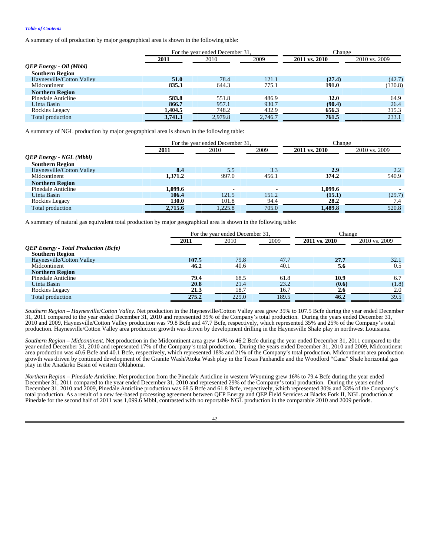A summary of oil production by major geographical area is shown in the following table:

|                                       |         | For the year ended December 31. |         | Change        |               |  |  |
|---------------------------------------|---------|---------------------------------|---------|---------------|---------------|--|--|
|                                       | 2011    | 2010                            | 2009    | 2011 vs. 2010 | 2010 vs. 2009 |  |  |
| <i><b>OEP Energy - Oil (Mbbl)</b></i> |         |                                 |         |               |               |  |  |
| <b>Southern Region</b>                |         |                                 |         |               |               |  |  |
| Haynesville/Cotton Valley             | 51.0    | 78.4                            | 121.1   | (27.4)        | (42.7)        |  |  |
| Midcontinent                          | 835.3   | 644.3                           | 775.1   | 191.0         | (130.8)       |  |  |
| <b>Northern Region</b>                |         |                                 |         |               |               |  |  |
| Pinedale Anticline                    | 583.8   | 551.8                           | 486.9   | 32.0          | 64.9          |  |  |
| Uinta Basin                           | 866.7   | 957.1                           | 930.7   | (90.4)        | 26.4          |  |  |
| Rockies Legacy                        | 1,404.5 | 748.2                           | 432.9   | 656.3         | 315.3         |  |  |
| Total production                      | 3,741.3 | 2,979.8                         | 2,746.7 | 761.5         | 233.1         |  |  |

A summary of NGL production by major geographical area is shown in the following table:

|                                |         | For the year ended December 31. | Change |               |               |  |
|--------------------------------|---------|---------------------------------|--------|---------------|---------------|--|
|                                | 2011    | 2010                            | 2009   | 2011 vs. 2010 | 2010 vs. 2009 |  |
| <b>QEP Energy - NGL (Mbbl)</b> |         |                                 |        |               |               |  |
| <b>Southern Region</b>         |         |                                 |        |               |               |  |
| Haynesville/Cotton Valley      | 8.4     | 5.5                             | 3.3    | 2.9           | 2.2           |  |
| Midcontinent                   | 1.371.2 | 997.0                           | 456.1  | 374.2         | 540.9         |  |
| <b>Northern Region</b>         |         |                                 |        |               |               |  |
| Pinedale Anticline             | 1.099.6 |                                 |        | 1.099.6       |               |  |
| Uinta Basin                    | 106.4   | 121.5                           | 151.2  | (15.1)        | (29.7)        |  |
| Rockies Legacy                 | 130.0   | 101.8                           | 94.4   | 28.2          | 7.4           |  |
| Total production               | 2,715.6 | 1,225.8                         | 705.0  | 1,489.8       | 520.8         |  |

A summary of natural gas equivalent total production by major geographical area is shown in the following table:

|                                             |       | For the year ended December 31. | Change |               |               |
|---------------------------------------------|-------|---------------------------------|--------|---------------|---------------|
|                                             | 2011  | 2010                            | 2009   | 2011 vs. 2010 | 2010 vs. 2009 |
| <b>OEP Energy - Total Production (Bcfe)</b> |       |                                 |        |               |               |
| <b>Southern Region</b>                      |       |                                 |        |               |               |
| Haynesville/Cotton Valley                   | 107.5 | 79.8                            | 47.7   | 27.7          | 32.1          |
| Midcontinent                                | 46.2  | 40.6                            | 40.1   | 5.6           | 0.5           |
| <b>Northern Region</b>                      |       |                                 |        |               |               |
| Pinedale Anticline                          | 79.4  | 68.5                            | 61.8   | 10.9          | 6.7           |
| Uinta Basin                                 | 20.8  | 21.4                            | 23.2   | (0.6)         | (1.8)         |
| Rockies Legacy                              | 21.3  | 18.7                            | 16.7   | 2.6           | 2.0           |
| Total production                            | 275.2 | 229.0                           | 189.5  | 46.2          | 39.5          |

*Southern Region – Haynesville/Cotton Valley.* Net production in the Haynesville/Cotton Valley area grew 35% to 107.5 Bcfe during the year ended December 31, 2011 compared to the year ended December 31, 2010 and represented 39% of the Company's total production. During the years ended December 31, 2010 and 2009, Haynesville/Cotton Valley production was 79.8 Bcfe and 47.7 Bcfe, respectively, which represented 35% and 25% of the Company's total production. Haynesville/Cotton Valley area production growth was driven by development drilling in the Haynesville Shale play in northwest Louisiana.

*Southern Region – Midcontinent.* Net production in the Midcontinent area grew 14% to 46.2 Bcfe during the year ended December 31, 2011 compared to the year ended December 31, 2010 and represented 17% of the Company's total production. During the years ended December 31, 2010 and 2009, Midcontinent area production was 40.6 Bcfe and 40.1 Bcfe, respectively, which represented 18% and 21% of the Company's total production. Midcontinent area production growth was driven by continued development of the Granite Wash/Atoka Wash play in the Texas Panhandle and the Woodford "Cana" Shale horizontal gas play in the Anadarko Basin of western Oklahoma.

*Northern Region – Pinedale Anticline.* Net production from the Pinedale Anticline in western Wyoming grew 16% to 79.4 Bcfe during the year ended December 31, 2011 compared to the year ended December 31, 2010 and represented 29% of the Company's total production. During the years ended December 31, 2010 and 2009, Pinedale Anticline production was 68.5 Bcfe and 61.8 Bcfe, respectively, which represented 30% and 33% of the Company's total production. As a result of a new fee-based processing agreement between QEP Energy and QEP Field Services at Blacks Fork II, NGL production at Pinedale for the second half of 2011 was 1,099.6 Mbbl, contrasted with no reportable NGL production in the comparable 2010 and 2009 periods.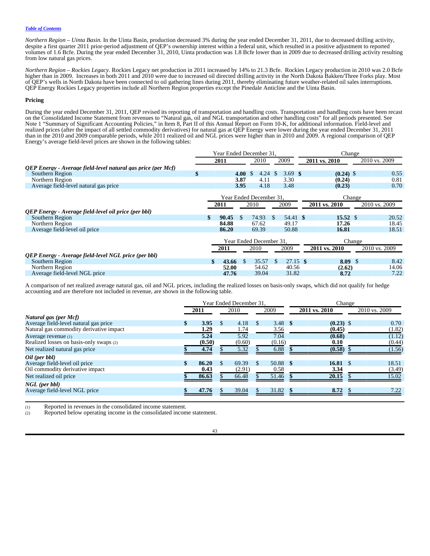*Northern Region – Uinta Basin.* In the Uinta Basin, production decreased 3% during the year ended December 31, 2011, due to decreased drilling activity, despite a first quarter 2011 prior-period adjustment of QEP's ownership interest within a federal unit, which resulted in a positive adjustment to reported volumes of 1.6 Bcfe. During the year ended December 31, 2010, Uinta production was 1.8 Bcfe lower than in 2009 due to decreased drilling activity resulting from low natural gas prices.

*Northern Region – Rockies Legacy.* Rockies Legacy net production in 2011 increased by 14% to 21.3 Bcfe. Rockies Legacy production in 2010 was 2.0 Bcfe higher than in 2009. Increases in both 2011 and 2010 were due to increased oil directed drilling activity in the North Dakota Bakken/Three Forks play. Most of QEP's wells in North Dakota have been connected to oil gathering lines during 2011, thereby eliminating future weather-related oil sales interruptions. QEP Energy Rockies Legacy properties include all Northern Region properties except the Pinedale Anticline and the Uinta Basin.

#### **Pricing**

During the year ended December 31, 2011, QEP revised its reporting of transportation and handling costs. Transportation and handling costs have been recast on the Consolidated Income Statement from revenues to "Natural gas, oil and NGL transportation and other handling costs" for all periods presented. See Note 1 "Summary of Significant Accounting Policies," in Item 8, Part II of this Annual Report on Form 10-K, for additional information. Field-level and realized prices (after the impact of all settled commodity derivatives) for natural gas at QEP Energy were lower during the year ended December 31, 2011 than in the 2010 and 2009 comparable periods, while 2011 realized oil and NGL prices were higher than in 2010 and 2009. A regional comparison of QEP Energy's average field-level prices are shown in the following tables:

|                                                              |             |       |               | Year Ended December 31. |      |            | Change              |        |               |  |  |
|--------------------------------------------------------------|-------------|-------|---------------|-------------------------|------|------------|---------------------|--------|---------------|--|--|
|                                                              | 2011        |       |               | 2010                    |      | 2009       | 2011 vs. 2010       |        | 2010 vs. 2009 |  |  |
| OEP Energy - Average field-level natural gas price (per Mcf) |             |       |               |                         |      |            |                     |        |               |  |  |
| Southern Region                                              | \$          | 4.00  | -S            | $4.24 \text{ } $$       |      | $3.69$ \$  | $(0.24)$ \$         |        | 0.55          |  |  |
| Northern Region                                              |             | 3.87  |               | 4.11                    |      | 3.30       | (0.24)              |        | 0.81          |  |  |
| Average field-level natural gas price                        |             | 3.95  |               | 4.18                    |      | 3.48       | (0.23)              |        | 0.70          |  |  |
|                                                              |             |       |               |                         |      |            |                     |        |               |  |  |
|                                                              |             |       |               | Year Ended December 31. |      |            |                     | Change |               |  |  |
|                                                              | 2011        |       | 2010          |                         | 2009 |            | 2011 vs. 2010       |        | 2010 vs. 2009 |  |  |
| OEP Energy - Average field-level oil price (per bbl)         |             |       |               |                         |      |            |                     |        |               |  |  |
| Southern Region                                              | \$<br>90.45 | -S    |               | 74.93                   | \$.  | 54.41 \$   | $15.52 \text{ }$ \$ |        | 20.52         |  |  |
| Northern Region                                              | 84.88       |       |               | 67.62                   |      | 49.17      | 17.26               |        | 18.45         |  |  |
| Average field-level oil price                                | 86.20       |       |               | 69.39                   |      | 50.88      | 16.81               |        | 18.51         |  |  |
|                                                              |             |       |               |                         |      |            |                     |        |               |  |  |
|                                                              |             |       |               | Year Ended December 31. |      |            | Change              |        |               |  |  |
|                                                              | 2011        |       |               | 2010                    |      | 2009       | 2011 vs. 2010       |        | 2010 vs. 2009 |  |  |
| <b>OEP Energy - Average field-level NGL price (per bbl)</b>  |             |       |               |                         |      |            |                     |        |               |  |  |
| Southern Region                                              |             | 43.66 | <sup>\$</sup> | 35.57                   | -S   | $27.15$ \$ | 8.09 S              |        | 8.42          |  |  |
| Northern Region                                              |             | 52.00 |               | 54.62                   |      | 40.56      | (2.62)              |        | 14.06         |  |  |
| Average field-level NGL price                                |             | 47.76 |               | 39.04                   |      | 31.82      | 8.72                |        | 7.22          |  |  |

A comparison of net realized average natural gas, oil and NGL prices, including the realized losses on basis-only swaps, which did not qualify for hedge accounting and are therefore not included in revenue, are shown in the following table.

|                                         | Year Ended December 31. |        |  |        |    |          |  | Change        |               |        |  |  |
|-----------------------------------------|-------------------------|--------|--|--------|----|----------|--|---------------|---------------|--------|--|--|
|                                         |                         | 2011   |  | 2010   |    | 2009     |  | 2011 vs. 2010 | 2010 vs. 2009 |        |  |  |
| Natural gas (per Mcf)                   |                         |        |  |        |    |          |  |               |               |        |  |  |
| Average field-level natural gas price   |                         | 3.95   |  | 4.18   |    | 3.48 \$  |  | $(0.23)$ \$   |               | 0.70   |  |  |
| Natural gas commodity derivative impact |                         | 1.29   |  | 1.74   |    | 3.56     |  | (0.45)        |               | (1.82) |  |  |
| Average revenue (1)                     |                         | 5.24   |  | 5.92   |    | 7.04     |  | (0.68)        |               | (1.12) |  |  |
| Realized losses on basis-only swaps (2) |                         | (0.50) |  | (0.60) |    | (0.16)   |  | 0.10          |               | (0.44) |  |  |
| Net realized natural gas price          |                         | 4.74   |  | 5.32   |    | 6.88     |  | (0.58)        |               | (1.56) |  |  |
| Oil (per bbl)                           |                         |        |  |        |    |          |  |               |               |        |  |  |
| Average field-level oil price           |                         | 86.20  |  | 69.39  | S. | 50.88 \$ |  | 16.81         |               | 18.51  |  |  |
| Oil commodity derivative impact         |                         | 0.43   |  | (2.91) |    | 0.58     |  | 3.34          |               | (3.49) |  |  |
| Net realized oil price                  |                         | 86.63  |  | 66.48  |    | 51.46    |  | 20.15         |               | 15.02  |  |  |
| $NGL$ (per bbl)                         |                         |        |  |        |    |          |  |               |               |        |  |  |
| Average field-level NGL price           |                         | 47.76  |  | 39.04  |    | 31.82    |  | 8.72          |               | 7.22   |  |  |

(1) Reported in revenues in the consolidated income statement.

(2) Reported below operating income in the consolidated income statement.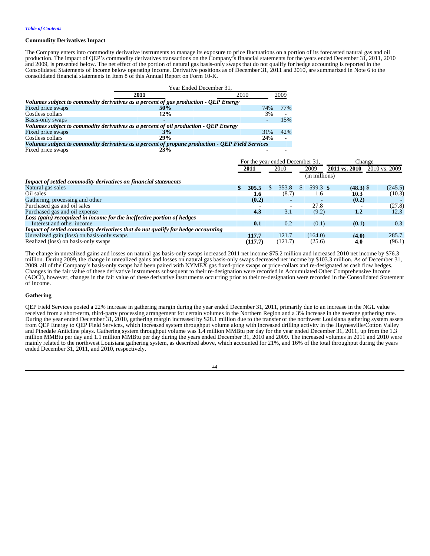### **Commodity Derivatives Impact**

The Company enters into commodity derivative instruments to manage its exposure to price fluctuations on a portion of its forecasted natural gas and oil production. The impact of QEP's commodity derivatives transactions on the Company's financial statements for the years ended December 31, 2011, 2010 and 2009, is presented below. The net effect of the portion of natural gas basis-only swaps that do not qualify for hedge accounting is reported in the Consolidated Statements of Income below operating income. Derivative positions as of December 31, 2011 and 2010, are summarized in Note 6 to the consolidated financial statements in Item 8 of this Annual Report on Form 10-K.

|                                                                                                  | Year Ended December 31, |      |      |  |  |  |  |  |  |  |
|--------------------------------------------------------------------------------------------------|-------------------------|------|------|--|--|--|--|--|--|--|
|                                                                                                  | 2011                    | 2010 | 2009 |  |  |  |  |  |  |  |
| Volumes subject to commodity derivatives as a percent of gas production - OEP Energy             |                         |      |      |  |  |  |  |  |  |  |
| Fixed price swaps                                                                                | 50%                     | 74%  | 77%  |  |  |  |  |  |  |  |
| Costless collars                                                                                 | 12%                     | 3%   |      |  |  |  |  |  |  |  |
| Basis-only swaps                                                                                 |                         |      | 15%  |  |  |  |  |  |  |  |
| Volumes subject to commodity derivatives as a percent of oil production - OEP Energy             |                         |      |      |  |  |  |  |  |  |  |
| Fixed price swaps                                                                                | 3%                      | 31%  | 42%  |  |  |  |  |  |  |  |
| Costless collars                                                                                 | 29%                     | 24%  |      |  |  |  |  |  |  |  |
| Volumes subject to commodity derivatives as a percent of propane production - OEP Field Services |                         |      |      |  |  |  |  |  |  |  |

Fixed price swaps **23%** 

|                                                                                  |      |         | For the year ended December 31. |                          | Change        |             |               |  |
|----------------------------------------------------------------------------------|------|---------|---------------------------------|--------------------------|---------------|-------------|---------------|--|
|                                                                                  | 2011 |         | 2010                            | 2009                     | 2011 vs. 2010 |             | 2010 vs. 2009 |  |
|                                                                                  |      |         |                                 | (in millions)            |               |             |               |  |
| <b>Impact of settled commodity derivatives on financial statements</b>           |      |         |                                 |                          |               |             |               |  |
| Natural gas sales                                                                |      | 305.5   | 353.8                           | 599.3 \$                 |               | $(48.3)$ \$ | (245.5)       |  |
| Oil sales                                                                        |      | 1.6     | (8.7)                           | 1.6                      |               | 10.3        | (10.3)        |  |
| Gathering, processing and other                                                  |      | (0.2)   | $\overline{\phantom{a}}$        | $\overline{\phantom{a}}$ |               | (0.2)       | -             |  |
| Purchased gas and oil sales                                                      |      |         | $\overline{\phantom{0}}$        | 27.8                     |               |             | (27.8)        |  |
| Purchased gas and oil expense                                                    |      | 4.3     | 3.1                             | (9.2)                    |               | $1.2\,$     | 12.3          |  |
| Loss (gain) recognized in income for the ineffective portion of hedges           |      |         |                                 |                          |               |             |               |  |
| Interest and other income                                                        |      | 0.1     | 0.2                             | (0.1)                    |               | (0.1)       | 0.3           |  |
| Impact of settled commodity derivatives that do not qualify for hedge accounting |      |         |                                 |                          |               |             |               |  |
| Unrealized gain (loss) on basis-only swaps                                       |      | 117.7   | 121.7                           | (164.0)                  |               | (4.0)       | 285.7         |  |
| Realized (loss) on basis-only swaps                                              |      | (117.7) | (121.7)                         | (25.6)                   |               | 4.0         | (96.1)        |  |

The change in unrealized gains and losses on natural gas basis-only swaps increased 2011 net income \$75.2 million and increased 2010 net income by \$76.3 million. During 2009, the change in unrealized gains and losses on natural gas basis-only swaps decreased net income by \$103.3 million. As of December 31, 2009, all of the Company's basis-only swaps had been paired with NYMEX gas fixed-price swaps or price-collars and re-designated as cash flow hedges. Changes in the fair value of these derivative instruments subsequent to their re-designation were recorded in Accumulated Other Comprehensive Income (AOCI), however, changes in the fair value of these derivative instruments occurring prior to their re-designation were recorded in the Consolidated Statement of Income.

#### **Gathering**

QEP Field Services posted a 22% increase in gathering margin during the year ended December 31, 2011, primarily due to an increase in the NGL value received from a short-term, third-party processing arrangement for certain volumes in the Northern Region and a 3% increase in the average gathering rate. During the year ended December 31, 2010, gathering margin increased by \$28.1 million due to the transfer of the northwest Louisiana gathering system assets from QEP Energy to QEP Field Services, which increased system throughput volume along with increased drilling activity in the Haynesville/Cotton Valley and Pinedale Anticline plays. Gathering system throughput volume was 1.4 million MMBtu per day for the year ended December 31, 2011, up from the 1.3 million MMBtu per day and 1.1 million MMBtu per day during the years ended December 31, 2010 and 2009. The increased volumes in 2011 and 2010 were mainly related to the northwest Louisiana gathering system, as described above, which accounted for 21%, and 16% of the total throughput during the years ended December 31, 2011, and 2010, respectively.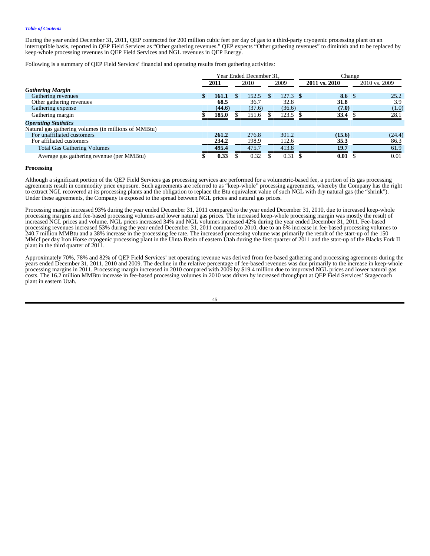During the year ended December 31, 2011, QEP contracted for 200 million cubic feet per day of gas to a third-party cryogenic processing plant on an interruptible basis, reported in QEP Field Services as "Other gathering revenues." QEP expects "Other gathering revenues" to diminish and to be replaced by keep-whole processing revenues in QEP Field Services and NGL revenues in QEP Energy.

Following is a summary of QEP Field Services' financial and operating results from gathering activities:

|                                                      |        | Year Ended December 31. |            | Change               |               |
|------------------------------------------------------|--------|-------------------------|------------|----------------------|---------------|
|                                                      | 2011   | 2010                    | 2009       | 2011 vs. 2010        | 2010 vs. 2009 |
| <b>Gathering Margin</b>                              |        |                         |            |                      |               |
| Gathering revenues                                   | 161.1  | 152.5                   | $127.3$ \$ | $8.6 \; \; \; \;$ \$ | 25.2          |
| Other gathering revenues                             | 68.5   | 36.7                    | 32.8       | 31.8                 | 3.9           |
| Gathering expense                                    | (44.6) | (37.6)                  | (36.6)     | (7.0)                | (1.0)         |
| Gathering margin                                     | 185.0  | 151.6                   | 123.5      | 33.4                 | 28.1          |
| <b>Operating Statistics</b>                          |        |                         |            |                      |               |
| Natural gas gathering volumes (in millions of MMBtu) |        |                         |            |                      |               |
| For unaffiliated customers                           | 261.2  | 276.8                   | 301.2      | (15.6)               | (24.4)        |
| For affiliated customers                             | 234.2  | 198.9                   | 112.6      | 35.3                 | 86.3          |
| <b>Total Gas Gathering Volumes</b>                   | 495.4  | 475.7                   | 413.8      | 19.7                 | 61.9          |
| Average gas gathering revenue (per MMBtu)            | 0.33   | 0.32                    | 0.31       | 0.01                 | 0.01          |

#### **Processing**

Although a significant portion of the QEP Field Services gas processing services are performed for a volumetric-based fee, a portion of its gas processing agreements result in commodity price exposure. Such agreements are referred to as "keep-whole" processing agreements, whereby the Company has the right to extract NGL recovered at its processing plants and the obligation to replace the Btu equivalent value of such NGL with dry natural gas (the "shrink"). Under these agreements, the Company is exposed to the spread between NGL prices and natural gas prices.

Processing margin increased 93% during the year ended December 31, 2011 compared to the year ended December 31, 2010, due to increased keep-whole processing margins and fee-based processing volumes and lower natural gas prices. The increased keep-whole processing margin was mostly the result of increased NGL prices and volume. NGL prices increased 34% and NGL volumes increased 42% during the year ended December 31, 2011. Fee-based processing revenues increased 53% during the year ended December 31, 2011 compared to 2010, due to an 6% increase in fee-based processing volumes to 240.7 million MMBtu and a 38% increase in the processing fee rate. The increased processing volume was primarily the result of the start-up of the 150 MMcf per day Iron Horse cryogenic processing plant in the Uinta Basin of eastern Utah during the first quarter of 2011 and the start-up of the Blacks Fork II plant in the third quarter of 2011.

Approximately 70%, 78% and 82% of QEP Field Services' net operating revenue was derived from fee-based gathering and processing agreements during the years ended December 31, 2011, 2010 and 2009. The decline in the relative percentage of fee-based revenues was due primarily to the increase in keep-whole processing margins in 2011. Processing margin increased in 2010 compared with 2009 by \$19.4 million due to improved NGL prices and lower natural gas costs. The 16.2 million MMBtu increase in fee-based processing volumes in 2010 was driven by increased throughput at QEP Field Services' Stagecoach plant in eastern Utah.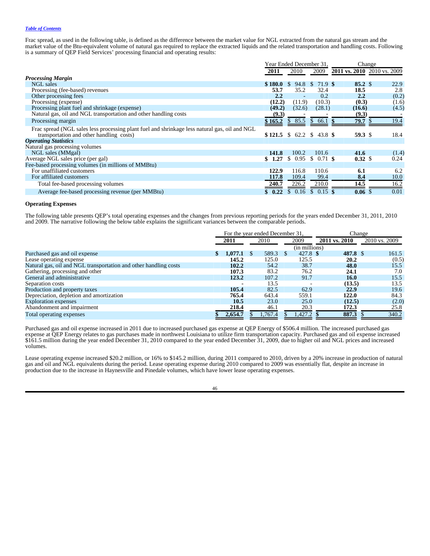Frac spread, as used in the following table, is defined as the difference between the market value for NGL extracted from the natural gas stream and the market value of the Btu-equivalent volume of natural gas required to replace the extracted liquids and the related transportation and handling costs. Following is a summary of QEP Field Services' processing financial and operating results:

|                                                                                                                                           |             | Year Ended December 31         |                                  | Change            |                                    |  |  |
|-------------------------------------------------------------------------------------------------------------------------------------------|-------------|--------------------------------|----------------------------------|-------------------|------------------------------------|--|--|
|                                                                                                                                           | <b>2011</b> | 2010                           | 2009                             |                   | <b>2011 vs. 2010</b> 2010 vs. 2009 |  |  |
| <b>Processing Margin</b>                                                                                                                  |             |                                |                                  |                   |                                    |  |  |
| NGL sales                                                                                                                                 | \$180.0     | 94.8<br><sup>S</sup>           | 71.9 \$<br>-\$                   | 85.2 <sup>5</sup> | 22.9                               |  |  |
| Processing (fee-based) revenues                                                                                                           | 53.7        | 35.2                           | 32.4                             | 18.5              | 2.8                                |  |  |
| Other processing fees                                                                                                                     | 2.2         |                                | 0.2                              | $2.2^{\circ}$     | (0.2)                              |  |  |
| Processing (expense)                                                                                                                      | (12.2)      | (11.9)                         | (10.3)                           | (0.3)             | (1.6)                              |  |  |
| Processing plant fuel and shrinkage (expense)                                                                                             | (49.2)      | (32.6)                         | (28.1)                           | (16.6)            | (4.5)                              |  |  |
| Natural gas, oil and NGL transportation and other handling costs                                                                          | (9.3)       |                                |                                  | (9.3)             |                                    |  |  |
| Processing margin                                                                                                                         | \$165.2     | \$85.5                         | \$66.1                           | 79.7              | 19.4                               |  |  |
| Frac spread (NGL sales less processing plant fuel and shrinkage less natural gas, oil and NGL<br>transportation and other handling costs) |             | $$121.5 \t$ 62.2 \t$ 43.8 \t$$ |                                  | 59.3 S            | 18.4                               |  |  |
| <b>Operating Statistics</b>                                                                                                               |             |                                |                                  |                   |                                    |  |  |
| Natural gas processing volumes                                                                                                            |             |                                |                                  |                   |                                    |  |  |
| NGL sales (MMgal)                                                                                                                         | 141.8       | 100.2                          | 101.6                            | 41.6              | (1.4)                              |  |  |
| Average NGL sales price (per gal)                                                                                                         | \$1.27      | $$0.95 \t$0.71 \t$$            |                                  | $0.32 \text{ }$   | 0.24                               |  |  |
| Fee-based processing volumes (in millions of MMBtu)                                                                                       |             |                                |                                  |                   |                                    |  |  |
| For unaffiliated customers                                                                                                                | 122.9       | 116.8                          | 110.6                            | 6.1               | 6.2                                |  |  |
| For affiliated customers                                                                                                                  | 117.8       | 109.4                          | 99.4                             | 8.4               | 10.0                               |  |  |
| Total fee-based processing volumes                                                                                                        | 240.7       | 226.2                          | 210.0                            | 14.5              | 16.2                               |  |  |
| Average fee-based processing revenue (per MMBtu)                                                                                          | 0.22        | \$0.16                         | $\overline{0.15}$ $\overline{5}$ | 0.06              | 0.01                               |  |  |

# **Operating Expenses**

The following table presents QEP's total operating expenses and the changes from previous reporting periods for the years ended December 31, 2011, 2010 and 2009. The narrative following the below table explains the significant variances between the comparable periods.

|                                                                  |         | For the year ended December 31, |               | Change        |               |  |  |
|------------------------------------------------------------------|---------|---------------------------------|---------------|---------------|---------------|--|--|
|                                                                  | 2011    | 2010                            | 2009          | 2011 vs. 2010 | 2010 vs. 2009 |  |  |
|                                                                  |         |                                 | (in millions) |               |               |  |  |
| Purchased gas and oil expense                                    | 1,077.1 | 589.3                           | 427.8 \$      | 487.8 \$      | 161.5         |  |  |
| Lease operating expense                                          | 145.2   | 125.0                           | 125.5         | 20.2          | (0.5)         |  |  |
| Natural gas, oil and NGL transportation and other handling costs | 102.2   | 54.2                            | 38.7          | 48.0          | 15.5          |  |  |
| Gathering, processing and other                                  | 107.3   | 83.2                            | 76.2          | 24.1          | 7.0           |  |  |
| General and administrative                                       | 123.2   | 107.2                           | 91.7          | 16.0          | 15.5          |  |  |
| Separation costs                                                 |         | 13.5                            |               | (13.5)        | 13.5          |  |  |
| Production and property taxes                                    | 105.4   | 82.5                            | 62.9          | 22.9          | 19.6          |  |  |
| Depreciation, depletion and amortization                         | 765.4   | 643.4                           | 559.1         | 122.0         | 84.3          |  |  |
| <b>Exploration expenses</b>                                      | 10.5    | 23.0                            | 25.0          | (12.5)        | (2.0)         |  |  |
| Abandonment and impairment                                       | 218.4   | 46.1                            | 20.3          | 172.3         | 25.8          |  |  |
| Total operating expenses                                         | 2,654.7 | .767.4                          | ! 427.2.      | 887.3         | 340.2         |  |  |

Purchased gas and oil expense increased in 2011 due to increased purchased gas expense at QEP Energy of \$506.4 million. The increased purchased gas expense at QEP Energy relates to gas purchases made in northwest Louisiana to utilize firm transportation capacity. Purchased gas and oil expense increased \$161.5 million during the year ended December 31, 2010 compared to the year ended December 31, 2009, due to higher oil and NGL prices and increased volumes.

Lease operating expense increased \$20.2 million, or 16% to \$145.2 million, during 2011 compared to 2010, driven by a 20% increase in production of natural gas and oil and NGL equivalents during the period. Lease operating expense during 2010 compared to 2009 was essentially flat, despite an increase in production due to the increase in Haynesville and Pinedale volumes, which have lower lease operating expenses.

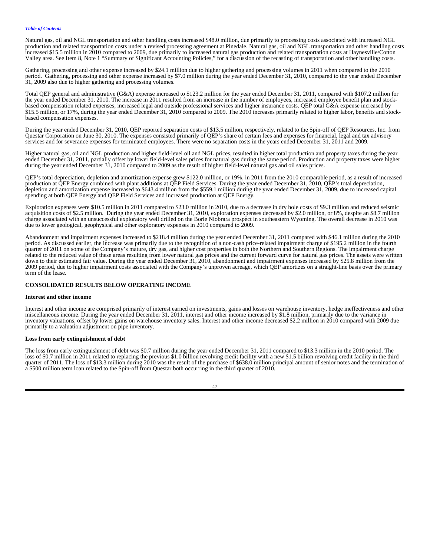Natural gas, oil and NGL transportation and other handling costs increased \$48.0 million, due primarily to processing costs associated with increased NGL production and related transportation costs under a revised processing agreement at Pinedale. Natural gas, oil and NGL transportation and other handling costs increased \$15.5 million in 2010 compared to 2009, due primarily to increased natural gas production and related transportation costs at Haynesville/Cotton Valley area. See Item 8, Note 1 "Summary of Significant Accounting Policies," for a discussion of the recasting of transportation and other handling costs.

Gathering, processing and other expense increased by \$24.1 million due to higher gathering and processing volumes in 2011 when compared to the 2010 period. Gathering, processing and other expense increased by \$7.0 million during the year ended December 31, 2010, compared to the year ended December 31, 2009 also due to higher gathering and processing volumes.

Total QEP general and administrative (G&A) expense increased to \$123.2 million for the year ended December 31, 2011, compared with \$107.2 million for the year ended December 31, 2010. The increase in 2011 resulted from an increase in the number of employees, increased employee benefit plan and stockbased compensation related expenses, increased legal and outside professional services and higher insurance costs. QEP total G&A expense increased by \$15.5 million, or 17%, during the year ended December 31, 2010 compared to 2009. The 2010 increases primarily related to higher labor, benefits and stockbased compensation expenses.

During the year ended December 31, 2010, QEP reported separation costs of \$13.5 million, respectively, related to the Spin-off of QEP Resources, Inc. from Questar Corporation on June 30, 2010. The expenses consisted primarily of QEP's share of certain fees and expenses for financial, legal and tax advisory services and for severance expenses for terminated employees. There were no separation costs in the years ended December 31, 2011 and 2009.

Higher natural gas, oil and NGL production and higher field-level oil and NGL prices, resulted in higher total production and property taxes during the year ended December 31, 2011, partially offset by lower field-level sales prices for natural gas during the same period. Production and property taxes were higher during the year ended December 31, 2010 compared to 2009 as the result of higher field-level natural gas and oil sales prices.

QEP's total depreciation, depletion and amortization expense grew \$122.0 million, or 19%, in 2011 from the 2010 comparable period, as a result of increased production at QEP Energy combined with plant additions at QEP Field Services. During the year ended December 31, 2010, QEP's total depreciation, depletion and amortization expense increased to \$643.4 million from the \$559.1 million during the year ended December 31, 2009, due to increased capital spending at both QEP Energy and QEP Field Services and increased production at QEP Energy.

Exploration expenses were \$10.5 million in 2011 compared to \$23.0 million in 2010, due to a decrease in dry hole costs of \$9.3 million and reduced seismic acquisition costs of \$2.5 million. During the year ended December 31, 2010, exploration expenses decreased by \$2.0 million, or 8%, despite an \$8.7 million charge associated with an unsuccessful exploratory well drilled on the Borie Niobrara prospect in southeastern Wyoming. The overall decrease in 2010 was due to lower geological, geophysical and other exploratory expenses in 2010 compared to 2009.

Abandonment and impairment expenses increased to \$218.4 million during the year ended December 31, 2011 compared with \$46.1 million during the 2010 period. As discussed earlier, the increase was primarily due to the recognition of a non-cash price-related impairment charge of \$195.2 million in the fourth quarter of 2011 on some of the Company's mature, dry gas, and higher cost properties in both the Northern and Southern Regions. The impairment charge related to the reduced value of these areas resulting from lower natural gas prices and the current forward curve for natural gas prices. The assets were written down to their estimated fair value. During the year ended December 31, 2010, abandonment and impairment expenses increased by \$25.8 million from the 2009 period, due to higher impairment costs associated with the Company's unproven acreage, which QEP amortizes on a straight-line basis over the primary term of the lease.

# **CONSOLIDATED RESULTS BELOW OPERATING INCOME**

#### **Interest and other income**

Interest and other income are comprised primarily of interest earned on investments, gains and losses on warehouse inventory, hedge ineffectiveness and other miscellaneous income. During the year ended December 31, 2011, interest and other income increased by \$1.8 million, primarily due to the variance in inventory valuations, offset by lower gains on warehouse inventory sales. Interest and other income decreased \$2.2 million in 2010 compared with 2009 due primarily to a valuation adjustment on pipe inventory.

### **Loss from early extinguishment of debt**

The loss from early extinguishment of debt was \$0.7 million during the year ended December 31, 2011 compared to \$13.3 million in the 2010 period. The loss of \$0.7 million in 2011 related to replacing the previous \$1.0 billion revolving credit facility with a new \$1.5 billion revolving credit facility in the third quarter of 2011. The loss of \$13.3 million during 2010 was the result of the purchase of \$638.0 million principal amount of senior notes and the termination of a \$500 million term loan related to the Spin-off from Questar both occurring in the third quarter of 2010.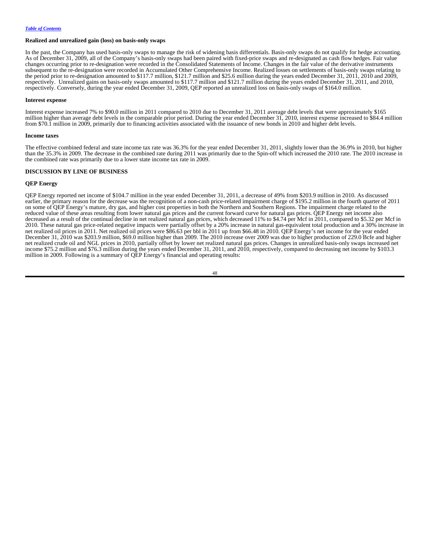#### **Realized and unrealized gain (loss) on basis-only swaps**

In the past, the Company has used basis-only swaps to manage the risk of widening basis differentials. Basis-only swaps do not qualify for hedge accounting. As of December 31, 2009, all of the Company's basis-only swaps had been paired with fixed-price swaps and re-designated as cash flow hedges. Fair value changes occurring prior to re-designation were recorded in the Consolidated Statements of Income. Changes in the fair value of the derivative instruments subsequent to the re-designation were recorded in Accumulated Other Comprehensive Income. Realized losses on settlements of basis-only swaps relating to the period prior to re-designation amounted to \$117.7 million, \$121.7 million and \$25.6 million during the years ended December 31, 2011, 2010 and 2009, respectively. Unrealized gains on basis-only swaps amounted to \$117.7 million and \$121.7 million during the years ended December 31, 2011, and 2010, respectively. Conversely, during the year ended December 31, 2009, QEP reported an unrealized loss on basis-only swaps of \$164.0 million.

#### **Interest expense**

Interest expense increased 7% to \$90.0 million in 2011 compared to 2010 due to December 31, 2011 average debt levels that were approximately \$165 million higher than average debt levels in the comparable prior period. During the year ended December 31, 2010, interest expense increased to \$84.4 million from \$70.1 million in 2009, primarily due to financing activities associated with the issuance of new bonds in 2010 and higher debt levels.

#### **Income taxes**

The effective combined federal and state income tax rate was 36.3% for the year ended December 31, 2011, slightly lower than the 36.9% in 2010, but higher than the 35.3% in 2009. The decrease in the combined rate during 2011 was primarily due to the Spin-off which increased the 2010 rate. The 2010 increase in the combined rate was primarily due to a lower state income tax rate in 2009.

#### **DISCUSSION BY LINE OF BUSINESS**

# **QEP Energy**

QEP Energy reported net income of \$104.7 million in the year ended December 31, 2011, a decrease of 49% from \$203.9 million in 2010. As discussed earlier, the primary reason for the decrease was the recognition of a non-cash price-related impairment charge of \$195.2 million in the fourth quarter of 2011 on some of QEP Energy's mature, dry gas, and higher cost properties in both the Northern and Southern Regions. The impairment charge related to the reduced value of these areas resulting from lower natural gas prices and the current forward curve for natural gas prices. QEP Energy net income also decreased as a result of the continual decline in net realized natural gas prices, which decreased 11% to \$4.74 per Mcf in 2011, compared to \$5.32 per Mcf in 2010. These natural gas price-related negative impacts were partially offset by a 20% increase in natural gas-equivalent total production and a 30% increase in net realized oil prices in 2011. Net realized oil prices were \$86.63 per bbl in 2011 up from \$66.48 in 2010. QEP Energy's net income for the year ended December 31, 2010 was \$203.9 million, \$69.0 million higher than 2009. The 2010 increase over 2009 was due to higher production of 229.0 Bcfe and higher net realized crude oil and NGL prices in 2010, partially offset by lower net realized natural gas prices. Changes in unrealized basis-only swaps increased net income \$75.2 million and \$76.3 million during the years ended December 31, 2011, and 2010, respectively, compared to decreasing net income by \$103.3 million in 2009. Following is a summary of QEP Energy's financial and operating results: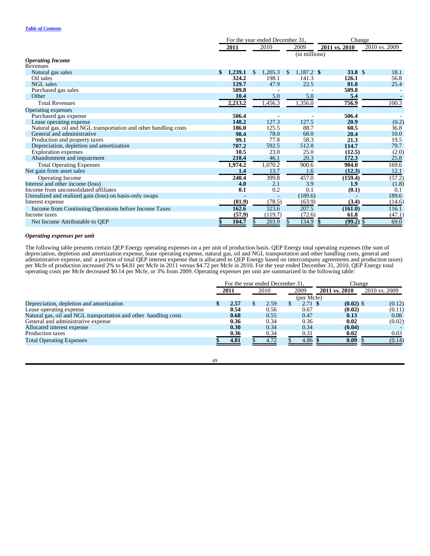|                                                                  |     | For the year ended December 31, |               |         |     |               | Change          |               |  |  |
|------------------------------------------------------------------|-----|---------------------------------|---------------|---------|-----|---------------|-----------------|---------------|--|--|
|                                                                  |     | 2011                            |               | 2010    |     | 2009          | 2011 vs. 2010   | 2010 vs. 2009 |  |  |
|                                                                  |     |                                 |               |         |     | (in millions) |                 |               |  |  |
| <b>Operating Income</b>                                          |     |                                 |               |         |     |               |                 |               |  |  |
| Revenues                                                         |     |                                 |               |         |     |               |                 |               |  |  |
| Natural gas sales                                                | \$. | 1,239.1                         | <sup>\$</sup> | 1.205.3 | \$. | 1,187.2 \$    | 33.8 $\sqrt{3}$ | 18.1          |  |  |
| Oil sales                                                        |     | 324.2                           |               | 198.1   |     | 141.3         | 126.1           | 56.8          |  |  |
| <b>NGL</b> sales                                                 |     | 129.7                           |               | 47.9    |     | 22.5          | 81.8            | 25.4          |  |  |
| Purchased gas sales                                              |     | 509.8                           |               |         |     |               | 509.8           |               |  |  |
| Other                                                            |     | 10.4                            |               | 5.0     |     | 5.0           | 5.4             |               |  |  |
| <b>Total Revenues</b>                                            |     | 2,213.2                         |               | 1,456.3 |     | 1,356.0       | 756.9           | 100.3         |  |  |
| Operating expenses                                               |     |                                 |               |         |     |               |                 |               |  |  |
| Purchased gas expense                                            |     | 506.4                           |               |         |     |               | 506.4           |               |  |  |
| Lease operating expense                                          |     | 148.2                           |               | 127.3   |     | 127.5         | 20.9            | (0.2)         |  |  |
| Natural gas, oil and NGL transportation and other handling costs |     | 186.0                           |               | 125.5   |     | 88.7          | 60.5            | 36.8          |  |  |
| General and administrative                                       |     | 98.4                            |               | 78.0    |     | 68.0          | 20.4            | 10.0          |  |  |
| Production and property taxes                                    |     | 99.1                            |               | 77.8    |     | 58.3          | 21.3            | 19.5          |  |  |
| Depreciation, depletion and amortization                         |     | 707.2                           |               | 592.5   |     | 512.8         | 114.7           | 79.7          |  |  |
| <b>Exploration</b> expenses                                      |     | 10.5                            |               | 23.0    |     | 25.0          | (12.5)          | (2.0)         |  |  |
| Abandonment and impairment                                       |     | 218.4                           |               | 46.1    |     | 20.3          | 172.3           | 25.8          |  |  |
| <b>Total Operating Expenses</b>                                  |     | 1,974.2                         |               | 1,070.2 |     | 900.6         | 904.0           | 169.6         |  |  |
| Net gain from asset sales                                        |     | 1.4                             |               | 13.7    |     | 1.6           | (12.3)          | 12.1          |  |  |
| Operating Income                                                 |     | 240.4                           |               | 399.8   |     | 457.0         | (159.4)         | (57.2)        |  |  |
| Interest and other income (loss)                                 |     | 4.0                             |               | 2.1     |     | 3.9           | 1.9             | (1.8)         |  |  |
| Income from unconsolidated affiliates                            |     | 0.1                             |               | 0.2     |     | 0.1           | (0.1)           | 0.1           |  |  |
| Unrealized and realized gain (loss) on basis-only swaps          |     |                                 |               |         |     | (189.6)       |                 | 189.6         |  |  |
| Interest expense                                                 |     | (81.9)                          |               | (78.5)  |     | (63.9)        | (3.4)           | (14.6)        |  |  |
| Income from Continuing Operations before Income Taxes            |     | 162.6                           |               | 323.6   |     | 207.5         | (161.0)         | 116.1         |  |  |
| Income taxes                                                     |     | (57.9)                          |               | (119.7) |     | (72.6)        | 61.8            | (47.1)        |  |  |
| Net Income Attributable to OEP                                   | \$  | 104.7                           | \$            | 203.9   | \$  | 134.9 \$      | $(99.2)$ \$     | 69.0          |  |  |

# *Operating expenses per unit*

The following table presents certain QEP Energy operating expenses on a per unit of production basis. QEP Energy total operating expenses (the sum of depreciation, depletion and amortization expense, lease operating expense, natural gas, oil and NGL transportation and other handling costs, general and administrative expense, and a portion of total QEP interest expense that is allocated to QEP Energy based on intercompany agreements and production taxes) per Mcfe of production increased 2% to \$4.81 per Mcfe in 2011 versus \$4.72 per Mcfe in 2010. For the year ended December 31, 2010, QEP Energy total operating costs per Mcfe decreased \$0.14 per Mcfe, or 3% from 2009. Operating expenses per unit are summarized in the following table:

|                                                                  |      | For the year ended December 31. |      |      | Change |                             |               |               |
|------------------------------------------------------------------|------|---------------------------------|------|------|--------|-----------------------------|---------------|---------------|
|                                                                  | 2011 |                                 | 2010 |      | 2009   |                             | 2011 vs. 2010 | 2010 vs. 2009 |
|                                                                  |      |                                 |      |      |        | (per Mcfe)                  |               |               |
| Depreciation, depletion and amortization                         |      | 2.57                            |      | 2.59 |        | $2.71 \text{ \textdegree }$ | $(0.02)$ \$   | (0.12)        |
| Lease operating expense                                          |      | 0.54                            |      | 0.56 |        | 0.67                        | (0.02)        | (0.11)        |
| Natural gas, oil and NGL transportation and other handling costs |      | 0.68                            |      | 0.55 |        | 0.47                        | 0.13          | 0.08          |
| General and administrative expense                               |      | 0.36                            |      | 0.34 |        | 0.36                        | 0.02          | (0.02)        |
| Allocated interest expense                                       |      | 0.30                            |      | 0.34 |        | 0.34                        | (0.04)        |               |
| Production taxes                                                 |      | 0.36                            |      | 0.34 |        | 0.31                        | 0.02          | 0.03          |
| <b>Total Operating Expenses</b>                                  |      | 4.81                            |      | 4.72 |        | 4.86                        | 0.09          | (0.14)        |

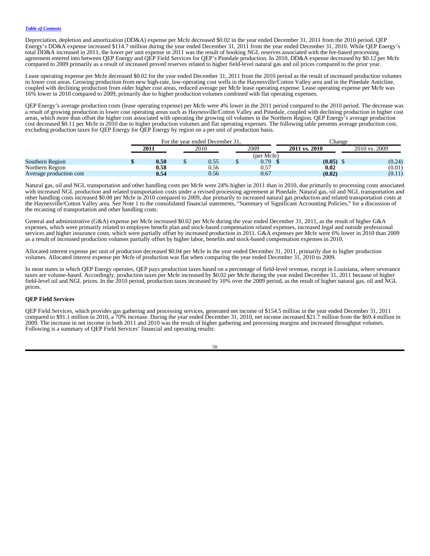Depreciation, depletion and amortization (DD&A) expense per Mcfe decreased \$0.02 in the year ended December 31, 2011 from the 2010 period. QEP Energy's DD&A expense increased \$114.7 million during the year ended December 31, 2011 from the year ended December 31, 2010. While QEP Energy's total DD&A increased in 2011, the lower per unit expense in 2011 was the result of booking NGL reserves associated with the fee-based processing agreement entered into between QEP Energy and QEP Field Services for QEP's Pinedale production. In 2010, DD&A expense decreased by \$0.12 per Mcfe compared to 2009 primarily as a result of increased proved reserves related to higher field-level natural gas and oil prices compared to the prior year.

Lease operating expense per Mcfe decreased \$0.02 for the year ended December 31, 2011 from the 2010 period as the result of increased production volumes in lower cost areas. Growing production from new high-rate, low-operating cost wells in the Haynesville/Cotton Valley area and in the Pinedale Anticline, coupled with declining production from older higher cost areas, reduced average per Mcfe lease operating expense. Lease operating expense per Mcfe was 16% lower in 2010 compared to 2009, primarily due to higher production volumes combined with flat operating expenses.

QEP Energy's average production costs (lease operating expense) per Mcfe were 4% lower in the 2011 period compared to the 2010 period. The decrease was a result of growing production in lower cost operating areas such as Haynesville/Cotton Valley and Pinedale, coupled with declining production in higher cost areas, which more than offset the higher cost associated with operating the growing oil volumes in the Northern Region. QEP Energy's average production cost decreased \$0.11 per Mcfe in 2010 due to higher production volumes and flat operating expenses. The following table presents average production cost, excluding production taxes for QEP Energy for QEP Energy by region on a per unit of production basis.

|                         |  |      |  | For the year ended December 31. |  |            | <b>Change</b> |               |        |               |
|-------------------------|--|------|--|---------------------------------|--|------------|---------------|---------------|--------|---------------|
|                         |  | 2011 |  | 2009<br>2010                    |  |            |               | 2011 vs. 2010 |        | 2010 vs. 2009 |
|                         |  |      |  |                                 |  | (per Mcfe) |               |               |        |               |
| Southern Region         |  | 0.50 |  | 0.55                            |  | 0.79       | (0.05)        |               | (0.24) |               |
| Northern Region         |  | 0.58 |  | 0.56                            |  | 0.57       | 0.02          |               | (0.01) |               |
| Average production cost |  | 0.54 |  | 0.56                            |  | 0.67       | (0.02)        |               | (0.11) |               |

Natural gas, oil and NGL transportation and other handling costs per Mcfe were 24% higher in 2011 than in 2010, due primarily to processing costs associated with increased NGL production and related transportation costs under a revised processing agreement at Pinedale. Natural gas, oil and NGL transportation and other handling costs increased \$0.08 per Mcfe in 2010 compared to 2009, due primarily to increased natural gas production and related transportation costs at the Haynesville/Cotton Valley area. See Note 1 to the consolidated financial statements, "Summary of Significant Accounting Policies," for a discussion of the recasting of transportation and other handling costs.

General and administrative (G&A) expense per Mcfe increased \$0.02 per Mcfe during the year ended December 31, 2011, as the result of higher G&A expenses, which were primarily related to employee benefit plan and stock-based compensation related expenses, increased legal and outside professional services and higher insurance costs, which were partially offset by increased production in 2011. G&A expenses per Mcfe were 6% lower in 2010 than 2009 as a result of increased production volumes partially offset by higher labor, benefits and stock-based compensation expenses in 2010.

Allocated interest expense per unit of production decreased \$0.04 per Mcfe in the year ended December 31, 2011, primarily due to higher production volumes. Allocated interest expense per Mcfe of production was flat when comparing the year ended December 31, 2010 to 2009.

In most states in which QEP Energy operates, QEP pays production taxes based on a percentage of field-level revenue, except in Louisiana, where severance taxes are volume-based. Accordingly, production taxes per Mcfe increased by \$0.02 per Mcfe during the year ended December 31, 2011 because of higher field-level oil and NGL prices. In the 2010 period, production taxes increased by 10% over the 2009 period, as the result of higher natural gas, oil and NGL prices.

# **QEP Field Services**

QEP Field Services, which provides gas gathering and processing services, generated net income of \$154.5 million in the year ended December 31, 2011 compared to \$91.1 million in 2010, a 70% increase. During the year ended December 31, 2010, net income increased \$21.7 million from the \$69.4 million in 2009. The increase in net income in both 2011 and 2010 was the result of higher gathering and processing margins and increased throughput volumes. Following is a summary of QEP Field Services' financial and operating results: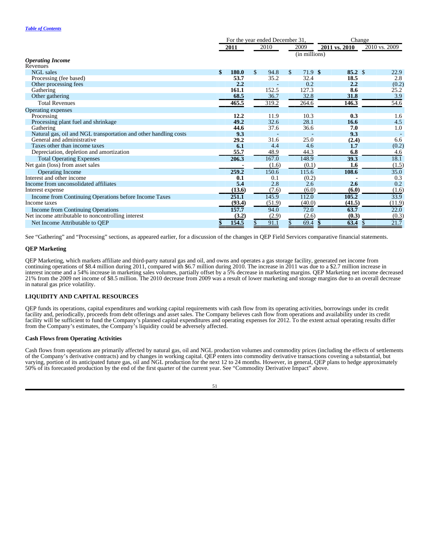|                                                                  |                           |        | For the year ended December 31, | Change       |                   |               |                   |
|------------------------------------------------------------------|---------------------------|--------|---------------------------------|--------------|-------------------|---------------|-------------------|
|                                                                  |                           | 2011   | 2010                            |              | 2009              | 2011 vs. 2010 | 2010 vs. 2009     |
|                                                                  |                           |        |                                 |              | (in millions)     |               |                   |
| <b>Operating Income</b><br>Revenues                              |                           |        |                                 |              |                   |               |                   |
| NGL sales                                                        | $\boldsymbol{\mathsf{s}}$ | 180.0  | \$<br>94.8                      | $\mathbb{S}$ | 71.9 <sup>°</sup> | 85.2 S        | 22.9              |
| Processing (fee based)                                           |                           | 53.7   | 35.2                            |              | 32.4              | 18.5          | 2.8               |
| Other processing fees                                            |                           | 2.2    |                                 |              | 0.2               | 2.2           | (0.2)             |
| Gathering                                                        |                           | 161.1  | 152.5                           |              | 127.3             | 8.6           | 25.2              |
| Other gathering                                                  |                           | 68.5   | 36.7                            |              | 32.8              | 31.8          | 3.9               |
| <b>Total Revenues</b>                                            |                           | 465.5  | 319.2                           |              | 264.6             | 146.3         | 54.6              |
| Operating expenses                                               |                           |        |                                 |              |                   |               |                   |
| Processing                                                       |                           | 12.2   | 11.9                            |              | 10.3              | 0.3           | 1.6               |
| Processing plant fuel and shrinkage                              |                           | 49.2   | 32.6                            |              | 28.1              | 16.6          | 4.5               |
| Gathering                                                        |                           | 44.6   | 37.6                            |              | 36.6              | 7.0           | 1.0               |
| Natural gas, oil and NGL transportation and other handling costs |                           | 9.3    |                                 |              |                   | 9.3           |                   |
| General and administrative                                       |                           | 29.2   | 31.6                            |              | 25.0              | (2.4)         | 6.6               |
| Taxes other than income taxes                                    |                           | 6.1    | 4.4                             |              | 4.6               | 1.7           | (0.2)             |
| Depreciation, depletion and amortization                         |                           | 55.7   | 48.9                            |              | 44.3              | 6.8           | 4.6               |
| <b>Total Operating Expenses</b>                                  |                           | 206.3  | 167.0                           |              | 148.9             | 39.3          | 18.1              |
| Net gain (loss) from asset sales                                 |                           |        | (1.6)                           |              | (0.1)             | 1.6           | (1.5)             |
| <b>Operating Income</b>                                          |                           | 259.2  | 150.6                           |              | 115.6             | 108.6         | 35.0              |
| Interest and other income                                        |                           | 0.1    | 0.1                             |              | (0.2)             |               | 0.3               |
| Income from unconsolidated affiliates                            |                           | 5.4    | 2.8                             |              | 2.6               | 2.6           | 0.2               |
| Interest expense                                                 |                           | (13.6) | (7.6)                           |              | (6.0)             | (6.0)         | (1.6)             |
| Income from Continuing Operations before Income Taxes            |                           | 251.1  | 145.9                           |              | 112.0             | 105.2         | 33.9              |
| Income taxes                                                     |                           | (93.4) | (51.9)                          |              | (40.0)            | (41.5)        | (11.9)            |
| Income from Continuing Operations                                |                           | 157.7  | 94.0                            |              | 72.0              | 63.7          | $\overline{22.0}$ |
| Net income attributable to noncontrolling interest               |                           | (3.2)  | (2.9)                           |              | (2.6)             | (0.3)         | (0.3)             |
| Net Income Attributable to OEP                                   |                           | 154.5  | 91.1                            |              | 69.4              | 63.4<br>S     | 21.7              |

See "Gathering" and "Processing" sections, as appeared earlier, for a discussion of the changes in QEP Field Services comparative financial statements.

## **QEP Marketing**

QEP Marketing, which markets affiliate and third-party natural gas and oil, and owns and operates a gas storage facility, generated net income from continuing operations of \$8.4 million during 2011, compared with \$6.7 million during 2010. The increase in 2011 was due to a \$2.7 million increase in interest income and a 54% increase in marketing sales volumes, partially offset by a 5% decrease in marketing margins. QEP Marketing net income decreased 21% from the 2009 net income of \$8.5 million. The 2010 decrease from 2009 was a result of lower marketing and storage margins due to an overall decrease in natural gas price volatility.

# **LIQUIDITY AND CAPITAL RESOURCES**

QEP funds its operations, capital expenditures and working capital requirements with cash flow from its operating activities, borrowings under its credit facility and, periodically, proceeds from debt offerings and asset sales. The Company believes cash flow from operations and availability under its credit facility will be sufficient to fund the Company's planned capital expenditures and operating expenses for 2012. To the extent actual operating results differ from the Company's estimates, the Company's liquidity could be adversely affected.

#### **Cash Flows from Operating Activities**

Cash flows from operations are primarily affected by natural gas, oil and NGL production volumes and commodity prices (including the effects of settlements of the Company's derivative contracts) and by changes in working capital. QEP enters into commodity derivative transactions covering a substantial, but varying, portion of its anticipated future gas, oil and NGL production for the next 12 to 24 months. However, in general, QEP plans to hedge approximately 50% of its forecasted production by the end of the first quarter of the current year. See "Commodity Derivative Impact" above.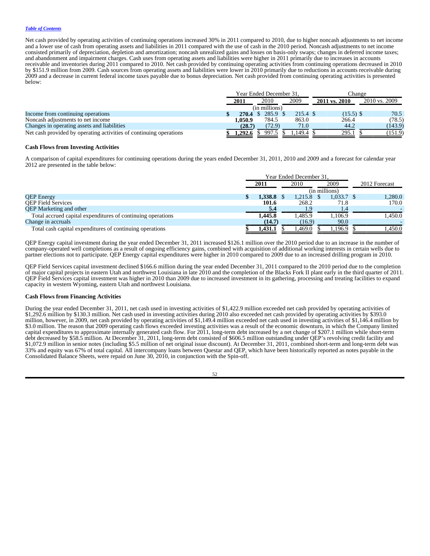Net cash provided by operating activities of continuing operations increased 30% in 2011 compared to 2010, due to higher noncash adjustments to net income and a lower use of cash from operating assets and liabilities in 2011 compared with the use of cash in the 2010 period. Noncash adjustments to net income consisted primarily of depreciation, depletion and amortization; noncash unrealized gains and losses on basis-only swaps; changes in deferred income taxes; and abandonment and impairment charges. Cash uses from operating assets and liabilities were higher in 2011 primarily due to increases in accounts receivable and inventories during 2011 compared to 2010. Net cash provided by continuing operating activities from continuing operations decreased in 2010 by \$151.9 million from 2009. Cash sources from operating assets and liabilities were lower in 2010 primarily due to reductions in accounts receivable during 2009 and a decrease in current federal income taxes payable due to bonus depreciation. Net cash provided from continuing operating activities is presented below:

|                                                                    |         |  | Year Ended December 31. |          |               | <b>Change</b> |  |               |  |
|--------------------------------------------------------------------|---------|--|-------------------------|----------|---------------|---------------|--|---------------|--|
|                                                                    | 2011    |  | 2010                    | 2009     | 2011 vs. 2010 |               |  | 2010 vs. 2009 |  |
|                                                                    |         |  | (in millions)           |          |               |               |  |               |  |
| Income from continuing operations                                  | 270.4   |  | 285.9 <sup>°</sup>      | 215.4 \$ |               | $(15.5)$ \$   |  | 70.5          |  |
| Noncash adjustments to net income                                  | 1.050.9 |  | 784.5                   | 863.0    |               | 266.4         |  | (78.5)        |  |
| Changes in operating assets and liabilities                        | (28.7)  |  | (72.9)                  | 71.0     |               | 44.2          |  | (143.9)       |  |
| Net cash provided by operating activities of continuing operations | 1.292.6 |  | 997.5                   | 1.149.4  |               | 295.1         |  | (151.9)       |  |

## **Cash Flows from Investing Activities**

A comparison of capital expenditures for continuing operations during the years ended December 31, 2011, 2010 and 2009 and a forecast for calendar year 2012 are presented in the table below:

|                                                             | Year Ended December 31. |               |  |         |  |            |  |               |
|-------------------------------------------------------------|-------------------------|---------------|--|---------|--|------------|--|---------------|
|                                                             |                         | 2011          |  | 2010    |  | 2009       |  | 2012 Forecast |
|                                                             |                         | (in millions) |  |         |  |            |  |               |
| <b>OEP</b> Energy                                           |                         | 1.338.8       |  | 1.215.8 |  | 1.033.7 \$ |  | 1,280.0       |
| <b>OEP</b> Field Services                                   |                         | 101.6         |  | 268.2   |  | 71.8       |  | 170.0         |
| <b>QEP</b> Marketing and other                              |                         | 5.4           |  | 1.9     |  |            |  |               |
| Total accrued capital expenditures of continuing operations |                         | 1.445.8       |  | 1.485.9 |  | 1.106.9    |  | 1,450.0       |
| Change in accruals                                          |                         | (14.7)        |  | (16.9)  |  | 90.0       |  |               |
| Total cash capital expenditures of continuing operations    |                         | 1,431.1       |  | 1,469.0 |  | 1,196.9    |  | 1,450.0       |

QEP Energy capital investment during the year ended December 31, 2011 increased \$126.1 million over the 2010 period due to an increase in the number of company-operated well completions as a result of ongoing efficiency gains, combined with acquisition of additional working interests in certain wells due to partner elections not to participate. QEP Energy capital expenditures were higher in 2010 compared to 2009 due to an increased drilling program in 2010.

QEP Field Services capital investment declined \$166.6 million during the year ended December 31, 2011 compared to the 2010 period due to the completion of major capital projects in eastern Utah and northwest Louisiana in late 2010 and the completion of the Blacks Fork II plant early in the third quarter of 2011. QEP Field Services capital investment was higher in 2010 than 2009 due to increased investment in its gathering, processing and treating facilities to expand capacity in western Wyoming, eastern Utah and northwest Louisiana.

## **Cash Flows from Financing Activities**

During the year ended December 31, 2011, net cash used in investing activities of \$1,422.9 million exceeded net cash provided by operating activities of \$1,292.6 million by \$130.3 million. Net cash used in investing activities during 2010 also exceeded net cash provided by operating activities by \$393.0 million, however, in 2009, net cash provided by operating activities of \$1,149.4 million exceeded net cash used in investing activities of \$1,146.4 million by \$3.0 million. The reason that 2009 operating cash flows exceeded investing activities was a result of the economic downturn, in which the Company limited capital expenditures to approximate internally generated cash flow. For 2011, long-term debt increased by a net change of \$207.1 million while short-term debt decreased by \$58.5 million. At December 31, 2011, long-term debt consisted of \$606.5 million outstanding under QEP's revolving credit facility and \$1,072.9 million in senior notes (including \$5.5 million of net original issue discount). At December 31, 2011, combined short-term and long-term debt was 33% and equity was 67% of total capital. All intercompany loans between Questar and QEP, which have been historically reported as notes payable in the Consolidated Balance Sheets, were repaid on June 30, 2010, in conjunction with the Spin-off.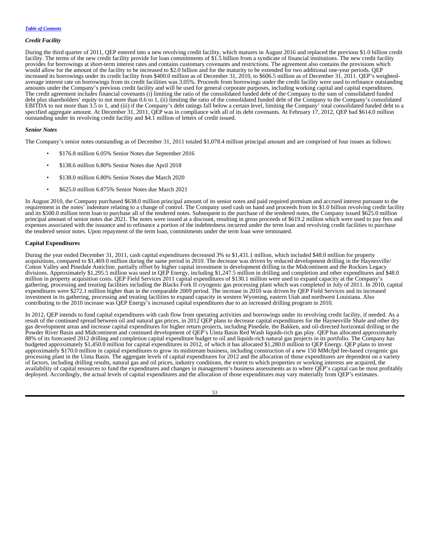#### *Credit Facility*

During the third quarter of 2011, QEP entered into a new revolving credit facility, which matures in August 2016 and replaced the previous \$1.0 billion credit facility. The terms of the new credit facility provide for loan commitments of \$1.5 billion from a syndicate of financial institutions. The new credit facility provides for borrowings at short-term interest rates and contains customary covenants and restrictions. The agreement also contains the provisions which would allow for the amount of the facility to be increased to \$2.0 billion and for the maturity to be extended for two additional one-year periods. QEP increased its borrowings under its credit facility from \$400.0 million as of December 31, 2010, to \$606.5 million as of December 31, 2011. QEP's weightedaverage interest rate on borrowings from its credit facilities was 3.05%. Proceeds from borrowings under the credit facility were used to refinance outstanding amounts under the Company's previous credit facility and will be used for general corporate purposes, including working capital and capital expenditures. The credit agreement includes financial covenants (i) limiting the ratio of the consolidated funded debt of the Company to the sum of consolidated funded debt plus shareholders' equity to not more than 0.6 to 1, (ii) limiting the ratio of the consolidated funded debt of the Company to the Company's consolidated EBITDA to not more than 3.5 to 1, and (iii) if the Company's debt ratings fall below a certain level, limiting the Company' total consolidated funded debt to a specified aggregate amount. At December 31, 2011, QEP was in compliance with all of its debt covenants. At February 17, 2012, QEP had \$614.0 million outstanding under its revolving credit facility and \$4.1 million of letters of credit issued.

### *Senior Notes*

The Company's senior notes outstanding as of December 31, 2011 totaled \$1,078.4 million principal amount and are comprised of four issues as follows:

- \$176.8 million 6.05% Senior Notes due September 2016
- \$138.6 million 6.80% Senior Notes due April 2018
- \$138.0 million 6.80% Senior Notes due March 2020
- \$625.0 million 6.875% Senior Notes due March 2021

In August 2010, the Company purchased \$638.0 million principal amount of its senior notes and paid required premium and accrued interest pursuant to the requirement in the notes' indenture relating to a change of control. The Company used cash on hand and proceeds from its \$1.0 billion revolving credit facility and its \$500.0 million term loan to purchase all of the tendered notes. Subsequent to the purchase of the tendered notes, the Company issued \$625.0 million principal amount of senior notes due 2021. The notes were issued at a discount, resulting in gross proceeds of \$619.2 million which were used to pay fees and expenses associated with the issuance and to refinance a portion of the indebtedness incurred under the term loan and revolving credit facilities to purchase the tendered senior notes. Upon repayment of the term loan, commitments under the term loan were terminated.

## **Capital Expenditures**

During the year ended December 31, 2011, cash capital expenditures decreased 3% to \$1,431.1 million, which included \$48.0 million for property acquisitions, compared to \$1,469.0 million during the same period in 2010. The decrease was driven by reduced development drilling in the Haynesville/ Cotton Valley and Pinedale Anticline, partially offset by higher capital investment in development drilling in the Midcontinent and the Rockies Legacy divisions. Approximately \$1,295.5 million was used in QEP Energy, including \$1,247.5 million in drilling and completion and other expenditures and \$48.0 million in property acquisition costs. QEP Field Services 2011 capital expenditures of \$130.1 million were used to expand capacity at the Company's gathering, processing and treating facilities including the Blacks Fork II cryogenic gas processing plant which was completed in July of 2011. In 2010, capital expenditures were \$272.1 million higher than in the comparable 2009 period. The increase in 2010 was driven by QEP Field Services and its increased investment in its gathering, processing and treating facilities to expand capacity in western Wyoming, eastern Utah and northwest Louisiana. Also contributing to the 2010 increase was QEP Energy's increased capital expenditures due to an increased drilling program in 2010.

In 2012, QEP intends to fund capital expenditures with cash flow from operating activities and borrowings under its revolving credit facility, if needed. As a result of the continued spread between oil and natural gas prices, in 2012 QEP plans to decrease capital expenditures for the Haynesville Shale and other dry gas development areas and increase capital expenditures for higher return projects, including Pinedale, the Bakken, and oil-directed horizontal drilling in the Powder River Basin and Midcontinent and continued development of QEP's Uinta Basin Red Wash liquids-rich gas play. QEP has allocated approximately 88% of its forecasted 2012 drilling and completion capital expenditure budget to oil and liquids-rich natural gas projects in its portfolio. The Company has budgeted approximately \$1,450.0 million for capital expenditures in 2012, of which it has allocated \$1,280.0 million to QEP Energy. QEP plans to invest approximately \$170.0 million in capital expenditures to grow its midstream business, including construction of a new 150 MMcfpd fee-based cryogenic gas processing plant in the Uinta Basin. The aggregate levels of capital expenditures for 2012 and the allocation of those expenditures are dependent on a variety of factors, including drilling results, natural gas and oil prices, industry conditions, the extent to which properties or working interests are acquired, the availability of capital resources to fund the expenditures and changes in management's business assessments as to where QEP's capital can be most profitably deployed. Accordingly, the actual levels of capital expenditures and the allocation of those expenditures may vary materially from QEP's estimates.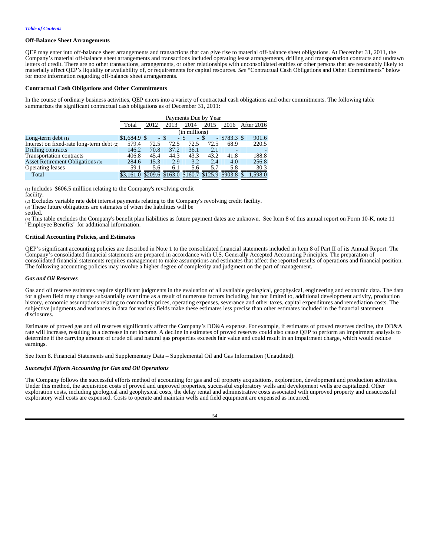### **Off-Balance Sheet Arrangements**

QEP may enter into off-balance sheet arrangements and transactions that can give rise to material off-balance sheet obligations. At December 31, 2011, the Company's material off-balance sheet arrangements and transactions included operating lease arrangements, drilling and transportation contracts and undrawn letters of credit. There are no other transactions, arrangements, or other relationships with unconsolidated entities or other persons that are reasonably likely to materially affect QEP's liquidity or availability of, or requirements for capital resources. *See* "Contractual Cash Obligations and Other Commitments" below for more information regarding off-balance sheet arrangements.

# **Contractual Cash Obligations and Other Commitments**

In the course of ordinary business activities, QEP enters into a variety of contractual cash obligations and other commitments. The following table summarizes the significant contractual cash obligations as of December 31, 2011:

|                                           | Payments Due by Year |      |                         |               |      |                 |            |  |  |  |
|-------------------------------------------|----------------------|------|-------------------------|---------------|------|-----------------|------------|--|--|--|
|                                           | Total                | 2012 | 2013                    | 2014          | 2015 | 2016            | After 2016 |  |  |  |
|                                           |                      |      |                         | (in millions) |      |                 |            |  |  |  |
| Long-term debt $(1)$                      | $$1.684.9$ \$        |      | - \$                    | - S<br>۰.     | -8   | $-$ \$783.3 \$  | 901.6      |  |  |  |
| Interest on fixed-rate long-term debt (2) | 579.4                | 72.5 | 72.5                    | 72.5          | 72.5 | 68.9            | 220.5      |  |  |  |
| Drilling contracts                        | 146.2                | 70.8 | 37.2                    | 36.1          | 2.1  | ٠               |            |  |  |  |
| <b>Transportation contracts</b>           | 406.8                | 45.4 | 44.3                    | 43.3          | 43.2 | 41.8            | 188.8      |  |  |  |
| Asset Retirement Obligations (3)          | 284.6                | 15.3 | 2.9                     | 3.2           | 2.4  | 4.0             | 256.8      |  |  |  |
| <b>Operating leases</b>                   | 59.1                 | 5.6  | 6.1                     | 5.6           | 5.7  | 5.8             | 30.3       |  |  |  |
| Total                                     |                      |      | \$209.6 \$163.0 \$160.7 |               |      | \$125.9 \$903.8 | 1.598.0    |  |  |  |

(1) Includes \$606.5 milllion relating to the Company's revolving credit

facility.

(2) Excludes variable rate debt interest payments relating to the Company's revolving credit facility.

(3) These future obligations are estimates of when the liabilities will be

settled.

(4) This table excludes the Company's benefit plan liabilities as future payment dates are unknown. See Item 8 of this annual report on Form 10-K, note 11 "Employee Benefits" for additional information.

## **Critical Accounting Policies, and Estimates**

QEP's significant accounting policies are described in Note 1 to the consolidated financial statements included in Item 8 of Part II of its Annual Report. The Company's consolidated financial statements are prepared in accordance with U.S. Generally Accepted Accounting Principles. The preparation of consolidated financial statements requires management to make assumptions and estimates that affect the reported results of operations and financial position. The following accounting policies may involve a higher degree of complexity and judgment on the part of management.

#### *Gas and Oil Reserves*

Gas and oil reserve estimates require significant judgments in the evaluation of all available geological, geophysical, engineering and economic data. The data for a given field may change substantially over time as a result of numerous factors including, but not limited to, additional development activity, production history, economic assumptions relating to commodity prices, operating expenses, severance and other taxes, capital expenditures and remediation costs. The subjective judgments and variances in data for various fields make these estimates less precise than other estimates included in the financial statement disclosures.

Estimates of proved gas and oil reserves significantly affect the Company's DD&A expense. For example, if estimates of proved reserves decline, the DD&A rate will increase, resulting in a decrease in net income. A decline in estimates of proved reserves could also cause QEP to perform an impairment analysis to determine if the carrying amount of crude oil and natural gas properties exceeds fair value and could result in an impairment charge, which would reduce earnings.

See Item 8. Financial Statements and Supplementary Data – Supplemental Oil and Gas Information (Unaudited).

# *Successful Efforts Accounting for Gas and Oil Operations*

The Company follows the successful efforts method of accounting for gas and oil property acquisitions, exploration, development and production activities. Under this method, the acquisition costs of proved and unproved properties, successful exploratory wells and development wells are capitalized. Other exploration costs, including geological and geophysical costs, the delay rental and administrative costs associated with unproved property and unsuccessful exploratory well costs are expensed. Costs to operate and maintain wells and field equipment are expensed as incurred.

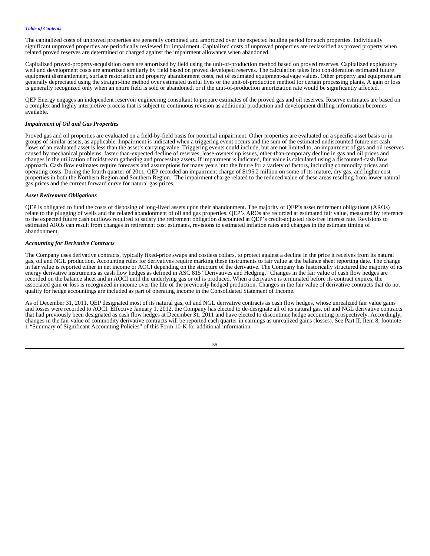The capitalized costs of unproved properties are generally combined and amortized over the expected holding period for such properties. Individually significant unproved properties are periodically reviewed for impairment. Capitalized costs of unproved properties are reclassified as proved property when related proved reserves are determined or charged against the impairment allowance when abandoned.

Capitalized proved-property-acquisition costs are amortized by field using the unit-of-production method based on proved reserves. Capitalized exploratory well and development costs are amortized similarly by field based on proved developed reserves. The calculation takes into consideration estimated future equipment dismantlement, surface restoration and property abandonment costs, net of estimated equipment-salvage values. Other property and equipment are generally depreciated using the straight-line method over estimated useful lives or the unit-of-production method for certain processing plants. A gain or loss is generally recognized only when an entire field is sold or abandoned, or if the unit-of-production amortization rate would be significantly affected.

QEP Energy engages an independent reservoir engineering consultant to prepare estimates of the proved gas and oil reserves. Reserve estimates are based on a complex and highly interpretive process that is subject to continuous revision as additional production and development drilling information becomes available.

## *Impairment of Oil and Gas Properties*

Proved gas and oil properties are evaluated on a field-by-field basis for potential impairment. Other properties are evaluated on a specific-asset basis or in groups of similar assets, as applicable. Impairment is indicated when a triggering event occurs and the sum of the estimated undiscounted future net cash flows of an evaluated asset is less than the asset's carrying value. Triggering events could include, but are not limited to, an impairment of gas and oil reserves caused by mechanical problems, faster-than-expected decline of reserves, lease-ownership issues, other-than-temporary decline in gas and oil prices and changes in the utilization of midstream gathering and processing assets. If impairment is indicated, fair value is calculated using a discounted-cash flow approach. Cash flow estimates require forecasts and assumptions for many years into the future for a variety of factors, including commodity prices and operating costs. During the fourth quarter of 2011, QEP recorded an impairment charge of \$195.2 million on some of its mature, dry gas, and higher cost properties in both the Northern Region and Southern Region. The impairment charge related to the reduced value of these areas resulting from lower natural gas prices and the current forward curve for natural gas prices.

## *Asset Retirement Obligations*

QEP is obligated to fund the costs of disposing of long-lived assets upon their abandonment. The majority of QEP's asset retirement obligations (AROs) relate to the plugging of wells and the related abandonment of oil and gas properties. QEP's AROs are recorded at estimated fair value, measured by reference to the expected future cash outflows required to satisfy the retirement obligation discounted at QEP's credit-adjusted risk-free interest rate. Revisions to estimated AROs can result from changes in retirement cost estimates, revisions to estimated inflation rates and changes in the estimate timing of abandonment.

### *Accounting for Derivative Contracts*

The Company uses derivative contracts, typically fixed-price swaps and costless collars, to protect against a decline in the price it receives from its natural gas, oil and NGL production. Accounting rules for derivatives require marking these instruments to fair value at the balance sheet reporting date. The change in fair value is reported either in net income or AOCI depending on the structure of the derivative. The Company has historically structured the majority of its energy derivative instruments as cash flow hedges as defined in ASC 815 "Derivatives and Hedging." Changes in the fair value of cash flow hedges are recorded on the balance sheet and in AOCI until the underlying gas or oil is produced. When a derivative is terminated before its contract expires, the associated gain or loss is recognized in income over the life of the previously hedged production. Changes in the fair value of derivative contracts that do not qualify for hedge accountings are included as part of operating income in the Consolidated Statement of Income.

As of December 31, 2011, QEP designated most of its natural gas, oil and NGL derivative contracts as cash flow hedges, whose unrealized fair value gains and losses were recorded to AOCI. Effective January 1, 2012, the Company has elected to de-designate all of its natural gas, oil and NGL derivative contracts that had previously been designated as cash flow hedges at December 31, 2011 and have elected to discontinue hedge accounting prospectively. Accordingly, changes in the fair value of commodity derivative contracts will be reported each quarter in earnings as unrealized gains (losses). See Part II, Item 8, footnote 1 "Summary of Significant Accounting Policies" of this Form 10-K for additional information.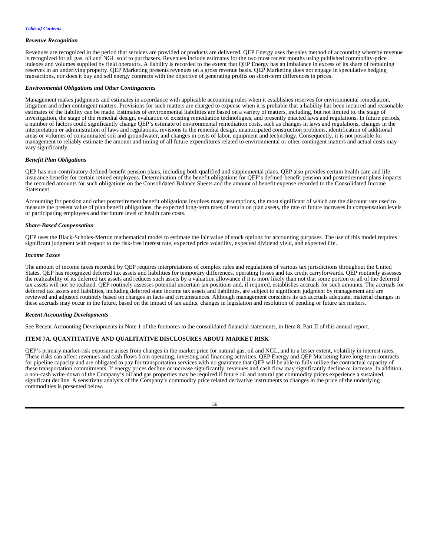#### *Revenue Recognition*

Revenues are recognized in the period that services are provided or products are delivered. QEP Energy uses the sales method of accounting whereby revenue is recognized for all gas, oil and NGL sold to purchasers. Revenues include estimates for the two most recent months using published commodity-price indexes and volumes supplied by field operators. A liability is recorded to the extent that QEP Energy has an imbalance in excess of its share of remaining reserves in an underlying property. QEP Marketing presents revenues on a gross revenue basis. QEP Marketing does not engage in speculative hedging transactions, nor does it buy and sell energy contracts with the objective of generating profits on short-term differences in prices.

# *Environmental Obligations and Other Contingencies*

Management makes judgments and estimates in accordance with applicable accounting rules when it establishes reserves for environmental remediation, litigation and other contingent matters. Provisions for such matters are charged to expense when it is probable that a liability has been incurred and reasonable estimates of the liability can be made. Estimates of environmental liabilities are based on a variety of matters, including, but not limited to, the stage of investigation, the stage of the remedial design, evaluation of existing remediation technologies, and presently enacted laws and regulations. In future periods, a number of factors could significantly change QEP's estimate of environmental remediation costs, such as changes in laws and regulations, changes in the interpretation or administration of laws and regulations, revisions to the remedial design, unanticipated construction problems, identification of additional areas or volumes of contaminated soil and groundwater, and changes in costs of labor, equipment and technology. Consequently, it is not possible for management to reliably estimate the amount and timing of all future expenditures related to environmental or other contingent matters and actual costs may vary significantly.

### *Benefit Plan Obligations*

QEP has non-contributory defined-benefit pension plans, including both qualified and supplemental plans. QEP also provides certain health care and life insurance benefits for certain retired employees. Determination of the benefit obligations for QEP's defined-benefit pension and postretirement plans impacts the recorded amounts for such obligations on the Consolidated Balance Sheets and the amount of benefit expense recorded to the Consolidated Income Statement.

Accounting for pension and other postretirement benefit obligations involves many assumptions, the most significant of which are the discount rate used to measure the present value of plan benefit obligations, the expected long-term rates of return on plan assets, the rate of future increases in compensation levels of participating employees and the future level of health care costs.

#### *Share-Based Compensation*

QEP uses the Black-Scholes-Merton mathematical model to estimate the fair value of stock options for accounting purposes. The use of this model requires significant judgment with respect to the risk-free interest rate, expected price volatility, expected dividend yield, and expected life.

#### *Income Taxes*

The amount of income taxes recorded by QEP requires interpretations of complex rules and regulations of various tax jurisdictions throughout the United States. QEP has recognized deferred tax assets and liabilities for temporary differences, operating losses and tax credit carryforwards. QEP routinely assesses the realizability of its deferred tax assets and reduces such assets by a valuation allowance if it is more likely than not that some portion or all of the deferred tax assets will not be realized. QEP routinely assesses potential uncertain tax positions and, if required, establishes accruals for such amounts. The accruals for deferred tax assets and liabilities, including deferred state income tax assets and liabilities, are subject to significant judgment by management and are reviewed and adjusted routinely based on changes in facts and circumstances. Although management considers its tax accruals adequate, material changes in these accruals may occur in the future, based on the impact of tax audits, changes in legislation and resolution of pending or future tax matters.

#### *Recent Accounting Developments*

See Recent Accounting Developments in Note 1 of the footnotes to the consolidated financial statements, in Item 8, Part II of this annual report.

# **ITEM 7A. QUANTITATIVE AND QUALITATIVE DISCLOSURES ABOUT MARKET RISK**

QEP's primary market-risk exposure arises from changes in the market price for natural gas, oil and NGL, and to a lesser extent, volatility in interest rates. These risks can affect revenues and cash flows from operating, investing and financing activities. QEP Energy and QEP Marketing have long-term contracts for pipeline capacity and are obligated to pay for transportation services with no guarantee that QEP will be able to fully utilize the contractual capacity of these transportation commitments. If energy prices decline or increase significantly, revenues and cash flow may significantly decline or increase. In addition, a non-cash write-down of the Company's oil and gas properties may be required if future oil and natural gas commodity prices experience a sustained, significant decline. A sensitivity analysis of the Company's commodity price related derivative instruments to changes in the price of the underlying commodities is presented below.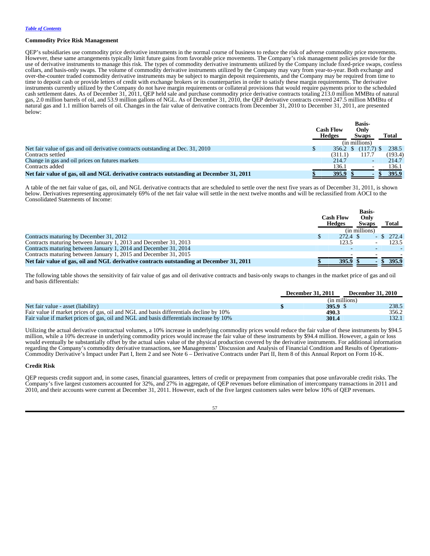#### **Commodity Price Risk Management**

QEP's subsidiaries use commodity price derivative instruments in the normal course of business to reduce the risk of adverse commodity price movements. However, these same arrangements typically limit future gains from favorable price movements. The Company's risk management policies provide for the use of derivative instruments to manage this risk. The types of commodity derivative instruments utilized by the Company include fixed-price swaps, costless collars, and basis-only swaps. The volume of commodity derivative instruments utilized by the Company may vary from year-to-year. Both exchange and over-the-counter traded commodity derivative instruments may be subject to margin deposit requirements, and the Company may be required from time to time to deposit cash or provide letters of credit with exchange brokers or its counterparties in order to satisfy these margin requirements. The derivative instruments currently utilized by the Company do not have margin requirements or collateral provisions that would require payments prior to the scheduled cash settlement dates. As of December 31, 2011, QEP held sale and purchase commodity price derivative contracts totaling 213.0 million MMBtu of natural gas, 2.0 million barrels of oil, and 53.9 million gallons of NGL. As of December 31, 2010, the QEP derivative contracts covered 247.5 million MMBtu of natural gas and 1.1 million barrels of oil. Changes in the fair value of derivative contracts from December 31, 2010 to December 31, 2011, are presented below:

|                                                                                          | <b>Cash Flow</b><br><b>Hedges</b> |               | <b>Basis-</b><br>Only<br><b>Swaps</b> |         |
|------------------------------------------------------------------------------------------|-----------------------------------|---------------|---------------------------------------|---------|
|                                                                                          |                                   | (in millions) |                                       |         |
| Net fair value of gas and oil derivative contracts outstanding at Dec. 31, 2010          | 356.2 \$                          |               | $(117.7)$ \$                          | 238.5   |
| Contracts settled                                                                        | (311.1)                           |               | 117.7                                 | (193.4) |
| Change in gas and oil prices on futures markets                                          | 214.7                             |               | $\sim$                                | 214.7   |
| Contracts added                                                                          | 136.1                             |               |                                       | 136.1   |
| Net fair value of gas, oil and NGL derivative contracts outstanding at December 31, 2011 | 395.9                             |               |                                       | 395.9   |

A table of the net fair value of gas, oil, and NGL derivative contracts that are scheduled to settle over the next five years as of December 31, 2011, is shown below. Derivatives representing approximately 69% of the net fair value will settle in the next twelve months and will be reclassified from AOCI to the Consolidated Statements of Income:

|                                                                                          |                  | <b>Basis-</b>      |               |  |         |
|------------------------------------------------------------------------------------------|------------------|--------------------|---------------|--|---------|
|                                                                                          | <b>Cash Flow</b> |                    | Only          |  |         |
|                                                                                          | <b>Hedges</b>    |                    | <b>Swaps</b>  |  | Total   |
|                                                                                          |                  |                    | (in millions) |  |         |
| Contracts maturing by December 31, 2012                                                  |                  | 272.4 \$           |               |  | \$272.4 |
| Contracts maturing between January 1, 2013 and December 31, 2013                         |                  | 123.5              |               |  | 123.5   |
| Contracts maturing between January 1, 2014 and December 31, 2014                         |                  |                    |               |  |         |
| Contracts maturing between January 1, 2015 and December 31, 2015                         |                  |                    |               |  |         |
| Net fair value of gas, oil and NGL derivative contracts outstanding at December 31, 2011 |                  | 395.9 <sup>8</sup> |               |  | 395.9   |

The following table shows the sensitivity of fair value of gas and oil derivative contracts and basis-only swaps to changes in the market price of gas and oil and basis differentials:

|                                                                                         |               | <b>December 31, 2011</b> | <b>December 31, 2010</b> |  |
|-----------------------------------------------------------------------------------------|---------------|--------------------------|--------------------------|--|
|                                                                                         | (in millions) |                          |                          |  |
| Net fair value - asset (liability)                                                      |               | 395.9 <sup>8</sup>       | 238.5                    |  |
| Fair value if market prices of gas, oil and NGL and basis differentials decline by 10%  |               | 490.3                    | 356.2                    |  |
| Fair value if market prices of gas, oil and NGL and basis differentials increase by 10% |               | 301.4                    | 132.1                    |  |

Utilizing the actual derivative contractual volumes, a 10% increase in underlying commodity prices would reduce the fair value of these instruments by \$94.5 million, while a 10% decrease in underlying commodity prices would increase the fair value of these instruments by \$94.4 million. However, a gain or loss would eventually be substantially offset by the actual sales value of the physical production covered by the derivative instruments. For additional information regarding the Company's commodity derivative transactions, see Managements' Discussion and Analysis of Financial Condition and Results of Operations-Commodity Derivative's Impact under Part I, Item 2 and see Note 6 – Derivative Contracts under Part II, Item 8 of this Annual Report on Form 10-K.

## **Credit Risk**

QEP requests credit support and, in some cases, financial guarantees, letters of credit or prepayment from companies that pose unfavorable credit risks. The Company's five largest customers accounted for 32%, and 27% in aggregate, of QEP revenues before elimination of intercompany transactions in 2011 and 2010, and their accounts were current at December 31, 2011. However, each of the five largest customers sales were below 10% of QEP revenues.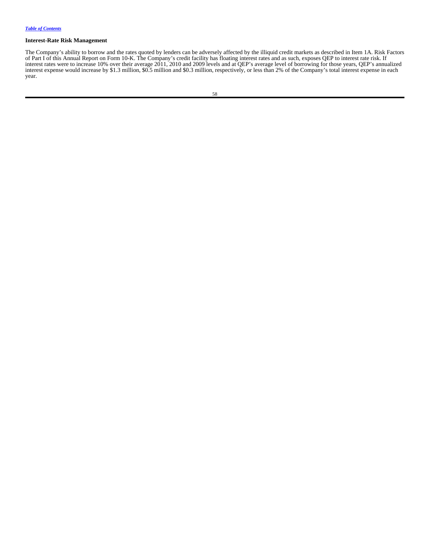### **Interest-Rate Risk Management**

The Company's ability to borrow and the rates quoted by lenders can be adversely affected by the illiquid credit markets as described in Item 1A. Risk Factors of Part I of this Annual Report on Form 10-K. The Company's credit facility has floating interest rates and as such, exposes QEP to interest rate risk. If interest rates were to increase 10% over their average 2011, 2010 and 2009 levels and at QEP's average level of borrowing for those years, QEP's annualized interest expense would increase by \$1.3 million, \$0.5 million and \$0.3 million, respectively, or less than 2% of the Company's total interest expense in each year.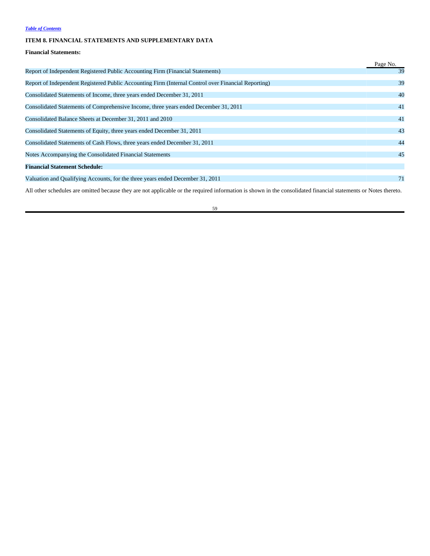# **ITEM 8. FINANCIAL STATEMENTS AND SUPPLEMENTARY DATA**

# **Financial Statements:**

|                                                                                                     | Page No. |
|-----------------------------------------------------------------------------------------------------|----------|
| Report of Independent Registered Public Accounting Firm (Financial Statements)                      | 39       |
| Report of Independent Registered Public Accounting Firm (Internal Control over Financial Reporting) | 39       |
| Consolidated Statements of Income, three years ended December 31, 2011                              | 40       |
| Consolidated Statements of Comprehensive Income, three years ended December 31, 2011                | 41       |
| Consolidated Balance Sheets at December 31, 2011 and 2010                                           | 41       |
| Consolidated Statements of Equity, three years ended December 31, 2011                              | 43       |
| Consolidated Statements of Cash Flows, three years ended December 31, 2011                          | 44       |
| Notes Accompanying the Consolidated Financial Statements                                            | 45       |
| <b>Financial Statement Schedule:</b>                                                                |          |
| Valuation and Oualifying Accounts, for the three years ended December 31, 2011                      | 71       |

All other schedules are omitted because they are not applicable or the required information is shown in the consolidated financial statements or Notes thereto.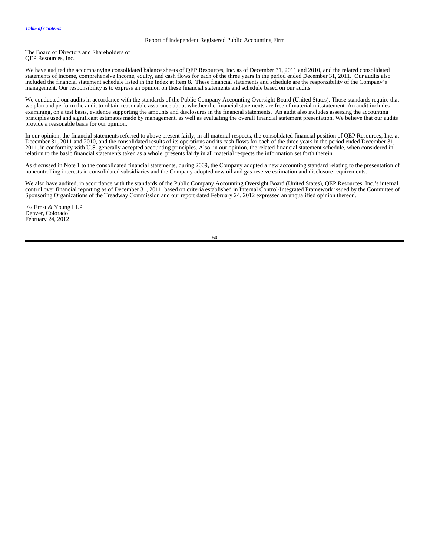## Report of Independent Registered Public Accounting Firm

The Board of Directors and Shareholders of QEP Resources, Inc.

We have audited the accompanying consolidated balance sheets of QEP Resources, Inc. as of December 31, 2011 and 2010, and the related consolidated statements of income, comprehensive income, equity, and cash flows for each of the three years in the period ended December 31, 2011. Our audits also included the financial statement schedule listed in the Index at Item 8. These financial statements and schedule are the responsibility of the Company's management. Our responsibility is to express an opinion on these financial statements and schedule based on our audits.

We conducted our audits in accordance with the standards of the Public Company Accounting Oversight Board (United States). Those standards require that we plan and perform the audit to obtain reasonable assurance about whether the financial statements are free of material misstatement. An audit includes examining, on a test basis, evidence supporting the amounts and disclosures in the financial statements. An audit also includes assessing the accounting principles used and significant estimates made by management, as well as evaluating the overall financial statement presentation. We believe that our audits provide a reasonable basis for our opinion.

In our opinion, the financial statements referred to above present fairly, in all material respects, the consolidated financial position of QEP Resources, Inc. at December 31, 2011 and 2010, and the consolidated results of its operations and its cash flows for each of the three years in the period ended December 31, 2011, in conformity with U.S. generally accepted accounting principles. Also, in our opinion, the related financial statement schedule, when considered in relation to the basic financial statements taken as a whole, presents fairly in all material respects the information set forth therein.

As discussed in Note 1 to the consolidated financial statements, during 2009, the Company adopted a new accounting standard relating to the presentation of noncontrolling interests in consolidated subsidiaries and the Company adopted new oil and gas reserve estimation and disclosure requirements.

We also have audited, in accordance with the standards of the Public Company Accounting Oversight Board (United States), QEP Resources, Inc.'s internal control over financial reporting as of December 31, 2011, based on criteria established in Internal Control-Integrated Framework issued by the Committee of Sponsoring Organizations of the Treadway Commission and our report dated February 24, 2012 expressed an unqualified opinion thereon.

 /s/ Ernst & Young LLP Denver, Colorado February 24, 2012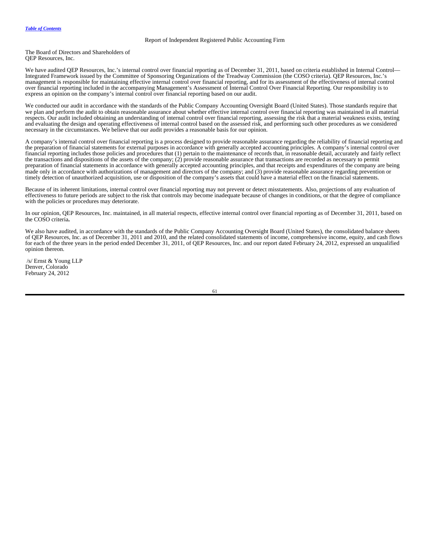# Report of Independent Registered Public Accounting Firm

The Board of Directors and Shareholders of QEP Resources, Inc.

We have audited QEP Resources, Inc.'s internal control over financial reporting as of December 31, 2011, based on criteria established in Internal Control— Integrated Framework issued by the Committee of Sponsoring Organizations of the Treadway Commission (the COSO criteria). QEP Resources, Inc.'s management is responsible for maintaining effective internal control over financial reporting, and for its assessment of the effectiveness of internal control over financial reporting included in the accompanying Management's Assessment of Internal Control Over Financial Reporting. Our responsibility is to express an opinion on the company's internal control over financial reporting based on our audit.

We conducted our audit in accordance with the standards of the Public Company Accounting Oversight Board (United States). Those standards require that we plan and perform the audit to obtain reasonable assurance about whether effective internal control over financial reporting was maintained in all material respects. Our audit included obtaining an understanding of internal control over financial reporting, assessing the risk that a material weakness exists, testing and evaluating the design and operating effectiveness of internal control based on the assessed risk, and performing such other procedures as we considered necessary in the circumstances. We believe that our audit provides a reasonable basis for our opinion.

A company's internal control over financial reporting is a process designed to provide reasonable assurance regarding the reliability of financial reporting and the preparation of financial statements for external purposes in accordance with generally accepted accounting principles. A company's internal control over financial reporting includes those policies and procedures that (1) pertain to the maintenance of records that, in reasonable detail, accurately and fairly reflect the transactions and dispositions of the assets of the company; (2) provide reasonable assurance that transactions are recorded as necessary to permit preparation of financial statements in accordance with generally accepted accounting principles, and that receipts and expenditures of the company are being made only in accordance with authorizations of management and directors of the company; and (3) provide reasonable assurance regarding prevention or timely detection of unauthorized acquisition, use or disposition of the company's assets that could have a material effect on the financial statements.

Because of its inherent limitations, internal control over financial reporting may not prevent or detect misstatements. Also, projections of any evaluation of effectiveness to future periods are subject to the risk that controls may become inadequate because of changes in conditions, or that the degree of compliance with the policies or procedures may deteriorate.

In our opinion, QEP Resources, Inc. maintained, in all material respects, effective internal control over financial reporting as of December 31, 2011, based on the COSO criteria**.**

We also have audited, in accordance with the standards of the Public Company Accounting Oversight Board (United States), the consolidated balance sheets of QEP Resources, Inc. as of December 31, 2011 and 2010, and the related consolidated statements of income, comprehensive income, equity, and cash flows for each of the three years in the period ended December 31, 2011, of QEP Resources, Inc. and our report dated February 24, 2012, expressed an unqualified opinion thereon.

 /s/ Ernst & Young LLP Denver, Colorado February 24, 2012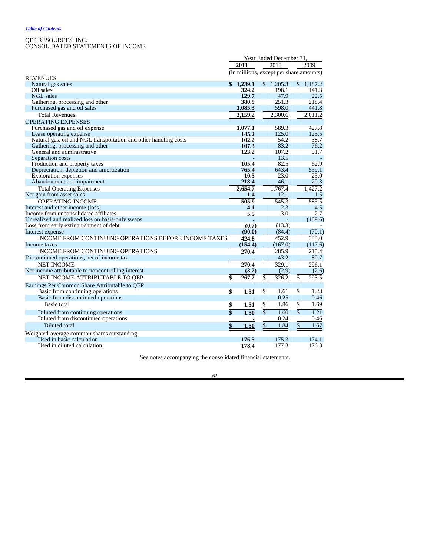# QEP RESOURCES, INC. CONSOLIDATED STATEMENTS OF INCOME

| 2010<br>2009<br>2011<br>(in millions, except per share amounts)<br><b>REVENUES</b><br>1,239.1<br>Natural gas sales<br>\$1,205.3<br>\$1,187.2<br>324.2<br>Oil sales<br>198.1<br>141.3<br><b>NGL</b> sales<br>129.7<br>47.9<br>22.5<br>Gathering, processing and other<br>380.9<br>251.3<br>218.4<br>Purchased gas and oil sales<br>1,085.3<br>598.0<br>441.8<br>2,300.6<br>2,011.2<br><b>Total Revenues</b><br>3,159.2<br><b>OPERATING EXPENSES</b><br>Purchased gas and oil expense<br>1,077.1<br>589.3<br>427.8<br>125.0<br>125.5<br>Lease operating expense<br>145.2<br>Natural gas, oil and NGL transportation and other handling costs<br>102.2<br>54.2<br>38.7<br>107.3<br>83.2<br>Gathering, processing and other<br>General and administrative<br>123.2<br>107.2<br>91.7<br>Separation costs<br>13.5<br>105.4<br>62.9<br>Production and property taxes<br>82.5<br>Depreciation, depletion and amortization<br>765.4<br>643.4<br>559.1<br>10.5<br>23.0<br>25.0<br><b>Exploration</b> expenses<br>218.4<br>20.3<br>Abandonment and impairment<br>46.1<br>2,654.7<br>1,767.4<br>1,427.2<br><b>Total Operating Expenses</b><br>12.1<br>Net gain from asset sales<br>1.5<br>1.4<br>505.9<br>$\overline{545.3}$<br>$\overline{585.5}$<br>OPERATING INCOME<br>2.3<br>4.5<br>Interest and other income (loss)<br>4.1<br>3.0<br>2.7<br>Income from unconsolidated affiliates<br>5.5<br>Unrealized and realized loss on basis-only swaps<br>(13.3)<br>(0.7)<br>Loss from early extinguishment of debt<br>(70.1)<br>(90.0)<br>(84.4)<br>Interest expense<br>$\overline{452.9}$<br>$\overline{333.0}$<br>INCOME FROM CONTINUING OPERATIONS BEFORE INCOME TAXES<br>424.8<br>Income taxes<br>(167.0)<br>(154.4)<br>$\overline{270.4}$<br>$\overline{215.4}$<br><b>INCOME FROM CONTINUING OPERATIONS</b><br>285.9<br>Discontinued operations, net of income tax<br>43.2<br>80.7<br><b>NET INCOME</b><br>329.1<br>270.4<br>296.1<br>(3.2)<br>(2.6)<br>Net income attributable to noncontrolling interest<br>(2.9)<br>$\overline{293.5}$<br>267.2<br>$\frac{1}{326.2}$<br>\$<br>NET INCOME ATTRIBUTABLE TO OEP<br>\$<br>\$<br>Earnings Per Common Share Attributable to OEP<br>\$<br>1.51<br>\$<br>\$<br>Basic from continuing operations<br>1.23<br>1.61<br>0.46<br>Basic from discontinued operations<br>0.25<br>\$<br>1.86<br>\$<br>Basic total<br>1.51<br>1.69<br>$\overline{\$}$<br>$\bar{s}$<br>1.50<br>1.60<br>1.21<br>Diluted from continuing operations<br>Diluted from discontinued operations<br>0.24<br>0.46<br>$\overline{\$}$<br>\$<br>1.50<br>1.67<br>Diluted total<br>\$<br>1.84<br>Weighted-average common shares outstanding<br>176.5<br>174.1<br>Used in basic calculation<br>175.3<br>176.3<br>Used in diluted calculation<br>178.4<br>177.3 | Year Ended December 31, |  |  |  |  |         |
|--------------------------------------------------------------------------------------------------------------------------------------------------------------------------------------------------------------------------------------------------------------------------------------------------------------------------------------------------------------------------------------------------------------------------------------------------------------------------------------------------------------------------------------------------------------------------------------------------------------------------------------------------------------------------------------------------------------------------------------------------------------------------------------------------------------------------------------------------------------------------------------------------------------------------------------------------------------------------------------------------------------------------------------------------------------------------------------------------------------------------------------------------------------------------------------------------------------------------------------------------------------------------------------------------------------------------------------------------------------------------------------------------------------------------------------------------------------------------------------------------------------------------------------------------------------------------------------------------------------------------------------------------------------------------------------------------------------------------------------------------------------------------------------------------------------------------------------------------------------------------------------------------------------------------------------------------------------------------------------------------------------------------------------------------------------------------------------------------------------------------------------------------------------------------------------------------------------------------------------------------------------------------------------------------------------------------------------------------------------------------------------------------------------------------------------------------------------------------------------------------------------------------------------------------------------------------------------------------------------------------------------------------------------------------------------------------------------------------------------------------------|-------------------------|--|--|--|--|---------|
|                                                                                                                                                                                                                                                                                                                                                                                                                                                                                                                                                                                                                                                                                                                                                                                                                                                                                                                                                                                                                                                                                                                                                                                                                                                                                                                                                                                                                                                                                                                                                                                                                                                                                                                                                                                                                                                                                                                                                                                                                                                                                                                                                                                                                                                                                                                                                                                                                                                                                                                                                                                                                                                                                                                                                        |                         |  |  |  |  |         |
|                                                                                                                                                                                                                                                                                                                                                                                                                                                                                                                                                                                                                                                                                                                                                                                                                                                                                                                                                                                                                                                                                                                                                                                                                                                                                                                                                                                                                                                                                                                                                                                                                                                                                                                                                                                                                                                                                                                                                                                                                                                                                                                                                                                                                                                                                                                                                                                                                                                                                                                                                                                                                                                                                                                                                        |                         |  |  |  |  |         |
|                                                                                                                                                                                                                                                                                                                                                                                                                                                                                                                                                                                                                                                                                                                                                                                                                                                                                                                                                                                                                                                                                                                                                                                                                                                                                                                                                                                                                                                                                                                                                                                                                                                                                                                                                                                                                                                                                                                                                                                                                                                                                                                                                                                                                                                                                                                                                                                                                                                                                                                                                                                                                                                                                                                                                        |                         |  |  |  |  |         |
|                                                                                                                                                                                                                                                                                                                                                                                                                                                                                                                                                                                                                                                                                                                                                                                                                                                                                                                                                                                                                                                                                                                                                                                                                                                                                                                                                                                                                                                                                                                                                                                                                                                                                                                                                                                                                                                                                                                                                                                                                                                                                                                                                                                                                                                                                                                                                                                                                                                                                                                                                                                                                                                                                                                                                        |                         |  |  |  |  |         |
|                                                                                                                                                                                                                                                                                                                                                                                                                                                                                                                                                                                                                                                                                                                                                                                                                                                                                                                                                                                                                                                                                                                                                                                                                                                                                                                                                                                                                                                                                                                                                                                                                                                                                                                                                                                                                                                                                                                                                                                                                                                                                                                                                                                                                                                                                                                                                                                                                                                                                                                                                                                                                                                                                                                                                        |                         |  |  |  |  |         |
|                                                                                                                                                                                                                                                                                                                                                                                                                                                                                                                                                                                                                                                                                                                                                                                                                                                                                                                                                                                                                                                                                                                                                                                                                                                                                                                                                                                                                                                                                                                                                                                                                                                                                                                                                                                                                                                                                                                                                                                                                                                                                                                                                                                                                                                                                                                                                                                                                                                                                                                                                                                                                                                                                                                                                        |                         |  |  |  |  |         |
|                                                                                                                                                                                                                                                                                                                                                                                                                                                                                                                                                                                                                                                                                                                                                                                                                                                                                                                                                                                                                                                                                                                                                                                                                                                                                                                                                                                                                                                                                                                                                                                                                                                                                                                                                                                                                                                                                                                                                                                                                                                                                                                                                                                                                                                                                                                                                                                                                                                                                                                                                                                                                                                                                                                                                        |                         |  |  |  |  |         |
|                                                                                                                                                                                                                                                                                                                                                                                                                                                                                                                                                                                                                                                                                                                                                                                                                                                                                                                                                                                                                                                                                                                                                                                                                                                                                                                                                                                                                                                                                                                                                                                                                                                                                                                                                                                                                                                                                                                                                                                                                                                                                                                                                                                                                                                                                                                                                                                                                                                                                                                                                                                                                                                                                                                                                        |                         |  |  |  |  |         |
|                                                                                                                                                                                                                                                                                                                                                                                                                                                                                                                                                                                                                                                                                                                                                                                                                                                                                                                                                                                                                                                                                                                                                                                                                                                                                                                                                                                                                                                                                                                                                                                                                                                                                                                                                                                                                                                                                                                                                                                                                                                                                                                                                                                                                                                                                                                                                                                                                                                                                                                                                                                                                                                                                                                                                        |                         |  |  |  |  |         |
|                                                                                                                                                                                                                                                                                                                                                                                                                                                                                                                                                                                                                                                                                                                                                                                                                                                                                                                                                                                                                                                                                                                                                                                                                                                                                                                                                                                                                                                                                                                                                                                                                                                                                                                                                                                                                                                                                                                                                                                                                                                                                                                                                                                                                                                                                                                                                                                                                                                                                                                                                                                                                                                                                                                                                        |                         |  |  |  |  |         |
|                                                                                                                                                                                                                                                                                                                                                                                                                                                                                                                                                                                                                                                                                                                                                                                                                                                                                                                                                                                                                                                                                                                                                                                                                                                                                                                                                                                                                                                                                                                                                                                                                                                                                                                                                                                                                                                                                                                                                                                                                                                                                                                                                                                                                                                                                                                                                                                                                                                                                                                                                                                                                                                                                                                                                        |                         |  |  |  |  |         |
|                                                                                                                                                                                                                                                                                                                                                                                                                                                                                                                                                                                                                                                                                                                                                                                                                                                                                                                                                                                                                                                                                                                                                                                                                                                                                                                                                                                                                                                                                                                                                                                                                                                                                                                                                                                                                                                                                                                                                                                                                                                                                                                                                                                                                                                                                                                                                                                                                                                                                                                                                                                                                                                                                                                                                        |                         |  |  |  |  |         |
|                                                                                                                                                                                                                                                                                                                                                                                                                                                                                                                                                                                                                                                                                                                                                                                                                                                                                                                                                                                                                                                                                                                                                                                                                                                                                                                                                                                                                                                                                                                                                                                                                                                                                                                                                                                                                                                                                                                                                                                                                                                                                                                                                                                                                                                                                                                                                                                                                                                                                                                                                                                                                                                                                                                                                        |                         |  |  |  |  |         |
|                                                                                                                                                                                                                                                                                                                                                                                                                                                                                                                                                                                                                                                                                                                                                                                                                                                                                                                                                                                                                                                                                                                                                                                                                                                                                                                                                                                                                                                                                                                                                                                                                                                                                                                                                                                                                                                                                                                                                                                                                                                                                                                                                                                                                                                                                                                                                                                                                                                                                                                                                                                                                                                                                                                                                        |                         |  |  |  |  | 76.2    |
|                                                                                                                                                                                                                                                                                                                                                                                                                                                                                                                                                                                                                                                                                                                                                                                                                                                                                                                                                                                                                                                                                                                                                                                                                                                                                                                                                                                                                                                                                                                                                                                                                                                                                                                                                                                                                                                                                                                                                                                                                                                                                                                                                                                                                                                                                                                                                                                                                                                                                                                                                                                                                                                                                                                                                        |                         |  |  |  |  |         |
|                                                                                                                                                                                                                                                                                                                                                                                                                                                                                                                                                                                                                                                                                                                                                                                                                                                                                                                                                                                                                                                                                                                                                                                                                                                                                                                                                                                                                                                                                                                                                                                                                                                                                                                                                                                                                                                                                                                                                                                                                                                                                                                                                                                                                                                                                                                                                                                                                                                                                                                                                                                                                                                                                                                                                        |                         |  |  |  |  |         |
|                                                                                                                                                                                                                                                                                                                                                                                                                                                                                                                                                                                                                                                                                                                                                                                                                                                                                                                                                                                                                                                                                                                                                                                                                                                                                                                                                                                                                                                                                                                                                                                                                                                                                                                                                                                                                                                                                                                                                                                                                                                                                                                                                                                                                                                                                                                                                                                                                                                                                                                                                                                                                                                                                                                                                        |                         |  |  |  |  |         |
|                                                                                                                                                                                                                                                                                                                                                                                                                                                                                                                                                                                                                                                                                                                                                                                                                                                                                                                                                                                                                                                                                                                                                                                                                                                                                                                                                                                                                                                                                                                                                                                                                                                                                                                                                                                                                                                                                                                                                                                                                                                                                                                                                                                                                                                                                                                                                                                                                                                                                                                                                                                                                                                                                                                                                        |                         |  |  |  |  |         |
|                                                                                                                                                                                                                                                                                                                                                                                                                                                                                                                                                                                                                                                                                                                                                                                                                                                                                                                                                                                                                                                                                                                                                                                                                                                                                                                                                                                                                                                                                                                                                                                                                                                                                                                                                                                                                                                                                                                                                                                                                                                                                                                                                                                                                                                                                                                                                                                                                                                                                                                                                                                                                                                                                                                                                        |                         |  |  |  |  |         |
|                                                                                                                                                                                                                                                                                                                                                                                                                                                                                                                                                                                                                                                                                                                                                                                                                                                                                                                                                                                                                                                                                                                                                                                                                                                                                                                                                                                                                                                                                                                                                                                                                                                                                                                                                                                                                                                                                                                                                                                                                                                                                                                                                                                                                                                                                                                                                                                                                                                                                                                                                                                                                                                                                                                                                        |                         |  |  |  |  |         |
|                                                                                                                                                                                                                                                                                                                                                                                                                                                                                                                                                                                                                                                                                                                                                                                                                                                                                                                                                                                                                                                                                                                                                                                                                                                                                                                                                                                                                                                                                                                                                                                                                                                                                                                                                                                                                                                                                                                                                                                                                                                                                                                                                                                                                                                                                                                                                                                                                                                                                                                                                                                                                                                                                                                                                        |                         |  |  |  |  |         |
|                                                                                                                                                                                                                                                                                                                                                                                                                                                                                                                                                                                                                                                                                                                                                                                                                                                                                                                                                                                                                                                                                                                                                                                                                                                                                                                                                                                                                                                                                                                                                                                                                                                                                                                                                                                                                                                                                                                                                                                                                                                                                                                                                                                                                                                                                                                                                                                                                                                                                                                                                                                                                                                                                                                                                        |                         |  |  |  |  |         |
|                                                                                                                                                                                                                                                                                                                                                                                                                                                                                                                                                                                                                                                                                                                                                                                                                                                                                                                                                                                                                                                                                                                                                                                                                                                                                                                                                                                                                                                                                                                                                                                                                                                                                                                                                                                                                                                                                                                                                                                                                                                                                                                                                                                                                                                                                                                                                                                                                                                                                                                                                                                                                                                                                                                                                        |                         |  |  |  |  |         |
|                                                                                                                                                                                                                                                                                                                                                                                                                                                                                                                                                                                                                                                                                                                                                                                                                                                                                                                                                                                                                                                                                                                                                                                                                                                                                                                                                                                                                                                                                                                                                                                                                                                                                                                                                                                                                                                                                                                                                                                                                                                                                                                                                                                                                                                                                                                                                                                                                                                                                                                                                                                                                                                                                                                                                        |                         |  |  |  |  |         |
|                                                                                                                                                                                                                                                                                                                                                                                                                                                                                                                                                                                                                                                                                                                                                                                                                                                                                                                                                                                                                                                                                                                                                                                                                                                                                                                                                                                                                                                                                                                                                                                                                                                                                                                                                                                                                                                                                                                                                                                                                                                                                                                                                                                                                                                                                                                                                                                                                                                                                                                                                                                                                                                                                                                                                        |                         |  |  |  |  |         |
|                                                                                                                                                                                                                                                                                                                                                                                                                                                                                                                                                                                                                                                                                                                                                                                                                                                                                                                                                                                                                                                                                                                                                                                                                                                                                                                                                                                                                                                                                                                                                                                                                                                                                                                                                                                                                                                                                                                                                                                                                                                                                                                                                                                                                                                                                                                                                                                                                                                                                                                                                                                                                                                                                                                                                        |                         |  |  |  |  | (189.6) |
|                                                                                                                                                                                                                                                                                                                                                                                                                                                                                                                                                                                                                                                                                                                                                                                                                                                                                                                                                                                                                                                                                                                                                                                                                                                                                                                                                                                                                                                                                                                                                                                                                                                                                                                                                                                                                                                                                                                                                                                                                                                                                                                                                                                                                                                                                                                                                                                                                                                                                                                                                                                                                                                                                                                                                        |                         |  |  |  |  |         |
|                                                                                                                                                                                                                                                                                                                                                                                                                                                                                                                                                                                                                                                                                                                                                                                                                                                                                                                                                                                                                                                                                                                                                                                                                                                                                                                                                                                                                                                                                                                                                                                                                                                                                                                                                                                                                                                                                                                                                                                                                                                                                                                                                                                                                                                                                                                                                                                                                                                                                                                                                                                                                                                                                                                                                        |                         |  |  |  |  |         |
|                                                                                                                                                                                                                                                                                                                                                                                                                                                                                                                                                                                                                                                                                                                                                                                                                                                                                                                                                                                                                                                                                                                                                                                                                                                                                                                                                                                                                                                                                                                                                                                                                                                                                                                                                                                                                                                                                                                                                                                                                                                                                                                                                                                                                                                                                                                                                                                                                                                                                                                                                                                                                                                                                                                                                        |                         |  |  |  |  |         |
|                                                                                                                                                                                                                                                                                                                                                                                                                                                                                                                                                                                                                                                                                                                                                                                                                                                                                                                                                                                                                                                                                                                                                                                                                                                                                                                                                                                                                                                                                                                                                                                                                                                                                                                                                                                                                                                                                                                                                                                                                                                                                                                                                                                                                                                                                                                                                                                                                                                                                                                                                                                                                                                                                                                                                        |                         |  |  |  |  | (117.6) |
|                                                                                                                                                                                                                                                                                                                                                                                                                                                                                                                                                                                                                                                                                                                                                                                                                                                                                                                                                                                                                                                                                                                                                                                                                                                                                                                                                                                                                                                                                                                                                                                                                                                                                                                                                                                                                                                                                                                                                                                                                                                                                                                                                                                                                                                                                                                                                                                                                                                                                                                                                                                                                                                                                                                                                        |                         |  |  |  |  |         |
|                                                                                                                                                                                                                                                                                                                                                                                                                                                                                                                                                                                                                                                                                                                                                                                                                                                                                                                                                                                                                                                                                                                                                                                                                                                                                                                                                                                                                                                                                                                                                                                                                                                                                                                                                                                                                                                                                                                                                                                                                                                                                                                                                                                                                                                                                                                                                                                                                                                                                                                                                                                                                                                                                                                                                        |                         |  |  |  |  |         |
|                                                                                                                                                                                                                                                                                                                                                                                                                                                                                                                                                                                                                                                                                                                                                                                                                                                                                                                                                                                                                                                                                                                                                                                                                                                                                                                                                                                                                                                                                                                                                                                                                                                                                                                                                                                                                                                                                                                                                                                                                                                                                                                                                                                                                                                                                                                                                                                                                                                                                                                                                                                                                                                                                                                                                        |                         |  |  |  |  |         |
|                                                                                                                                                                                                                                                                                                                                                                                                                                                                                                                                                                                                                                                                                                                                                                                                                                                                                                                                                                                                                                                                                                                                                                                                                                                                                                                                                                                                                                                                                                                                                                                                                                                                                                                                                                                                                                                                                                                                                                                                                                                                                                                                                                                                                                                                                                                                                                                                                                                                                                                                                                                                                                                                                                                                                        |                         |  |  |  |  |         |
|                                                                                                                                                                                                                                                                                                                                                                                                                                                                                                                                                                                                                                                                                                                                                                                                                                                                                                                                                                                                                                                                                                                                                                                                                                                                                                                                                                                                                                                                                                                                                                                                                                                                                                                                                                                                                                                                                                                                                                                                                                                                                                                                                                                                                                                                                                                                                                                                                                                                                                                                                                                                                                                                                                                                                        |                         |  |  |  |  |         |
|                                                                                                                                                                                                                                                                                                                                                                                                                                                                                                                                                                                                                                                                                                                                                                                                                                                                                                                                                                                                                                                                                                                                                                                                                                                                                                                                                                                                                                                                                                                                                                                                                                                                                                                                                                                                                                                                                                                                                                                                                                                                                                                                                                                                                                                                                                                                                                                                                                                                                                                                                                                                                                                                                                                                                        |                         |  |  |  |  |         |
|                                                                                                                                                                                                                                                                                                                                                                                                                                                                                                                                                                                                                                                                                                                                                                                                                                                                                                                                                                                                                                                                                                                                                                                                                                                                                                                                                                                                                                                                                                                                                                                                                                                                                                                                                                                                                                                                                                                                                                                                                                                                                                                                                                                                                                                                                                                                                                                                                                                                                                                                                                                                                                                                                                                                                        |                         |  |  |  |  |         |
|                                                                                                                                                                                                                                                                                                                                                                                                                                                                                                                                                                                                                                                                                                                                                                                                                                                                                                                                                                                                                                                                                                                                                                                                                                                                                                                                                                                                                                                                                                                                                                                                                                                                                                                                                                                                                                                                                                                                                                                                                                                                                                                                                                                                                                                                                                                                                                                                                                                                                                                                                                                                                                                                                                                                                        |                         |  |  |  |  |         |
|                                                                                                                                                                                                                                                                                                                                                                                                                                                                                                                                                                                                                                                                                                                                                                                                                                                                                                                                                                                                                                                                                                                                                                                                                                                                                                                                                                                                                                                                                                                                                                                                                                                                                                                                                                                                                                                                                                                                                                                                                                                                                                                                                                                                                                                                                                                                                                                                                                                                                                                                                                                                                                                                                                                                                        |                         |  |  |  |  |         |
|                                                                                                                                                                                                                                                                                                                                                                                                                                                                                                                                                                                                                                                                                                                                                                                                                                                                                                                                                                                                                                                                                                                                                                                                                                                                                                                                                                                                                                                                                                                                                                                                                                                                                                                                                                                                                                                                                                                                                                                                                                                                                                                                                                                                                                                                                                                                                                                                                                                                                                                                                                                                                                                                                                                                                        |                         |  |  |  |  |         |
|                                                                                                                                                                                                                                                                                                                                                                                                                                                                                                                                                                                                                                                                                                                                                                                                                                                                                                                                                                                                                                                                                                                                                                                                                                                                                                                                                                                                                                                                                                                                                                                                                                                                                                                                                                                                                                                                                                                                                                                                                                                                                                                                                                                                                                                                                                                                                                                                                                                                                                                                                                                                                                                                                                                                                        |                         |  |  |  |  |         |
|                                                                                                                                                                                                                                                                                                                                                                                                                                                                                                                                                                                                                                                                                                                                                                                                                                                                                                                                                                                                                                                                                                                                                                                                                                                                                                                                                                                                                                                                                                                                                                                                                                                                                                                                                                                                                                                                                                                                                                                                                                                                                                                                                                                                                                                                                                                                                                                                                                                                                                                                                                                                                                                                                                                                                        |                         |  |  |  |  |         |
|                                                                                                                                                                                                                                                                                                                                                                                                                                                                                                                                                                                                                                                                                                                                                                                                                                                                                                                                                                                                                                                                                                                                                                                                                                                                                                                                                                                                                                                                                                                                                                                                                                                                                                                                                                                                                                                                                                                                                                                                                                                                                                                                                                                                                                                                                                                                                                                                                                                                                                                                                                                                                                                                                                                                                        |                         |  |  |  |  |         |
|                                                                                                                                                                                                                                                                                                                                                                                                                                                                                                                                                                                                                                                                                                                                                                                                                                                                                                                                                                                                                                                                                                                                                                                                                                                                                                                                                                                                                                                                                                                                                                                                                                                                                                                                                                                                                                                                                                                                                                                                                                                                                                                                                                                                                                                                                                                                                                                                                                                                                                                                                                                                                                                                                                                                                        |                         |  |  |  |  |         |
|                                                                                                                                                                                                                                                                                                                                                                                                                                                                                                                                                                                                                                                                                                                                                                                                                                                                                                                                                                                                                                                                                                                                                                                                                                                                                                                                                                                                                                                                                                                                                                                                                                                                                                                                                                                                                                                                                                                                                                                                                                                                                                                                                                                                                                                                                                                                                                                                                                                                                                                                                                                                                                                                                                                                                        |                         |  |  |  |  |         |
|                                                                                                                                                                                                                                                                                                                                                                                                                                                                                                                                                                                                                                                                                                                                                                                                                                                                                                                                                                                                                                                                                                                                                                                                                                                                                                                                                                                                                                                                                                                                                                                                                                                                                                                                                                                                                                                                                                                                                                                                                                                                                                                                                                                                                                                                                                                                                                                                                                                                                                                                                                                                                                                                                                                                                        |                         |  |  |  |  |         |

See notes accompanying the consolidated financial statements.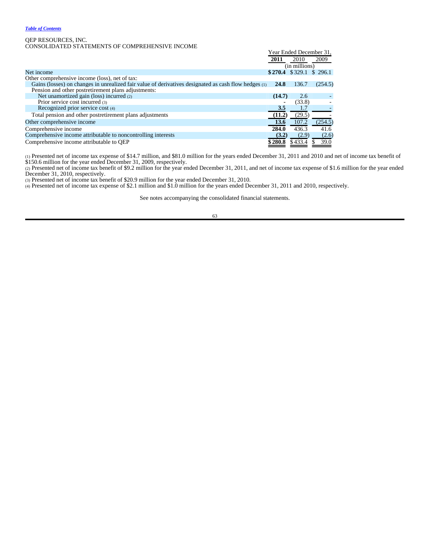QEP RESOURCES, INC.

# CONSOLIDATED STATEMENTS OF COMPREHENSIVE INCOME

|                                                                                                      |         | Year Ended December 31,  |         |
|------------------------------------------------------------------------------------------------------|---------|--------------------------|---------|
|                                                                                                      | 2011    | 2010                     | 2009    |
|                                                                                                      |         | (in millions)            |         |
| Net income                                                                                           |         | $$270.4 \$329.1 \$296.1$ |         |
| Other comprehensive income (loss), net of tax:                                                       |         |                          |         |
| Gains (losses) on changes in unrealized fair value of derivatives designated as cash flow hedges (1) | 24.8    | 136.7                    | (254.5) |
| Pension and other postretirement plans adjustments:                                                  |         |                          |         |
| Net unamortized gain (loss) incurred (2)                                                             | (14.7)  | 2.6                      |         |
| Prior service cost incurred (3)                                                                      |         | (33.8)                   |         |
| Recognized prior service cost (4)                                                                    | 3.5     | 1.7                      |         |
| Total pension and other postretirement plans adjustments                                             | (11.2)  | (29.5)                   |         |
| Other comprehensive income                                                                           | 13.6    | 107.2                    | (254.5) |
| Comprehensive income                                                                                 | 284.0   | 436.3                    | 41.6    |
| Comprehensive income attributable to noncontrolling interests                                        | (3.2)   | (2.9)                    | (2.6)   |
| Comprehensive income attributable to QEP                                                             | \$280.8 | \$433.4                  | 39.0    |

(1) Presented net of income tax expense of \$14.7 million, and \$81.0 million for the years ended December 31, 2011 and 2010 and net of income tax benefit of \$150.6 million for the year ended December 31, 2009, respectively.

(2) Presented net of income tax benefit of \$9.2 million for the year ended December 31, 2011, and net of income tax expense of \$1.6 million for the year ended December 31, 2010, respectively.

(3) Presented net of income tax benefit of \$20.9 million for the year ended December 31, 2010.

(4) Presented net of income tax expense of \$2.1 million and \$1.0 million for the years ended December 31, 2011 and 2010, respectively.

See notes accompanying the consolidated financial statements.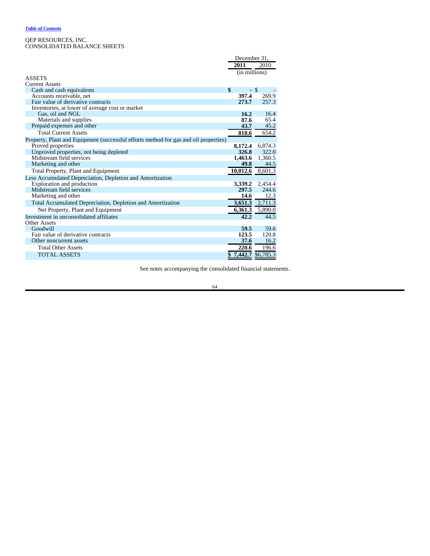### QEP RESOURCES, INC. CONSOLIDATED BALANCE SHEETS

|                                                                                       | December 31,     |                              |
|---------------------------------------------------------------------------------------|------------------|------------------------------|
|                                                                                       | 2011             | 2010                         |
|                                                                                       | (in millions)    |                              |
| <b>ASSETS</b>                                                                         |                  |                              |
| <b>Current Assets</b>                                                                 |                  |                              |
| Cash and cash equivalents                                                             | \$               | - \$                         |
| Accounts receivable, net                                                              | 397.4<br>273.7   | 269.9                        |
| Fair value of derivative contracts<br>Inventories, at lower of average cost or market |                  | 257.3                        |
| Gas, oil and NGL                                                                      | 16.2             | 16.4                         |
| Materials and supplies                                                                | 87.6             | 65.4                         |
| Prepaid expenses and other                                                            | 43.7             | 45.2                         |
| <b>Total Current Assets</b>                                                           | 818.6            | 654.2                        |
|                                                                                       |                  |                              |
| Property, Plant and Equipment (successful efforts method for gas and oil properties)  |                  |                              |
| Proved properties                                                                     | 8,172.4<br>326.8 | 6,874.3<br>322.0             |
| Unproved properties, not being depleted<br>Midstream field services                   | 1,463.6          | 1,360.5                      |
| Marketing and other                                                                   | 49.8             | 44.5                         |
|                                                                                       |                  |                              |
| Total Property, Plant and Equipment                                                   |                  | $10,012.6$ 8,601.3           |
| Less Accumulated Depreciation, Depletion and Amortization                             |                  |                              |
| Exploration and production                                                            | 3.339.2          | 2,454.4                      |
| Midstream field services                                                              | 297.5<br>14.6    | 244.6                        |
| Marketing and other                                                                   |                  | 12.3                         |
| Total Accumulated Depreciation, Depletion and Amortization                            |                  | $\overline{3,651.3}$ 2,711.3 |
| Net Property, Plant and Equipment                                                     | 6,361.3          | 5,890.0                      |
| Investment in unconsolidated affiliates                                               | 42.2             | 44.5                         |
| Other Assets                                                                          |                  |                              |
| Goodwill                                                                              | 59.5             | 59.6                         |
| Fair value of derivative contracts                                                    | 123.5            | 120.8                        |
| Other noncurrent assets                                                               | 37.6             | 16.2                         |
| <b>Total Other Assets</b>                                                             | 220.6            | 196.6                        |
| <b>TOTAL ASSETS</b>                                                                   | \$7,442.7        | \$6,785.3                    |

See notes accompanying the consolidated financial statements.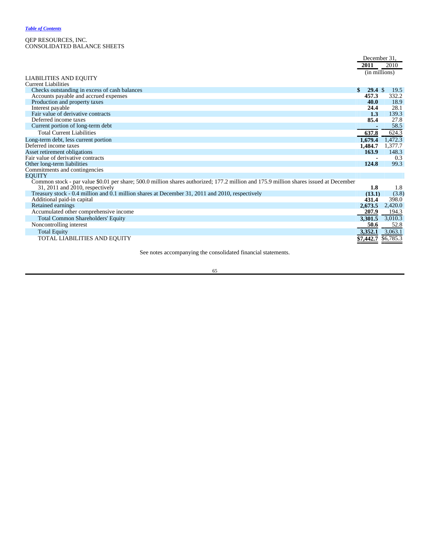| QEP RESOURCES, INC.         |
|-----------------------------|
| CONSOLIDATED BALANCE SHEETS |

|                                                                                                                                       | December 31.            |           |
|---------------------------------------------------------------------------------------------------------------------------------------|-------------------------|-----------|
|                                                                                                                                       | 2011                    | 2010      |
|                                                                                                                                       | (in millions)           |           |
| LIABILITIES AND EQUITY                                                                                                                |                         |           |
| Current Liabilities                                                                                                                   |                         |           |
| Checks outstanding in excess of cash balances                                                                                         | \$<br>$29.4\text{ }$\$$ | 19.5      |
| Accounts payable and accrued expenses                                                                                                 | 457.3                   | 332.2     |
| Production and property taxes                                                                                                         | 40.0                    | 18.9      |
| Interest payable                                                                                                                      | 24.4                    | 28.1      |
| Fair value of derivative contracts                                                                                                    | 1.3                     | 139.3     |
| Deferred income taxes                                                                                                                 | 85.4                    | 27.8      |
| Current portion of long-term debt                                                                                                     |                         | 58.5      |
| <b>Total Current Liabilities</b>                                                                                                      | 637.8                   | 624.3     |
| Long-term debt, less current portion                                                                                                  | 1,679.4                 | 1,472.3   |
| Deferred income taxes                                                                                                                 | 1,484.7                 | 1,377.7   |
| Asset retirement obligations                                                                                                          | 163.9                   | 148.3     |
| Fair value of derivative contracts                                                                                                    |                         | 0.3       |
| Other long-term liabilities                                                                                                           | 124.8                   | 99.3      |
| Commitments and contingencies                                                                                                         |                         |           |
| <b>EOUITY</b>                                                                                                                         |                         |           |
| Common stock - par value \$0.01 per share; 500.0 million shares authorized; 177.2 million and 175.9 million shares issued at December |                         |           |
| $31, 2011$ and $2010$ , respectively                                                                                                  | 1.8                     | 1.8       |
| Treasury stock - 0.4 million and 0.1 million shares at December 31, 2011 and 2010, respectively                                       | (13.1)                  | (3.8)     |
| Additional paid-in capital                                                                                                            | 431.4                   | 398.0     |
| Retained earnings                                                                                                                     | 2,673.5                 | 2,420.0   |
| Accumulated other comprehensive income                                                                                                | 207.9                   | 194.3     |
| <b>Total Common Shareholders' Equity</b>                                                                                              | 3,301.5                 | 3,010.3   |
| Noncontrolling interest                                                                                                               | 50.6                    | 52.8      |
| <b>Total Equity</b>                                                                                                                   | 3,352.1                 | 3,063.1   |
| TOTAL LIABILITIES AND EQUITY                                                                                                          | \$7,442.7               | \$6,785.3 |
|                                                                                                                                       |                         |           |

See notes accompanying the consolidated financial statements.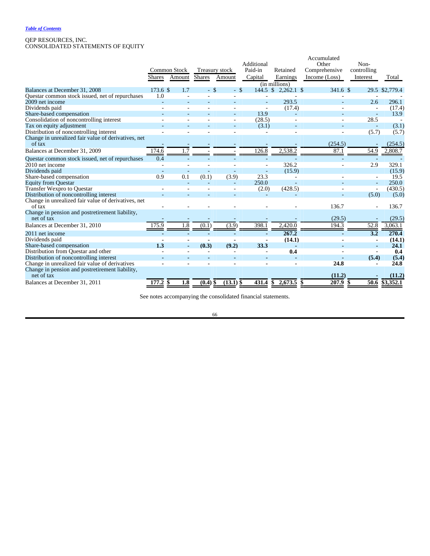# QEP RESOURCES, INC. CONSOLIDATED STATEMENTS OF EQUITY

|                                                               | Shares          | Common Stock<br>Amount | Treasury stock<br><b>Shares</b> | Amount      | Additional<br>Paid-in<br>Capital | Retained<br>Earnings<br>(in millions) | Accumulated<br>Other<br>Comprehensive<br>Income (Loss) | Non-<br>controlling<br>Interest | Total     |
|---------------------------------------------------------------|-----------------|------------------------|---------------------------------|-------------|----------------------------------|---------------------------------------|--------------------------------------------------------|---------------------------------|-----------|
| Balances at December 31, 2008                                 | $173.6~{\rm s}$ | 1.7                    | $-$ \$                          | $-$ \$      | 144.5                            | $2.262.1$ \$<br>$\mathcal{S}$         | 341.6 <sup>°</sup>                                     | 29.5                            | \$2,779.4 |
| Questar common stock issued, net of repurchases               | 1.0             |                        |                                 |             |                                  |                                       |                                                        |                                 |           |
| 2009 net income                                               |                 |                        |                                 |             |                                  | 293.5                                 |                                                        | 2.6                             | 296.1     |
| Dividends paid                                                |                 |                        |                                 |             |                                  | (17.4)                                |                                                        | ÷.                              | (17.4)    |
| Share-based compensation                                      |                 |                        |                                 |             | 13.9                             |                                       |                                                        |                                 | 13.9      |
| Consolidation of noncontrolling interest                      |                 |                        |                                 |             | (28.5)                           |                                       |                                                        | 28.5                            |           |
| Tax on equity adjustment                                      |                 |                        |                                 |             | (3.1)                            |                                       |                                                        |                                 | (3.1)     |
| Distribution of noncontrolling interest                       |                 |                        |                                 |             |                                  |                                       |                                                        | (5.7)                           | (5.7)     |
| Change in unrealized fair value of derivatives, net<br>of tax |                 |                        |                                 |             |                                  |                                       | (254.5)                                                |                                 | (254.5)   |
| Balances at December 31, 2009                                 | 174.6           |                        |                                 |             | 126.8                            | 2,538.2                               | 87.1                                                   | 54.9                            | 2,808.7   |
| Questar common stock issued, net of repurchases               | 0.4             |                        |                                 |             |                                  |                                       |                                                        |                                 |           |
| 2010 net income                                               |                 |                        |                                 |             |                                  | 326.2                                 |                                                        | 2.9                             | 329.1     |
| Dividends paid                                                |                 |                        |                                 |             |                                  | (15.9)                                |                                                        |                                 | (15.9)    |
| Share-based compensation                                      | 0.9             | 0.1                    | (0.1)                           | (3.9)       | 23.3                             |                                       |                                                        |                                 | 19.5      |
| <b>Equity from Questar</b>                                    |                 |                        |                                 |             | 250.0                            |                                       |                                                        |                                 | 250.0     |
| Transfer Wexpro to Questar                                    |                 |                        |                                 |             | (2.0)                            | (428.5)                               |                                                        | $\sim$                          | (430.5)   |
| Distribution of noncontrolling interest                       |                 |                        |                                 |             |                                  |                                       |                                                        | (5.0)                           | (5.0)     |
| Change in unrealized fair value of derivatives, net<br>of tax |                 |                        |                                 |             |                                  |                                       | 136.7                                                  |                                 | 136.7     |
| Change in pension and postretirement liability,<br>net of tax |                 |                        |                                 |             |                                  |                                       | (29.5)                                                 |                                 | (29.5)    |
| Balances at December 31, 2010                                 | 175.9           | 1.8                    | $\overline{(0.1)}$              | (3.9)       | 398.1                            | 2,420.0                               | 194.3                                                  | 52.8                            | 3,063.1   |
| 2011 net income                                               |                 | ٠                      |                                 |             |                                  | 267.2                                 |                                                        | 3.2                             | 270.4     |
| Dividends paid                                                |                 |                        |                                 |             |                                  | (14.1)                                |                                                        |                                 | (14.1)    |
| Share-based compensation                                      | 1.3             |                        | (0.3)                           | (9.2)       | 33.3                             |                                       |                                                        | ٠                               | 24.1      |
| Distribution from Questar and other                           |                 |                        | $\overline{\phantom{a}}$        |             |                                  | 0.4                                   |                                                        | $\sim$                          | 0.4       |
| Distribution of noncontrolling interest                       |                 |                        |                                 |             |                                  |                                       |                                                        | (5.4)                           | (5.4)     |
| Change in unrealized fair value of derivatives                |                 |                        |                                 |             |                                  |                                       | 24.8                                                   |                                 | 24.8      |
| Change in pension and postretirement liability,<br>net of tax |                 |                        |                                 |             |                                  |                                       | (11.2)                                                 |                                 | (11.2)    |
| Balances at December 31, 2011                                 | <u>177.2</u>    | 1.8                    | $(0.4)$ \$                      | $(13.1)$ \$ | 431.4                            | 2,673.5                               | 207.9                                                  | 50.6                            | \$3,352.1 |

See notes accompanying the consolidated financial statements.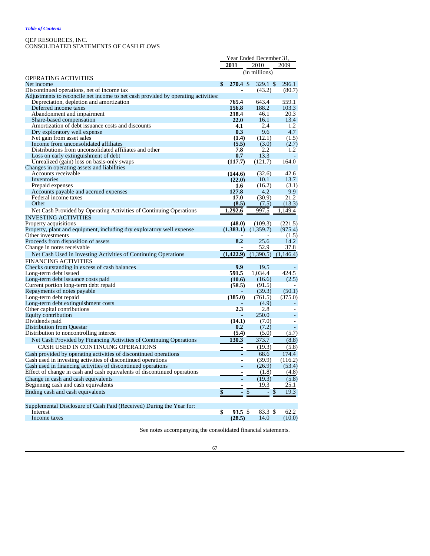# QEP RESOURCES, INC. CONSOLIDATED STATEMENTS OF CASH FLOWS

|                                                                                                                              | Year Ended December 31, |                         |                 |
|------------------------------------------------------------------------------------------------------------------------------|-------------------------|-------------------------|-----------------|
|                                                                                                                              | 2011                    | 2010                    | 2009            |
|                                                                                                                              |                         | $(in$ millions $)$      |                 |
| <b>OPERATING ACTIVITIES</b>                                                                                                  |                         |                         |                 |
| Net income                                                                                                                   | \$<br>$270.4~{\rm s}$   | $329.1$ \$              | 296.1           |
| Discontinued operations, net of income tax                                                                                   | $\blacksquare$          | (43.2)                  | (80.7)          |
| Adjustments to reconcile net income to net cash provided by operating activities:                                            |                         |                         |                 |
| Depreciation, depletion and amortization                                                                                     | 765.4                   | 643.4                   | 559.1           |
| Deferred income taxes<br>Abandonment and impairment                                                                          | 156.8                   | 188.2<br>46.1           | 103.3<br>20.3   |
| Share-based compensation                                                                                                     | 218.4<br>22.0           | 16.1                    | 13.4            |
| Amortization of debt issuance costs and discounts                                                                            | 4.1                     | 2.4                     | 1.2             |
| Dry exploratory well expense                                                                                                 | 0.3                     | 9.6                     | 4.7             |
| Net gain from asset sales                                                                                                    | (1.4)                   | (12.1)                  | (1.5)           |
| Income from unconsolidated affiliates                                                                                        | (5.5)                   | (3.0)                   | (2.7)           |
| Distributions from unconsolidated affiliates and other                                                                       | 7.8                     | 2.2                     | 1.2             |
| Loss on early extinguishment of debt                                                                                         | 0.7                     | 13.3                    |                 |
| Unrealized (gain) loss on basis-only swaps                                                                                   | (117.7)                 | (121.7)                 | 164.0           |
| Changes in operating assets and liabilities                                                                                  |                         |                         |                 |
| Accounts receivable                                                                                                          | (144.6)                 | (32.6)                  | 42.6            |
| Inventories                                                                                                                  | (22.0)                  | 10.1                    | 13.7            |
| Prepaid expenses                                                                                                             | 1.6                     | (16.2)                  | (3.1)           |
| Accounts payable and accrued expenses                                                                                        | 127.8                   | 4.2                     | 9.9             |
| Federal income taxes                                                                                                         | 17.0                    | (30.9)                  | 21.2            |
| Other                                                                                                                        | (8.5)                   | (7.5)                   | (13.3)          |
| Net Cash Provided by Operating Activities of Continuing Operations                                                           | 1,292.6                 | 997.5                   | 1,149.4         |
| <b>INVESTING ACTIVITIES</b>                                                                                                  |                         |                         |                 |
| Property acquisitions                                                                                                        | (48.0)                  | (109.3)                 | (221.5)         |
| Property, plant and equipment, including dry exploratory well expense                                                        |                         | $(1,383.1)$ $(1,359.7)$ | (975.4)         |
| Other investments                                                                                                            |                         |                         | (1.5)           |
| Proceeds from disposition of assets                                                                                          | 8.2                     | 25.6                    | 14.2            |
| Change in notes receivable                                                                                                   |                         | 52.9                    | 37.8            |
| Net Cash Used in Investing Activities of Continuing Operations                                                               | (1,422.9)               | (1,390.5)               | (1.146.4)       |
| <b>FINANCING ACTIVITIES</b>                                                                                                  |                         |                         |                 |
| Checks outstanding in excess of cash balances                                                                                | 9.9                     | 19.5                    |                 |
| Long-term debt issued                                                                                                        | 591.5                   | 1,034.4                 | 424.5           |
| Long-term debt issuance costs paid                                                                                           | (10.6)                  | (16.6)                  | (2.5)           |
| Current portion long-term debt repaid                                                                                        | (58.5)                  | (91.5)                  |                 |
| Repayments of notes payable                                                                                                  |                         | (39.3)                  | (50.1)          |
| Long-term debt repaid                                                                                                        | (385.0)                 | (761.5)                 | (375.0)         |
| Long-term debt extinguishment costs<br>Other capital contributions                                                           | 2.3                     | (4.9)<br>2.8            |                 |
| Equity contribution                                                                                                          |                         | 250.0                   |                 |
| Dividends paid                                                                                                               | (14.1)                  | (7.0)                   |                 |
| <b>Distribution from Questar</b>                                                                                             | $0.2\,$                 | (7.2)                   |                 |
| Distribution to noncontrolling interest                                                                                      | (5.4)                   | (5.0)                   | (5.7)           |
| Net Cash Provided by Financing Activities of Continuing Operations                                                           | 130.3                   | 373.7                   | (8.8)           |
| CASH USED IN CONTINUING OPERATIONS                                                                                           |                         | (19.3)                  | (5.8)           |
| Cash provided by operating activities of discontinued operations                                                             |                         | 68.6                    | 174.4           |
|                                                                                                                              | $\blacksquare$          | (39.9)                  | (116.2)         |
| Cash used in investing activities of discontinued operations<br>Cash used in financing activities of discontinued operations |                         | (26.9)                  | (53.4)          |
| Effect of change in cash and cash equivalents of discontinued operations                                                     |                         | (1.8)                   | (4.8)           |
| Change in cash and cash equivalents                                                                                          |                         | (19.3)                  | (5.8)           |
| Beginning cash and cash equivalents                                                                                          |                         | 19.3                    | 25.1            |
|                                                                                                                              |                         |                         | 19.3            |
| Ending cash and cash equivalents                                                                                             |                         | $\overline{\$}$         | $\overline{\$}$ |
|                                                                                                                              |                         |                         |                 |
| Supplemental Disclosure of Cash Paid (Received) During the Year for:                                                         |                         |                         |                 |
| Interest                                                                                                                     | 93.5 <sup>°</sup><br>\$ | 83.3 \$                 | 62.2            |
| Income taxes                                                                                                                 | (28.5)                  | 14.0                    | (10.0)          |

See notes accompanying the consolidated financial statements.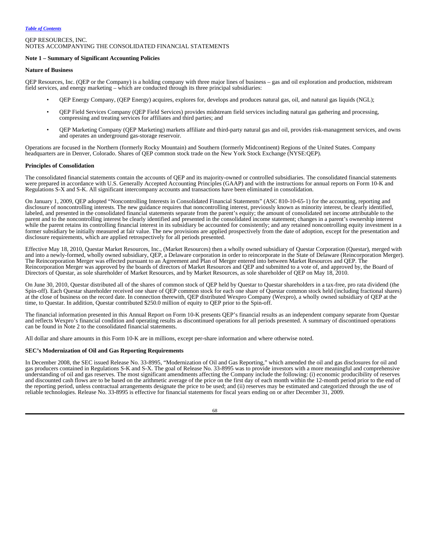# QEP RESOURCES, INC. NOTES ACCOMPANYING THE CONSOLIDATED FINANCIAL STATEMENTS

# **Note 1 – Summary of Significant Accounting Policies**

## **Nature of Business**

QEP Resources, Inc. (QEP or the Company) is a holding company with three major lines of business – gas and oil exploration and production, midstream field services, and energy marketing – which are conducted through its three principal subsidiaries:

- QEP Energy Company, (QEP Energy) acquires, explores for, develops and produces natural gas, oil, and natural gas liquids (NGL);
- QEP Field Services Company (QEP Field Services) provides midstream field services including natural gas gathering and processing, compressing and treating services for affiliates and third parties; and
- QEP Marketing Company (QEP Marketing) markets affiliate and third-party natural gas and oil, provides risk-management services, and owns and operates an underground gas-storage reservoir.

Operations are focused in the Northern (formerly Rocky Mountain) and Southern (formerly Midcontinent) Regions of the United States. Company headquarters are in Denver, Colorado. Shares of QEP common stock trade on the New York Stock Exchange (NYSE:QEP).

# **Principles of Consolidation**

The consolidated financial statements contain the accounts of QEP and its majority-owned or controlled subsidiaries. The consolidated financial statements were prepared in accordance with U.S. Generally Accepted Accounting Principles (GAAP) and with the instructions for annual reports on Form 10-K and Regulations S-X and S-K. All significant intercompany accounts and transactions have been eliminated in consolidation.

On January 1, 2009, QEP adopted "Noncontrolling Interests in Consolidated Financial Statements" (ASC 810-10-65-1) for the accounting, reporting and disclosure of noncontrolling interests. The new guidance requires that noncontrolling interest, previously known as minority interest, be clearly identified, labeled, and presented in the consolidated financial statements separate from the parent's equity; the amount of consolidated net income attributable to the parent and to the noncontrolling interest be clearly identified and presented in the consolidated income statement; changes in a parent's ownership interest while the parent retains its controlling financial interest in its subsidiary be accounted for consistently; and any retained noncontrolling equity investment in a former subsidiary be initially measured at fair value. The new provisions are applied prospectively from the date of adoption, except for the presentation and disclosure requirements, which are applied retrospectively for all periods presented.

Effective May 18, 2010, Questar Market Resources, Inc., (Market Resources) then a wholly owned subsidiary of Questar Corporation (Questar), merged with and into a newly-formed, wholly owned subsidiary, QEP, a Delaware corporation in order to reincorporate in the State of Delaware (Reincorporation Merger). The Reincorporation Merger was effected pursuant to an Agreement and Plan of Merger entered into between Market Resources and QEP. The Reincorporation Merger was approved by the boards of directors of Market Resources and QEP and submitted to a vote of, and approved by, the Board of Directors of Questar, as sole shareholder of Market Resources, and by Market Resources, as sole shareholder of QEP on May 18, 2010.

On June 30, 2010, Questar distributed all of the shares of common stock of QEP held by Questar to Questar shareholders in a tax-free, pro rata dividend (the Spin-off). Each Questar shareholder received one share of QEP common stock for each one share of Questar common stock held (including fractional shares) at the close of business on the record date. In connection therewith, QEP distributed Wexpro Company (Wexpro), a wholly owned subsidiary of QEP at the time, to Questar. In addition, Questar contributed \$250.0 million of equity to QEP prior to the Spin-off.

The financial information presented in this Annual Report on Form 10-K presents QEP's financial results as an independent company separate from Questar and reflects Wexpro's financial condition and operating results as discontinued operations for all periods presented. A summary of discontinued operations can be found in Note 2 to the consolidated financial statements.

All dollar and share amounts in this Form 10-K are in millions, except per-share information and where otherwise noted.

# **SEC's Modernization of Oil and Gas Reporting Requirements**

In December 2008, the SEC issued Release No. 33-8995, "Modernization of Oil and Gas Reporting," which amended the oil and gas disclosures for oil and gas producers contained in Regulations S-K and S-X. The goal of Release No. 33-8995 was to provide investors with a more meaningful and comprehensive understanding of oil and gas reserves. The most significant amendments affecting the Company include the following: (i) economic producibility of reserves and discounted cash flows are to be based on the arithmetic average of the price on the first day of each month within the 12-month period prior to the end of the reporting period, unless contractual arrangements designate the price to be used; and (ii) reserves may be estimated and categorized through the use of reliable technologies. Release No. 33-8995 is effective for financial statements for fiscal years ending on or after December 31, 2009.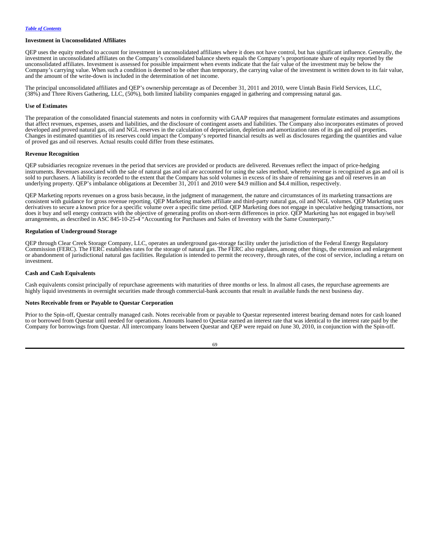#### **Investment in Unconsolidated Affiliates**

QEP uses the equity method to account for investment in unconsolidated affiliates where it does not have control, but has significant influence. Generally, the investment in unconsolidated affiliates on the Company's consolidated balance sheets equals the Company's proportionate share of equity reported by the unconsolidated affiliates. Investment is assessed for possible impairment when events indicate that the fair value of the investment may be below the Company's carrying value. When such a condition is deemed to be other than temporary, the carrying value of the investment is written down to its fair value, and the amount of the write-down is included in the determination of net income.

The principal unconsolidated affiliates and QEP's ownership percentage as of December 31, 2011 and 2010, were Uintah Basin Field Services, LLC, (38%) and Three Rivers Gathering, LLC, (50%), both limited liability companies engaged in gathering and compressing natural gas.

### **Use of Estimates**

The preparation of the consolidated financial statements and notes in conformity with GAAP requires that management formulate estimates and assumptions that affect revenues, expenses, assets and liabilities, and the disclosure of contingent assets and liabilities. The Company also incorporates estimates of proved developed and proved natural gas, oil and NGL reserves in the calculation of depreciation, depletion and amortization rates of its gas and oil properties. Changes in estimated quantities of its reserves could impact the Company's reported financial results as well as disclosures regarding the quantities and value of proved gas and oil reserves. Actual results could differ from these estimates.

#### **Revenue Recognition**

QEP subsidiaries recognize revenues in the period that services are provided or products are delivered. Revenues reflect the impact of price-hedging instruments. Revenues associated with the sale of natural gas and oil are accounted for using the sales method, whereby revenue is recognized as gas and oil is sold to purchasers. A liability is recorded to the extent that the Company has sold volumes in excess of its share of remaining gas and oil reserves in an underlying property. QEP's imbalance obligations at December 31, 2011 and 2010 were \$4.9 million and \$4.4 million, respectively.

QEP Marketing reports revenues on a gross basis because, in the judgment of management, the nature and circumstances of its marketing transactions are consistent with guidance for gross revenue reporting. QEP Marketing markets affiliate and third-party natural gas, oil and NGL volumes. QEP Marketing uses derivatives to secure a known price for a specific volume over a specific time period. QEP Marketing does not engage in speculative hedging transactions, nor does it buy and sell energy contracts with the objective of generating profits on short-term differences in price. QEP Marketing has not engaged in buy/sell arrangements, as described in ASC 845-10-25-4 "Accounting for Purchases and Sales of Inventory with the Same Counterparty."

### **Regulation of Underground Storage**

QEP through Clear Creek Storage Company, LLC, operates an underground gas-storage facility under the jurisdiction of the Federal Energy Regulatory Commission (FERC). The FERC establishes rates for the storage of natural gas. The FERC also regulates, among other things, the extension and enlargement or abandonment of jurisdictional natural gas facilities. Regulation is intended to permit the recovery, through rates, of the cost of service, including a return on investment.

#### **Cash and Cash Equivalents**

Cash equivalents consist principally of repurchase agreements with maturities of three months or less. In almost all cases, the repurchase agreements are highly liquid investments in overnight securities made through commercial-bank accounts that result in available funds the next business day.

#### **Notes Receivable from or Payable to Questar Corporation**

Prior to the Spin-off, Questar centrally managed cash. Notes receivable from or payable to Questar represented interest bearing demand notes for cash loaned to or borrowed from Questar until needed for operations. Amounts loaned to Questar earned an interest rate that was identical to the interest rate paid by the Company for borrowings from Questar. All intercompany loans between Questar and QEP were repaid on June 30, 2010, in conjunction with the Spin-off.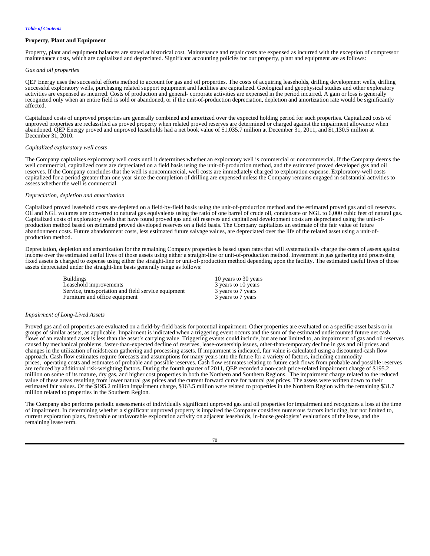#### **Property, Plant and Equipment**

Property, plant and equipment balances are stated at historical cost. Maintenance and repair costs are expensed as incurred with the exception of compressor maintenance costs, which are capitalized and depreciated. Significant accounting policies for our property, plant and equipment are as follows:

#### *Gas and oil properties*

QEP Energy uses the successful efforts method to account for gas and oil properties. The costs of acquiring leaseholds, drilling development wells, drilling successful exploratory wells, purchasing related support equipment and facilities are capitalized. Geological and geophysical studies and other exploratory activities are expensed as incurred. Costs of production and general- corporate activities are expensed in the period incurred. A gain or loss is generally recognized only when an entire field is sold or abandoned, or if the unit-of-production depreciation, depletion and amortization rate would be significantly affected.

Capitalized costs of unproved properties are generally combined and amortized over the expected holding period for such properties. Capitalized costs of unproved properties are reclassified as proved property when related proved reserves are determined or charged against the impairment allowance when abandoned. QEP Energy proved and unproved leaseholds had a net book value of \$1,035.7 million at December 31, 2011, and \$1,130.5 million at December 31, 2010.

#### *Capitalized exploratory well costs*

The Company capitalizes exploratory well costs until it determines whether an exploratory well is commercial or noncommercial. If the Company deems the well commercial, capitalized costs are depreciated on a field basis using the unit-of-production method, and the estimated proved developed gas and oil reserves. If the Company concludes that the well is noncommercial, well costs are immediately charged to exploration expense. Exploratory-well costs capitalized for a period greater than one year since the completion of drilling are expensed unless the Company remains engaged in substantial activities to assess whether the well is commercial.

## *Depreciation, depletion and amortization*

Capitalized proved leasehold costs are depleted on a field-by-field basis using the unit-of-production method and the estimated proved gas and oil reserves. Oil and NGL volumes are converted to natural gas equivalents using the ratio of one barrel of crude oil, condensate or NGL to 6,000 cubic feet of natural gas. Capitalized costs of exploratory wells that have found proved gas and oil reserves and capitalized development costs are depreciated using the unit-ofproduction method based on estimated proved developed reserves on a field basis. The Company capitalizes an estimate of the fair value of future abandonment costs. Future abandonment costs, less estimated future salvage values, are depreciated over the life of the related asset using a unit-ofproduction method.

Depreciation, depletion and amortization for the remaining Company properties is based upon rates that will systematically charge the costs of assets against income over the estimated useful lives of those assets using either a straight-line or unit-of-production method. Investment in gas gathering and processing fixed assets is charged to expense using either the straight-line or unit-of-production method depending upon the facility. The estimated useful lives of those assets depreciated under the straight-line basis generally range as follows:

| <b>Buildings</b>                                    |
|-----------------------------------------------------|
| Leasehold improvements                              |
| Service, transportation and field service equipment |
| Furniture and office equipment                      |

#### 10 years to 30 years 3 years to 10 years 3 years to 7 years 3 years to 7 years

#### *Impairment of Long-Lived Assets*

Proved gas and oil properties are evaluated on a field-by-field basis for potential impairment. Other properties are evaluated on a specific-asset basis or in groups of similar assets, as applicable. Impairment is indicated when a triggering event occurs and the sum of the estimated undiscounted future net cash flows of an evaluated asset is less than the asset's carrying value. Triggering events could include, but are not limited to, an impairment of gas and oil reserves caused by mechanical problems, faster-than-expected decline of reserves, lease-ownership issues, other-than-temporary decline in gas and oil prices and changes in the utilization of midstream gathering and processing assets. If impairment is indicated, fair value is calculated using a discounted-cash flow approach. Cash flow estimates require forecasts and assumptions for many years into the future for a variety of factors, including commodity prices, operating costs and estimates of probable and possible reserves. Cash flow estimates relating to future cash flows from probable and possible reserves are reduced by additional risk-weighting factors. During the fourth quarter of 2011, QEP recorded a non-cash price-related impairment charge of \$195.2 million on some of its mature, dry gas, and higher cost properties in both the Northern and Southern Regions. The impairment charge related to the reduced value of these areas resulting from lower natural gas prices and the current forward curve for natural gas prices. The assets were written down to their estimated fair values. Of the \$195.2 million impairment charge, \$163.5 million were related to properties in the Northern Region with the remaining \$31.7 million related to properties in the Southern Region.

The Company also performs periodic assessments of individually significant unproved gas and oil properties for impairment and recognizes a loss at the time of impairment. In determining whether a significant unproved property is impaired the Company considers numerous factors including, but not limited to, current exploration plans, favorable or unfavorable exploration activity on adjacent leaseholds, in-house geologists' evaluations of the lease, and the remaining lease term.

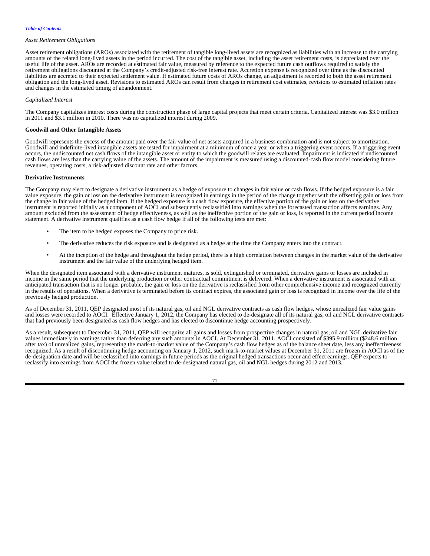#### *Asset Retirement Obligations*

Asset retirement obligations (AROs) associated with the retirement of tangible long-lived assets are recognized as liabilities with an increase to the carrying amounts of the related long-lived assets in the period incurred. The cost of the tangible asset, including the asset retirement costs, is depreciated over the useful life of the asset. AROs are recorded at estimated fair value, measured by reference to the expected future cash outflows required to satisfy the retirement obligations discounted at the Company's credit-adjusted risk-free interest rate. Accretion expense is recognized over time as the discounted liabilities are accreted to their expected settlement value. If estimated future costs of AROs change, an adjustment is recorded to both the asset retirement obligation and the long-lived asset. Revisions to estimated AROs can result from changes in retirement cost estimates, revisions to estimated inflation rates and changes in the estimated timing of abandonment.

## *Capitalized Interest*

The Company capitalizes interest costs during the construction phase of large capital projects that meet certain criteria. Capitalized interest was \$3.0 million in 2011 and \$3.1 million in 2010. There was no capitalized interest during 2009.

#### **Goodwill and Other Intangible Assets**

Goodwill represents the excess of the amount paid over the fair value of net assets acquired in a business combination and is not subject to amortization. Goodwill and indefinite-lived intangible assets are tested for impairment at a minimum of once a year or when a triggering event occurs. If a triggering event occurs, the undiscounted net cash flows of the intangible asset or entity to which the goodwill relates are evaluated. Impairment is indicated if undiscounted cash flows are less than the carrying value of the assets. The amount of the impairment is measured using a discounted-cash flow model considering future revenues, operating costs, a risk-adjusted discount rate and other factors.

#### **Derivative Instruments**

The Company may elect to designate a derivative instrument as a hedge of exposure to changes in fair value or cash flows. If the hedged exposure is a fair value exposure, the gain or loss on the derivative instrument is recognized in earnings in the period of the change together with the offsetting gain or loss from the change in fair value of the hedged item. If the hedged exposure is a cash flow exposure, the effective portion of the gain or loss on the derivative instrument is reported initially as a component of AOCI and subsequently reclassified into earnings when the forecasted transaction affects earnings. Any amount excluded from the assessment of hedge effectiveness, as well as the ineffective portion of the gain or loss, is reported in the current period income statement. A derivative instrument qualifies as a cash flow hedge if all of the following tests are met:

- The item to be hedged exposes the Company to price risk.
- The derivative reduces the risk exposure and is designated as a hedge at the time the Company enters into the contract.
- At the inception of the hedge and throughout the hedge period, there is a high correlation between changes in the market value of the derivative instrument and the fair value of the underlying hedged item.

When the designated item associated with a derivative instrument matures, is sold, extinguished or terminated, derivative gains or losses are included in income in the same period that the underlying production or other contractual commitment is delivered. When a derivative instrument is associated with an anticipated transaction that is no longer probable, the gain or loss on the derivative is reclassified from other comprehensive income and recognized currently in the results of operations. When a derivative is terminated before its contract expires, the associated gain or loss is recognized in income over the life of the previously hedged production.

As of December 31, 2011, QEP designated most of its natural gas, oil and NGL derivative contracts as cash flow hedges, whose unrealized fair value gains and losses were recorded to AOCI. Effective January 1, 2012, the Company has elected to de-designate all of its natural gas, oil and NGL derivative contracts that had previously been designated as cash flow hedges and has elected to discontinue hedge accounting prospectively.

As a result, subsequent to December 31, 2011, QEP will recognize all gains and losses from prospective changes in natural gas, oil and NGL derivative fair values immediately in earnings rather than deferring any such amounts in AOCI. At December 31, 2011, AOCI consisted of \$395.9 million (\$248.6 million after tax) of unrealized gains, representing the mark-to-market value of the Company's cash flow hedges as of the balance sheet date, less any ineffectiveness recognized. As a result of discontinuing hedge accounting on January 1, 2012, such mark-to-market values at December 31, 2011 are frozen in AOCI as of the de-designation date and will be reclassified into earnings in future periods as the original hedged transactions occur and effect earnings. QEP expects to reclassify into earnings from AOCI the frozen value related to de-designated natural gas, oil and NGL hedges during 2012 and 2013.

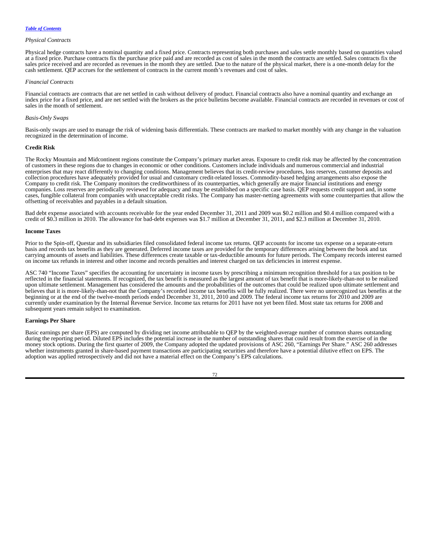#### *Physical Contracts*

Physical hedge contracts have a nominal quantity and a fixed price. Contracts representing both purchases and sales settle monthly based on quantities valued at a fixed price. Purchase contracts fix the purchase price paid and are recorded as cost of sales in the month the contracts are settled. Sales contracts fix the sales price received and are recorded as revenues in the month they are settled. Due to the nature of the physical market, there is a one-month delay for the cash settlement. QEP accrues for the settlement of contracts in the current month's revenues and cost of sales.

## *Financial Contracts*

Financial contracts are contracts that are net settled in cash without delivery of product. Financial contracts also have a nominal quantity and exchange an index price for a fixed price, and are net settled with the brokers as the price bulletins become available. Financial contracts are recorded in revenues or cost of sales in the month of settlement.

#### *Basis-Only Swaps*

Basis-only swaps are used to manage the risk of widening basis differentials. These contracts are marked to market monthly with any change in the valuation recognized in the determination of income.

#### **Credit Risk**

The Rocky Mountain and Midcontinent regions constitute the Company's primary market areas. Exposure to credit risk may be affected by the concentration of customers in these regions due to changes in economic or other conditions. Customers include individuals and numerous commercial and industrial enterprises that may react differently to changing conditions. Management believes that its credit-review procedures, loss reserves, customer deposits and collection procedures have adequately provided for usual and customary credit-related losses. Commodity-based hedging arrangements also expose the Company to credit risk. The Company monitors the creditworthiness of its counterparties, which generally are major financial institutions and energy companies. Loss reserves are periodically reviewed for adequacy and may be established on a specific case basis. QEP requests credit support and, in some cases, fungible collateral from companies with unacceptable credit risks. The Company has master-netting agreements with some counterparties that allow the offsetting of receivables and payables in a default situation.

Bad debt expense associated with accounts receivable for the year ended December 31, 2011 and 2009 was \$0.2 million and \$0.4 million compared with a credit of \$0.3 million in 2010. The allowance for bad-debt expenses was \$1.7 million at December 31, 2011, and \$2.3 million at December 31, 2010.

#### **Income Taxes**

Prior to the Spin-off, Questar and its subsidiaries filed consolidated federal income tax returns. QEP accounts for income tax expense on a separate-return basis and records tax benefits as they are generated. Deferred income taxes are provided for the temporary differences arising between the book and tax carrying amounts of assets and liabilities. These differences create taxable or tax-deductible amounts for future periods. The Company records interest earned on income tax refunds in interest and other income and records penalties and interest charged on tax deficiencies in interest expense.

ASC 740 "Income Taxes" specifies the accounting for uncertainty in income taxes by prescribing a minimum recognition threshold for a tax position to be reflected in the financial statements. If recognized, the tax benefit is measured as the largest amount of tax benefit that is more-likely-than-not to be realized upon ultimate settlement. Management has considered the amounts and the probabilities of the outcomes that could be realized upon ultimate settlement and believes that it is more-likely-than-not that the Company's recorded income tax benefits will be fully realized. There were no unrecognized tax benefits at the beginning or at the end of the twelve-month periods ended December 31, 2011, 2010 and 2009. The federal income tax returns for 2010 and 2009 are currently under examination by the Internal Revenue Service. Income tax returns for 2011 have not yet been filed. Most state tax returns for 2008 and subsequent years remain subject to examination.

### **Earnings Per Share**

Basic earnings per share (EPS) are computed by dividing net income attributable to QEP by the weighted-average number of common shares outstanding during the reporting period. Diluted EPS includes the potential increase in the number of outstanding shares that could result from the exercise of in the money stock options. During the first quarter of 2009, the Company adopted the updated provisions of ASC 260, "Earnings Per Share." ASC 260 addresses whether instruments granted in share-based payment transactions are participating securities and therefore have a potential dilutive effect on EPS. The adoption was applied retrospectively and did not have a material effect on the Company's EPS calculations.

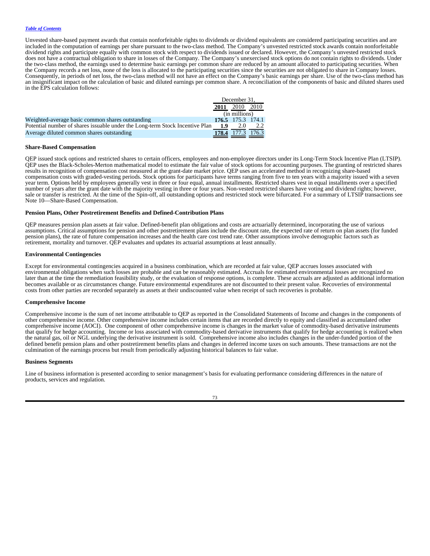Unvested share-based payment awards that contain nonforfeitable rights to dividends or dividend equivalents are considered participating securities and are included in the computation of earnings per share pursuant to the two-class method. The Company's unvested restricted stock awards contain nonforfeitable dividend rights and participate equally with common stock with respect to dividends issued or declared. However, the Company's unvested restricted stock does not have a contractual obligation to share in losses of the Company. The Company's unexercised stock options do not contain rights to dividends. Under the two-class method, the earnings used to determine basic earnings per common share are reduced by an amount allocated to participating securities. When the Company records a net loss, none of the loss is allocated to the participating securities since the securities are not obligated to share in Company losses. Consequently, in periods of net loss, the two-class method will not have an effect on the Company's basic earnings per share. Use of the two-class method has an insignificant impact on the calculation of basic and diluted earnings per common share. A reconciliation of the components of basic and diluted shares used in the EPS calculation follows:

|                                                                                  | December 31. |               |                   |
|----------------------------------------------------------------------------------|--------------|---------------|-------------------|
|                                                                                  | 2011         | 2010          | 2010              |
|                                                                                  |              | (in millions) |                   |
| Weighted-average basic common shares outstanding                                 |              |               | 176.5 175.3 174.1 |
| Potential number of shares issuable under the Long-term Stock Incentive Plan 1.9 |              | 2.0           |                   |
| Average diluted common shares outstanding                                        |              |               | 178.4 177.3 176.3 |

#### **Share-Based Compensation**

QEP issued stock options and restricted shares to certain officers, employees and non-employee directors under its Long-Term Stock Incentive Plan (LTSIP). QEP uses the Black-Scholes-Merton mathematical model to estimate the fair value of stock options for accounting purposes. The granting of restricted shares results in recognition of compensation cost measured at the grant-date market price. QEP uses an accelerated method in recognizing share-based compensation costs with graded-vesting periods. Stock options for participants have terms ranging from five to ten years with a majority issued with a seven year term. Options held by employees generally vest in three or four equal, annual installments. Restricted shares vest in equal installments over a specified number of years after the grant date with the majority vesting in three or four years. Non-vested restricted shares have voting and dividend rights; however, sale or transfer is restricted. At the time of the Spin-off, all outstanding options and restricted stock were bifurcated. For a summary of LTSIP transactions see Note 10—Share-Based Compensation.

## **Pension Plans, Other Postretirement Benefits and Defined-Contribution Plans**

QEP measures pension plan assets at fair value. Defined-benefit plan obligations and costs are actuarially determined, incorporating the use of various assumptions. Critical assumptions for pension and other postretirement plans include the discount rate, the expected rate of return on plan assets (for funded pension plans), the rate of future compensation increases and the health care cost trend rate. Other assumptions involve demographic factors such as retirement, mortality and turnover. QEP evaluates and updates its actuarial assumptions at least annually.

### **Environmental Contingencies**

Except for environmental contingencies acquired in a business combination, which are recorded at fair value, QEP accrues losses associated with environmental obligations when such losses are probable and can be reasonably estimated. Accruals for estimated environmental losses are recognized no later than at the time the remediation feasibility study, or the evaluation of response options, is complete. These accruals are adjusted as additional information becomes available or as circumstances change. Future environmental expenditures are not discounted to their present value. Recoveries of environmental costs from other parties are recorded separately as assets at their undiscounted value when receipt of such recoveries is probable.

## **Comprehensive Income**

Comprehensive income is the sum of net income attributable to QEP as reported in the Consolidated Statements of Income and changes in the components of other comprehensive income. Other comprehensive income includes certain items that are recorded directly to equity and classified as accumulated other comprehensive income (AOCI). One component of other comprehensive income is changes in the market value of commodity-based derivative instruments that qualify for hedge accounting. Income or loss associated with commodity-based derivative instruments that qualify for hedge accounting is realized when the natural gas, oil or NGL underlying the derivative instrument is sold. Comprehensive income also includes changes in the under-funded portion of the defined benefit pension plans and other postretirement benefits plans and changes in deferred income taxes on such amounts. These transactions are not the culmination of the earnings process but result from periodically adjusting historical balances to fair value.

#### **Business Segments**

Line of business information is presented according to senior management's basis for evaluating performance considering differences in the nature of products, services and regulation.

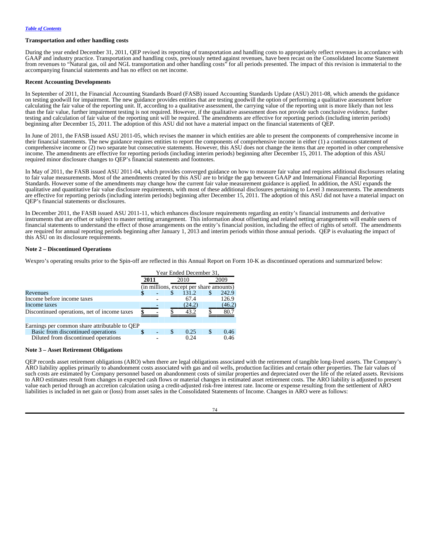#### **Transportation and other handling costs**

During the year ended December 31, 2011, QEP revised its reporting of transportation and handling costs to appropriately reflect revenues in accordance with GAAP and industry practice. Transportation and handling costs, previously netted against revenues, have been recast on the Consolidated Income Statement from revenues to "Natural gas, oil and NGL transportation and other handling costs" for all periods presented. The impact of this revision is immaterial to the accompanying financial statements and has no effect on net income.

#### **Recent Accounting Developments**

In September of 2011, the Financial Accounting Standards Board (FASB) issued Accounting Standards Update (ASU) 2011-08, which amends the guidance on testing goodwill for impairment. The new guidance provides entities that are testing goodwill the option of performing a qualitative assessment before calculating the fair value of the reporting unit. If, according to a qualitative assessment, the carrying value of the reporting unit is more likely than not less than the fair value, further impairment testing is not required. However, if the qualitative assessment does not provide such conclusive evidence, further testing and calculation of fair value of the reporting unit will be required. The amendments are effective for reporting periods (including interim periods) beginning after December 15, 2011. The adoption of this ASU did not have a material impact on the financial statements of QEP.

In June of 2011, the FASB issued ASU 2011-05, which revises the manner in which entities are able to present the components of comprehensive income in their financial statements. The new guidance requires entities to report the components of comprehensive income in either (1) a continuous statement of comprehensive income or (2) two separate but consecutive statements. However, this ASU does not change the items that are reported in other comprehensive income. The amendments are effective for reporting periods (including interim periods) beginning after December 15, 2011. The adoption of this ASU required minor disclosure changes to QEP's financial statements and footnotes.

In May of 2011, the FASB issued ASU 2011-04, which provides converged guidance on how to measure fair value and requires additional disclosures relating to fair value measurements. Most of the amendments created by this ASU are to bridge the gap between GAAP and International Financial Reporting Standards. However some of the amendments may change how the current fair value measurement guidance is applied. In addition, the ASU expands the qualitative and quantitative fair value disclosure requirements, with most of these additional disclosures pertaining to Level 3 measurements. The amendments are effective for reporting periods (including interim periods) beginning after December 15, 2011. The adoption of this ASU did not have a material impact on QEP's financial statements or disclosures.

In December 2011, the FASB issued ASU 2011-11, which enhances disclosure requirements regarding an entity's financial instruments and derivative instruments that are offset or subject to master netting arrangement. This information about offsetting and related netting arrangements will enable users of financial statements to understand the effect of those arrangements on the entity's financial position, including the effect of rights of setoff. The amendments are required for annual reporting periods beginning after January 1, 2013 and interim periods within those annual periods. QEP is evaluating the impact of this ASU on its disclosure requirements.

#### **Note 2 – Discontinued Operations**

Wexpro's operating results prior to the Spin-off are reflected in this Annual Report on Form 10-K as discontinued operations and summarized below:

|                                               | Year Ended December 31, |      |          |                                         |          |        |  |
|-----------------------------------------------|-------------------------|------|----------|-----------------------------------------|----------|--------|--|
|                                               |                         | 2011 |          | 2010                                    |          | 2009   |  |
|                                               |                         |      |          | (in millions, except per share amounts) |          |        |  |
| <b>Revenues</b>                               |                         |      |          | 131.2                                   | \$.      | 242.9  |  |
| Income before income taxes                    |                         |      |          | 67.4                                    |          | 126.9  |  |
| Income taxes                                  |                         |      |          | (24.2)                                  |          | (46.2) |  |
| Discontinued operations, net of income taxes  |                         |      |          | 43.2                                    |          | 80.7   |  |
|                                               |                         |      |          |                                         |          |        |  |
| Earnings per common share attributable to OEP |                         |      |          |                                         |          |        |  |
| Basic from discontinued operations            |                         |      | <b>S</b> | 0.25                                    | <b>S</b> | 0.46   |  |
| Diluted from discontinued operations          |                         |      |          | 0.24                                    |          | 0.46   |  |

#### **Note 3 – Asset Retirement Obligations**

QEP records asset retirement obligations (ARO) when there are legal obligations associated with the retirement of tangible long-lived assets. The Company's ARO liability applies primarily to abandonment costs associated with gas and oil wells, production facilities and certain other properties. The fair values of such costs are estimated by Company personnel based on abandonment costs of similar properties and depreciated over the life of the related assets. Revisions to ARO estimates result from changes in expected cash flows or material changes in estimated asset retirement costs. The ARO liability is adjusted to present value each period through an accretion calculation using a credit-adjusted risk-free interest rate. Income or expense resulting from the settlement of ARO liabilities is included in net gain or (loss) from asset sales in the Consolidated Statements of Income. Changes in ARO were as follows: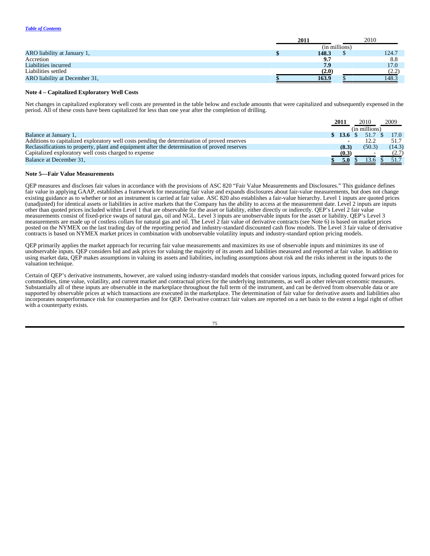|                               | 2011  |               | 2010  |
|-------------------------------|-------|---------------|-------|
|                               |       | (in millions) |       |
| ARO liability at January 1,   | 148.3 |               | 124.7 |
| Accretion                     | 9.7   |               | 8.8   |
| Liabilities incurred          | 7.9   |               | 17.0  |
| Liabilities settled           | (2.0) |               | (2.2) |
| ARO liability at December 31, | 163.9 |               | 148.3 |

## **Note 4 – Capitalized Exploratory Well Costs**

Net changes in capitalized exploratory well costs are presented in the table below and exclude amounts that were capitalized and subsequently expensed in the period. All of these costs have been capitalized for less than one year after the completion of drilling.

|                                                                                               | 2011   | 2010 |               | 2009   |
|-----------------------------------------------------------------------------------------------|--------|------|---------------|--------|
|                                                                                               |        |      | (in millions) |        |
| Balance at January 1.                                                                         | \$13.6 |      | 51.7          | 17.0   |
| Additions to capitalized exploratory well costs pending the determination of proved reserves  |        |      | 12.2          | 51.7   |
| Reclassifications to property, plant and equipment after the determination of proved reserves | (8.3)  |      | (50.3)        | (14.3) |
| Capitalized exploratory well costs charged to expense                                         | (0.3)  |      |               | (2.7)  |
| Balance at December 31,                                                                       | 5.0    |      | 13.6          |        |

### **Note 5—Fair Value Measurements**

QEP measures and discloses fair values in accordance with the provisions of ASC 820 "Fair Value Measurements and Disclosures." This guidance defines fair value in applying GAAP, establishes a framework for measuring fair value and expands disclosures about fair-value measurements, but does not change existing guidance as to whether or not an instrument is carried at fair value. ASC 820 also establishes a fair-value hierarchy. Level 1 inputs are quoted prices (unadjusted) for identical assets or liabilities in active markets that the Company has the ability to access at the measurement date. Level 2 inputs are inputs other than quoted prices included within Level 1 that are observable for the asset or liability, either directly or indirectly. QEP's Level 2 fair value measurements consist of fixed-price swaps of natural gas, oil and NGL. Level 3 inputs are unobservable inputs for the asset or liability. QEP's Level 3 measurements are made up of costless collars for natural gas and oil. The Level 2 fair value of derivative contracts (see Note 6) is based on market prices posted on the NYMEX on the last trading day of the reporting period and industry-standard discounted cash flow models. The Level 3 fair value of derivative contracts is based on NYMEX market prices in combination with unobservable volatility inputs and industry-standard option pricing models.

QEP primarily applies the market approach for recurring fair value measurements and maximizes its use of observable inputs and minimizes its use of unobservable inputs. QEP considers bid and ask prices for valuing the majority of its assets and liabilities measured and reported at fair value. In addition to using market data, QEP makes assumptions in valuing its assets and liabilities, including assumptions about risk and the risks inherent in the inputs to the valuation technique.

Certain of QEP's derivative instruments, however, are valued using industry-standard models that consider various inputs, including quoted forward prices for commodities, time value, volatility, and current market and contractual prices for the underlying instruments, as well as other relevant economic measures. Substantially all of these inputs are observable in the marketplace throughout the full term of the instrument, and can be derived from observable data or are supported by observable prices at which transactions are executed in the marketplace. The determination of fair value for derivative assets and liabilities also incorporates nonperformance risk for counterparties and for QEP. Derivative contract fair values are reported on a net basis to the extent a legal right of offset with a counterparty exists.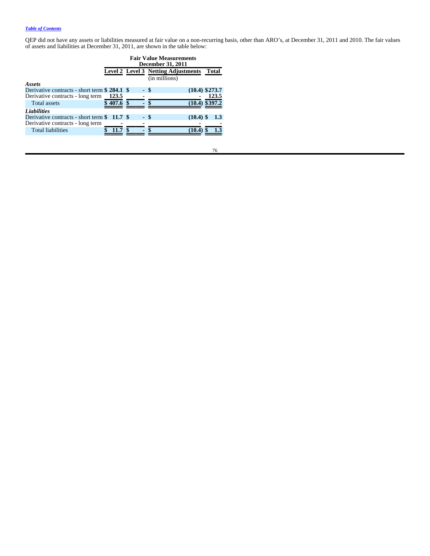QEP did not have any assets or liabilities measured at fair value on a non-recurring basis, other than ARO's, at December 31, 2011 and 2010. The fair values of assets and liabilities at December 31, 2011, are shown in the table below:

|                                              | <b>Fair Value Measurements</b><br>December 31, 2011 |       |                                                             |  |                          |  |                  |  |  |
|----------------------------------------------|-----------------------------------------------------|-------|-------------------------------------------------------------|--|--------------------------|--|------------------|--|--|
|                                              |                                                     |       | <b>Level 2 Level 3 Netting Adjustments</b><br>(in millions) |  |                          |  | <b>Total</b>     |  |  |
| Assets                                       |                                                     |       |                                                             |  |                          |  |                  |  |  |
| Derivative contracts - short term \$284.1 \$ |                                                     |       |                                                             |  | $(10.4)$ \$273.7<br>- \$ |  |                  |  |  |
| Derivative contracts - long term             |                                                     | 123.5 |                                                             |  |                          |  | 123.5            |  |  |
| Total assets                                 |                                                     | 407.6 |                                                             |  |                          |  | $(10.4)$ \$397.2 |  |  |
| <b>Liabilities</b>                           |                                                     |       |                                                             |  |                          |  |                  |  |  |
| Derivative contracts - short term \$ 11.7 \$ |                                                     |       |                                                             |  | $(10.4)$ \$<br>- \$      |  | 1.3              |  |  |
| Derivative contracts - long term             |                                                     |       |                                                             |  |                          |  |                  |  |  |
| <b>Total liabilities</b>                     |                                                     |       |                                                             |  | (10.4)                   |  | 1.3              |  |  |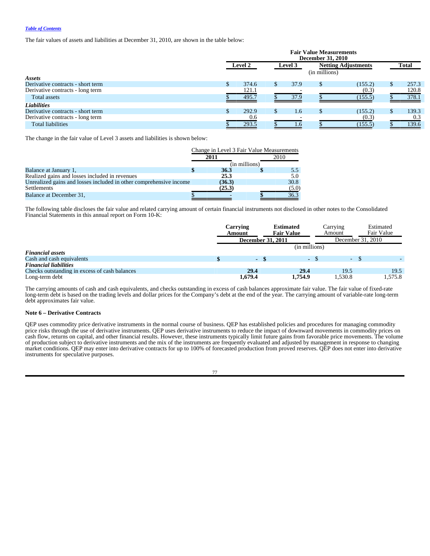The fair values of assets and liabilities at December 31, 2010, are shown in the table below:

|                                   |                |                | <b>Fair Value Measurements</b><br><b>December 31, 2010</b> |                            |       |
|-----------------------------------|----------------|----------------|------------------------------------------------------------|----------------------------|-------|
|                                   | <b>Level 2</b> | <b>Level 3</b> | (in millions)                                              | <b>Netting Adjustments</b> | Total |
| Assets                            |                |                |                                                            |                            |       |
| Derivative contracts - short term | 374.6          | 37.9           |                                                            | (155.2)                    | 257.3 |
| Derivative contracts - long term  | 121.1          |                |                                                            | (0.3)                      | 120.8 |
| Total assets                      | 495.7          | 37.9           |                                                            | (155.5)                    | 378.1 |
| <b>Liabilities</b>                |                |                |                                                            |                            |       |
| Derivative contracts - short term | 292.9          | 1.6            |                                                            | (155.2)                    | 139.3 |
| Derivative contracts - long term  | 0.6            |                |                                                            | (0.3)                      | 0.3   |
| <b>Total liabilities</b>          | 293.5          | 1.6            |                                                            | (155.5)                    | 139.6 |

The change in the fair value of Level 3 assets and liabilities is shown below:

|                                                                    | Change in Level 3 Fair Value Measurements |               |  |       |  |  |
|--------------------------------------------------------------------|-------------------------------------------|---------------|--|-------|--|--|
|                                                                    | 2011                                      |               |  | 2010  |  |  |
|                                                                    |                                           | (in millions) |  |       |  |  |
| Balance at January 1.                                              |                                           | 36.3          |  | 5.5   |  |  |
| Realized gains and losses included in revenues                     |                                           | 25.3          |  | 5.0   |  |  |
| Unrealized gains and losses included in other comprehensive income |                                           | (36.3)        |  | 30.8  |  |  |
| Settlements                                                        |                                           | (25.3)        |  | (5.0) |  |  |
| Balance at December 31,                                            |                                           |               |  | 36.3  |  |  |

The following table discloses the fair value and related carrying amount of certain financial instruments not disclosed in other notes to the Consolidated Financial Statements in this annual report on Form 10-K:

|                                               | Carrying<br>Amount | <b>Estimated</b><br><b>Fair Value</b> |                 | Carrying<br>Amount | Estimated<br>Fair Value |
|-----------------------------------------------|--------------------|---------------------------------------|-----------------|--------------------|-------------------------|
|                                               |                    | December 31, 2011                     |                 |                    | December 31, 2010       |
|                                               |                    |                                       | (in millions)   |                    |                         |
| <b>Financial assets</b>                       |                    |                                       |                 |                    |                         |
| Cash and cash equivalents                     |                    | - 5                                   | $\sim$ 10 $\pm$ | $\sim$             |                         |
| <b>Financial liabilities</b>                  |                    |                                       |                 |                    |                         |
| Checks outstanding in excess of cash balances | 29.4               |                                       | 29.4            | 19.5               | 19.5                    |
| Long-term debt                                | 1,679.4            |                                       | 1,754.9         | 1.530.8            | 1,575.8                 |

The carrying amounts of cash and cash equivalents, and checks outstanding in excess of cash balances approximate fair value. The fair value of fixed-rate long-term debt is based on the trading levels and dollar prices for the Company's debt at the end of the year. The carrying amount of variable-rate long-term debt approximates fair value.

## **Note 6 – Derivative Contracts**

QEP uses commodity price derivative instruments in the normal course of business. QEP has established policies and procedures for managing commodity price risks through the use of derivative instruments. QEP uses derivative instruments to reduce the impact of downward movements in commodity prices on cash flow, returns on capital, and other financial results. However, these instruments typically limit future gains from favorable price movements. The volume of production subject to derivative instruments and the mix of the instruments are frequently evaluated and adjusted by management in response to changing market conditions. QEP may enter into derivative contracts for up to 100% of forecasted production from proved reserves. QEP does not enter into derivative instruments for speculative purposes.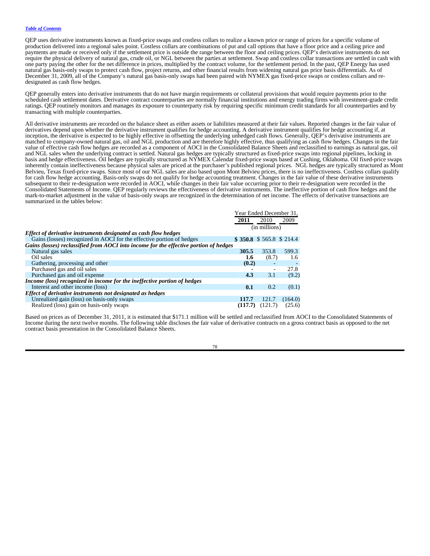QEP uses derivative instruments known as fixed-price swaps and costless collars to realize a known price or range of prices for a specific volume of production delivered into a regional sales point. Costless collars are combinations of put and call options that have a floor price and a ceiling price and payments are made or received only if the settlement price is outside the range between the floor and ceiling prices. QEP's derivative instruments do not require the physical delivery of natural gas, crude oil, or NGL between the parties at settlement. Swap and costless collar transactions are settled in cash with one party paying the other for the net difference in prices, multiplied by the contract volume, for the settlement period. In the past, QEP Energy has used natural gas basis-only swaps to protect cash flow, project returns, and other financial results from widening natural gas price basis differentials. As of December 31, 2009, all of the Company's natural gas basis-only swaps had been paired with NYMEX gas fixed-price swaps or costless collars and redesignated as cash flow hedges.

QEP generally enters into derivative instruments that do not have margin requirements or collateral provisions that would require payments prior to the scheduled cash settlement dates. Derivative contract counterparties are normally financial institutions and energy trading firms with investment-grade credit ratings. QEP routinely monitors and manages its exposure to counterparty risk by requiring specific minimum credit standards for all counterparties and by transacting with multiple counterparties.

All derivative instruments are recorded on the balance sheet as either assets or liabilities measured at their fair values. Reported changes in the fair value of derivatives depend upon whether the derivative instrument qualifies for hedge accounting. A derivative instrument qualifies for hedge accounting if, at inception, the derivative is expected to be highly effective in offsetting the underlying unhedged cash flows. Generally, QEP's derivative instruments are matched to company-owned natural gas, oil and NGL production and are therefore highly effective, thus qualifying as cash flow hedges. Changes in the fair value of effective cash flow hedges are recorded as a component of AOCI in the Consolidated Balance Sheets and reclassified to earnings as natural gas, oil and NGL sales when the underlying contract is settled. Natural gas hedges are typically structured as fixed-price swaps into regional pipelines, locking in basis and hedge effectiveness. Oil hedges are typically structured as NYMEX Calendar fixed-price swaps based at Cushing, Oklahoma. Oil fixed-price swaps inherently contain ineffectiveness because physical sales are priced at the purchaser's published regional prices. NGL hedges are typically structured as Mont Belvieu, Texas fixed-price swaps. Since most of our NGL sales are also based upon Mont Belvieu prices, there is no ineffectiveness. Costless collars qualify for cash flow hedge accounting. Basis-only swaps do not qualify for hedge accounting treatment. Changes in the fair value of these derivative instruments subsequent to their re-designation were recorded in AOCI, while changes in their fair value occurring prior to their re-designation were recorded in the Consolidated Statements of Income. QEP regularly reviews the effectiveness of derivative instruments. The ineffective portion of cash flow hedges and the mark-to-market adjustment in the value of basis-only swaps are recognized in the determination of net income. The effects of derivative transactions are summarized in the tables below:

|                                                                                       | Year Ended December 31. |                          |         |  |
|---------------------------------------------------------------------------------------|-------------------------|--------------------------|---------|--|
|                                                                                       | 2011                    | 2010                     | 2009    |  |
|                                                                                       |                         | (in millions)            |         |  |
| Effect of derivative instruments designated as cash flow hedges                       |                         |                          |         |  |
| Gains (losses) recognized in AOCI for the effective portion of hedges                 |                         | $$350.8 \$565.8 \$214.4$ |         |  |
| Gains (losses) reclassified from AOCI into income for the effective portion of hedges |                         |                          |         |  |
| Natural gas sales                                                                     | 305.5                   | 353.8                    | 599.3   |  |
| Oil sales                                                                             | 1.6                     | (8.7)                    | 1.6     |  |
| Gathering, processing and other                                                       | (0.2)                   |                          |         |  |
| Purchased gas and oil sales                                                           |                         |                          | 27.8    |  |
| Purchased gas and oil expense                                                         | 4.3                     | 3.1                      | (9.2)   |  |
| Income (loss) recognized in income for the ineffective portion of hedges              |                         |                          |         |  |
| Interest and other income (loss)                                                      | 0.1                     | 0.2                      | (0.1)   |  |
| Effect of derivative instruments not designated as hedges                             |                         |                          |         |  |
| Unrealized gain (loss) on basis-only swaps                                            | 117.7                   | 121.7                    | (164.0) |  |
| Realized (loss) gain on basis-only swaps                                              | (117.7)                 | (121.7)                  | (25.6)  |  |

Based on prices as of December 31, 2011, it is estimated that \$171.1 million will be settled and reclassified from AOCI to the Consolidated Statements of Income during the next twelve months. The following table discloses the fair value of derivative contracts on a gross contract basis as opposed to the net contract basis presentation in the Consolidated Balance Sheets.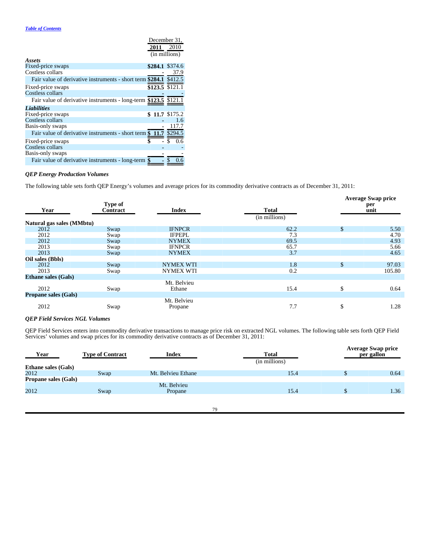|                                                           |      | December 31,    |
|-----------------------------------------------------------|------|-----------------|
|                                                           | 2011 | 2010            |
|                                                           |      | (in millions)   |
| <b>Assets</b>                                             |      |                 |
| Fixed-price swaps                                         |      | \$284.1 \$374.6 |
| Costless collars                                          |      | 37.9            |
| Fair value of derivative instruments - short term \$284.1 |      | \$412.5         |
| Fixed-price swaps                                         |      | \$123.5 \$121.1 |
| Costless collars                                          |      |                 |
| Fair value of derivative instruments - long-term          |      | \$123.5 \$121   |
| <b>Liabilities</b>                                        |      |                 |
| Fixed-price swaps                                         |      | \$11.7 \$175.2  |
| Costless collars                                          |      | 1.6             |
| Basis-only swaps                                          |      | 117.7           |
| Fair value of derivative instruments - short term \$11.7  |      | \$294.5         |
| Fixed-price swaps                                         |      |                 |
| Costless collars                                          |      |                 |
| Basis-only swaps                                          |      |                 |
| Fair value of derivative instruments - long-term \$       |      |                 |

## *QEP Energy Production Volumes*

The following table sets forth QEP Energy's volumes and average prices for its commodity derivative contracts as of December 31, 2011:

|                             | Type of         |                  |               |                        | <b>Average Swap price</b><br>per |
|-----------------------------|-----------------|------------------|---------------|------------------------|----------------------------------|
| Year                        | <b>Contract</b> | <b>Index</b>     | <b>Total</b>  |                        | unit                             |
|                             |                 |                  | (in millions) |                        |                                  |
| Natural gas sales (MMbtu)   |                 |                  |               |                        |                                  |
| 2012                        | Swap            | <b>IFNPCR</b>    | 62.2          | $\mathbf{\mathcal{S}}$ | 5.50                             |
| 2012                        | Swap            | <b>IFPEPL</b>    | 7.3           |                        | 4.70                             |
| 2012                        | Swap            | <b>NYMEX</b>     | 69.5          |                        | 4.93                             |
| 2013                        | Swap            | <b>IFNPCR</b>    | 65.7          |                        | 5.66                             |
| 2013                        | Swap            | <b>NYMEX</b>     | 3.7           |                        | 4.65                             |
| Oil sales (Bbls)            |                 |                  |               |                        |                                  |
| 2012                        | Swap            | <b>NYMEX WTI</b> | 1.8           | \$                     | 97.03                            |
| 2013                        | Swap            | <b>NYMEX WTI</b> | 0.2           |                        | 105.80                           |
| <b>Ethane sales (Gals)</b>  |                 |                  |               |                        |                                  |
|                             |                 | Mt. Belvieu      |               |                        |                                  |
| 2012                        | Swap            | Ethane           | 15.4          | \$                     | 0.64                             |
| <b>Propane sales (Gals)</b> |                 |                  |               |                        |                                  |
|                             |                 | Mt. Belvieu      |               |                        |                                  |
| 2012                        | Swap            | Propane          | 7.7           | \$                     | 1.28                             |
|                             |                 |                  |               |                        |                                  |

## *QEP Field Services NGL Volumes*

QEP Field Services enters into commodity derivative transactions to manage price risk on extracted NGL volumes. The following table sets forth QEP Field Services' volumes and swap prices for its commodity derivative contracts as of December 31, 2011:

| Year                        | <b>Type of Contract</b> | Index                  | Total<br>(in millions) | <b>Average Swap price</b><br>per gallon |
|-----------------------------|-------------------------|------------------------|------------------------|-----------------------------------------|
| <b>Ethane sales (Gals)</b>  |                         |                        |                        |                                         |
| 2012                        | Swap                    | Mt. Belvieu Ethane     | 15.4                   | 0.64                                    |
| <b>Propane sales (Gals)</b> |                         |                        |                        |                                         |
| 2012                        | Swap                    | Mt. Belvieu<br>Propane | 15.4                   | 1.36                                    |
|                             |                         |                        |                        |                                         |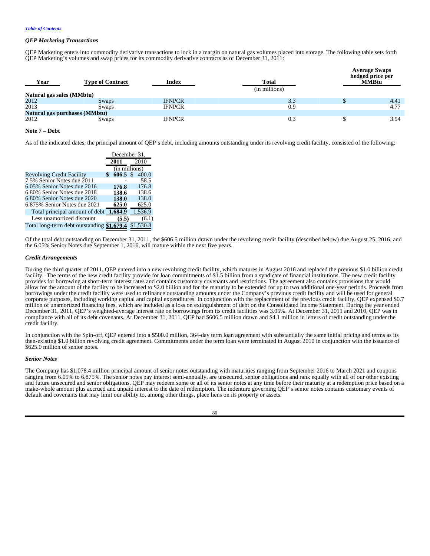### *QEP Marketing Transactions*

QEP Marketing enters into commodity derivative transactions to lock in a margin on natural gas volumes placed into storage. The following table sets forth QEP Marketing's volumes and swap prices for its commodity derivative contracts as of December 31, 2011:

| Year                          | <b>Type of Contract</b> | <b>Index</b>  | Total<br>(in millions) | <b>Average Swaps</b><br>hedged price per<br><b>MMBtu</b> |
|-------------------------------|-------------------------|---------------|------------------------|----------------------------------------------------------|
| Natural gas sales (MMbtu)     |                         |               |                        |                                                          |
| 2012                          | Swaps                   | <b>IFNPCR</b> | 3.3                    | 4.41                                                     |
| 2013                          | <b>Swaps</b>            | <b>IFNPCR</b> | 0.9                    | 4.77                                                     |
| Natural gas purchases (MMbtu) |                         |               |                        |                                                          |
| 2012                          | Swaps                   | <b>IFNPCR</b> | 0.3                    | 3.54                                                     |

## **Note 7 – Debt**

As of the indicated dates, the principal amount of QEP's debt, including amounts outstanding under its revolving credit facility, consisted of the following:

|                                            | December 31, |               |  |  |
|--------------------------------------------|--------------|---------------|--|--|
|                                            | 2011         | 2010          |  |  |
|                                            |              | (in millions) |  |  |
| Revolving Credit Facility                  | $$606.5$ \$  | 400.0         |  |  |
| 7.5% Senior Notes due 2011                 |              | 58.5          |  |  |
| 6.05% Senior Notes due 2016                | 176.8        | 176.8         |  |  |
| 6.80% Senior Notes due 2018                | 138.6        | 138.6         |  |  |
| 6.80% Senior Notes due 2020                | 138.0        | 138.0         |  |  |
| 6.875% Senior Notes due 2021               | 625.0        | 625.0         |  |  |
| Total principal amount of debt             | 1,684.9      | 1,536.9       |  |  |
| Less unamortized discount                  | (5.5)        | (6.1)         |  |  |
| Total long-term debt outstanding \$1.679.4 |              | \$1,530.8     |  |  |

Of the total debt outstanding on December 31, 2011, the \$606.5 million drawn under the revolving credit facility (described below) due August 25, 2016, and the 6.05% Senior Notes due September 1, 2016, will mature within the next five years.

### *Credit Arrangements*

During the third quarter of 2011, QEP entered into a new revolving credit facility, which matures in August 2016 and replaced the previous \$1.0 billion credit facility. The terms of the new credit facility provide for loan commitments of \$1.5 billion from a syndicate of financial institutions. The new credit facility provides for borrowing at short-term interest rates and contains customary covenants and restrictions. The agreement also contains provisions that would allow for the amount of the facility to be increased to \$2.0 billion and for the maturity to be extended for up to two additional one-year periods. Proceeds from borrowings under the credit facility were used to refinance outstanding amounts under the Company's previous credit facility and will be used for general corporate purposes, including working capital and capital expenditures. In conjunction with the replacement of the previous credit facility, QEP expensed \$0.7 million of unamortized financing fees, which are included as a loss on extinguishment of debt on the Consolidated Income Statement. During the year ended December 31, 2011, QEP's weighted-average interest rate on borrowings from its credit facilities was 3.05%. At December 31, 2011 and 2010, QEP was in compliance with all of its debt covenants. At December 31, 2011, QEP had \$606.5 million drawn and \$4.1 million in letters of credit outstanding under the credit facility.

In conjunction with the Spin-off, QEP entered into a \$500.0 million, 364-day term loan agreement with substantially the same initial pricing and terms as its then-existing \$1.0 billion revolving credit agreement. Commitments under the term loan were terminated in August 2010 in conjunction with the issuance of \$625.0 million of senior notes.

#### *Senior Notes*

The Company has \$1,078.4 million principal amount of senior notes outstanding with maturities ranging from September 2016 to March 2021 and coupons ranging from 6.05% to 6.875%. The senior notes pay interest semi-annually, are unsecured, senior obligations and rank equally with all of our other existing and future unsecured and senior obligations. QEP may redeem some or all of its senior notes at any time before their maturity at a redemption price based on a make-whole amount plus accrued and unpaid interest to the date of redemption. The indenture governing QEP's senior notes contains customary events of default and covenants that may limit our ability to, among other things, place liens on its property or assets.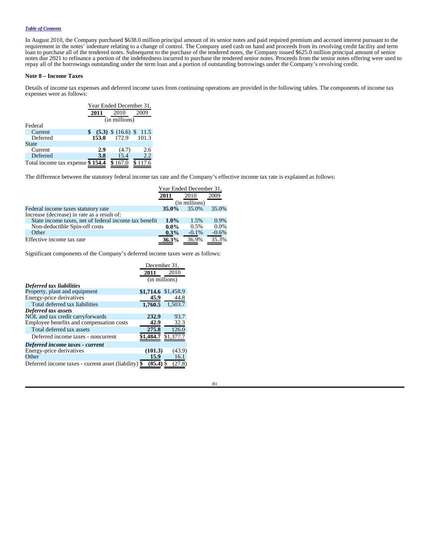In August 2010, the Company purchased \$638.0 million principal amount of its senior notes and paid required premium and accrued interest pursuant to the requirement in the notes' indenture relating to a change of control. The Company used cash on hand and proceeds from its revolving credit facility and term loan to purchase all of the tendered notes. Subsequent to the purchase of the tendered notes, the Company issued \$625.0 million principal amount of senior notes due 2021 to refinance a portion of the indebtedness incurred to purchase the tendered senior notes. Proceeds from the senior notes offering were used to repay all of the borrowings outstanding under the term loan and a portion of outstanding borrowings under the Company's revolving credit.

## **Note 8 – Income Taxes**

Details of income tax expenses and deferred income taxes from continuing operations are provided in the following tables. The components of income tax expenses were as follows:

|                                  | Year Ended December 31, |                             |       |  |  |  |  |
|----------------------------------|-------------------------|-----------------------------|-------|--|--|--|--|
|                                  | 2010<br>2009<br>2011    |                             |       |  |  |  |  |
|                                  |                         | (in millions)               |       |  |  |  |  |
| Federal                          |                         |                             |       |  |  |  |  |
| Current                          |                         | $(5.3)$ \$ $(16.6)$ \$ 11.5 |       |  |  |  |  |
| Deferred                         | 153.0                   | 172.9                       | 101.3 |  |  |  |  |
| <b>State</b>                     |                         |                             |       |  |  |  |  |
| Current                          | 2.9                     | (4.7)                       | 2.6   |  |  |  |  |
| Deferred                         | 3.8                     | 15.4                        | 2.2   |  |  |  |  |
| Total income tax expense \$154.4 |                         |                             |       |  |  |  |  |

The difference between the statutory federal income tax rate and the Company's effective income tax rate is explained as follows:

|                                                       | Year Ended December 31, |               |         |  |
|-------------------------------------------------------|-------------------------|---------------|---------|--|
|                                                       | 2011                    | 2010          | 2009    |  |
|                                                       |                         | (in millions) |         |  |
| Federal income taxes statutory rate                   | $35.0\%$                | 35.0%         | 35.0%   |  |
| Increase (decrease) in rate as a result of:           |                         |               |         |  |
| State income taxes, net of federal income tax benefit | $1.0\%$                 | 1.5%          | 0.9%    |  |
| Non-deductible Spin-off costs                         | $0.0\%$                 | 0.5%          | 0.0%    |  |
| Other                                                 | 0.3%                    | $-0.1\%$      | $-0.6%$ |  |
| Effective income tax rate                             | 36.3%                   | 36.9%         | 35.3%   |  |
|                                                       |                         |               |         |  |

Significant components of the Company's deferred income taxes were as follows:

|                                                   | December 31,        |           |
|---------------------------------------------------|---------------------|-----------|
|                                                   | 2011                | 2010      |
|                                                   | (in millions)       |           |
| Deferred tax liabilities                          |                     |           |
| Property, plant and equipment                     | \$1,714.6 \$1,458.9 |           |
| Energy-price derivatives                          | 45.9                | 44.8      |
| Total deferred tax liabilities                    | 1,760.5             | 1,503.7   |
| Deferred tax assets                               |                     |           |
| NOL and tax credit carryforwards                  | 232.9               | 93.7      |
| Employee benefits and compensation costs          | 42.9                | 32.3      |
| Total deferred tax assets                         | 275.8               | 126.0     |
| Deferred income taxes - noncurrent                | \$1.484.7           | \$1,377.7 |
| Deferred income taxes - current                   |                     |           |
| Energy-price derivatives                          | (101.3)             | (43.9)    |
| Other                                             | 15.9                | 16.1      |
| Deferred income taxes - current asset (liability) | (85.4)              |           |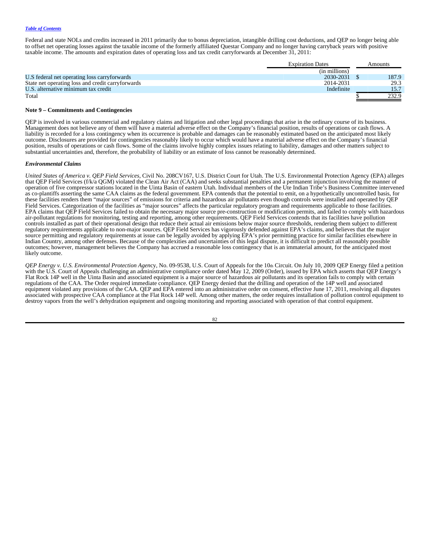Federal and state NOLs and credits increased in 2011 primarily due to bonus depreciation, intangible drilling cost deductions, and QEP no longer being able to offset net operating losses against the taxable income of the formerly affiliated Questar Company and no longer having carryback years with positive taxable income. The amounts and expiration dates of operating loss and tax credit carryforwards at December 31, 2011:

|                                                   | <b>Expiration Dates</b> |  | Amounts |
|---------------------------------------------------|-------------------------|--|---------|
|                                                   | (in millions)           |  |         |
| U.S federal net operating loss carryforwards      | 2030-2031               |  | 187.9   |
| State net operating loss and credit carryforwards | 2014-2031               |  | 29.3    |
| U.S. alternative minimum tax credit               | Indefinite              |  | 157     |
| Total                                             |                         |  | 232.9   |

#### **Note 9 – Commitments and Contingencies**

QEP is involved in various commercial and regulatory claims and litigation and other legal proceedings that arise in the ordinary course of its business. Management does not believe any of them will have a material adverse effect on the Company's financial position, results of operations or cash flows. A liability is recorded for a loss contingency when its occurrence is probable and damages can be reasonably estimated based on the anticipated most likely outcome. Disclosures are provided for contingencies reasonably likely to occur which would have a material adverse effect on the Company's financial position, results of operations or cash flows. Some of the claims involve highly complex issues relating to liability, damages and other matters subject to substantial uncertainties and, therefore, the probability of liability or an estimate of loss cannot be reasonably determined.

#### *Environmental Claims*

*United States of America v. QEP Field Services*, Civil No. 208CV167, U.S. District Court for Utah. The U.S. Environmental Protection Agency (EPA) alleges that QEP Field Services (f/k/a QGM) violated the Clean Air Act (CAA) and seeks substantial penalties and a permanent injunction involving the manner of operation of five compressor stations located in the Uinta Basin of eastern Utah. Individual members of the Ute Indian Tribe's Business Committee intervened as co-plantiffs asserting the same CAA claims as the federal government. EPA contends that the potential to emit, on a hypothetically uncontrolled basis, for these facilities renders them "major sources" of emissions for criteria and hazardous air pollutants even though controls were installed and operated by QEP Field Services. Categorization of the facilities as "major sources" affects the particular regulatory program and requirements applicable to those facilities. EPA claims that QEP Field Services failed to obtain the necessary major source pre-construction or modification permits, and failed to comply with hazardous air-pollutant regulations for monitoring, testing and reporting, among other requirements. QEP Field Services contends that its facilities have pollution controls installed as part of their operational design that reduce their actual air emissions below major source thresholds, rendering them subject to different regulatory requirements applicable to non-major sources. QEP Field Services has vigorously defended against EPA's claims, and believes that the major source permitting and regulatory requirements at issue can be legally avoided by applying EPA's prior permitting practice for similar facilities elsewhere in Indian Country, among other defenses. Because of the complexities and uncertainties of this legal dispute, it is difficult to predict all reasonably possible outcomes; however, management believes the Company has accrued a reasonable loss contingency that is an immaterial amount, for the anticipated most likely outcome.

*QEP Energy v. U.S. Environmental Protection Agen*cy, No. 09-9538, U.S. Court of Appeals for the 10th Circuit. On July 10, 2009 QEP Energy filed a petition with the U.S. Court of Appeals challenging an administrative compliance order dated May 12, 2009 (Order), issued by EPA which asserts that QEP Energy's Flat Rock 14P well in the Uinta Basin and associated equipment is a major source of hazardous air pollutants and its operation fails to comply with certain regulations of the CAA. The Order required immediate compliance. QEP Energy denied that the drilling and operation of the 14P well and associated equipment violated any provisions of the CAA. QEP and EPA entered into an administrative order on consent, effective June 17, 2011, resolving all disputes associated with prospective CAA compliance at the Flat Rock 14P well. Among other matters, the order requires installation of pollution control equipment to destroy vapors from the well's dehydration equipment and ongoing monitoring and reporting associated with operation of that control equipment.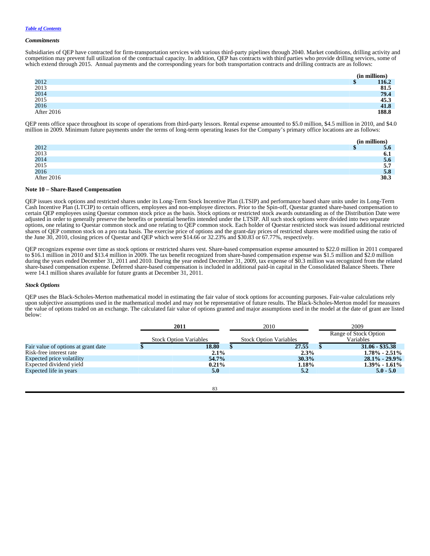#### *Commitments*

Subsidiaries of QEP have contracted for firm-transportation services with various third-party pipelines through 2040. Market conditions, drilling activity and competition may prevent full utilization of the contractual capacity. In addition, QEP has contracts with third parties who provide drilling services, some of which extend through 2015. Annual payments and the corresponding years for both transportation contracts and drilling contracts are as follows:

|                                                    |    | (in millions) |
|----------------------------------------------------|----|---------------|
|                                                    | ΨD | 116.2         |
|                                                    |    | 81.5          |
|                                                    |    | 79.4          |
|                                                    |    | 45.3          |
|                                                    |    | 41.8          |
| 2012<br>2013<br>2014<br>2015<br>2016<br>After 2016 |    | 188.8         |

QEP rents office space throughout its scope of operations from third-party lessors. Rental expense amounted to \$5.0 million, \$4.5 million in 2010, and \$4.0 million in 2009. Minimum future payments under the terms of long-term operating leases for the Company's primary office locations are as follows:

|                                    | (in millions) |      |
|------------------------------------|---------------|------|
| 2012<br>2013                       | N)            | 5.6  |
|                                    |               | 6.1  |
|                                    |               | 5.6  |
|                                    |               | 5.7  |
|                                    |               | 5.8  |
| 2014<br>2015<br>2016<br>After 2016 |               | 30.3 |

## **Note 10 – Share-Based Compensation**

QEP issues stock options and restricted shares under its Long-Term Stock Incentive Plan (LTSIP) and performance based share units under its Long-Term Cash Incentive Plan (LTCIP) to certain officers, employees and non-employee directors. Prior to the Spin-off, Questar granted share-based compensation to certain QEP employees using Questar common stock price as the basis. Stock options or restricted stock awards outstanding as of the Distribution Date were adjusted in order to generally preserve the benefits or potential benefits intended under the LTSIP. All such stock options were divided into two separate options, one relating to Questar common stock and one relating to QEP common stock. Each holder of Questar restricted stock was issued additional restricted shares of QEP common stock on a pro rata basis. The exercise price of options and the grant-day prices of restricted shares were modified using the ratio of the June 30, 2010, closing prices of Questar and QEP which were \$14.66 or 32.23% and \$30.83 or 67.77%, respectively.

QEP recognizes expense over time as stock options or restricted shares vest. Share-based compensation expense amounted to \$22.0 million in 2011 compared to \$16.1 million in 2010 and \$13.4 million in 2009. The tax benefit recognized from share-based compensation expense was \$1.5 million and \$2.0 million during the years ended December 31, 2011 and 2010. During the year ended December 31, 2009, tax expense of \$0.3 million was recognized from the related share-based compensation expense. Deferred share-based compensation is included in additional paid-in capital in the Consolidated Balance Sheets. There were 14.1 million shares available for future grants at December 31, 2011.

### *Stock Options*

QEP uses the Black-Scholes-Merton mathematical model in estimating the fair value of stock options for accounting purposes. Fair-value calculations rely upon subjective assumptions used in the mathematical model and may not be representative of future results. The Black-Scholes-Merton model for measures the value of options traded on an exchange. The calculated fair value of options granted and major assumptions used in the model at the date of grant are listed below:

|                                     | 2011                          | 2010                          | 2009                               |
|-------------------------------------|-------------------------------|-------------------------------|------------------------------------|
|                                     | <b>Stock Option Variables</b> | <b>Stock Option Variables</b> | Range of Stock Option<br>Variables |
| Fair value of options at grant date | 18.80                         | 27.55                         | $31.06 - $35.38$                   |
| Risk-free interest rate             | 2.1%                          | 2.3%                          | $1.78\%$ - $2.51\%$                |
| Expected price volatility           | 54.7%                         | 30.3%                         | $28.1\% - 29.9\%$                  |
| Expected dividend yield             | $0.21\%$                      | 1.18%                         | $1.39\% - 1.61\%$                  |
| Expected life in years              | 5.0                           | 5.2                           | $5.0 - 5.0$                        |
|                                     |                               |                               |                                    |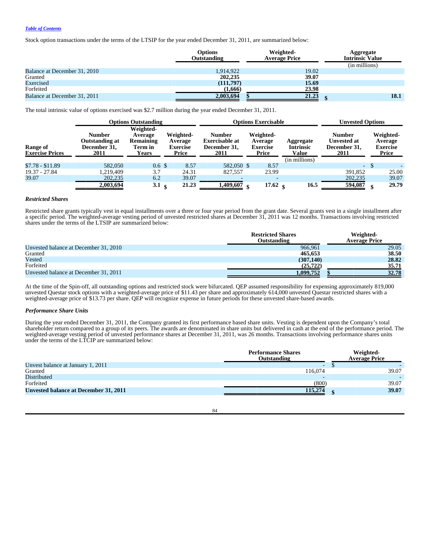Stock option transactions under the terms of the LTSIP for the year ended December 31, 2011, are summarized below:

|                              | <b>Options</b><br><b>Outstanding</b> | Weighted-<br><b>Average Price</b> | Aggregate<br><b>Intrinsic Value</b> |      |
|------------------------------|--------------------------------------|-----------------------------------|-------------------------------------|------|
|                              |                                      |                                   | (in millions)                       |      |
| Balance at December 31, 2010 | 1.914.922                            | 19.02                             |                                     |      |
| Granted                      | 202,235                              | 39.07                             |                                     |      |
| Exercised                    | (111,797)                            | 15.69                             |                                     |      |
| Forfeited                    | (1,666)                              | 23.98                             |                                     |      |
| Balance at December 31, 2011 | 2,003,694                            | 21.23                             |                                     | 18.1 |

The total intrinsic value of options exercised was \$2.7 million during the year ended December 31, 2011.

|                                    |                                                         | <b>Options Outstanding</b>                            |                                                  |                                                                       | <b>Options Exercisable</b>                              |                                                         | <b>Unvested Options</b>                                     |     |                                                         |
|------------------------------------|---------------------------------------------------------|-------------------------------------------------------|--------------------------------------------------|-----------------------------------------------------------------------|---------------------------------------------------------|---------------------------------------------------------|-------------------------------------------------------------|-----|---------------------------------------------------------|
| Range of<br><b>Exercise Prices</b> | <b>Number</b><br>Outstanding at<br>December 31,<br>2011 | Weighted-<br>Average<br>Remaining<br>Term in<br>Years | Weighted-<br>Average<br><b>Exercise</b><br>Price | <b>Number</b><br><b>Exercisable at</b><br>December 31,<br><b>2011</b> | Weighted-<br>Average<br><b>Exercise</b><br><b>Price</b> | Aggregate<br><b>Intrinsic</b><br>Value<br>(in millions) | <b>Number</b><br><b>Unvested at</b><br>December 31,<br>2011 |     | Weighted-<br>Average<br><b>Exercise</b><br><b>Price</b> |
| $$7.78 - $11.89$                   | 582,050                                                 | 0.6 <sup>5</sup>                                      | 8.57                                             | 582,050 \$                                                            | 8.57                                                    |                                                         |                                                             | - ა |                                                         |
| 19.37 - 27.84                      | 1.219.409                                               | 3.7                                                   | 24.31                                            | 827,557                                                               | 23.99                                                   |                                                         | 391,852                                                     |     | 25.00                                                   |
| 39.07                              | 202,235                                                 | 6.2                                                   | 39.07                                            |                                                                       |                                                         |                                                         | 202,235                                                     |     | 39.07                                                   |
|                                    | 2,003,694                                               | 3.1 <sub>e</sub>                                      | 21.23                                            | 1,409,607                                                             | $17.62 \text{ }$                                        | 16.5                                                    | 594,087                                                     |     | 29.79                                                   |

## *Restricted Shares*

Restricted share grants typically vest in equal installments over a three or four year period from the grant date. Several grants vest in a single installment after a specific period. The weighted-average vesting period of unvested restricted shares at December 31, 2011 was 12 months. Transactions involving restricted shares under the terms of the LTSIP are summarized below:

|                                       | <b>Restricted Shares</b><br>Outstanding | Weighted-<br><b>Average Price</b> |
|---------------------------------------|-----------------------------------------|-----------------------------------|
| Unvested balance at December 31, 2010 | 966.961                                 | 29.05                             |
| Granted                               | 465.653                                 | 38.50                             |
| Vested                                | (307, 140)                              | 28.82                             |
| Forfeited                             | (25, 722)                               | 35.71                             |
| Unvested balance at December 31, 2011 | 1,099,752                               | 32.78                             |

At the time of the Spin-off, all outstanding options and restricted stock were bifurcated. QEP assumed responsibility for expensing approximately 819,000 unvested Questar stock options with a weighted-average price of \$11.43 per share and approximately 614,000 unvested Questar restricted shares with a weighted-average price of \$13.73 per share. QEP will recognize expense in future periods for these unvested share-based awards.

#### *Performance Share Units*

During the year ended December 31, 2011, the Company granted its first performance based share units. Vesting is dependent upon the Company's total shareholder return compared to a group of its peers. The awards are denominated in share units but delivered in cash at the end of the performance period. The weighted-average vesting period of unvested performance shares at December 31, 2011, was 26 months. Transactions involving performance shares units under the terms of the LTCIP are summarized below:

|                                       | <b>Performance Shares</b><br>Outstanding | Weighted-<br><b>Average Price</b> |
|---------------------------------------|------------------------------------------|-----------------------------------|
| Unvest balance at January 1, 2011     |                                          |                                   |
| Granted                               | 116.074                                  | 39.07                             |
| Distributed                           |                                          |                                   |
| Forfeited                             | (800)                                    | 39.07                             |
| Unvested balance at December 31, 2011 | 115,274                                  | 39.07                             |

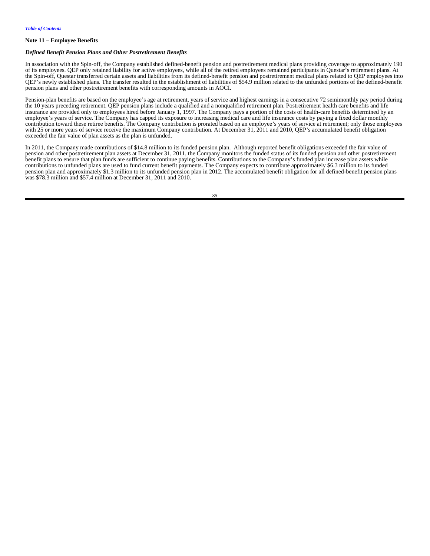## **Note 11 – Employee Benefits**

#### *Defined Benefit Pension Plans and Other Postretirement Benefits*

In association with the Spin-off, the Company established defined-benefit pension and postretirement medical plans providing coverage to approximately 190 of its employees. QEP only retained liability for active employees, while all of the retired employees remained participants in Questar's retirement plans. At the Spin-off, Questar transferred certain assets and liabilities from its defined-benefit pension and postretirement medical plans related to QEP employees into QEP's newly established plans. The transfer resulted in the establishment of liabilities of \$54.9 million related to the unfunded portions of the defined-benefit pension plans and other postretirement benefits with corresponding amounts in AOCI.

Pension-plan benefits are based on the employee's age at retirement, years of service and highest earnings in a consecutive 72 semimonthly pay period during the 10 years preceding retirement. QEP pension plans include a qualified and a nonqualified retirement plan. Postretirement health care benefits and life insurance are provided only to employees hired before January 1, 1997. The Company pays a portion of the costs of health-care benefits determined by an employee's years of service. The Company has capped its exposure to increasing medical care and life insurance costs by paying a fixed dollar monthly contribution toward these retiree benefits. The Company contribution is prorated based on an employee's years of service at retirement; only those employees with 25 or more years of service receive the maximum Company contribution. At December 31, 2011 and 2010, QEP's accumulated benefit obligation exceeded the fair value of plan assets as the plan is unfunded.

In 2011, the Company made contributions of \$14.8 million to its funded pension plan. Although reported benefit obligations exceeded the fair value of pension and other postretirement plan assets at December 31, 2011, the Company monitors the funded status of its funded pension and other postretirement benefit plans to ensure that plan funds are sufficient to continue paying benefits. Contributions to the Company's funded plan increase plan assets while contributions to unfunded plans are used to fund current benefit payments. The Company expects to contribute approximately \$6.3 million to its funded pension plan and approximately \$1.3 million to its unfunded pension plan in 2012. The accumulated benefit obligation for all defined-benefit pension plans was \$78.3 million and \$57.4 million at December 31, 2011 and 2010.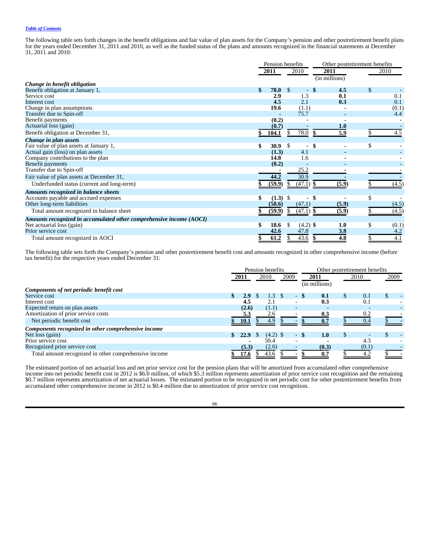The following table sets forth changes in the benefit obligations and fair value of plan assets for the Company's pension and other postretirement benefit plans for the years ended December 31, 2011 and 2010, as well as the funded status of the plans and amounts recognized in the financial statements at December 31, 2011 and 2010:

|                                                                     | Pension benefits  |               |            | Other postretirement benefits |    |       |
|---------------------------------------------------------------------|-------------------|---------------|------------|-------------------------------|----|-------|
|                                                                     | 2011              |               | 2010       | 2011                          |    | 2010  |
|                                                                     |                   |               |            | (in millions)                 |    |       |
| Change in benefit obligation                                        |                   |               |            |                               |    |       |
| Benefit obligation at January 1,                                    | \$<br>78.0        | <sup>\$</sup> |            | 4.5<br>\$.                    | \$ |       |
| Service cost                                                        | 2.9               |               | 1.3        | 0.1                           |    | 0.1   |
| Interest cost                                                       | 4.5               |               | 2.1        | 0.3                           |    | 0.1   |
| Change in plan assumptions                                          | 19.6              |               | (1.1)      |                               |    | (0.1) |
| Transfer due to Spin-off                                            |                   |               | 75.7       |                               |    | 4.4   |
| Benefit payments                                                    | (0.2)             |               |            |                               |    |       |
| Actuarial loss (gain)                                               | (0.7)             |               |            | 1.0                           |    |       |
| Benefit obligation at December 31,                                  | 104.1             |               | 78.0       | $\overline{5.9}$<br>- \$      |    | 4.5   |
| Change in plan assets                                               |                   |               |            |                               |    |       |
| Fair value of plan assets at January 1,                             | \$<br><b>30.9</b> | -\$           |            | \$                            | \$ |       |
| Actual gain (loss) on plan assets                                   | (1.3)             |               | 4.1        |                               |    |       |
| Company contributions to the plan                                   | 14.8              |               | 1.6        |                               |    |       |
| Benefit payments                                                    | (0.2)             |               |            |                               |    |       |
| Transfer due to Spin-off                                            |                   |               | 25.2       |                               |    |       |
| Fair value of plan assets at December 31,                           | 44.2              |               | 30.9       |                               |    |       |
| Underfunded status (current and long-term)                          | (59.9)            |               | (47.1)     | (5.9)<br>\$.                  |    | (4.5) |
| Amounts recognized in balance sheets                                |                   |               |            |                               |    |       |
| Accounts payable and accrued expenses                               | \$<br>$(1.3)$ \$  |               |            | \$                            | \$ |       |
| Other long-term liabilities                                         | (58.6)            |               | (47.1)     | (5.9)                         |    | (4.5) |
| Total amount recognized in balance sheet                            | (59.9)            | P.            | (47.1)     | (5.9)                         |    | (4.5) |
| Amounts recognized in accumulated other comprehensive income (AOCI) |                   |               |            |                               |    |       |
| Net actuarial loss (gain)                                           | \$<br>18.6        | S             | $(4.2)$ \$ | 1.0                           | \$ | (0.1) |
| Prior service cost                                                  | 42.6              |               | 47.8       | 3.8                           |    | 4.2   |
| Total amount recognized in AOCI                                     | 61.2              |               | 43.6       | 4.8<br>\$                     |    | 4.1   |

The following table sets forth the Company's pension and other postretirement benefit cost and amounts recognized in other comprehensive income (before tax benefit) for the respective years ended December 31:

|                                                       | Pension benefits |       |      |            |      |                          | Other postretirement benefits |               |      |       |      |  |
|-------------------------------------------------------|------------------|-------|------|------------|------|--------------------------|-------------------------------|---------------|------|-------|------|--|
|                                                       | <b>2011</b>      |       | 2010 |            | 2009 |                          | 2011                          |               | 2010 |       | 2009 |  |
|                                                       |                  |       |      |            |      |                          |                               | (in millions) |      |       |      |  |
| Components of net periodic benefit cost               |                  |       |      |            |      |                          |                               |               |      |       |      |  |
| Service cost                                          |                  | 2.9   |      | 1.3        |      |                          | - \$                          | 0.1           |      | 0.1   |      |  |
| Interest cost                                         |                  | 4.5   |      | 2.1        |      |                          |                               | 0.3           |      | 0.1   |      |  |
| Expected return on plan assets                        |                  | (2.6) |      | (1.1)      |      | $\overline{\phantom{a}}$ |                               |               |      |       |      |  |
| Amortization of prior service costs                   |                  | 5.3   |      | 2.6        |      |                          |                               | 0.3           |      | 0.2   |      |  |
| Net periodic benefit cost                             |                  | 10.1  |      | 4.9        |      |                          |                               | 0.7           |      | 0.4   |      |  |
| Components recognized in other comprehensive income   |                  |       |      |            |      |                          |                               |               |      |       |      |  |
| Net loss (gain)                                       |                  | 22.9  |      | $(4.2)$ \$ |      | $-$ \$                   |                               | 1.0           |      |       |      |  |
| Prior service cost                                    |                  |       |      | 50.4       |      | $\overline{\phantom{0}}$ |                               |               |      | 4.3   |      |  |
| Recognized prior service cost                         |                  | (5.3) |      | (2.6)      |      |                          |                               | (0.3)         |      | (0.1) |      |  |
| Total amount recognized in other comprehensive income |                  | 17.6  |      | 43.6       |      |                          |                               | 0.7           |      | 4.2   |      |  |

The estimated portion of net actuarial loss and net prior service cost for the pension plans that will be amortized from accumulated other comprehensive income into net periodic benefit cost in 2012 is \$6.0 million, of which \$5.3 million represents amortization of prior service cost recognition and the remaining \$0.7 million represents amortization of net actuarial losses. The estimated portion to be recognized in net periodic cost for other postretirement benefits from accumulated other comprehensive income in 2012 is \$0.4 million due to amortization of prior service cost recognition.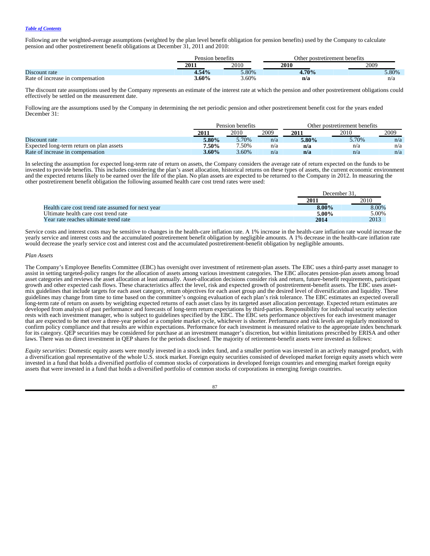Following are the weighted-average assumptions (weighted by the plan level benefit obligation for pension benefits) used by the Company to calculate pension and other postretirement benefit obligations at December 31, 2011 and 2010:

|                                  | Pension | benefits | Other postretirement benefits |       |  |  |
|----------------------------------|---------|----------|-------------------------------|-------|--|--|
|                                  | 2011    | 2010     | 2010                          | 2009  |  |  |
| Discount rate                    | 4.54%   | $5.80\%$ | .70%                          | 5.80% |  |  |
| Rate of increase in compensation | -60%.   | 3.60%    | n/a                           | n/a   |  |  |

The discount rate assumptions used by the Company represents an estimate of the interest rate at which the pension and other postretirement obligations could effectively be settled on the measurement date.

Following are the assumptions used by the Company in determining the net periodic pension and other postretirement benefit cost for the years ended December 31:

|                                          |       | Pension benefits |      | Other postretirement benefits |       |      |  |  |
|------------------------------------------|-------|------------------|------|-------------------------------|-------|------|--|--|
|                                          | 2011  | 2010             | 2009 | 2011                          | 2010  | 2009 |  |  |
| Discount rate                            | 5.80% | 5.70%            | n/a  | 5.80%                         | 5.70% | n/a  |  |  |
| Expected long-term return on plan assets | 7.50% | 7.50%            | n/a  | n/a                           | n/a   | n/a  |  |  |
| Rate of increase in compensation         | 3.60% | 3.60%            | n/a  | n/a                           | n/a   | n/a  |  |  |

In selecting the assumption for expected long-term rate of return on assets, the Company considers the average rate of return expected on the funds to be invested to provide benefits. This includes considering the plan's asset allocation, historical returns on these types of assets, the current economic environment and the expected returns likely to be earned over the life of the plan. No plan assets are expected to be returned to the Company in 2012. In measuring the other postretirement benefit obligation the following assumed health care cost trend rates were used:

|                                                   | December 31. |       |
|---------------------------------------------------|--------------|-------|
|                                                   | 2011         | 2010  |
| Health care cost trend rate assumed for next year | 8.00%        | 8.00% |
| Ultimate health care cost trend rate              | 5.00%        | 5.00% |
| Year rate reaches ultimate trend rate             | 2014         | 2013  |

Service costs and interest costs may be sensitive to changes in the health-care inflation rate. A 1% increase in the health-care inflation rate would increase the yearly service and interest costs and the accumulated postretirement benefit obligation by negligible amounts. A 1% decrease in the health-care inflation rate would decrease the yearly service cost and interest cost and the accumulated postretirement-benefit obligation by negligible amounts.

## *Plan Assets*

The Company's Employee Benefits Committee (EBC) has oversight over investment of retirement-plan assets. The EBC uses a third-party asset manager to assist in setting targeted-policy ranges for the allocation of assets among various investment categories. The EBC allocates pension-plan assets among broad asset categories and reviews the asset allocation at least annually. Asset-allocation decisions consider risk and return, future-benefit requirements, participant growth and other expected cash flows. These characteristics affect the level, risk and expected growth of postretirement-benefit assets. The EBC uses assetmix guidelines that include targets for each asset category, return objectives for each asset group and the desired level of diversification and liquidity. These guidelines may change from time to time based on the committee's ongoing evaluation of each plan's risk tolerance. The EBC estimates an expected overall long-term rate of return on assets by weighting expected returns of each asset class by its targeted asset allocation percentage. Expected return estimates are developed from analysis of past performance and forecasts of long-term return expectations by third-parties. Responsibility for individual security selection rests with each investment manager, who is subject to guidelines specified by the EBC. The EBC sets performance objectives for each investment manager that are expected to be met over a three-year period or a complete market cycle, whichever is shorter. Performance and risk levels are regularly monitored to confirm policy compliance and that results are within expectations. Performance for each investment is measured relative to the appropriate index benchmark for its category. QEP securities may be considered for purchase at an investment manager's discretion, but within limitations prescribed by ERISA and other laws. There was no direct investment in QEP shares for the periods disclosed. The majority of retirement-benefit assets were invested as follows:

*Equity securities:* Domestic equity assets were mostly invested in a stock index fund, and a smaller portion was invested in an actively managed product, with a diversification goal representative of the whole U.S. stock market. Foreign equity securities consisted of developed market foreign equity assets which were invested in a fund that holds a diversified portfolio of common stocks of corporations in developed foreign countries and emerging market foreign equity assets that were invested in a fund that holds a diversified portfolio of common stocks of corporations in emerging foreign countries.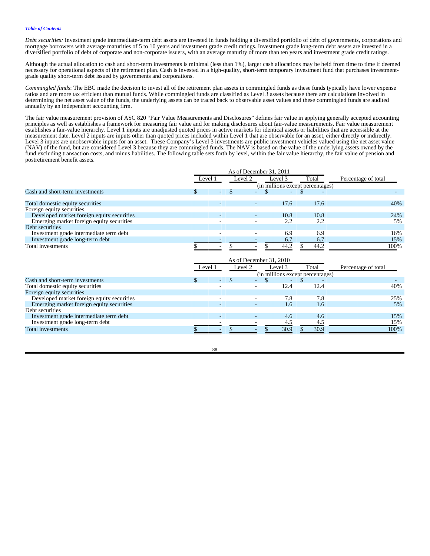*Debt securities:* Investment grade intermediate-term debt assets are invested in funds holding a diversified portfolio of debt of governments, corporations and mortgage borrowers with average maturities of 5 to 10 years and investment grade credit ratings. Investment grade long-term debt assets are invested in a diversified portfolio of debt of corporate and non-corporate issuers, with an average maturity of more than ten years and investment grade credit ratings.

Although the actual allocation to cash and short-term investments is minimal (less than 1%), larger cash allocations may be held from time to time if deemed necessary for operational aspects of the retirement plan. Cash is invested in a high-quality, short-term temporary investment fund that purchases investmentgrade quality short-term debt issued by governments and corporations.

*Commingled funds*: The EBC made the decision to invest all of the retirement plan assets in commingled funds as these funds typically have lower expense ratios and are more tax efficient than mutual funds. While commingled funds are classified as Level 3 assets because there are calculations involved in determining the net asset value of the funds, the underlying assets can be traced back to observable asset values and these commingled funds are audited annually by an independent accounting firm.

The fair value measurement provision of ASC 820 "Fair Value Measurements and Disclosures" defines fair value in applying generally accepted accounting principles as well as establishes a framework for measuring fair value and for making disclosures about fair-value measurements. Fair value measurement establishes a fair-value hierarchy. Level 1 inputs are unadjusted quoted prices in active markets for identical assets or liabilities that are accessible at the measurement date. Level 2 inputs are inputs other than quoted prices included within Level 1 that are observable for an asset, either directly or indirectly. Level 3 inputs are unobservable inputs for an asset. These Company's Level 3 investments are public investment vehicles valued using the net asset value (NAV) of the fund, but are considered Level 3 because they are commingled funds. The NAV is based on the value of the underlying assets owned by the fund excluding transaction costs, and minus liabilities. The following table sets forth by level, within the fair value hierarchy, the fair value of pension and postretirement benefit assets.

|                                            |         |                                  | As of December 31, 2011 |                                             |         |       |      |                     |
|--------------------------------------------|---------|----------------------------------|-------------------------|---------------------------------------------|---------|-------|------|---------------------|
|                                            | Level:  |                                  | Level 2                 | Level 3<br>(in millions except percentages) |         | Total |      | Percentage of total |
|                                            |         |                                  |                         |                                             |         |       |      |                     |
| Cash and short-term investments            | \$      |                                  |                         |                                             |         |       |      |                     |
| Total domestic equity securities           |         |                                  |                         |                                             | 17.6    |       | 17.6 | 40%                 |
| Foreign equity securities                  |         |                                  |                         |                                             |         |       |      |                     |
| Developed market foreign equity securities |         |                                  |                         |                                             | 10.8    |       | 10.8 | 24%                 |
| Emerging market foreign equity securities  |         |                                  | ۰                       |                                             | 2.2     |       | 2.2  | 5%                  |
| Debt securities                            |         |                                  |                         |                                             |         |       |      |                     |
| Investment grade intermediate term debt    |         |                                  |                         |                                             | 6.9     |       | 6.9  | 16%                 |
| Investment grade long-term debt            |         |                                  |                         |                                             | 6.7     |       | 6.7  | 15%                 |
| Total investments                          |         |                                  |                         |                                             | 44.2    |       | 44.2 | 100%                |
|                                            |         | As of December 31, 2010          |                         |                                             |         |       |      |                     |
|                                            | Level 1 |                                  | Level 2                 |                                             | Level 3 | Total |      | Percentage of total |
|                                            |         | (in millions except percentages) |                         |                                             |         |       |      |                     |
| Cash and short-term investments            | \$      | \$                               |                         |                                             |         |       |      |                     |
| Total domestic equity securities           |         |                                  |                         |                                             | 12.4    |       | 12.4 | 40%                 |
| Foreign equity securities                  |         |                                  |                         |                                             |         |       |      |                     |
| Developed market foreign equity securities |         |                                  |                         |                                             | 7.8     |       | 7.8  | 25%                 |
| Emerging market foreign equity securities  |         |                                  |                         |                                             | 1.6     |       | 1.6  | 5%                  |
| Debt securities                            |         |                                  |                         |                                             |         |       |      |                     |
| Investment grade intermediate term debt    |         |                                  |                         |                                             | 4.6     |       | 4.6  | 15%                 |
| Investment grade long-term debt            |         |                                  |                         |                                             | 4.5     |       | 4.5  | 15%                 |
| Total investments                          |         |                                  |                         |                                             | 30.9    |       | 30.9 | 100%                |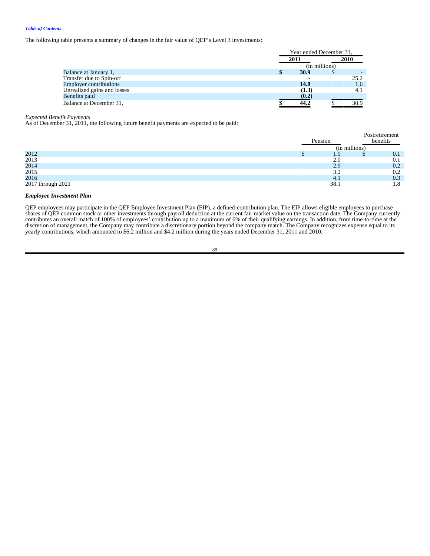The following table presents a summary of changes in the fair value of QEP's Level 3 investments:

|                               |   | Year ended December 31. |               |      |  |  |
|-------------------------------|---|-------------------------|---------------|------|--|--|
|                               |   | 2011                    |               | 2010 |  |  |
|                               |   |                         | (in millions) |      |  |  |
| Balance at January 1.         | S | 30.9                    |               |      |  |  |
| Transfer due to Spin-off      |   |                         |               | 25.2 |  |  |
| <b>Employer contributions</b> |   | 14.8                    |               | 1.6  |  |  |
| Unrealized gains and losses   |   | (1.3)                   |               | 4.1  |  |  |
| Benefits paid                 |   | (0.2)                   |               |      |  |  |
| Balance at December 31,       |   | 44.2                    |               | 30.9 |  |  |

*Expected Benefit Payments*

As of December 31, 2011, the following future benefit payments are expected to be paid:

|                   |               | Postretirement |     |
|-------------------|---------------|----------------|-----|
|                   | Pension       | benefits       |     |
|                   | (in millions) |                |     |
| 2012              |               |                | 0.1 |
| 2013              | 2.0           |                | 0.1 |
|                   | 2.9           |                | 0.2 |
| 2014<br>2015      | 3.2           |                | 0.2 |
| 2016              | $-4.1$        |                | 0.3 |
| 2017 through 2021 | 38.1          |                | 1.8 |

#### *Employee Investment Plan*

QEP employees may participate in the QEP Employee Investment Plan (EIP), a defined-contribution plan. The EIP allows eligible employees to purchase shares of QEP common stock or other investments through payroll deduction at the current fair market value on the transaction date. The Company currently contributes an overall match of 100% of employees' contribution up to a maximum of 6% of their qualifying earnings. In addition, from time-to-time at the discretion of management, the Company may contribute a discretionary portion beyond the company match. The Company recognizes expense equal to its yearly contributions, which amounted to \$6.2 million and \$4.2 million during the years ended December 31, 2011 and 2010.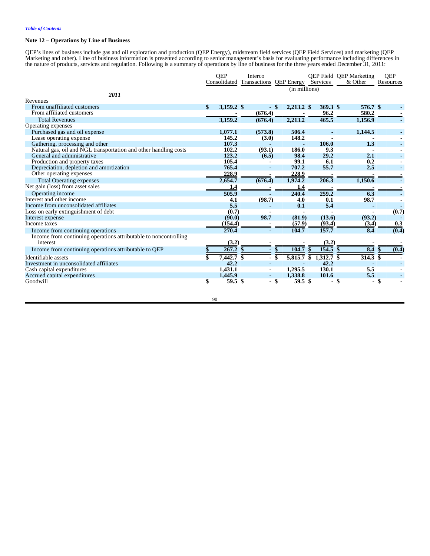## **Note 12 – Operations by Line of Business**

QEP's lines of business include gas and oil exploration and production (QEP Energy), midstream field services (QEP Field Services) and marketing (QEP Marketing and other). Line of business information is presented according to senior management's basis for evaluating performance including differences in the nature of products, services and regulation. Following is a summary of operations by line of business for the three years ended December 31, 2011:

|                                                                  | QEP                  | Interco                                       |                               |                                    | <b>QEP Field QEP Marketing</b> | QEP         |
|------------------------------------------------------------------|----------------------|-----------------------------------------------|-------------------------------|------------------------------------|--------------------------------|-------------|
|                                                                  |                      | Consolidated Transactions QEP Energy Services |                               |                                    | & Other                        | Resources   |
|                                                                  |                      |                                               | (in millions)                 |                                    |                                |             |
| 2011                                                             |                      |                                               |                               |                                    |                                |             |
| Revenues                                                         |                      |                                               |                               |                                    |                                |             |
| From unaffiliated customers                                      | \$<br>3,159.2 \$     |                                               | $2,213.2 \text{ }$ \$<br>- \$ | 369.3 <sup>8</sup>                 | 576.7 \$                       |             |
| From affiliated customers                                        |                      | (676.4)                                       |                               | 96.2                               | 580.2                          |             |
| <b>Total Revenues</b>                                            | 3,159.2              | (676.4)                                       | 2,213.2                       | 465.5                              | 1,156.9                        |             |
| Operating expenses                                               |                      |                                               |                               |                                    |                                |             |
| Purchased gas and oil expense                                    | 1,077.1              | (573.8)                                       | 506.4                         |                                    | 1,144.5                        |             |
| Lease operating expense                                          | 145.2                | (3.0)                                         | 148.2                         |                                    |                                |             |
| Gathering, processing and other                                  | 107.3                |                                               |                               | 106.0                              | 1.3                            |             |
| Natural gas, oil and NGL transportation and other handling costs | 102.2                | (93.1)                                        | 186.0                         | 9.3                                |                                |             |
| General and administrative                                       | 123.2                | (6.5)                                         | 98.4                          | 29.2                               | 2.1                            |             |
| Production and property taxes                                    | 105.4                |                                               | 99.1                          | 6.1                                | 0.2                            |             |
| Depreciation, depletion and amortization                         | 765.4                | ٠                                             | 707.2                         | 55.7                               | 2.5                            |             |
| Other operating expenses                                         | 228.9                | $\blacksquare$                                | 228.9                         |                                    |                                |             |
| <b>Total Operating expenses</b>                                  | 2,654.7              | (676.4)                                       | 1,974.2                       | $\overline{206.3}$                 | 1,150.6                        |             |
| Net gain (loss) from asset sales                                 | 1.4                  |                                               | 1.4                           |                                    |                                |             |
| Operating income                                                 | 505.9                |                                               | 240.4                         | 259.2                              | 6.3                            |             |
| Interest and other income                                        | 4.1                  | (98.7)                                        | 4.0                           | 0.1                                | 98.7                           |             |
| Income from unconsolidated affiliates                            | 5.5                  |                                               | 0.1                           | 5.4                                |                                |             |
| Loss on early extinguishment of debt                             | (0.7)                |                                               |                               |                                    |                                | (0.7)       |
| Interest expense                                                 | (90.0)               | 98.7                                          | (81.9)                        | (13.6)                             | (93.2)                         |             |
| Income taxes                                                     | (154.4)              |                                               | (57.9)                        | (93.4)                             | (3.4)                          | 0.3         |
| Income from continuing operations                                | 270.4                | $\blacksquare$                                | 104.7                         | 157.7                              | 8.4                            | (0.4)       |
| Income from continuing operations attributable to noncontrolling |                      |                                               |                               |                                    |                                |             |
| interest                                                         | (3.2)                |                                               |                               | (3.2)                              |                                |             |
| Income from continuing operations attributable to QEP            | 267.2                | ÷.                                            | 104.7                         | 154.5                              | 8.4                            | (0.4)<br>S. |
| Identifiable assets                                              |                      |                                               |                               | $\overline{5,815.7}$ \$ 1,312.7 \$ |                                |             |
| Investment in unconsolidated affiliates                          | $7,442.7$ \$<br>42.2 |                                               |                               | 42.2                               | $314.3 \overline{\$}$          |             |
| Cash capital expenditures                                        | 1,431.1              |                                               | 1,295.5                       | 130.1                              | 5.5                            |             |
|                                                                  | 1.445.9              |                                               | 1.338.8                       | 101.6                              | 5.5                            |             |
| Accrued capital expenditures<br>Goodwill                         | \$<br>59.5 \$        | ٠                                             | 59.5 \$<br>- \$               |                                    | - \$                           | - \$        |
|                                                                  |                      |                                               |                               |                                    |                                |             |
|                                                                  |                      |                                               |                               |                                    |                                |             |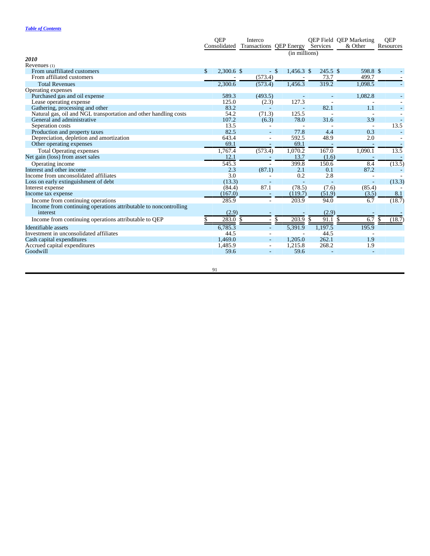|                                                                  | <b>OEP</b>         | Interco                 |               |                                  | <b>OEP Field OEP Marketing</b> | <b>OEP</b> |
|------------------------------------------------------------------|--------------------|-------------------------|---------------|----------------------------------|--------------------------------|------------|
|                                                                  | Consolidated       | Transactions QEP Energy |               | Services                         | & Other                        | Resources  |
|                                                                  |                    |                         | (in millions) |                                  |                                |            |
| 2010                                                             |                    |                         |               |                                  |                                |            |
| Revenues (1)                                                     |                    |                         |               |                                  |                                |            |
| From unaffiliated customers                                      | $2,300.6$ \$<br>\$ | $-$ \$                  | $1,456.3$ \$  | $245.5$ \$                       | 598.8 \$                       |            |
| From affiliated customers                                        |                    | (573.4)                 |               | 73.7                             | 499.7                          |            |
| <b>Total Revenues</b>                                            | 2,300.6            | (573.4)                 | 1,456.3       | 319.2                            | 1,098.5                        |            |
| Operating expenses                                               |                    |                         |               |                                  |                                |            |
| Purchased gas and oil expense                                    | 589.3              | (493.5)                 |               |                                  | 1,082.8                        |            |
| Lease operating expense                                          | 125.0              | (2.3)                   | 127.3         |                                  |                                |            |
| Gathering, processing and other                                  | 83.2               |                         |               | 82.1                             | 1.1                            |            |
| Natural gas, oil and NGL transportation and other handling costs | 54.2               | (71.3)                  | 125.5         |                                  |                                |            |
| General and administrative                                       | 107.2              | (6.3)                   | 78.0          | 31.6                             | 3.9                            |            |
| Seperation costs                                                 | 13.5               |                         |               |                                  | $\overline{\phantom{a}}$       | 13.5       |
| Production and property taxes                                    | 82.5               |                         | 77.8          | 4.4                              | 0.3                            |            |
| Depreciation, depletion and amortization                         | 643.4              | $\overline{a}$          | 592.5         | 48.9                             | 2.0                            |            |
| Other operating expenses                                         | 69.1               |                         | 69.1          |                                  | $\overline{\phantom{a}}$       |            |
| <b>Total Operating expenses</b>                                  | 1,767.4            | (573.4)                 | 1,070.2       | 167.0                            | 1,090.1                        | 13.5       |
| Net gain (loss) from asset sales                                 | 12.1               |                         | 13.7          | (1.6)                            |                                |            |
| Operating income                                                 | $\overline{545.3}$ |                         | 399.8         | 150.6                            | $\overline{8.4}$               | (13.5)     |
| Interest and other income                                        | 2.3                | (87.1)                  | 2.1           | 0.1                              | 87.2                           |            |
| Income from unconsolidated affiliates                            | 3.0                |                         | 0.2           | 2.8                              | ÷,                             |            |
| Loss on early extinguishment of debt                             | (13.3)             |                         |               |                                  |                                | (13.3)     |
| Interest expense                                                 | (84.4)             | 87.1                    | (78.5)        | (7.6)                            | (85.4)                         |            |
| Income tax expense                                               | (167.0)            |                         | (119.7)       | (51.9)                           | (3.5)                          | 8.1        |
| Income from continuing operations                                | 285.9              | $\overline{a}$          | 203.9         | 94.0                             | 6.7                            | (18.7)     |
| Income from continuing operations attributable to noncontrolling |                    |                         |               |                                  |                                |            |
| interest                                                         | (2.9)              | -                       |               | (2.9)                            |                                |            |
| Income from continuing operations attributable to QEP            | 283.0              | <sup>\$</sup>           | 203.9<br>\$   | $\overline{91.1}$ \$<br><b>S</b> | 6.7                            | (18.7)     |
| Identifiable assets                                              | 6,785.3            | ÷                       | 5,391.9       | 1.197.5                          | 195.9                          |            |
| Investment in unconsolidated affiliates                          | 44.5               |                         |               | 44.5                             |                                |            |
| Cash capital expenditures                                        | 1.469.0            | ٠                       | 1.205.0       | 262.1                            | 1.9                            |            |
| Accrued capital expenditures                                     | 1,485.9            | ۰                       | 1,215.8       | 268.2                            | 1.9                            |            |
| Goodwill                                                         | 59.6               | ٠                       | 59.6          |                                  |                                |            |
|                                                                  |                    |                         |               |                                  |                                |            |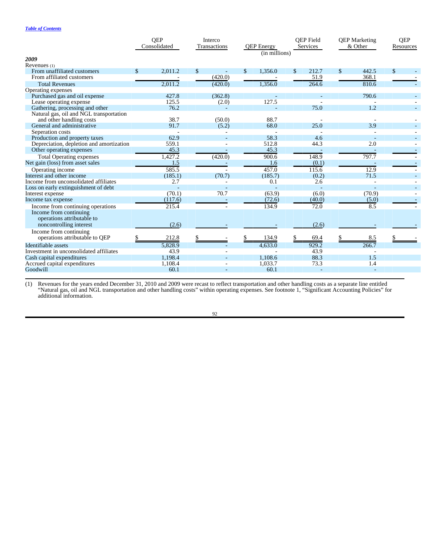|                                                                                 |                    | <b>OEP</b><br>Consolidated |                    | Interco<br>Transactions | <b>QEP</b> Energy |         | <b>OEP</b> Field<br>Services<br>(in millions) |        | <b>OEP</b> Marketing<br>& Other |        | <b>OEP</b><br>Resources |
|---------------------------------------------------------------------------------|--------------------|----------------------------|--------------------|-------------------------|-------------------|---------|-----------------------------------------------|--------|---------------------------------|--------|-------------------------|
| 2009                                                                            |                    |                            |                    |                         |                   |         |                                               |        |                                 |        |                         |
| Revenues (1)<br>From unaffiliated customers                                     | $\mathbf{\hat{s}}$ | 2,011.2                    | $\mathbf{\hat{S}}$ |                         | $\mathcal{S}$     | 1,356.0 | \$                                            | 212.7  | \$                              | 442.5  | \$                      |
| From affiliated customers                                                       |                    |                            |                    | (420.0)                 |                   |         |                                               | 51.9   |                                 | 368.1  |                         |
| <b>Total Revenues</b>                                                           |                    | 2.011.2                    |                    | (420.0)                 |                   | 1,356.0 |                                               | 264.6  |                                 | 810.6  |                         |
| Operating expenses                                                              |                    |                            |                    |                         |                   |         |                                               |        |                                 |        |                         |
| Purchased gas and oil expense                                                   |                    | 427.8                      |                    | (362.8)                 |                   |         |                                               |        |                                 | 790.6  |                         |
| Lease operating expense                                                         |                    | 125.5                      |                    | (2.0)                   |                   | 127.5   |                                               |        |                                 |        |                         |
| Gathering, processing and other                                                 |                    | 76.2                       |                    |                         |                   |         |                                               | 75.0   |                                 | 1.2    |                         |
| Natural gas, oil and NGL transportation                                         |                    |                            |                    |                         |                   |         |                                               |        |                                 |        |                         |
| and other handling costs                                                        |                    | 38.7                       |                    | (50.0)                  |                   | 88.7    |                                               |        |                                 |        |                         |
| General and administrative                                                      |                    | 91.7                       |                    | (5.2)                   |                   | 68.0    |                                               | 25.0   |                                 | 3.9    |                         |
| Seperation costs                                                                |                    |                            |                    |                         |                   |         |                                               |        |                                 |        |                         |
| Production and property taxes                                                   |                    | 62.9                       |                    |                         |                   | 58.3    |                                               | 4.6    |                                 |        |                         |
| Depreciation, depletion and amortization                                        |                    | 559.1                      |                    |                         |                   | 512.8   |                                               | 44.3   |                                 | 2.0    |                         |
| Other operating expenses                                                        |                    | 45.3                       |                    |                         |                   | 45.3    |                                               |        |                                 |        |                         |
| <b>Total Operating expenses</b>                                                 |                    | 1,427.2                    |                    | (420.0)                 |                   | 900.6   |                                               | 148.9  |                                 | 797.7  |                         |
| Net gain (loss) from asset sales                                                |                    | 1.5                        |                    |                         |                   | 1.6     |                                               | (0.1)  |                                 |        |                         |
| Operating income                                                                |                    | 585.5                      |                    |                         |                   | 457.0   |                                               | 115.6  |                                 | 12.9   |                         |
| Interest and other income                                                       |                    | (185.1)                    |                    | (70.7)                  |                   | (185.7) |                                               | (0.2)  |                                 | 71.5   |                         |
| Income from unconsolidated affiliates                                           |                    | 2.7                        |                    |                         |                   | 0.1     |                                               | 2.6    |                                 |        |                         |
| Loss on early extinguishment of debt                                            |                    |                            |                    |                         |                   |         |                                               |        |                                 |        |                         |
| Interest expense                                                                |                    | (70.1)                     |                    | 70.7                    |                   | (63.9)  |                                               | (6.0)  |                                 | (70.9) |                         |
| Income tax expense                                                              |                    | (117.6)                    |                    |                         |                   | (72.6)  |                                               | (40.0) |                                 | (5.0)  |                         |
| Income from continuing operations                                               |                    | 215.4                      |                    |                         |                   | 134.9   |                                               | 72.0   |                                 | 8.5    |                         |
| Income from continuing<br>operations attributable to<br>noncontrolling interest |                    | (2.6)                      |                    |                         |                   |         |                                               | (2.6)  |                                 |        |                         |
|                                                                                 |                    |                            |                    |                         |                   |         |                                               |        |                                 |        |                         |
| Income from continuing<br>operations attributable to QEP                        |                    | 212.8                      |                    |                         |                   | 134.9   |                                               | 69.4   |                                 | 8.5    |                         |
| Identifiable assets                                                             |                    | 5,828.9                    |                    |                         |                   | 4,633.0 |                                               | 929.2  |                                 | 266.7  |                         |
| Investment in unconsolidated affiliates                                         |                    | 43.9                       |                    |                         |                   |         |                                               | 43.9   |                                 |        |                         |
| Cash capital expenditures                                                       |                    | 1.198.4                    |                    |                         |                   | 1.108.6 |                                               | 88.3   |                                 | 1.5    |                         |
| Accrued capital expenditures                                                    |                    | 1,108.4                    |                    |                         |                   | 1,033.7 |                                               | 73.3   |                                 | 1.4    |                         |
| Goodwill                                                                        |                    | 60.1                       |                    |                         |                   | 60.1    |                                               |        |                                 |        |                         |

(1) Revenues for the years ended December 31, 2010 and 2009 were recast to reflect transportation and other handling costs as a separate line entitled "Natural gas, oil and NGL transportation and other handling costs" within operating expenses. See footnote 1, "Significant Accounting Policies" for additional information.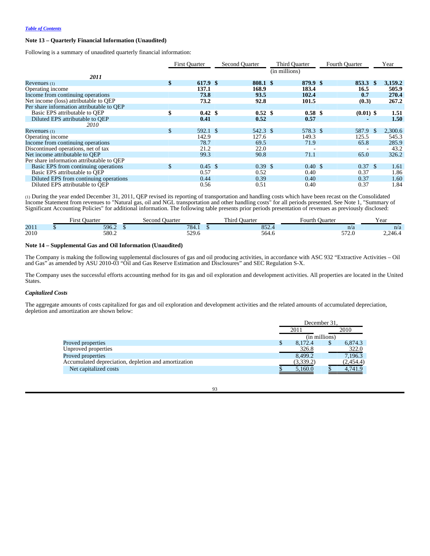## **Note 13 – Quarterly Financial Information (Unaudited)**

Following is a summary of unaudited quarterly financial information:

|                                           |                           | <b>First Ouarter</b> | Second Quarter     | Third Ouarter<br>(in millions) | Fourth Quarter     | Year    |
|-------------------------------------------|---------------------------|----------------------|--------------------|--------------------------------|--------------------|---------|
| 2011                                      |                           |                      |                    |                                |                    |         |
| Revenues $(1)$                            | $\boldsymbol{\mathsf{s}}$ | 617.9 \$             | 808.1 \$           | 879.9 \$                       | $853.3 \quad $$    | 3.159.2 |
| Operating income                          |                           | 137.1                | 168.9              | 183.4                          | 16.5               | 505.9   |
| Income from continuing operations         |                           | 73.8                 | 93.5               | 102.4                          | 0.7                | 270.4   |
| Net income (loss) attributable to OEP     |                           | 73.2                 | 92.8               | 101.5                          | (0.3)              | 267.2   |
| Per share information attributable to OEP |                           |                      |                    |                                |                    |         |
| Basic EPS attributable to OEP             | \$                        | $0.42 \text{ }$ \$   | $0.52 \text{ }$ \$ | 0.58 <sup>8</sup>              | $(0.01)$ \$        | 1.51    |
| Diluted EPS attributable to OEP           |                           | 0.41                 | 0.52               | 0.57                           |                    | 1.50    |
| 2010                                      |                           |                      |                    |                                |                    |         |
| Revenues $(1)$                            | <sup>\$</sup>             | 592.1 \$             | 542.3 \$           | 578.3 \$                       | 587.9 \$           | 2.300.6 |
| Operating income                          |                           | 142.9                | 127.6              | 149.3                          | 125.5              | 545.3   |
| Income from continuing operations         |                           | 78.7                 | 69.5               | 71.9                           | 65.8               | 285.9   |
| Discontinued operations, net of tax       |                           | 21.2                 | 22.0               |                                |                    | 43.2    |
| Net income attributable to OEP            |                           | 99.3                 | 90.8               | 71.1                           | 65.0               | 326.2   |
| Per share information attributable to OEP |                           |                      |                    |                                |                    |         |
| Basic EPS from continuing operations      | <sup>\$</sup>             | $0.45 \text{ }$ \$   | $0.39 \text{ }$ \$ | $0.40 \text{ }$ \$             | $0.37 \text{ }$ \$ | 1.61    |
| Basic EPS attributable to OEP             |                           | 0.57                 | 0.52               | 0.40                           | 0.37               | 1.86    |
| Diluted EPS from continuing operations    |                           | 0.44                 | 0.39               | 0.40                           | 0.37               | 1.60    |
| Diluted EPS attributable to OEP           |                           | 0.56                 | 0.51               | 0.40                           | 0.37               | 1.84    |

(1) During the year ended December 31, 2011, QEP revised its reporting of transportation and handling costs which have been recast on the Consolidated Income Statement from revenues to "Natural gas, oil and NGL transportation and other handling costs" for all periods presented. See Note 1, "Summary of Significant Accounting Policies" for additional information. The following table presents prior periods presentation of revenues as previously disclosed:

|      | Juartei<br>∺ırst | Second<br>Ouarter             | m<br>. hir<br>Juartei | <b>Fourth</b><br><b>Ouartei</b> | Year    |
|------|------------------|-------------------------------|-----------------------|---------------------------------|---------|
| 2011 | 596.2            | 784.1                         | 0.50<br>3JZ.-         | n/a                             | n/a     |
| 2010 | 580.2            | $-20.5$<br><i><u>JLJ.</u></i> | - 564.പ               | $J/I \sim J$                    | 2,246.4 |

## **Note 14 – Supplemental Gas and Oil Information (Unaudited)**

The Company is making the following supplemental disclosures of gas and oil producing activities, in accordance with ASC 932 "Extractive Activities – Oil and Gas" as amended by ASU 2010-03 "Oil and Gas Reserve Estimation and Disclosures" and SEC Regulation S-X.

The Company uses the successful efforts accounting method for its gas and oil exploration and development activities. All properties are located in the United States.

## *Capitalized Costs*

The aggregate amounts of costs capitalized for gas and oil exploration and development activities and the related amounts of accumulated depreciation, depletion and amortization are shown below:

|                                                      |    | December 31. |               |           |  |
|------------------------------------------------------|----|--------------|---------------|-----------|--|
|                                                      |    | 2010<br>2011 |               |           |  |
|                                                      |    |              | (in millions) |           |  |
| Proved properties                                    | S. | 8.172.4      |               | 6.874.3   |  |
| Unproved properties                                  |    | 326.8        |               | 322.0     |  |
| Proved properties                                    |    | 8.499.2      |               | 7,196.3   |  |
| Accumulated depreciation, depletion and amortization |    | (3,339.2)    |               | (2,454.4) |  |
| Net capitalized costs                                |    | 5,160.0      |               | 4.741.9   |  |

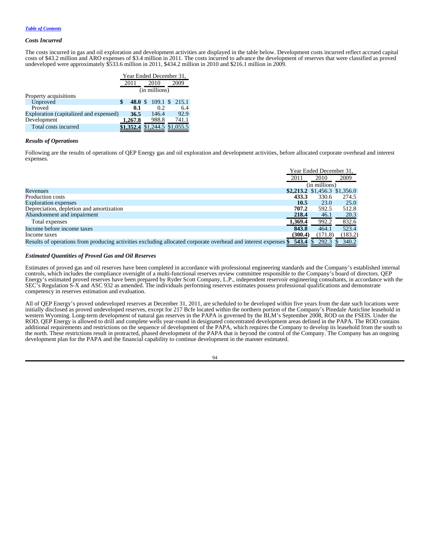#### *Costs Incurred*

The costs incurred in gas and oil exploration and development activities are displayed in the table below. Development costs incurred reflect accrued capital costs of \$43.2 million and ARO expenses of \$3.4 million in 2011. The costs incurred to advance the development of reserves that were classified as proved undeveloped were approximately \$533.6 million in 2011, \$434.2 million in 2010 and \$216.1 million in 2009.

|                                        | Year Ended December 31, |         |  |               |  |           |
|----------------------------------------|-------------------------|---------|--|---------------|--|-----------|
|                                        |                         | 2011    |  | 2010          |  | 2009      |
|                                        |                         |         |  | (in millions) |  |           |
| Property acquisitions                  |                         |         |  |               |  |           |
| Unproved                               |                         | 48.0    |  | $109.1$ \$    |  | 215.1     |
| Proved                                 |                         | 0.1     |  | 0.2           |  | 6.4       |
| Exploration (capitalized and expensed) |                         | 36.5    |  | 146.4         |  | 92.9      |
| Development                            |                         | 1.267.8 |  | 988.8         |  | 741.1     |
| Total costs incurred                   |                         |         |  | .244.5        |  | \$1,055.5 |

## *Results of Operations*

Following are the results of operations of QEP Energy gas and oil exploration and development activities, before allocated corporate overhead and interest expenses.

|                                                                                                                      |         | Year Ended December 31.       |         |
|----------------------------------------------------------------------------------------------------------------------|---------|-------------------------------|---------|
|                                                                                                                      | 2011    | 2010                          | 2009    |
|                                                                                                                      |         | (in millions)                 |         |
| Revenues                                                                                                             |         | \$2,213.2 \$1,456.3 \$1,356.0 |         |
| Production costs                                                                                                     | 433.3   | 330.6                         | 274.5   |
| <b>Exploration</b> expenses                                                                                          | 10.5    | 23.0                          | 25.0    |
| Depreciation, depletion and amortization                                                                             | 707.2   | 592.5                         | 512.8   |
| Abandonment and impairment                                                                                           | 218.4   | 46.1                          | 20.3    |
| Total expenses                                                                                                       | 1,369.4 | 992.2                         | 832.6   |
| Income before income taxes                                                                                           | 843.8   | 464.1                         | 523.4   |
| Income taxes                                                                                                         | (300.4) | (171.8)                       | (183.2) |
| Results of operations from producing activities excluding allocated corporate overhead and interest expenses \$543.4 |         | 292.3                         | 340.2   |

## *Estimated Quantities of Proved Gas and Oil Reserves*

Estimates of proved gas and oil reserves have been completed in accordance with professional engineering standards and the Company's established internal controls, which includes the compliance oversight of a multi-functional reserves review committee responsible to the Company's board of directors. QEP Energy's estimated proved reserves have been prepared by Ryder Scott Company, L.P., independent reservoir engineering consultants, in accordance with the SEC's Regulation S-X and ASC 932 as amended. The individuals performing reserves estimates possess professional qualifications and demonstrate competency in reserves estimation and evaluation.

All of QEP Energy's proved undeveloped reserves at December 31, 2011, are scheduled to be developed within five years from the date such locations were initially disclosed as proved undeveloped reserves, except for 217 Bcfe located within the northern portion of the Company's Pinedale Anticline leasehold in western Wyoming. Long-term development of natural gas reserves in the PAPA is governed by the BLM's September 2008, ROD on the FSEIS. Under the ROD, QEP Energy is allowed to drill and complete wells year-round in designated concentrated development areas defined in the PAPA. The ROD contains additional requirements and restrictions on the sequence of development of the PAPA, which requires the Company to develop its leasehold from the south to the north. These restrictions result in protracted, phased development of the PAPA that is beyond the control of the Company. The Company has an ongoing development plan for the PAPA and the financial capability to continue development in the manner estimated.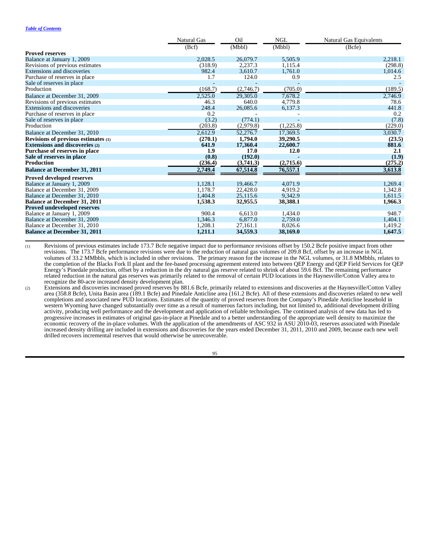|                                       | Natural Gas | Oil       | <b>NGL</b> | Natural Gas Equivalents |
|---------------------------------------|-------------|-----------|------------|-------------------------|
|                                       | (Bcf)       | (Mbbl)    | (Mbbl)     | (Bcfe)                  |
| <b>Proved reserves</b>                |             |           |            |                         |
| Balance at January 1, 2009            | 2,028.5     | 26,079.7  | 5,505.9    | 2,218.1                 |
| Revisions of previous estimates       | (318.9)     | 2,237.3   | 1,115.4    | (298.8)                 |
| Extensions and discoveries            | 982.4       | 3.610.7   | 1.761.0    | 1,014.6                 |
| Purchase of reserves in place         | 1.7         | 124.0     | 0.9        | 2.5                     |
| Sale of reserves in place             |             |           |            |                         |
| Production                            | (168.7)     | (2,746.7) | (705.0)    | (189.5)                 |
| Balance at December 31, 2009          | 2,525.0     | 29,305.0  | 7,678.2    | 2,746.9                 |
| Revisions of previous estimates       | 46.3        | 640.0     | 4,779.8    | 78.6                    |
| Extensions and discoveries            | 248.4       | 26,085.6  | 6,137.3    | 441.8                   |
| Purchase of reserves in place         | 0.2         |           |            | 0.2                     |
| Sale of reserves in place             | (3.2)       | (774.1)   |            | (7.8)                   |
| Production                            | (203.8)     | (2,979.8) | (1,225.8)  | (229.0)                 |
| Balance at December 31, 2010          | 2,612.9     | 52,276.7  | 17,369.5   | 3,030.7                 |
| Revisions of previous estimates (1)   | (270.1)     | 1,794.0   | 39,290.5   | (23.5)                  |
| <b>Extensions and discoveries (2)</b> | 641.9       | 17.360.4  | 22,600.7   | 881.6                   |
| Purchase of reserves in place         | 1.9         | 17.0      | 12.0       | 2.1                     |
| Sale of reserves in place             | (0.8)       | (192.0)   |            | (1.9)                   |
| <b>Production</b>                     | (236.4)     | (3,741.3) | (2,715.6)  | (275.2)                 |
| <b>Balance at December 31, 2011</b>   | 2,749.4     | 67,514.8  | 76,557.1   | 3,613.8                 |
| <b>Proved developed reserves</b>      |             |           |            |                         |
| Balance at January 1, 2009            | 1,128.1     | 19.466.7  | 4.071.9    | 1,269.4                 |
| Balance at December 31, 2009          | 1,178.7     | 22,428.0  | 4,919.2    | 1,342.8                 |
| Balance at December 31, 2010          | 1,404.8     | 25,115.6  | 9,342.9    | 1,611.5                 |
| <b>Balance at December 31, 2011</b>   | 1,538.3     | 32,955.5  | 38,388.1   | 1,966.3                 |
| <b>Proved undeveloped reserves</b>    |             |           |            |                         |
| Balance at January 1, 2009            | 900.4       | 6,613.0   | 1,434.0    | 948.7                   |
| Balance at December 31, 2009          | 1,346.3     | 6,877.0   | 2,759.0    | 1,404.1                 |
| Balance at December 31, 2010          | 1,208.1     | 27,161.1  | 8,026.6    | 1,419.2                 |
| <b>Balance at December 31, 2011</b>   | 1,211.1     | 34,559.3  | 38,169.0   | 1,647.5                 |

(1) Revisions of previous estimates include 173.7 Bcfe negative impact due to performance revisions offset by 150.2 Bcfe positive impact from other revisions. The 173.7 Bcfe performance revisions were due to the reduction of natural gas volumes of 209.8 Bcf, offset by an increase in NGL volumes of 33.2 MMbbls, which is included in other revisions. The primary reason for the increase in the NGL volumes, or 31.8 MMbbls, relates to the completion of the Blacks Fork II plant and the fee-based processing agreement entered into between QEP Energy and QEP Field Services for QEP Energy's Pinedale production, offset by a reduction in the dry natural gas reserve related to shrink of about 59.6 Bcf. The remaining performance related reduction in the natural gas reserves was primarily related to the removal of certain PUD locations in the Haynesville/Cotton Valley area to recognize the 80-acre increased density development plan.

(2) Extensions and discoveries increased proved reserves by 881.6 Bcfe, primarily related to extensions and discoveries at the Haynesville/Cotton Valley area (358.8 Bcfe), Unita Basin area (189.1 Bcfe) and Pinedale Anticline area (161.2 Bcfe). All of these extensions and discoveries related to new well completions and associated new PUD locations. Estimates of the quantity of proved reserves from the Company's Pinedale Anticline leasehold in western Wyoming have changed substantially over time as a result of numerous factors including, but not limited to, additional development drilling activity, producing well performance and the development and application of reliable technologies. The continued analysis of new data has led to progressive increases in estimates of original gas-in-place at Pinedale and to a better understanding of the appropriate well density to maximize the economic recovery of the in-place volumes. With the application of the amendments of ASC 932 in ASU 2010-03, reserves associated with Pinedale increased density drilling are included in extensions and discoveries for the years ended December 31, 2011, 2010 and 2009, because each new well drilled recovers incremental reserves that would otherwise be unrecoverable.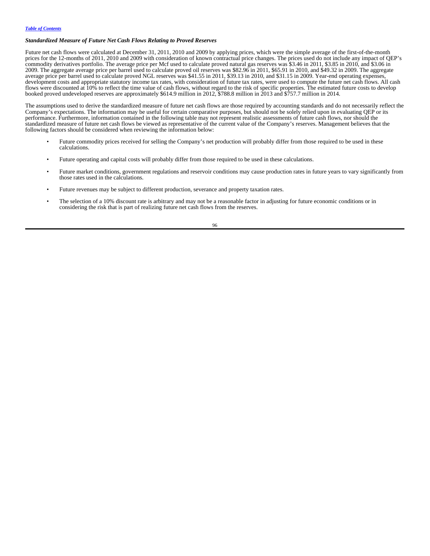### *Standardized Measure of Future Net Cash Flows Relating to Proved Reserves*

Future net cash flows were calculated at December 31, 2011, 2010 and 2009 by applying prices, which were the simple average of the first-of-the-month prices for the 12-months of 2011, 2010 and 2009 with consideration of known contractual price changes. The prices used do not include any impact of QEP's commodity derivatives portfolio. The average price per Mcf used to calculate proved natural gas reserves was \$3.46 in 2011, \$3.85 in 2010, and \$3.06 in 2009. The aggregate average price per barrel used to calculate proved oil reserves was \$82.96 in 2011, \$65.91 in 2010, and \$49.32 in 2009. The aggregate average price per barrel used to calculate proved NGL reserves was \$41.55 in 2011, \$39.13 in 2010, and \$31.15 in 2009. Year-end operating expenses, development costs and appropriate statutory income tax rates, with consideration of future tax rates, were used to compute the future net cash flows. All cash flows were discounted at 10% to reflect the time value of cash flows, without regard to the risk of specific properties. The estimated future costs to develop booked proved undeveloped reserves are approximately \$614.9 million in 2012, \$788.8 million in 2013 and \$757.7 million in 2014.

The assumptions used to derive the standardized measure of future net cash flows are those required by accounting standards and do not necessarily reflect the Company's expectations. The information may be useful for certain comparative purposes, but should not be solely relied upon in evaluating QEP or its performance. Furthermore, information contained in the following table may not represent realistic assessments of future cash flows, nor should the standardized measure of future net cash flows be viewed as representative of the current value of the Company's reserves. Management believes that the following factors should be considered when reviewing the information below:

- Future commodity prices received for selling the Company's net production will probably differ from those required to be used in these calculations.
- Future operating and capital costs will probably differ from those required to be used in these calculations.
- Future market conditions, government regulations and reservoir conditions may cause production rates in future years to vary significantly from those rates used in the calculations.
- Future revenues may be subject to different production, severance and property taxation rates.
- The selection of a 10% discount rate is arbitrary and may not be a reasonable factor in adjusting for future economic conditions or in considering the risk that is part of realizing future net cash flows from the reserves.

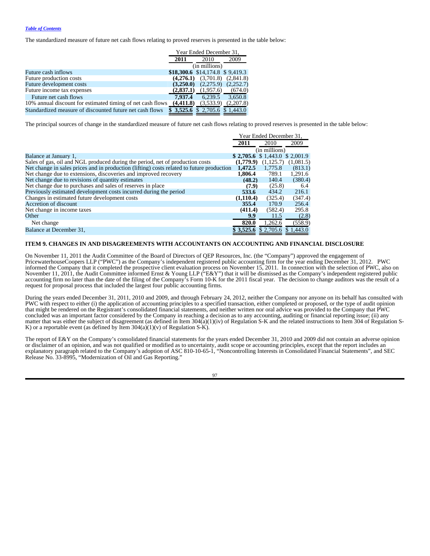The standardized measure of future net cash flows relating to proved reserves is presented in the table below:

|                                                            | Year Ended December 31, |                                 |                         |
|------------------------------------------------------------|-------------------------|---------------------------------|-------------------------|
|                                                            | 2011                    | 2010                            | 2009                    |
|                                                            |                         | (in millions)                   |                         |
| Future cash inflows                                        |                         | \$18,300.6 \$14,174.8 \$9,419.3 |                         |
| Future production costs                                    | (4.276.1)               |                                 | $(3,701.8)$ $(2,841.8)$ |
| Future development costs                                   | (3,250.0)               | (2,275.9)                       | (2,252.7)               |
| Future income tax expenses                                 | (2,837.1)               | (1,957.6)                       | (674.0)                 |
| Future net cash flows                                      | 7.937.4                 | 6.239.5                         | 3,650.8                 |
| 10% annual discount for estimated timing of net cash flows | (4, 411.8)              | (3,533.9)                       | (2,207.8)               |
| Standardized measure of discounted future net cash flows   | \$3,525.6               | 2,705.6<br>\$                   | \$1,443.0               |

The principal sources of change in the standardized measure of future net cash flows relating to proved reserves is presented in the table below:

|                                                                                           |           | Year Ended December 31,        |           |
|-------------------------------------------------------------------------------------------|-----------|--------------------------------|-----------|
|                                                                                           | 2011      | 2010                           | 2009      |
|                                                                                           |           | (in millions)                  |           |
| Balance at January 1.                                                                     |           | $$2,705.6 \$1,443.0 \$2,001.9$ |           |
| Sales of gas, oil and NGL produced during the period, net of production costs             |           | $(1,779.9)$ $(1,125.7)$        | (1,081.5) |
| Net change in sales prices and in production (lifting) costs related to future production | 1.472.5   | 1,775.8                        | (813.1)   |
| Net change due to extensions, discoveries and improved recovery                           | 1.806.4   | 789.1                          | 1,291.6   |
| Net change due to revisions of quantity estimates                                         | (48.2)    | 140.4                          | (380.4)   |
| Net change due to purchases and sales of reserves in place                                | (7.9)     | (25.8)                         | 6.4       |
| Previously estimated development costs incurred during the period                         | 533.6     | 434.2                          | 216.1     |
| Changes in estimated future development costs                                             | (1,110.4) | (325.4)                        | (347.4)   |
| Accretion of discount                                                                     | 355.4     | 170.9                          | 256.4     |
| Net change in income taxes                                                                | (411.4)   | (582.4)                        | 295.8     |
| Other                                                                                     | 9.9       | 11.5                           | (2.8)     |
| Net change                                                                                | 820.0     | 1,262.6                        | (558.9)   |
| Balance at December 31,                                                                   |           | $$3,525.6 \$2,705.6 \$1,443.0$ |           |
|                                                                                           |           |                                |           |

## **ITEM 9. CHANGES IN AND DISAGREEMENTS WITH ACCOUNTANTS ON ACCOUNTING AND FINANCIAL DISCLOSURE**

On November 11, 2011 the Audit Committee of the Board of Directors of QEP Resources, Inc. (the "Company") approved the engagement of PricewaterhouseCoopers LLP ("PWC") as the Company's independent registered public accounting firm for the year ending December 31, 2012. PWC informed the Company that it completed the prospective client evaluation process on November 15, 2011. In connection with the selection of PWC, also on November 11, 2011, the Audit Committee informed Ernst & Young LLP ("E&Y") that it will be dismissed as the Company's independent registered public accounting firm no later than the date of the filing of the Company's Form 10-K for the 2011 fiscal year. The decision to change auditors was the result of a request for proposal process that included the largest four public accounting firms.

During the years ended December 31, 2011, 2010 and 2009, and through February 24, 2012, neither the Company nor anyone on its behalf has consulted with PWC with respect to either (i) the application of accounting principles to a specified transaction, either completed or proposed, or the type of audit opinion that might be rendered on the Registrant's consolidated financial statements, and neither written nor oral advice was provided to the Company that PWC concluded was an important factor considered by the Company in reaching a decision as to any accounting, auditing or financial reporting issue; (ii) any matter that was either the subject of disagreement (as defined in Item 304(a)(1)(iv) of Regulation S-K and the related instructions to Item 304 of Regulation S-K) or a reportable event (as defined by Item 304(a)(1)(v) of Regulation S-K).

The report of E&Y on the Company's consolidated financial statements for the years ended December 31, 2010 and 2009 did not contain an adverse opinion or disclaimer of an opinion, and was not qualified or modified as to uncertainty, audit scope or accounting principles, except that the report includes an explanatory paragraph related to the Company's adoption of ASC 810-10-65-1, "Noncontrolling Interests in Consolidated Financial Statements", and SEC Release No. 33-8995, "Modernization of Oil and Gas Reporting."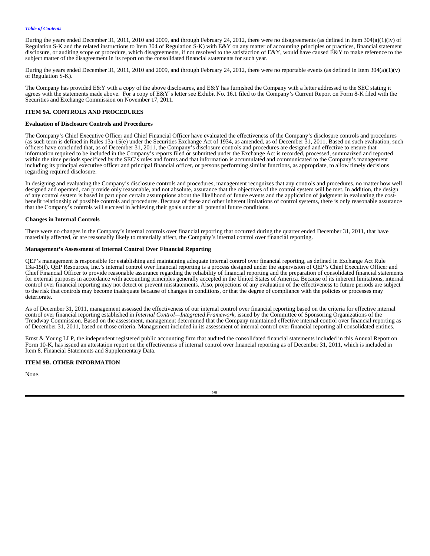During the years ended December 31, 2011, 2010 and 2009, and through February 24, 2012, there were no disagreements (as defined in Item 304(a)(1)(iv) of Regulation S-K and the related instructions to Item 304 of Regulation S-K) with E&Y on any matter of accounting principles or practices, financial statement disclosure, or auditing scope or procedure, which disagreements, if not resolved to the satisfaction of E&Y, would have caused E&Y to make reference to the subject matter of the disagreement in its report on the consolidated financial statements for such year.

During the years ended December 31, 2011, 2010 and 2009, and through February 24, 2012, there were no reportable events (as defined in Item 304(a)(1)(v) of Regulation S-K).

The Company has provided E&Y with a copy of the above disclosures, and E&Y has furnished the Company with a letter addressed to the SEC stating it agrees with the statements made above. For a copy of E&Y's letter see Exhibit No. 16.1 filed to the Company's Current Report on Form 8-K filed with the Securities and Exchange Commission on November 17, 2011.

## **ITEM 9A. CONTROLS AND PROCEDURES**

### **Evaluation of Disclosure Controls and Procedures**

The Company's Chief Executive Officer and Chief Financial Officer have evaluated the effectiveness of the Company's disclosure controls and procedures (as such term is defined in Rules 13a-15(e) under the Securities Exchange Act of 1934, as amended, as of December 31, 2011. Based on such evaluation, such officers have concluded that, as of December 31, 2011, the Company's disclosure controls and procedures are designed and effective to ensure that information required to be included in the Company's reports filed or submitted under the Exchange Act is recorded, processed, summarized and reported within the time periods specificed by the SEC's rules and forms and that information is accumulated and communicated to the Company's management including its principal executive officer and principal financial officer, or persons performing similar functions, as appropriate, to allow timely decisions regarding required disclosure.

In designing and evaluating the Company's disclosure controls and procedures, management recognizes that any controls and procedures, no matter how well designed and operated, can provide only reasonable, and not absolute, assurance that the objectives of the control system will be met. In addition, the design of any control system is based in part upon certain assumptions about the likelihood of future events and the application of judgment in evaluating the costbenefit relationship of possible controls and procedures. Because of these and other inherent limitations of control systems, there is only reasonable assurance that the Company's controls will succeed in achieving their goals under all potential future conditions.

### **Changes in Internal Controls**

There were no changes in the Company's internal controls over financial reporting that occurred during the quarter ended December 31, 2011, that have materially affected, or are reasonably likely to materially affect, the Company's internal control over financial reporting.

## **Management's Assessment of Internal Control Over Financial Reporting**

QEP's management is responsible for establishing and maintaining adequate internal control over financial reporting, as defined in Exchange Act Rule 13a-15(f). QEP Resources, Inc.'s internal control over financial reporting is a process designed under the supervision of QEP's Chief Executive Officer and Chief Financial Officer to provide reasonable assurance regarding the reliability of financial reporting and the preparation of consolidated financial statements for external purposes in accordance with accounting principles generally accepted in the United States of America. Because of its inherent limitations, internal control over financial reporting may not detect or prevent misstatements. Also, projections of any evaluation of the effectiveness to future periods are subject to the risk that controls may become inadequate because of changes in conditions, or that the degree of compliance with the policies or processes may deteriorate.

As of December 31, 2011, management assessed the effectiveness of our internal control over financial reporting based on the criteria for effective internal control over financial reporting established in *Internal Control—Integrated Framework,* issued by the Committee of Sponsoring Organizations of the Treadway Commission. Based on the assessment, management determined that the Company maintained effective internal control over financial reporting as of December 31, 2011, based on those criteria. Management included in its assessment of internal control over financial reporting all consolidated entities.

Ernst & Young LLP, the independent registered public accounting firm that audited the consolidated financial statements included in this Annual Report on Form 10-K, has issued an attestation report on the effectiveness of internal control over financial reporting as of December 31, 2011, which is included in Item 8. Financial Statements and Supplementary Data.

## **ITEM 9B. OTHER INFORMATION**

None.

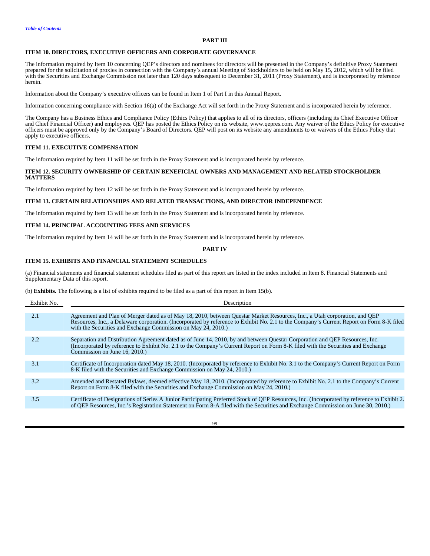## **PART III**

## **ITEM 10. DIRECTORS, EXECUTIVE OFFICERS AND CORPORATE GOVERNANCE**

The information required by Item 10 concerning QEP's directors and nominees for directors will be presented in the Company's definitive Proxy Statement prepared for the solicitation of proxies in connection with the Company's annual Meeting of Stockholders to be held on May 15, 2012, which will be filed with the Securities and Exchange Commission not later than 120 days subsequent to December 31, 2011 (Proxy Statement), and is incorporated by reference herein.

Information about the Company's executive officers can be found in Item 1 of Part I in this Annual Report.

Information concerning compliance with Section 16(a) of the Exchange Act will set forth in the Proxy Statement and is incorporated herein by reference.

The Company has a Business Ethics and Compliance Policy (Ethics Policy) that applies to all of its directors, officers (including its Chief Executive Officer and Chief Financial Officer) and employees. QEP has posted the Ethics Policy on its website, www.qepres.com. Any waiver of the Ethics Policy for executive officers must be approved only by the Company's Board of Directors. QEP will post on its website any amendments to or waivers of the Ethics Policy that apply to executive officers.

## **ITEM 11. EXECUTIVE COMPENSATION**

The information required by Item 11 will be set forth in the Proxy Statement and is incorporated herein by reference.

### **ITEM 12. SECURITY OWNERSHIP OF CERTAIN BENEFICIAL OWNERS AND MANAGEMENT AND RELATED STOCKHOLDER MATTERS**

The information required by Item 12 will be set forth in the Proxy Statement and is incorporated herein by reference.

## **ITEM 13. CERTAIN RELATIONSHIPS AND RELATED TRANSACTIONS, AND DIRECTOR INDEPENDENCE**

The information required by Item 13 will be set forth in the Proxy Statement and is incorporated herein by reference.

## **ITEM 14. PRINCIPAL ACCOUNTING FEES AND SERVICES**

The information required by Item 14 will be set forth in the Proxy Statement and is incorporated herein by reference.

## **PART IV**

#### **ITEM 15. EXHIBITS AND FINANCIAL STATEMENT SCHEDULES**

(a) Financial statements and financial statement schedules filed as part of this report are listed in the index included in Item 8. Financial Statements and Supplementary Data of this report.

(b) **Exhibits.** The following is a list of exhibits required to be filed as a part of this report in Item 15(b).

| Exhibit No. | Description                                                                                                                                                                                                                                                                                                                            |
|-------------|----------------------------------------------------------------------------------------------------------------------------------------------------------------------------------------------------------------------------------------------------------------------------------------------------------------------------------------|
| 2.1         | Agreement and Plan of Merger dated as of May 18, 2010, between Questar Market Resources, Inc., a Utah corporation, and QEP<br>Resources, Inc., a Delaware corporation. (Incorporated by reference to Exhibit No. 2.1 to the Company's Current Report on Form 8-K filed<br>with the Securities and Exchange Commission on May 24, 2010. |
| 2.2.        | Separation and Distribution Agreement dated as of June 14, 2010, by and between Questar Corporation and QEP Resources, Inc.<br>(Incorporated by reference to Exhibit No. 2.1 to the Company's Current Report on Form 8-K filed with the Securities and Exchange<br>Commission on June 16, 2010.)                                       |
| 3.1         | Certificate of Incorporation dated May 18, 2010. (Incorporated by reference to Exhibit No. 3.1 to the Company's Current Report on Form<br>8-K filed with the Securities and Exchange Commission on May 24, 2010.)                                                                                                                      |
| 3.2         | Amended and Restated Bylaws, deemed effective May 18, 2010. (Incorporated by reference to Exhibit No. 2.1 to the Company's Current<br>Report on Form 8-K filed with the Securities and Exchange Commission on May 24, 2010.)                                                                                                           |
| 3.5         | Certificate of Designations of Series A Junior Participating Preferred Stock of OEP Resources, Inc. (Incorporated by reference to Exhibit 2.<br>of OEP Resources, Inc.'s Registration Statement on Form 8-A filed with the Securities and Exchange Commission on June 30, 2010.)                                                       |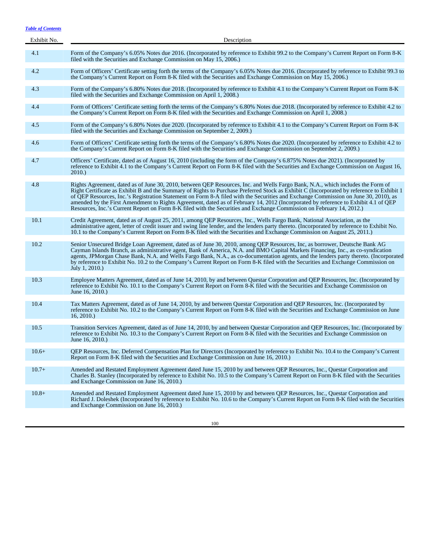| Exhibit No. | Description                                                                                                                                                                                                                                                                                                                                                                                                                                                                                                                                                                                                                                                                        |
|-------------|------------------------------------------------------------------------------------------------------------------------------------------------------------------------------------------------------------------------------------------------------------------------------------------------------------------------------------------------------------------------------------------------------------------------------------------------------------------------------------------------------------------------------------------------------------------------------------------------------------------------------------------------------------------------------------|
| 4.1         | Form of the Company's 6.05% Notes due 2016. (Incorporated by reference to Exhibit 99.2 to the Company's Current Report on Form 8-K<br>filed with the Securities and Exchange Commission on May 15, 2006.)                                                                                                                                                                                                                                                                                                                                                                                                                                                                          |
| 4.2         | Form of Officers' Certificate setting forth the terms of the Company's 6.05% Notes due 2016. (Incorporated by reference to Exhibit 99.3 to<br>the Company's Current Report on Form 8-K filed with the Securities and Exchange Commission on May 15, 2006.)                                                                                                                                                                                                                                                                                                                                                                                                                         |
| 4.3         | Form of the Company's 6.80% Notes due 2018. (Incorporated by reference to Exhibit 4.1 to the Company's Current Report on Form 8-K<br>filed with the Securities and Exchange Commission on April 1, 2008.)                                                                                                                                                                                                                                                                                                                                                                                                                                                                          |
| 4.4         | Form of Officers' Certificate setting forth the terms of the Company's 6.80% Notes due 2018. (Incorporated by reference to Exhibit 4.2 to<br>the Company's Current Report on Form 8-K filed with the Securities and Exchange Commission on April 1, 2008.)                                                                                                                                                                                                                                                                                                                                                                                                                         |
| 4.5         | Form of the Company's 6.80% Notes due 2020. (Incorporated by reference to Exhibit 4.1 to the Company's Current Report on Form 8-K<br>filed with the Securities and Exchange Commission on September 2, 2009.)                                                                                                                                                                                                                                                                                                                                                                                                                                                                      |
| 4.6         | Form of Officers' Certificate setting forth the terms of the Company's 6.80% Notes due 2020. (Incorporated by reference to Exhibit 4.2 to<br>the Company's Current Report on Form 8-K filed with the Securities and Exchange Commission on September 2, 2009.)                                                                                                                                                                                                                                                                                                                                                                                                                     |
| 4.7         | Officers' Certificate, dated as of August 16, 2010 (including the form of the Company's 6.875% Notes due 2021). (Incorporated by<br>reference to Exhibit 4.1 to the Company's Current Report on Form 8-K filed with the Securities and Exchange Commission on August 16,<br>2010.)                                                                                                                                                                                                                                                                                                                                                                                                 |
| 4.8         | Rights Agreement, dated as of June 30, 2010, between QEP Resources, Inc. and Wells Fargo Bank, N.A., which includes the Form of<br>Right Certificate as Exhibit B and the Summary of Rights to Purchase Preferred Stock as Exhibit C (Incorporated by reference to Exhibit 1<br>of QEP Resources, Inc.'s Registration Statement on Form 8-A filed with the Securities and Exchange Commission on June 30, 2010), as<br>amended by the First Amendment to Rights Agreement, dated as of February 14, 2012 (Incorporated by reference to Exhibit 4.1 of QEP<br>Resources, Inc.'s Current Report on Form 8-K filed with the Securities and Exchange Commission on February 14, 2012.) |
| 10.1        | Credit Agreement, dated as of August 25, 2011, among QEP Resources, Inc., Wells Fargo Bank, National Association, as the<br>administrative agent, letter of credit issuer and swing line lender, and the lenders party thereto. (Incorporated by reference to Exhibit No.<br>10.1 to the Company's Current Report on Form 8-K filed with the Securities and Exchange Commission on August 25, 2011.)                                                                                                                                                                                                                                                                               |
| 10.2        | Senior Unsecured Bridge Loan Agreement, dated as of June 30, 2010, among QEP Resources, Inc, as borrower, Deutsche Bank AG<br>Cayman Islands Branch, as administrative agent, Bank of America, N.A. and BMO Capital Markets Financing, Inc., as co-syndication<br>agents, JPMorgan Chase Bank, N.A. and Wells Fargo Bank, N.A., as co-documentation agents, and the lenders party thereto. (Incorporated<br>by reference to Exhibit No. 10.2 to the Company's Current Report on Form 8-K filed with the Securities and Exchange Commission on<br>July 1, 2010.)                                                                                                                    |
| 10.3        | Employee Matters Agreement, dated as of June 14, 2010, by and between Questar Corporation and QEP Resources, Inc. (Incorporated by<br>reference to Exhibit No. 10.1 to the Company's Current Report on Form 8-K filed with the Securities and Exchange Commission on<br>June 16, 2010.)                                                                                                                                                                                                                                                                                                                                                                                            |
| 10.4        | Tax Matters Agreement, dated as of June 14, 2010, by and between Questar Corporation and QEP Resources, Inc. (Incorporated by<br>reference to Exhibit No. 10.2 to the Company's Current Report on Form 8-K filed with the Securities and Exchange Commission on June<br>16, 2010.                                                                                                                                                                                                                                                                                                                                                                                                  |
| 10.5        | Transition Services Agreement, dated as of June 14, 2010, by and between Questar Corporation and QEP Resources, Inc. (Incorporated by<br>reference to Exhibit No. 10.3 to the Company's Current Report on Form 8-K filed with the Securities and Exchange Commission on<br>June 16, 2010.)                                                                                                                                                                                                                                                                                                                                                                                         |
| $10.6+$     | QEP Resources, Inc. Deferred Compensation Plan for Directors (Incorporated by reference to Exhibit No. 10.4 to the Company's Current<br>Report on Form 8-K filed with the Securities and Exchange Commission on June 16, 2010.)                                                                                                                                                                                                                                                                                                                                                                                                                                                    |
| $10.7+$     | Amended and Restated Employment Agreement dated June 15, 2010 by and between QEP Resources, Inc., Questar Corporation and<br>Charles B. Stanley (Incorporated by reference to Exhibit No. 10.5 to the Company's Current Report on Form 8-K filed with the Securities<br>and Exchange Commission on June 16, 2010.)                                                                                                                                                                                                                                                                                                                                                                 |
| $10.8+$     | Amended and Restated Employment Agreement dated June 15, 2010 by and between QEP Resources, Inc., Questar Corporation and<br>Richard J. Doleshek (Incorporated by reference to Exhibit No. 10.6 to the Company's Current Report on Form 8-K filed with the Securities<br>and Exchange Commission on June 16, 2010.)                                                                                                                                                                                                                                                                                                                                                                |
|             |                                                                                                                                                                                                                                                                                                                                                                                                                                                                                                                                                                                                                                                                                    |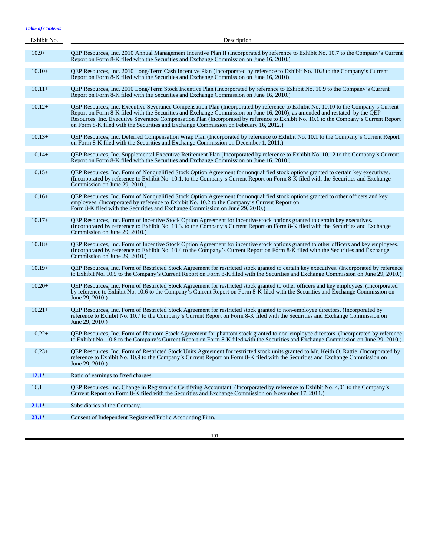| Exhibit No. | Description                                                                                                                                                                                                                                                                                                                                                                                                                                                                                      |
|-------------|--------------------------------------------------------------------------------------------------------------------------------------------------------------------------------------------------------------------------------------------------------------------------------------------------------------------------------------------------------------------------------------------------------------------------------------------------------------------------------------------------|
| $10.9+$     | QEP Resources, Inc. 2010 Annual Management Incentive Plan II (Incorporated by reference to Exhibit No. 10.7 to the Company's Current<br>Report on Form 8-K filed with the Securities and Exchange Commission on June 16, 2010.)                                                                                                                                                                                                                                                                  |
| $10.10+$    | QEP Resources, Inc. 2010 Long-Term Cash Incentive Plan (Incorporated by reference to Exhibit No. 10.8 to the Company's Current<br>Report on Form 8-K filed with the Securities and Exchange Commission on June 16, 2010).                                                                                                                                                                                                                                                                        |
| $10.11+$    | QEP Resources, Inc. 2010 Long-Term Stock Incentive Plan (Incorporated by reference to Exhibit No. 10.9 to the Company's Current<br>Report on Form 8-K filed with the Securities and Exchange Commission on June 16, 2010.)                                                                                                                                                                                                                                                                       |
| $10.12+$    | QEP Resources, Inc. Executive Severance Compensation Plan (Incorporated by reference to Exhibit No. 10.10 to the Company's Current<br>Report on Form 8-K filed with the Securities and Exchange Commission on June 16, 2010), as amended and restated by the QEP<br>Resources, Inc. Executive Severance Compensation Plan (Incorporated by reference to Exhibit No. 10.1 to the Company's Current Report<br>on Form 8-K filed with the Securities and Exchange Commission on February 16, 2012.) |
| $10.13+$    | QEP Resources, Inc. Deferred Compensation Wrap Plan (Incorporated by reference to Exhibit No. 10.1 to the Company's Current Report<br>on Form 8-K filed with the Securities and Exchange Commission on December 1, 2011.)                                                                                                                                                                                                                                                                        |
| $10.14+$    | QEP Resources, Inc. Supplemental Executive Retirement Plan (Incorporated by reference to Exhibit No. 10.12 to the Company's Current<br>Report on Form 8-K filed with the Securities and Exchange Commission on June 16, 2010.)                                                                                                                                                                                                                                                                   |
| $10.15+$    | QEP Resources, Inc. Form of Nonqualified Stock Option Agreement for nonqualified stock options granted to certain key executives.<br>(Incorporated by reference to Exhibit No. 10.1. to the Company's Current Report on Form 8-K filed with the Securities and Exchange<br>Commission on June 29, 2010.)                                                                                                                                                                                         |
| $10.16+$    | QEP Resources, Inc. Form of Nonqualified Stock Option Agreement for nonqualified stock options granted to other officers and key<br>employees. (Incorporated by reference to Exhibit No. 10.2 to the Company's Current Report on<br>Form 8-K filed with the Securities and Exchange Commission on June 29, 2010.)                                                                                                                                                                                |
| $10.17+$    | QEP Resources, Inc. Form of Incentive Stock Option Agreement for incentive stock options granted to certain key executives.<br>(Incorporated by reference to Exhibit No. 10.3, to the Company's Current Report on Form 8-K filed with the Securities and Exchange<br>Commission on June 29, 2010.)                                                                                                                                                                                               |
| $10.18+$    | QEP Resources, Inc. Form of Incentive Stock Option Agreement for incentive stock options granted to other officers and key employees.<br>(Incorporated by reference to Exhibit No. 10.4 to the Company's Current Report on Form 8-K filed with the Securities and Exchange<br>Commission on June 29, 2010.)                                                                                                                                                                                      |
| $10.19+$    | QEP Resources, Inc. Form of Restricted Stock Agreement for restricted stock granted to certain key executives. (Incorporated by reference<br>to Exhibit No. 10.5 to the Company's Current Report on Form 8-K filed with the Securities and Exchange Commission on June 29, 2010.)                                                                                                                                                                                                                |
| $10.20+$    | QEP Resources, Inc. Form of Restricted Stock Agreement for restricted stock granted to other officers and key employees. (Incorporated<br>by reference to Exhibit No. 10.6 to the Company's Current Report on Form 8-K filed with the Securities and Exchange Commission on<br>June 29, 2010.)                                                                                                                                                                                                   |
| $10.21+$    | QEP Resources, Inc. Form of Restricted Stock Agreement for restricted stock granted to non-employee directors. (Incorporated by<br>reference to Exhibit No. 10.7 to the Company's Current Report on Form 8-K filed with the Securities and Exchange Commission on<br>June 29, 2010.)                                                                                                                                                                                                             |
| $10.22+$    | QEP Resources, Inc. Form of Phantom Stock Agreement for phantom stock granted to non-employee directors. (Incorporated by reference<br>to Exhibit No. 10.8 to the Company's Current Report on Form 8-K filed with the Securities and Exchange Commission on June 29, 2010.)                                                                                                                                                                                                                      |
| $10.23+$    | QEP Resources, Inc. Form of Restricted Stock Units Agreement for restricted stock units granted to Mr. Keith O. Rattie. (Incorporated by<br>reference to Exhibit No. 10.9 to the Company's Current Report on Form 8-K filed with the Securities and Exchange Commission on<br>June 29, 2010.)                                                                                                                                                                                                    |
| $12.1*$     | Ratio of earnings to fixed charges.                                                                                                                                                                                                                                                                                                                                                                                                                                                              |
| 16.1        | QEP Resources, Inc. Change in Registrant's Certifying Accountant. (Incorporated by reference to Exhibit No. 4.01 to the Company's<br>Current Report on Form 8-K filed with the Securities and Exchange Commission on November 17, 2011.)                                                                                                                                                                                                                                                         |
| $21.1*$     | Subsidiaries of the Company.                                                                                                                                                                                                                                                                                                                                                                                                                                                                     |
| $23.1*$     | Consent of Independent Registered Public Accounting Firm.                                                                                                                                                                                                                                                                                                                                                                                                                                        |
|             |                                                                                                                                                                                                                                                                                                                                                                                                                                                                                                  |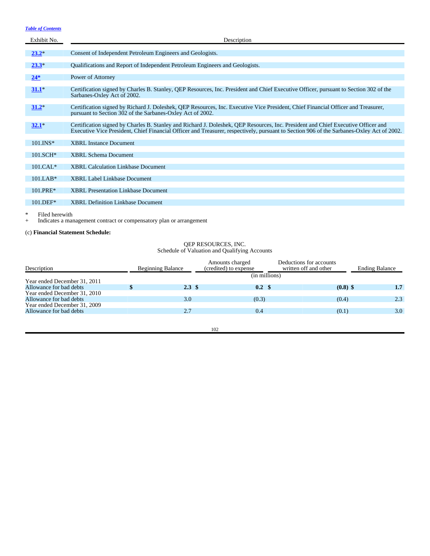| Exhibit No. | Description                                                                                                                                                                                                                                                                    |
|-------------|--------------------------------------------------------------------------------------------------------------------------------------------------------------------------------------------------------------------------------------------------------------------------------|
| $23.2*$     | Consent of Independent Petroleum Engineers and Geologists.                                                                                                                                                                                                                     |
| $23.3*$     | Qualifications and Report of Independent Petroleum Engineers and Geologists.                                                                                                                                                                                                   |
| $24*$       | Power of Attorney                                                                                                                                                                                                                                                              |
| $31.1*$     | Certification signed by Charles B. Stanley, QEP Resources, Inc. President and Chief Executive Officer, pursuant to Section 302 of the<br>Sarbanes-Oxley Act of 2002.                                                                                                           |
| $31.2*$     | Certification signed by Richard J. Doleshek, QEP Resources, Inc. Executive Vice President, Chief Financial Officer and Treasurer,<br>pursuant to Section 302 of the Sarbanes-Oxley Act of 2002.                                                                                |
| $32.1*$     | Certification signed by Charles B. Stanley and Richard J. Doleshek, QEP Resources, Inc. President and Chief Executive Officer and<br>Executive Vice President, Chief Financial Officer and Treasurer, respectively, pursuant to Section 906 of the Sarbanes-Oxley Act of 2002. |
| $101.$ INS* | <b>XBRL</b> Instance Document                                                                                                                                                                                                                                                  |
| $101.SCH*$  | <b>XBRL Schema Document</b>                                                                                                                                                                                                                                                    |
| $101.CAI.*$ | <b>XBRL Calculation Linkbase Document</b>                                                                                                                                                                                                                                      |
| $101.LAB*$  | XBRL Label Linkbase Document                                                                                                                                                                                                                                                   |
| $101.PRE*$  | <b>XBRL Presentation Linkbase Document</b>                                                                                                                                                                                                                                     |
| $101.DEF*$  | <b>XBRL Definition Linkbase Document</b>                                                                                                                                                                                                                                       |

\* Filed herewith

+ Indicates a management contract or compensatory plan or arrangement

# (c) **Financial Statement Schedule:**

### QEP RESOURCES, INC. Schedule of Valuation and Qualifying Accounts

| Description                  | <b>Beginning Balance</b> | Amounts charged<br>(credited) to expense | Deductions for accounts<br>written off and other |            | <b>Ending Balance</b> |  |
|------------------------------|--------------------------|------------------------------------------|--------------------------------------------------|------------|-----------------------|--|
|                              | (in millions)            |                                          |                                                  |            |                       |  |
| Year ended December 31, 2011 |                          |                                          |                                                  |            |                       |  |
| Allowance for bad debts      | 2.3 <sup>°</sup>         | 0.2 <sup>5</sup>                         |                                                  | $(0.8)$ \$ | 1.7                   |  |
| Year ended December 31, 2010 |                          |                                          |                                                  |            |                       |  |
| Allowance for bad debts      | 3.0                      | (0.3)                                    |                                                  | (0.4)      | 2.3                   |  |
| Year ended December 31, 2009 |                          |                                          |                                                  |            |                       |  |
| Allowance for bad debts      | 2.7                      | 0.4                                      |                                                  | (0.1)      | 3.0                   |  |
|                              |                          |                                          |                                                  |            |                       |  |

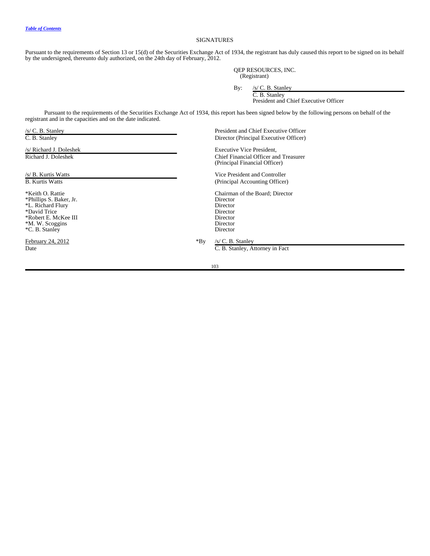## SIGNATURES

Pursuant to the requirements of Section 13 or 15(d) of the Securities Exchange Act of 1934, the registrant has duly caused this report to be signed on its behalf by the undersigned, thereunto duly authorized, on the 24th day of February, 2012.

> QEP RESOURCES, INC. (Registrant)

By: /s/ C. B. Stanley

C. B. Stanley President and Chief Executive Officer

Pursuant to the requirements of the Securities Exchange Act of 1934, this report has been signed below by the following persons on behalf of the registrant and in the capacities and on the date indicated.

\*Phillips S. Baker, Jr. (2008)<br>
\*Phillips S. Baker, Jr. (2008)<br>
\*Phillips S. Baker, Jr. (2008) \*L. Richard Flury Director \*David Trice \*Robert E. McKee III Director \*M. W. Scoggins and the second state of the second state of the Director of the Director  $\ast$ C. B. Stanley \*C. B. Stanley

/s/ C. B. Stanley President and Chief Executive Officer C. B. Stanley Director (Principal Executive Officer)

/s/ Richard J. Doleshek Executive Vice President, Richard J. Doleshek Chief Financial Officer and Treasurer (Principal Financial Officer)

Vice President and Controller<br>
B. Kurtis Watts Vice President and Controller<br>
(Principal Accounting Officer) (Principal Accounting Officer)

\*Keith O. Rattie Chairman of the Board; Director <br>
\*Phillips S. Baker, Jr. Chairman of the Board; Director Phillips S. Baker, Jr.

February 24, 2012  $^{*}$ By /s/ C. B. Stanley

Date C. B. Stanley, Attorney in Fact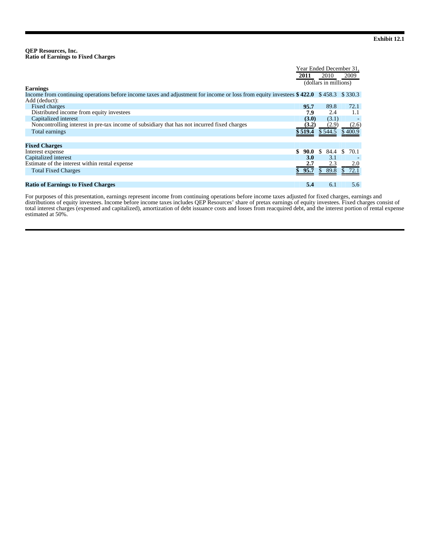## **QEP Resources, Inc. Ratio of Earnings to Fixed Charges**

|                                                                                                                                      | Year Ended December 31. |         |                       |           |
|--------------------------------------------------------------------------------------------------------------------------------------|-------------------------|---------|-----------------------|-----------|
|                                                                                                                                      |                         | 2011    | 2010                  | 2009      |
|                                                                                                                                      |                         |         | (dollars in millions) |           |
| <b>Earnings</b>                                                                                                                      |                         |         |                       |           |
| Income from continuing operations before income taxes and adjustment for income or loss from equity investees \$422.0 \$458.3 \$30.3 |                         |         |                       |           |
| Add (deduct):                                                                                                                        |                         |         |                       |           |
| Fixed charges                                                                                                                        |                         | 95.7    | 89.8                  | 72.1      |
| Distributed income from equity investees                                                                                             |                         | 7.9     | 2.4                   | 1.1       |
| Capitalized interest                                                                                                                 |                         | (3.0)   | (3.1)                 |           |
| Noncontrolling interest in pre-tax income of subsidiary that has not incurred fixed charges                                          |                         | (3.2)   | (2.9)                 | (2.6)     |
| Total earnings                                                                                                                       |                         | \$519.4 | \$544.5               | \$400.9   |
|                                                                                                                                      |                         |         |                       |           |
| <b>Fixed Charges</b>                                                                                                                 |                         |         |                       |           |
| Interest expense                                                                                                                     | \$                      | 90.0    | 84.4<br>- \$          | 70.1<br>S |
| Capitalized interest                                                                                                                 |                         | 3.0     | 3.1                   |           |
| Estimate of the interest within rental expense                                                                                       |                         | 2.7     | 2.3                   | 2.0       |
| <b>Total Fixed Charges</b>                                                                                                           |                         | \$95.7  | 89.8<br>$\mathbb{S}$  | 72.1      |
|                                                                                                                                      |                         |         |                       |           |
| <b>Ratio of Earnings to Fixed Charges</b>                                                                                            |                         | 5.4     | 6.1                   | 5.6       |

For purposes of this presentation, earnings represent income from continuing operations before income taxes adjusted for fixed charges, earnings and distributions of equity investees. Income before income taxes includes QEP Resources' share of pretax earnings of equity investees. Fixed charges consist of total interest charges (expensed and capitalized), amortization of debt issuance costs and losses from reacquired debt, and the interest portion of rental expense estimated at 50%.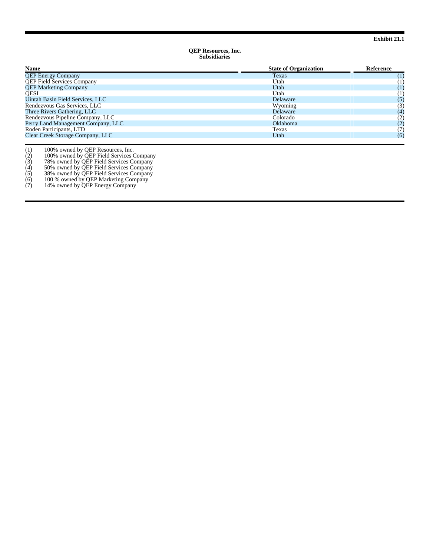**Exhibit 21.1**

#### **QEP Resources, Inc. Subsidiaries**

| <b>Name</b>                        | <b>State of Organization</b> | Reference |
|------------------------------------|------------------------------|-----------|
| <b>OEP Energy Company</b>          | Texas                        | (1)       |
| <b>OEP Field Services Company</b>  | Utah                         | (1)       |
| <b>OEP Marketing Company</b>       | Utah                         | (1)       |
| <b>OESI</b>                        | Utah                         | (1)       |
| Uintah Basin Field Services, LLC   | Delaware                     | (5)       |
| Rendezvous Gas Services, LLC       | Wyoming                      | (3)       |
| Three Rivers Gathering, LLC        | Delaware                     | (4)       |
| Rendezvous Pipeline Company, LLC   | Colorado                     | (2)       |
| Perry Land Management Company, LLC | Oklahoma                     | (2)       |
| Roden Participants, LTD            | Texas                        | (7)       |
| Clear Creek Storage Company, LLC   | Utah                         | (6)       |

(1) 100% owned by QEP Resources, Inc.

(2) 100% owned by QEP Field Services Company (3) 78% owned by QEP Field Services Company

(4) 50% owned by QEP Field Services Company

(5) 38% owned by QEP Field Services Company

(6) 100 % owned by QEP Marketing Company

(7) 14% owned by QEP Energy Company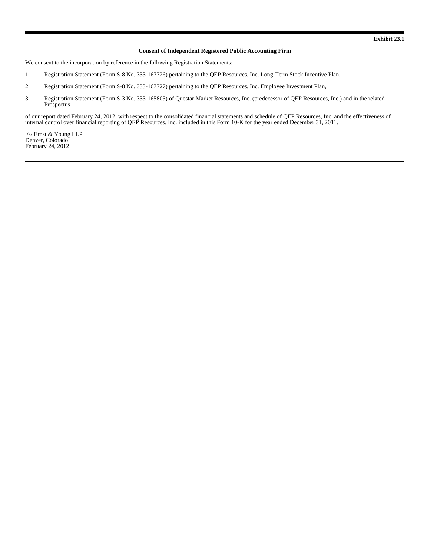## **Consent of Independent Registered Public Accounting Firm**

We consent to the incorporation by reference in the following Registration Statements:

- 1. Registration Statement (Form S-8 No. 333-167726) pertaining to the QEP Resources, Inc. Long-Term Stock Incentive Plan,
- 2. Registration Statement (Form S-8 No. 333-167727) pertaining to the QEP Resources, Inc. Employee Investment Plan,
- 3. Registration Statement (Form S-3 No. 333-165805) of Questar Market Resources, Inc. (predecessor of QEP Resources, Inc.) and in the related Prospectus

of our report dated February 24, 2012, with respect to the consolidated financial statements and schedule of QEP Resources, Inc. and the effectiveness of internal control over financial reporting of QEP Resources, Inc. included in this Form 10-K for the year ended December 31, 2011.

 /s/ Ernst & Young LLP Denver, Colorado February 24, 2012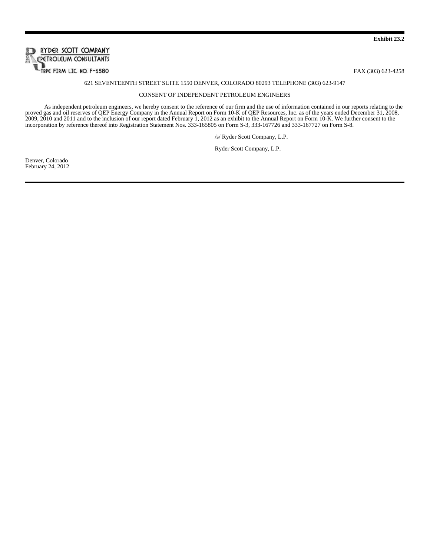

# 621 SEVENTEENTH STREET SUITE 1550 DENVER, COLORADO 80293 TELEPHONE (303) 623-9147

# CONSENT OF INDEPENDENT PETROLEUM ENGINEERS

As independent petroleum engineers, we hereby consent to the reference of our firm and the use of information contained in our reports relating to the proved gas and oil reserves of QEP Energy Company in the Annual Report on Form 10-K of QEP Resources, Inc. as of the years ended December 31, 2008, 2009, 2010 and 2011 and to the inclusion of our report dated February 1, 2012 as an exhibit to the Annual Report on Form 10-K. We further consent to the incorporation by reference thereof into Registration Statement Nos. 333-165805 on Form S-3, 333-167726 and 333-167727 on Form S-8.

/s/ Ryder Scott Company, L.P.

Ryder Scott Company, L.P.

Denver, Colorado February 24, 2012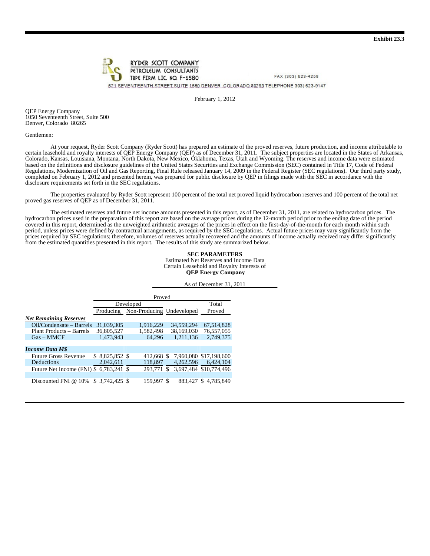

FAX (303) 623-4258

February 1, 2012

QEP Energy Company 1050 Seventeenth Street, Suite 500 Denver, Colorado 80265

#### Gentlemen:

At your request, Ryder Scott Company (Ryder Scott) has prepared an estimate of the proved reserves, future production, and income attributable to certain leasehold and royalty interests of QEP Energy Company (QEP) as of December 31, 2011. The subject properties are located in the States of Arkansas, Colorado, Kansas, Louisiana, Montana, North Dakota, New Mexico, Oklahoma, Texas, Utah and Wyoming. The reserves and income data were estimated based on the definitions and disclosure guidelines of the United States Securities and Exchange Commission (SEC) contained in Title 17, Code of Federal Regulations, Modernization of Oil and Gas Reporting, Final Rule released January 14, 2009 in the Federal Register (SEC regulations). Our third party study, completed on February 1, 2012 and presented herein, was prepared for public disclosure by QEP in filings made with the SEC in accordance with the disclosure requirements set forth in the SEC regulations.

The properties evaluated by Ryder Scott represent 100 percent of the total net proved liquid hydrocarbon reserves and 100 percent of the total net proved gas reserves of QEP as of December 31, 2011.

The estimated reserves and future net income amounts presented in this report, as of December 31, 2011, are related to hydrocarbon prices. The hydrocarbon prices used in the preparation of this report are based on the average prices during the 12-month period prior to the ending date of the period covered in this report, determined as the unweighted arithmetic averages of the prices in effect on the first-day-of-the-month for each month within such period, unless prices were defined by contractual arrangements, as required by the SEC regulations. Actual future prices may vary significantly from the prices required by SEC regulations; therefore, volumes of reserves actually recovered and the amounts of income actually received may differ significantly from the estimated quantities presented in this report. The results of this study are summarized below.

#### **SEC PARAMETERS** Estimated Net Reserves and Income Data Certain Leasehold and Royalty Interests of  **QEP Energy Company**

|                               |                 |                                     |            | As of December 31, 2011 |
|-------------------------------|-----------------|-------------------------------------|------------|-------------------------|
|                               |                 | Proved                              |            |                         |
|                               |                 | Developed                           |            | Total                   |
|                               |                 | Producing Non-Producing Undeveloped |            | Proved                  |
| <b>Net Remaining Reserves</b> |                 |                                     |            |                         |
| Oil/Condensate – Barrels      | 31.039.305      | 1.916.229                           | 34.559.294 | 67.514.828              |
| Plant Products – Barrels      | 36,805,527      | 1.582.498                           | 38.169.030 | 76.557.055              |
| $Gas - MMCF$                  | 1.473.943       | 64.296                              | 1,211,136  | 2.749.375               |
|                               |                 |                                     |            |                         |
| <b>Income Data M\$</b>        |                 |                                     |            |                         |
| <b>Future Gross Revenue</b>   | $$8.825.852$ \$ | 412.668 \$                          |            | 7.960.080 \$17.198.600  |
| <b>Deductions</b>             | 2,042,611       | 118,897                             | 4,262,596  | 6,424,104               |
| Future Net Income (FNI) \$    | 6.783.241 \$    | 293,771                             | \$.        | 3.697.484 \$10.774.496  |
|                               |                 |                                     |            |                         |
| Discounted FNI $@$ 10%        | $$3.742.425$ \$ | 159,997 \$                          |            | 883,427 \$4,785,849     |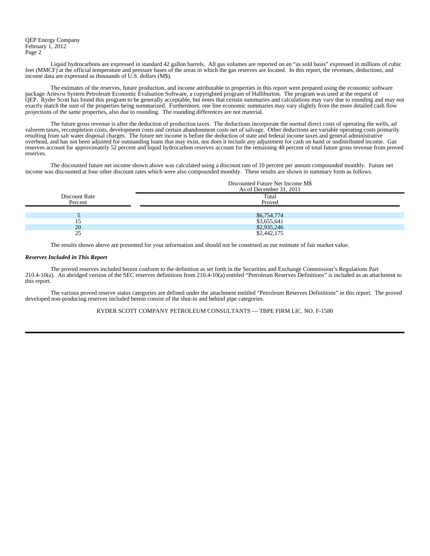Liquid hydrocarbons are expressed in standard 42 gallon barrels. All gas volumes are reported on an "as sold basis" expressed in millions of cubic feet (MMCF) at the official temperature and pressure bases of the areas in which the gas reserves are located. In this report, the revenues, deductions, and income data are expressed as thousands of U.S. dollars (M\$).

The estimates of the reserves, future production, and income attributable to properties in this report were prepared using the economic software package AriesTM System Petroleum Economic Evaluation Software, a copyrighted program of Halliburton. The program was used at the request of QEP. Ryder Scott has found this program to be generally acceptable, but notes that certain summaries and calculations may vary due to rounding and may not exactly match the sum of the properties being summarized. Furthermore, one line economic summaries may vary slightly from the more detailed cash flow projections of the same properties, also due to rounding. The rounding differences are not material.

The future gross revenue is after the deduction of production taxes. The deductions incorporate the normal direct costs of operating the wells, ad valorem taxes, recompletion costs, development costs and certain abandonment costs net of salvage. Other deductions are variable operating costs primarily resulting from salt water disposal charges. The future net income is before the deduction of state and federal income taxes and general administrative overhead, and has not been adjusted for outstanding loans that may exist, nor does it include any adjustment for cash on hand or undistributed income. Gas reserves account for approximately 52 percent and liquid hydrocarbon reserves account for the remaining 48 percent of total future gross revenue from proved reserves.

The discounted future net income shown above was calculated using a discount rate of 10 percent per annum compounded monthly. Future net income was discounted at four other discount rates which were also compounded monthly. These results are shown in summary form as follows.

|                          | Discounted Future Net Income M\$<br>As of December 31, 2011 |  |  |
|--------------------------|-------------------------------------------------------------|--|--|
| Discount Rate<br>Percent | Total<br>Proved                                             |  |  |
|                          |                                                             |  |  |
|                          | \$6,754,774                                                 |  |  |
| 15                       | \$3,655,641                                                 |  |  |
| 20                       | \$2,935,246                                                 |  |  |
| 25                       | \$2,442,175                                                 |  |  |

The results shown above are presented for your information and should not be construed as our estimate of fair market value.

## *Reserves Included in This Report*

The proved reserves included herein conform to the definition as set forth in the Securities and Exchange Commission's Regulations Part  $210.4-10(a)$ . An abridged version of the SEC reserves definitions from  $210.4-10(a)$  entitled "Petroleum Reserves Definitions" is included as an attachment to this report.

The various proved reserve status categories are defined under the attachment entitled "Petroleum Reserves Definitions" in this report. The proved developed non-producing reserves included herein consist of the shut-in and behind pipe categories.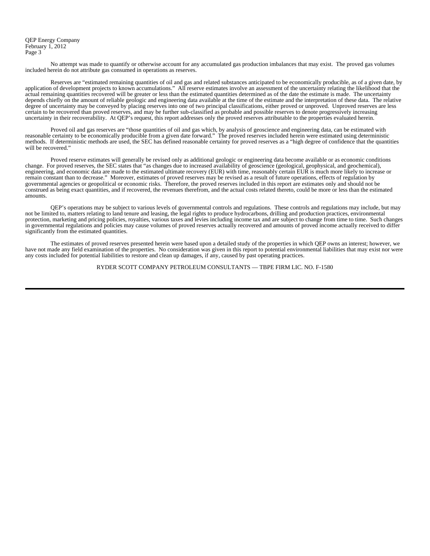No attempt was made to quantify or otherwise account for any accumulated gas production imbalances that may exist. The proved gas volumes included herein do not attribute gas consumed in operations as reserves.

Reserves are "estimated remaining quantities of oil and gas and related substances anticipated to be economically producible, as of a given date, by application of development projects to known accumulations." All reserve estimates involve an assessment of the uncertainty relating the likelihood that the actual remaining quantities recovered will be greater or less than the estimated quantities determined as of the date the estimate is made. The uncertainty depends chiefly on the amount of reliable geologic and engineering data available at the time of the estimate and the interpretation of these data. The relative degree of uncertainty may be conveyed by placing reserves into one of two principal classifications, either proved or unproved. Unproved reserves are less certain to be recovered than proved reserves, and may be further sub-classified as probable and possible reserves to denote progressively increasing uncertainty in their recoverability. At QEP's request, this report addresses only the proved reserves attributable to the properties evaluated herein.

Proved oil and gas reserves are "those quantities of oil and gas which, by analysis of geoscience and engineering data, can be estimated with reasonable certainty to be economically producible from a given date forward." The proved reserves included herein were estimated using deterministic methods. If deterministic methods are used, the SEC has defined reasonable certainty for proved reserves as a "high degree of confidence that the quantities will be recovered."

Proved reserve estimates will generally be revised only as additional geologic or engineering data become available or as economic conditions change. For proved reserves, the SEC states that "as changes due to increased availability of geoscience (geological, geophysical, and geochemical), engineering, and economic data are made to the estimated ultimate recovery (EUR) with time, reasonably certain EUR is much more likely to increase or remain constant than to decrease." Moreover, estimates of proved reserves may be revised as a result of future operations, effects of regulation by governmental agencies or geopolitical or economic risks. Therefore, the proved reserves included in this report are estimates only and should not be construed as being exact quantities, and if recovered, the revenues therefrom, and the actual costs related thereto, could be more or less than the estimated amounts.

QEP's operations may be subject to various levels of governmental controls and regulations. These controls and regulations may include, but may not be limited to, matters relating to land tenure and leasing, the legal rights to produce hydrocarbons, drilling and production practices, environmental protection, marketing and pricing policies, royalties, various taxes and levies including income tax and are subject to change from time to time. Such changes in governmental regulations and policies may cause volumes of proved reserves actually recovered and amounts of proved income actually received to differ significantly from the estimated quantities.

The estimates of proved reserves presented herein were based upon a detailed study of the properties in which QEP owns an interest; however, we have not made any field examination of the properties. No consideration was given in this report to potential environmental liabilities that may exist nor were any costs included for potential liabilities to restore and clean up damages, if any, caused by past operating practices.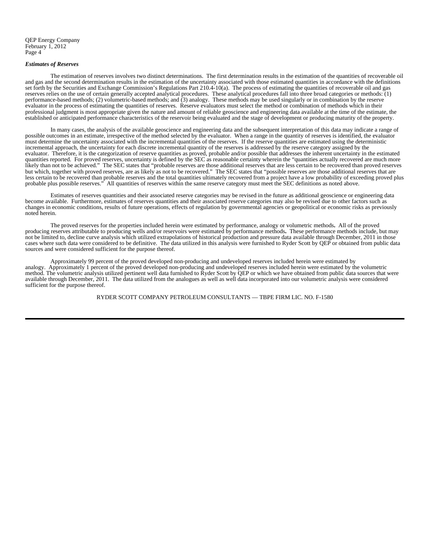#### *Estimates of Reserves*

The estimation of reserves involves two distinct determinations. The first determination results in the estimation of the quantities of recoverable oil and gas and the second determination results in the estimation of the uncertainty associated with those estimated quantities in accordance with the definitions set forth by the Securities and Exchange Commission's Regulations Part 210.4-10(a). The process of estimating the quantities of recoverable oil and gas reserves relies on the use of certain generally accepted analytical procedures. These analytical procedures fall into three broad categories or methods: (1) performance-based methods; (2) volumetric-based methods; and (3) analogy. These methods may be used singularly or in combination by the reserve evaluator in the process of estimating the quantities of reserves. Reserve evaluators must select the method or combination of methods which in their professional judgment is most appropriate given the nature and amount of reliable geoscience and engineering data available at the time of the estimate, the established or anticipated performance characteristics of the reservoir being evaluated and the stage of development or producing maturity of the property.

In many cases, the analysis of the available geoscience and engineering data and the subsequent interpretation of this data may indicate a range of possible outcomes in an estimate, irrespective of the method selected by the evaluator. When a range in the quantity of reserves is identified, the evaluator must determine the uncertainty associated with the incremental quantities of the reserves. If the reserve quantities are estimated using the deterministic incremental approach, the uncertainty for each discrete incremental quantity of the reserves is addressed by the reserve category assigned by the evaluator. Therefore, it is the categorization of reserve quantities as proved, probable and/or possible that addresses the inherent uncertainty in the estimated quantities reported. For proved reserves, uncertainty is defined by the SEC as reasonable certainty wherein the "quantities actually recovered are much more likely than not to be achieved." The SEC states that "probable reserves are those additional reserves that are less certain to be recovered than proved reserves but which, together with proved reserves, are as likely as not to be recovered." The SEC states that "possible reserves are those additional reserves that are less certain to be recovered than probable reserves and the total quantities ultimately recovered from a project have a low probability of exceeding proved plus probable plus possible reserves." All quantities of reserves within the same reserve category must meet the SEC definitions as noted above.

Estimates of reserves quantities and their associated reserve categories may be revised in the future as additional geoscience or engineering data become available. Furthermore, estimates of reserves quantities and their associated reserve categories may also be revised due to other factors such as changes in economic conditions, results of future operations, effects of regulation by governmental agencies or geopolitical or economic risks as previously noted herein.

The proved reserves for the properties included herein were estimated by performance, analogy or volumetric methods**.** All of the proved producing reserves attributable to producing wells and/or reservoirs were estimated by performance methods**.** These performance methods include, but may not be limited to, decline curve analysis which utilized extrapolations of historical production and pressure data available through December, 2011 in those cases where such data were considered to be definitive. The data utilized in this analysis were furnished to Ryder Scott by QEP or obtained from public data sources and were considered sufficient for the purpose thereof.

Approximately 99 percent of the proved developed non-producing and undeveloped reserves included herein were estimated by analogy. Approximately 1 percent of the proved developed non-producing and undeveloped reserves included herein were estimated by the volumetric method. The volumetric analysis utilized pertinent well data furnished to Ryder Scott by QEP or which we have obtained from public data sources that were available through December, 2011. The data utilized from the analogues as well as well data incorporated into our volumetric analysis were considered sufficient for the purpose thereof.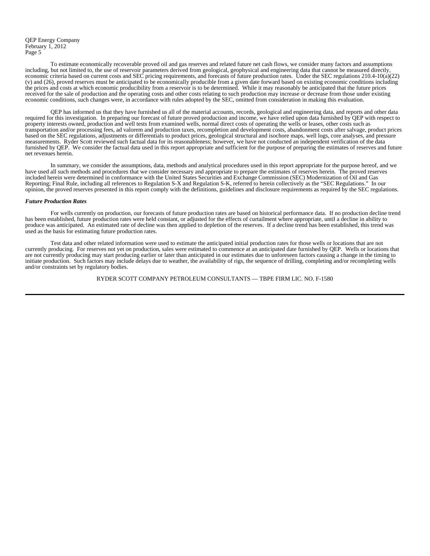To estimate economically recoverable proved oil and gas reserves and related future net cash flows, we consider many factors and assumptions including, but not limited to, the use of reservoir parameters derived from geological, geophysical and engineering data that cannot be measured directly, economic criteria based on current costs and SEC pricing requirements, and forecasts of future production rates. Under the SEC regulations 210.4-10(a)(22) (v) and (26), proved reserves must be anticipated to be economically producible from a given date forward based on existing economic conditions including the prices and costs at which economic producibility from a reservoir is to be determined. While it may reasonably be anticipated that the future prices received for the sale of production and the operating costs and other costs relating to such production may increase or decrease from those under existing economic conditions, such changes were, in accordance with rules adopted by the SEC, omitted from consideration in making this evaluation.

QEP has informed us that they have furnished us all of the material accounts, records, geological and engineering data, and reports and other data required for this investigation. In preparing our forecast of future proved production and income, we have relied upon data furnished by QEP with respect to property interests owned, production and well tests from examined wells, normal direct costs of operating the wells or leases, other costs such as transportation and/or processing fees, ad valorem and production taxes, recompletion and development costs, abandonment costs after salvage, product prices based on the SEC regulations, adjustments or differentials to product prices, geological structural and isochore maps, well logs, core analyses, and pressure measurements. Ryder Scott reviewed such factual data for its reasonableness; however, we have not conducted an independent verification of the data furnished by QEP. We consider the factual data used in this report appropriate and sufficient for the purpose of preparing the estimates of reserves and future net revenues herein.

In summary, we consider the assumptions, data, methods and analytical procedures used in this report appropriate for the purpose hereof, and we have used all such methods and procedures that we consider necessary and appropriate to prepare the estimates of reserves herein. The proved reserves included herein were determined in conformance with the United States Securities and Exchange Commission (SEC) Modernization of Oil and Gas Reporting; Final Rule, including all references to Regulation S-X and Regulation S-K, referred to herein collectively as the "SEC Regulations." In our opinion, the proved reserves presented in this report comply with the definitions, guidelines and disclosure requirements as required by the SEC regulations.

#### *Future Production Rates*

For wells currently on production, our forecasts of future production rates are based on historical performance data. If no production decline trend has been established, future production rates were held constant, or adjusted for the effects of curtailment where appropriate, until a decline in ability to produce was anticipated. An estimated rate of decline was then applied to depletion of the reserves. If a decline trend has been established, this trend was used as the basis for estimating future production rates.

Test data and other related information were used to estimate the anticipated initial production rates for those wells or locations that are not currently producing. For reserves not yet on production, sales were estimated to commence at an anticipated date furnished by QEP. Wells or locations that are not currently producing may start producing earlier or later than anticipated in our estimates due to unforeseen factors causing a change in the timing to initiate production. Such factors may include delays due to weather, the availability of rigs, the sequence of drilling, completing and/or recompleting wells and/or constraints set by regulatory bodies.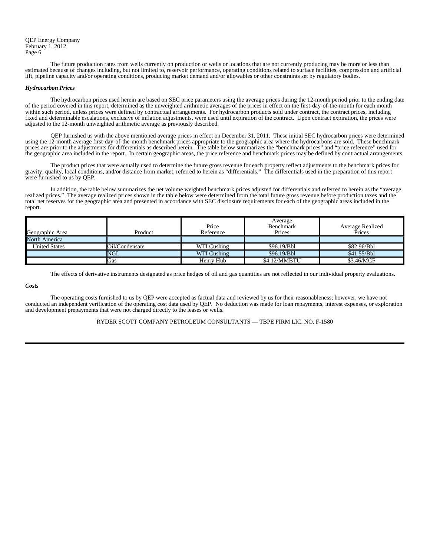The future production rates from wells currently on production or wells or locations that are not currently producing may be more or less than estimated because of changes including, but not limited to, reservoir performance, operating conditions related to surface facilities, compression and artificial lift, pipeline capacity and/or operating conditions, producing market demand and/or allowables or other constraints set by regulatory bodies.

### *Hydrocarbon Prices*

The hydrocarbon prices used herein are based on SEC price parameters using the average prices during the 12-month period prior to the ending date of the period covered in this report, determined as the unweighted arithmetic averages of the prices in effect on the first-day-of-the-month for each month within such period, unless prices were defined by contractual arrangements. For hydrocarbon products sold under contract, the contract prices, including fixed and determinable escalations, exclusive of inflation adjustments, were used until expiration of the contract. Upon contract expiration, the prices were adjusted to the 12-month unweighted arithmetic average as previously described.

QEP furnished us with the above mentioned average prices in effect on December 31, 2011. These initial SEC hydrocarbon prices were determined using the 12-month average first-day-of-the-month benchmark prices appropriate to the geographic area where the hydrocarbons are sold. These benchmark prices are prior to the adjustments for differentials as described herein. The table below summarizes the "benchmark prices" and "price reference" used for the geographic area included in the report. In certain geographic areas, the price reference and benchmark prices may be defined by contractual arrangements.

The product prices that were actually used to determine the future gross revenue for each property reflect adjustments to the benchmark prices for gravity, quality, local conditions, and/or distance from market, referred to herein as "differentials." The differentials used in the preparation of this report were furnished to us by QEP.

In addition, the table below summarizes the net volume weighted benchmark prices adjusted for differentials and referred to herein as the "average realized prices." The average realized prices shown in the table below were determined from the total future gross revenue before production taxes and the total net reserves for the geographic area and presented in accordance with SEC disclosure requirements for each of the geographic areas included in the report.

| Geographic Area      | Product        | Price<br>Reference | Average<br>Benchmark<br>Prices | Average Realized<br>Prices |
|----------------------|----------------|--------------------|--------------------------------|----------------------------|
| North America        |                |                    |                                |                            |
| <b>United States</b> | Oil/Condensate | WTI Cushing        | \$96.19/Bbl                    | \$82.96/Bbl                |
|                      | <b>NGL</b>     | WTI Cushing        | \$96.19/Bbl                    | \$41.55/Bbl                |
|                      | Gas            | Henry Hub          | \$4.12/MMBTU                   | \$3.46/MCF                 |

The effects of derivative instruments designated as price hedges of oil and gas quantities are not reflected in our individual property evaluations.

#### *Costs*

The operating costs furnished to us by QEP were accepted as factual data and reviewed by us for their reasonableness; however, we have not conducted an independent verification of the operating cost data used by QEP. No deduction was made for loan repayments, interest expenses, or exploration and development prepayments that were not charged directly to the leases or wells.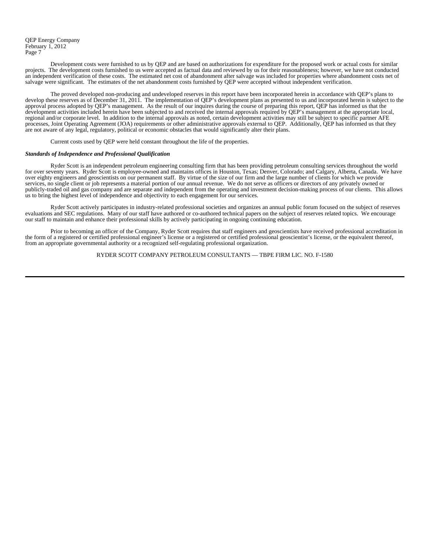Development costs were furnished to us by QEP and are based on authorizations for expenditure for the proposed work or actual costs for similar projects. The development costs furnished to us were accepted as factual data and reviewed by us for their reasonableness; however, we have not conducted an independent verification of these costs. The estimated net cost of abandonment after salvage was included for properties where abandonment costs net of salvage were significant. The estimates of the net abandonment costs furnished by QEP were accepted without independent verification.

The proved developed non-producing and undeveloped reserves in this report have been incorporated herein in accordance with QEP's plans to develop these reserves as of December 31, 2011. The implementation of QEP's development plans as presented to us and incorporated herein is subject to the approval process adopted by QEP's management. As the result of our inquires during the course of preparing this report, QEP has informed us that the development activities included herein have been subjected to and received the internal approvals required by QEP's management at the appropriate local, regional and/or corporate level. In addition to the internal approvals as noted, certain development activities may still be subject to specific partner AFE processes, Joint Operating Agreement (JOA) requirements or other administrative approvals external to QEP. Additionally, QEP has informed us that they are not aware of any legal, regulatory, political or economic obstacles that would significantly alter their plans.

Current costs used by QEP were held constant throughout the life of the properties.

## *Standards of Independence and Professional Qualification*

Ryder Scott is an independent petroleum engineering consulting firm that has been providing petroleum consulting services throughout the world for over seventy years. Ryder Scott is employee-owned and maintains offices in Houston, Texas; Denver, Colorado; and Calgary, Alberta, Canada. We have over eighty engineers and geoscientists on our permanent staff. By virtue of the size of our firm and the large number of clients for which we provide services, no single client or job represents a material portion of our annual revenue. We do not serve as officers or directors of any privately owned or publicly-traded oil and gas company and are separate and independent from the operating and investment decision-making process of our clients. This allows us to bring the highest level of independence and objectivity to each engagement for our services.

Ryder Scott actively participates in industry-related professional societies and organizes an annual public forum focused on the subject of reserves evaluations and SEC regulations. Many of our staff have authored or co-authored technical papers on the subject of reserves related topics. We encourage our staff to maintain and enhance their professional skills by actively participating in ongoing continuing education.

Prior to becoming an officer of the Company, Ryder Scott requires that staff engineers and geoscientists have received professional accreditation in the form of a registered or certified professional engineer's license or a registered or certified professional geoscientist's license, or the equivalent thereof, from an appropriate governmental authority or a recognized self-regulating professional organization.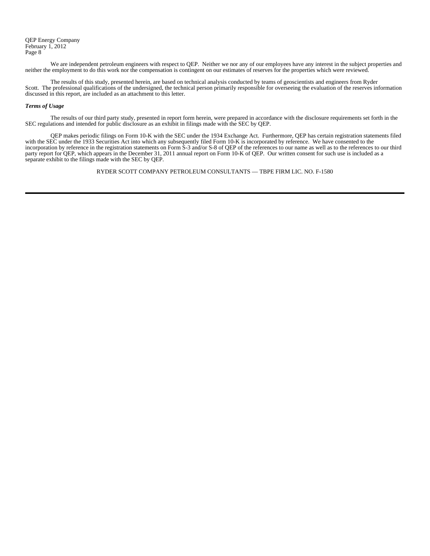We are independent petroleum engineers with respect to QEP. Neither we nor any of our employees have any interest in the subject properties and neither the employment to do this work nor the compensation is contingent on our estimates of reserves for the properties which were reviewed.

The results of this study, presented herein, are based on technical analysis conducted by teams of geoscientists and engineers from Ryder Scott. The professional qualifications of the undersigned, the technical person primarily responsible for overseeing the evaluation of the reserves information discussed in this report, are included as an attachment to this letter.

## *Terms of Usage*

The results of our third party study, presented in report form herein, were prepared in accordance with the disclosure requirements set forth in the SEC regulations and intended for public disclosure as an exhibit in filings made with the SEC by QEP.

QEP makes periodic filings on Form 10-K with the SEC under the 1934 Exchange Act. Furthermore, QEP has certain registration statements filed with the SEC under the 1933 Securities Act into which any subsequently filed Form 10-K is incorporated by reference. We have consented to the incorporation by reference in the registration statements on Form S-3 and/or S-8 of QEP of the references to our name as well as to the references to our third party report for QEP, which appears in the December 31, 2011 annual report on Form 10-K of QEP. Our written consent for such use is included as a separate exhibit to the filings made with the SEC by QEP.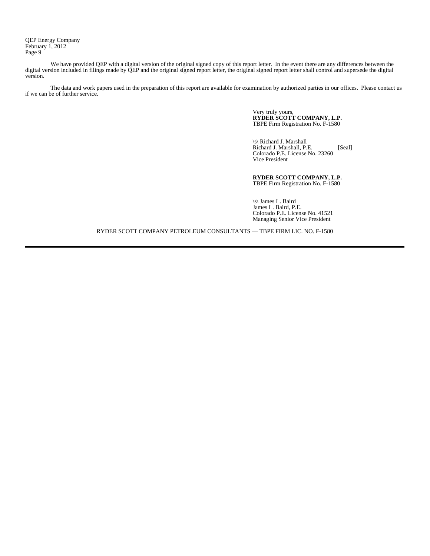We have provided QEP with a digital version of the original signed copy of this report letter. In the event there are any differences between the digital version included in filings made by QEP and the original signed report letter, the original signed report letter shall control and supersede the digital version.

The data and work papers used in the preparation of this report are available for examination by authorized parties in our offices. Please contact us if we can be of further service.

> Very truly yours, **RYDER SCOTT COMPANY, L.P.** TBPE Firm Registration No. F-1580

\s\ Richard J. Marshall Richard J. Marshall, P.E. [Seal] Colorado P.E. License No. 23260 Vice President

## **RYDER SCOTT COMPANY, L.P.** TBPE Firm Registration No. F-1580

\s\ James L. Baird James L. Baird, P.E. Colorado P.E. License No. 41521 Managing Senior Vice President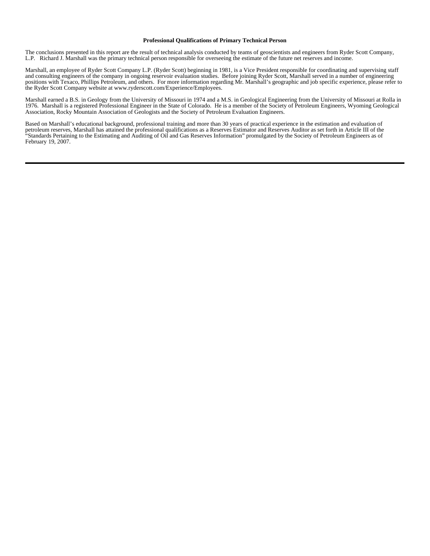#### **Professional Qualifications of Primary Technical Person**

The conclusions presented in this report are the result of technical analysis conducted by teams of geoscientists and engineers from Ryder Scott Company, L.P. Richard J. Marshall was the primary technical person responsible for overseeing the estimate of the future net reserves and income.

Marshall, an employee of Ryder Scott Company L.P. (Ryder Scott) beginning in 1981, is a Vice President responsible for coordinating and supervising staff and consulting engineers of the company in ongoing reservoir evaluation studies. Before joining Ryder Scott, Marshall served in a number of engineering positions with Texaco, Phillips Petroleum, and others. For more information regarding Mr. Marshall's geographic and job specific experience, please refer to the Ryder Scott Company website at www.ryderscott.com/Experience/Employees.

Marshall earned a B.S. in Geology from the University of Missouri in 1974 and a M.S. in Geological Engineering from the University of Missouri at Rolla in 1976. Marshall is a registered Professional Engineer in the State of Colorado. He is a member of the Society of Petroleum Engineers, Wyoming Geological Association, Rocky Mountain Association of Geologists and the Society of Petroleum Evaluation Engineers.

Based on Marshall's educational background, professional training and more than 30 years of practical experience in the estimation and evaluation of petroleum reserves, Marshall has attained the professional qualifications as a Reserves Estimator and Reserves Auditor as set forth in Article III of the "Standards Pertaining to the Estimating and Auditing of Oil and Gas Reserves Information" promulgated by the Society of Petroleum Engineers as of February 19, 2007.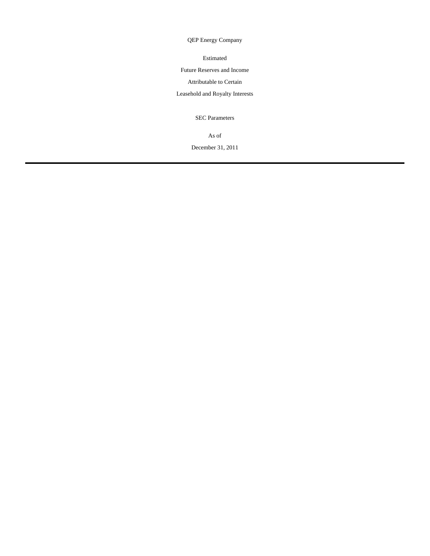# QEP Energy Company

Estimated

Future Reserves and Income

Attributable to Certain

Leasehold and Royalty Interests

SEC Parameters

As of

December 31, 2011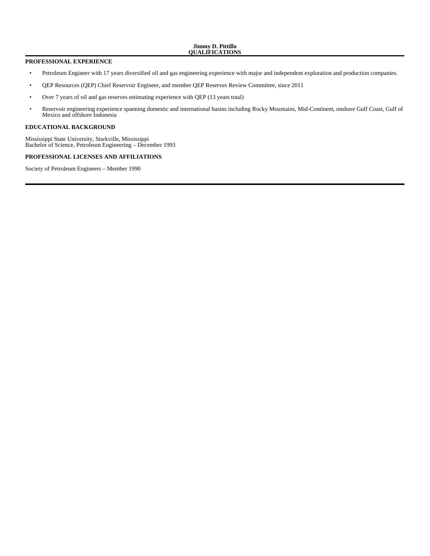# **PROFESSIONAL EXPERIENCE**

- Petroleum Engineer with 17 years diversified oil and gas engineering experience with major and independent exploration and production companies.
- QEP Resources (QEP) Chief Reservoir Engineer, and member QEP Reserves Review Committee, since 2011
- Over 7 years of oil and gas reserves estimating experience with QEP (13 years total)
- Reservoir engineering experience spanning domestic and international basins including Rocky Mountains, Mid-Continent, onshore Gulf Coast, Gulf of Mexico and offshore Indonesia

# **EDUCATIONAL BACKGROUND**

Mississippi State University, Starkville, Mississippi Bachelor of Science, Petroleum Engineering – December 1993

# **PROFESSIONAL LICENSES AND AFFILIATIONS**

Society of Petroleum Engineers – Member 1990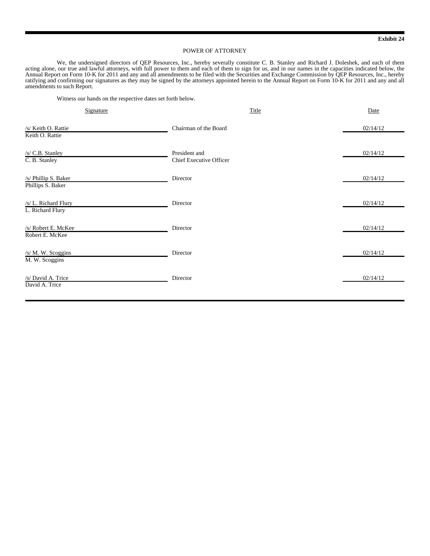# POWER OF ATTORNEY

We, the undersigned directors of QEP Resources, Inc., hereby severally constitute C. B. Stanley and Richard J. Doleshek, and each of them acting alone, our true and lawful attorneys, with full power to them and each of them to sign for us, and in our names in the capacities indicated below, the Annual Report on Form 10-K for 2011 and any and all amendments to be filed with the Securities and Exchange Commission by QEP Resources, Inc., hereby ratifying and confirming our signatures as they may be signed by the attorneys appointed herein to the Annual Report on Form 10-K for 2011 and any and all amendments to such Report.

Witness our hands on the respective dates set forth below.

| Signature                                 | Title                                    | Date     |
|-------------------------------------------|------------------------------------------|----------|
| /s/ Keith O. Rattie<br>Keith O. Rattie    | Chairman of the Board                    | 02/14/12 |
| /s/ C.B. Stanley<br>C. B. Stanley         | President and<br>Chief Executive Officer | 02/14/12 |
| /s/ Phillip S. Baker<br>Phillips S. Baker | Director                                 | 02/14/12 |
| /s/ L. Richard Flury<br>L. Richard Flury  | Director                                 | 02/14/12 |
| /s/ Robert E. McKee<br>Robert E. McKee    | Director                                 | 02/14/12 |
| /s/ M. W. Scoggins<br>M. W. Scoggins      | Director                                 | 02/14/12 |
| /s/ David A. Trice<br>David A. Trice      | Director                                 | 02/14/12 |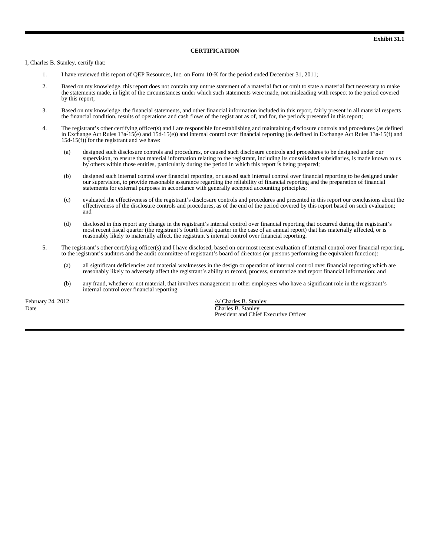# **CERTIFICATION**

I, Charles B. Stanley, certify that:

- 1. I have reviewed this report of QEP Resources, Inc. on Form 10-K for the period ended December 31, 2011;
- 2. Based on my knowledge, this report does not contain any untrue statement of a material fact or omit to state a material fact necessary to make the statements made, in light of the circumstances under which such statements were made, not misleading with respect to the period covered by this report;
- 3. Based on my knowledge, the financial statements, and other financial information included in this report, fairly present in all material respects the financial condition, results of operations and cash flows of the registrant as of, and for, the periods presented in this report;
- 4. The registrant's other certifying officer(s) and I are responsible for establishing and maintaining disclosure controls and procedures (as defined in Exchange Act Rules 13a-15(e) and 15d-15(e)) and internal control over financial reporting (as defined in Exchange Act Rules 13a-15(f) and 15d-15(f)) for the registrant and we have:
	- (a) designed such disclosure controls and procedures, or caused such disclosure controls and procedures to be designed under our supervision, to ensure that material information relating to the registrant, including its consolidated subsidiaries, is made known to us by others within those entities, particularly during the period in which this report is being prepared;
	- (b) designed such internal control over financial reporting, or caused such internal control over financial reporting to be designed under our supervision, to provide reasonable assurance regarding the reliability of financial reporting and the preparation of financial statements for external purposes in accordance with generally accepted accounting principles;
	- (c) evaluated the effectiveness of the registrant's disclosure controls and procedures and presented in this report our conclusions about the effectiveness of the disclosure controls and procedures, as of the end of the period covered by this report based on such evaluation; and
	- (d) disclosed in this report any change in the registrant's internal control over financial reporting that occurred during the registrant's most recent fiscal quarter (the registrant's fourth fiscal quarter in the case of an annual report) that has materially affected, or is reasonably likely to materially affect, the registrant's internal control over financial reporting.
- 5. The registrant's other certifying officer(s) and I have disclosed, based on our most recent evaluation of internal control over financial reporting, to the registrant's auditors and the audit committee of registrant's board of directors (or persons performing the equivalent function):
	- (a) all significant deficiencies and material weaknesses in the design or operation of internal control over financial reporting which are reasonably likely to adversely affect the registrant's ability to record, process, summarize and report financial information; and
	- (b) any fraud, whether or not material, that involves management or other employees who have a significant role in the registrant's internal control over financial reporting.

February 24, 2012 /s/ Charles B. Stanley Date Charles B. Stanley President and Chief Executive Officer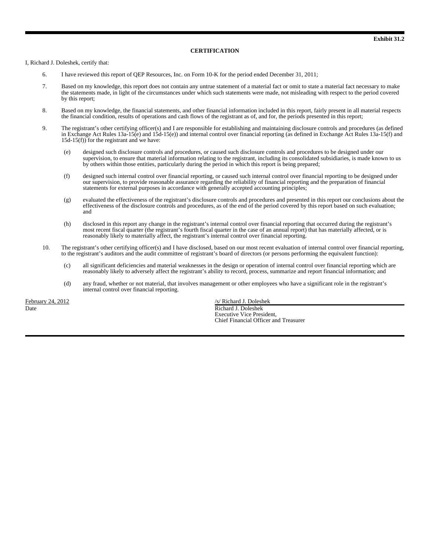# **CERTIFICATION**

I, Richard J. Doleshek, certify that:

- 6. I have reviewed this report of QEP Resources, Inc. on Form 10-K for the period ended December 31, 2011;
- 7. Based on my knowledge, this report does not contain any untrue statement of a material fact or omit to state a material fact necessary to make the statements made, in light of the circumstances under which such statements were made, not misleading with respect to the period covered by this report;
- 8. Based on my knowledge, the financial statements, and other financial information included in this report, fairly present in all material respects the financial condition, results of operations and cash flows of the registrant as of, and for, the periods presented in this report;
- 9. The registrant's other certifying officer(s) and I are responsible for establishing and maintaining disclosure controls and procedures (as defined in Exchange Act Rules 13a-15(e) and 15d-15(e)) and internal control over financial reporting (as defined in Exchange Act Rules 13a-15(f) and 15d-15(f)) for the registrant and we have:
	- (e) designed such disclosure controls and procedures, or caused such disclosure controls and procedures to be designed under our supervision, to ensure that material information relating to the registrant, including its consolidated subsidiaries, is made known to us by others within those entities, particularly during the period in which this report is being prepared;
	- (f) designed such internal control over financial reporting, or caused such internal control over financial reporting to be designed under our supervision, to provide reasonable assurance regarding the reliability of financial reporting and the preparation of financial statements for external purposes in accordance with generally accepted accounting principles;
	- (g) evaluated the effectiveness of the registrant's disclosure controls and procedures and presented in this report our conclusions about the effectiveness of the disclosure controls and procedures, as of the end of the period covered by this report based on such evaluation; and
	- (h) disclosed in this report any change in the registrant's internal control over financial reporting that occurred during the registrant's most recent fiscal quarter (the registrant's fourth fiscal quarter in the case of an annual report) that has materially affected, or is reasonably likely to materially affect, the registrant's internal control over financial reporting.
- 10. The registrant's other certifying officer(s) and I have disclosed, based on our most recent evaluation of internal control over financial reporting, to the registrant's auditors and the audit committee of registrant's board of directors (or persons performing the equivalent function):
	- (c) all significant deficiencies and material weaknesses in the design or operation of internal control over financial reporting which are reasonably likely to adversely affect the registrant's ability to record, process, summarize and report financial information; and
	- (d) any fraud, whether or not material, that involves management or other employees who have a significant role in the registrant's internal control over financial reporting.

February 24, 2012 /s/ Richard J. Doleshek Date Richard J. Doleshek Executive Vice President, Chief Financial Officer and Treasurer